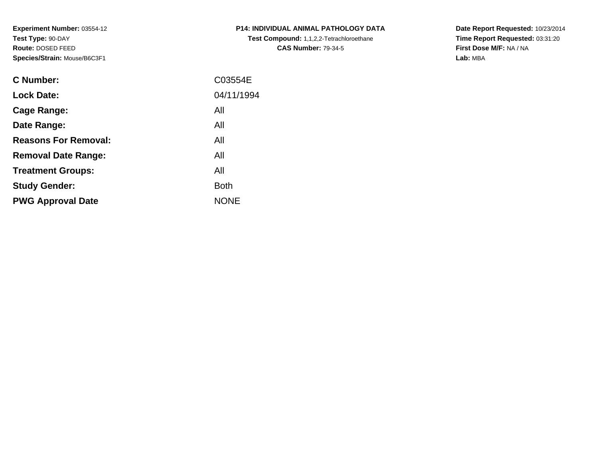**Experiment Number:** 03554-12**Test Type:** 90-DAY **Route:** DOSED FEED**Species/Strain:** Mouse/B6C3F1

| <b>C Number:</b>            | C03554E     |
|-----------------------------|-------------|
| <b>Lock Date:</b>           | 04/11/1994  |
| <b>Cage Range:</b>          | All         |
| Date Range:                 | All         |
| <b>Reasons For Removal:</b> | All         |
| <b>Removal Date Range:</b>  | All         |
| <b>Treatment Groups:</b>    | All         |
| <b>Study Gender:</b>        | <b>Both</b> |
| <b>PWG Approval Date</b>    | <b>NONE</b> |
|                             |             |

**P14: INDIVIDUAL ANIMAL PATHOLOGY DATATest Compound:** 1,1,2,2-Tetrachloroethane**CAS Number:** 79-34-5

**Date Report Requested:** 10/23/2014 **Time Report Requested:** 03:31:20**First Dose M/F:** NA / NA**Lab:** MBA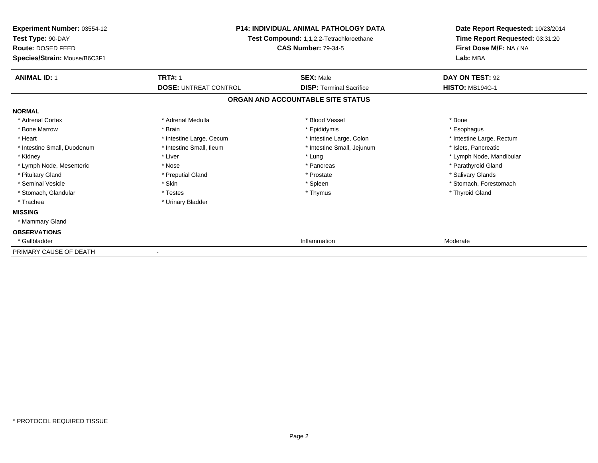| Experiment Number: 03554-12<br>Test Type: 90-DAY<br>Route: DOSED FEED<br>Species/Strain: Mouse/B6C3F1 | <b>P14: INDIVIDUAL ANIMAL PATHOLOGY DATA</b><br>Test Compound: 1,1,2,2-Tetrachloroethane<br><b>CAS Number: 79-34-5</b> |                                   | Date Report Requested: 10/23/2014<br>Time Report Requested: 03:31:20<br>First Dose M/F: NA / NA<br>Lab: MBA |
|-------------------------------------------------------------------------------------------------------|------------------------------------------------------------------------------------------------------------------------|-----------------------------------|-------------------------------------------------------------------------------------------------------------|
| <b>ANIMAL ID: 1</b>                                                                                   | <b>TRT#: 1</b>                                                                                                         | <b>SEX: Male</b>                  | DAY ON TEST: 92                                                                                             |
|                                                                                                       | <b>DOSE: UNTREAT CONTROL</b>                                                                                           | <b>DISP: Terminal Sacrifice</b>   | <b>HISTO: MB194G-1</b>                                                                                      |
|                                                                                                       |                                                                                                                        | ORGAN AND ACCOUNTABLE SITE STATUS |                                                                                                             |
| <b>NORMAL</b>                                                                                         |                                                                                                                        |                                   |                                                                                                             |
| * Adrenal Cortex                                                                                      | * Adrenal Medulla                                                                                                      | * Blood Vessel                    | * Bone                                                                                                      |
| * Bone Marrow                                                                                         | * Brain                                                                                                                | * Epididymis                      | * Esophagus                                                                                                 |
| * Heart                                                                                               | * Intestine Large, Cecum                                                                                               | * Intestine Large, Colon          | * Intestine Large, Rectum                                                                                   |
| * Intestine Small, Duodenum                                                                           | * Intestine Small, Ileum                                                                                               | * Intestine Small, Jejunum        | * Islets, Pancreatic                                                                                        |
| * Kidney                                                                                              | * Liver                                                                                                                | * Lung                            | * Lymph Node, Mandibular                                                                                    |
| * Lymph Node, Mesenteric                                                                              | * Nose                                                                                                                 | * Pancreas                        | * Parathyroid Gland                                                                                         |
| * Pituitary Gland                                                                                     | * Preputial Gland                                                                                                      | * Prostate                        | * Salivary Glands                                                                                           |
| * Seminal Vesicle                                                                                     | * Skin                                                                                                                 | * Spleen                          | * Stomach, Forestomach                                                                                      |
| * Stomach, Glandular                                                                                  | * Testes                                                                                                               | * Thymus                          | * Thyroid Gland                                                                                             |
| * Trachea                                                                                             | * Urinary Bladder                                                                                                      |                                   |                                                                                                             |
| <b>MISSING</b>                                                                                        |                                                                                                                        |                                   |                                                                                                             |
| * Mammary Gland                                                                                       |                                                                                                                        |                                   |                                                                                                             |
| <b>OBSERVATIONS</b>                                                                                   |                                                                                                                        |                                   |                                                                                                             |
| * Gallbladder                                                                                         |                                                                                                                        | Inflammation                      | Moderate                                                                                                    |
| PRIMARY CAUSE OF DEATH                                                                                |                                                                                                                        |                                   |                                                                                                             |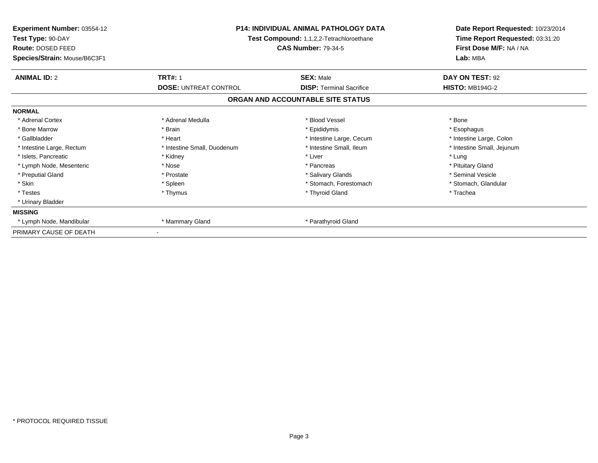| <b>Experiment Number: 03554-12</b><br>Test Type: 90-DAY<br><b>Route: DOSED FEED</b><br>Species/Strain: Mouse/B6C3F1 | <b>P14: INDIVIDUAL ANIMAL PATHOLOGY DATA</b><br>Test Compound: 1,1,2,2-Tetrachloroethane<br><b>CAS Number: 79-34-5</b> |                                   | Date Report Requested: 10/23/2014<br>Time Report Requested: 03:31:20<br>First Dose M/F: NA / NA<br>Lab: MBA |  |
|---------------------------------------------------------------------------------------------------------------------|------------------------------------------------------------------------------------------------------------------------|-----------------------------------|-------------------------------------------------------------------------------------------------------------|--|
| <b>ANIMAL ID: 2</b>                                                                                                 | <b>TRT#: 1</b>                                                                                                         | <b>SEX: Male</b>                  | DAY ON TEST: 92                                                                                             |  |
|                                                                                                                     | <b>DOSE: UNTREAT CONTROL</b>                                                                                           | <b>DISP: Terminal Sacrifice</b>   | <b>HISTO: MB194G-2</b>                                                                                      |  |
|                                                                                                                     |                                                                                                                        | ORGAN AND ACCOUNTABLE SITE STATUS |                                                                                                             |  |
| <b>NORMAL</b>                                                                                                       |                                                                                                                        |                                   |                                                                                                             |  |
| * Adrenal Cortex                                                                                                    | * Adrenal Medulla                                                                                                      | * Blood Vessel                    | * Bone                                                                                                      |  |
| * Bone Marrow                                                                                                       | * Brain                                                                                                                | * Epididymis                      | * Esophagus                                                                                                 |  |
| * Gallbladder                                                                                                       | * Heart                                                                                                                | * Intestine Large, Cecum          | * Intestine Large, Colon                                                                                    |  |
| * Intestine Large, Rectum                                                                                           | * Intestine Small, Duodenum                                                                                            | * Intestine Small, Ileum          | * Intestine Small, Jejunum                                                                                  |  |
| * Islets, Pancreatic                                                                                                | * Kidney                                                                                                               | * Liver                           | * Lung                                                                                                      |  |
| * Lymph Node, Mesenteric                                                                                            | * Nose                                                                                                                 | * Pancreas                        | * Pituitary Gland                                                                                           |  |
| * Preputial Gland                                                                                                   | * Prostate                                                                                                             | * Salivary Glands                 | * Seminal Vesicle                                                                                           |  |
| * Skin                                                                                                              | * Spleen                                                                                                               | * Stomach. Forestomach            | * Stomach, Glandular                                                                                        |  |
| * Testes                                                                                                            | * Thymus                                                                                                               | * Thyroid Gland                   | * Trachea                                                                                                   |  |
| * Urinary Bladder                                                                                                   |                                                                                                                        |                                   |                                                                                                             |  |
| <b>MISSING</b>                                                                                                      |                                                                                                                        |                                   |                                                                                                             |  |
| * Lymph Node, Mandibular                                                                                            | * Mammary Gland                                                                                                        | * Parathyroid Gland               |                                                                                                             |  |
| PRIMARY CAUSE OF DEATH                                                                                              |                                                                                                                        |                                   |                                                                                                             |  |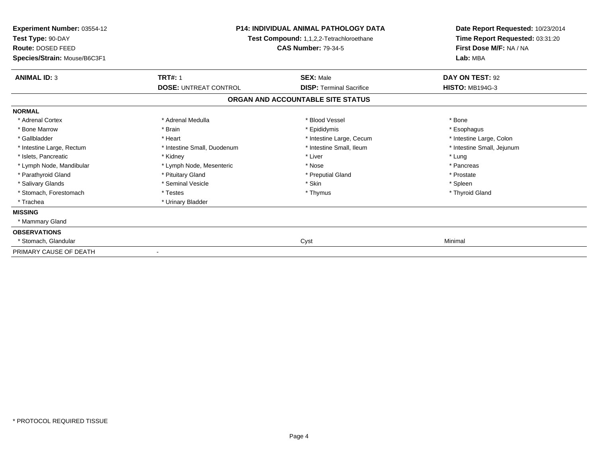| <b>Experiment Number: 03554-12</b><br>Test Type: 90-DAY<br>Route: DOSED FEED | <b>P14: INDIVIDUAL ANIMAL PATHOLOGY DATA</b><br>Test Compound: 1,1,2,2-Tetrachloroethane<br><b>CAS Number: 79-34-5</b> |                                   | Date Report Requested: 10/23/2014<br>Time Report Requested: 03:31:20<br>First Dose M/F: NA / NA |  |
|------------------------------------------------------------------------------|------------------------------------------------------------------------------------------------------------------------|-----------------------------------|-------------------------------------------------------------------------------------------------|--|
| Species/Strain: Mouse/B6C3F1                                                 |                                                                                                                        |                                   | Lab: MBA                                                                                        |  |
| <b>ANIMAL ID: 3</b>                                                          | <b>TRT#: 1</b>                                                                                                         | <b>SEX: Male</b>                  | DAY ON TEST: 92                                                                                 |  |
|                                                                              | <b>DOSE: UNTREAT CONTROL</b>                                                                                           | <b>DISP: Terminal Sacrifice</b>   | <b>HISTO: MB194G-3</b>                                                                          |  |
|                                                                              |                                                                                                                        | ORGAN AND ACCOUNTABLE SITE STATUS |                                                                                                 |  |
| <b>NORMAL</b>                                                                |                                                                                                                        |                                   |                                                                                                 |  |
| * Adrenal Cortex                                                             | * Adrenal Medulla                                                                                                      | * Blood Vessel                    | * Bone                                                                                          |  |
| * Bone Marrow                                                                | * Brain                                                                                                                | * Epididymis                      | * Esophagus                                                                                     |  |
| * Gallbladder                                                                | * Heart                                                                                                                | * Intestine Large, Cecum          | * Intestine Large, Colon                                                                        |  |
| * Intestine Large, Rectum                                                    | * Intestine Small, Duodenum                                                                                            | * Intestine Small, Ileum          | * Intestine Small, Jejunum                                                                      |  |
| * Islets, Pancreatic                                                         | * Kidney                                                                                                               | * Liver                           | * Lung                                                                                          |  |
| * Lymph Node, Mandibular                                                     | * Lymph Node, Mesenteric                                                                                               | * Nose                            | * Pancreas                                                                                      |  |
| * Parathyroid Gland                                                          | * Pituitary Gland                                                                                                      | * Preputial Gland                 | * Prostate                                                                                      |  |
| * Salivary Glands                                                            | * Seminal Vesicle                                                                                                      | * Skin                            | * Spleen                                                                                        |  |
| * Stomach, Forestomach                                                       | * Testes                                                                                                               | * Thymus                          | * Thyroid Gland                                                                                 |  |
| * Trachea                                                                    | * Urinary Bladder                                                                                                      |                                   |                                                                                                 |  |
| <b>MISSING</b>                                                               |                                                                                                                        |                                   |                                                                                                 |  |
| * Mammary Gland                                                              |                                                                                                                        |                                   |                                                                                                 |  |
| <b>OBSERVATIONS</b>                                                          |                                                                                                                        |                                   |                                                                                                 |  |
| * Stomach, Glandular                                                         |                                                                                                                        | Cyst                              | Minimal                                                                                         |  |
| PRIMARY CAUSE OF DEATH                                                       |                                                                                                                        |                                   |                                                                                                 |  |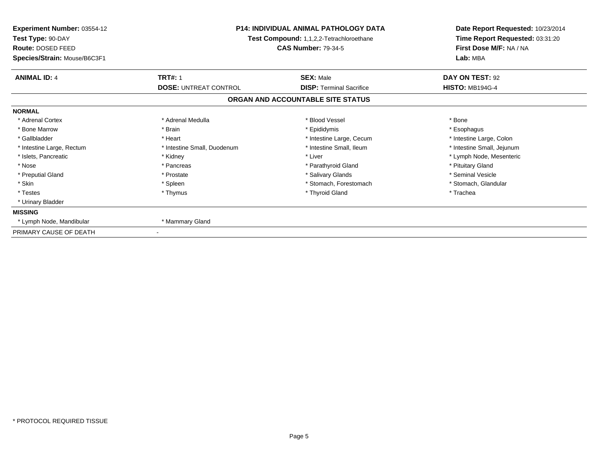| <b>Experiment Number: 03554-12</b><br>Test Type: 90-DAY<br>Route: DOSED FEED<br>Species/Strain: Mouse/B6C3F1 | <b>P14: INDIVIDUAL ANIMAL PATHOLOGY DATA</b><br>Test Compound: 1,1,2,2-Tetrachloroethane<br><b>CAS Number: 79-34-5</b> |                                                     | Date Report Requested: 10/23/2014<br>Time Report Requested: 03:31:20<br>First Dose M/F: NA / NA<br>Lab: MBA |
|--------------------------------------------------------------------------------------------------------------|------------------------------------------------------------------------------------------------------------------------|-----------------------------------------------------|-------------------------------------------------------------------------------------------------------------|
| <b>ANIMAL ID: 4</b>                                                                                          | <b>TRT#: 1</b><br><b>DOSE: UNTREAT CONTROL</b>                                                                         | <b>SEX: Male</b><br><b>DISP: Terminal Sacrifice</b> | DAY ON TEST: 92<br><b>HISTO: MB194G-4</b>                                                                   |
|                                                                                                              |                                                                                                                        | ORGAN AND ACCOUNTABLE SITE STATUS                   |                                                                                                             |
| <b>NORMAL</b>                                                                                                |                                                                                                                        |                                                     |                                                                                                             |
| * Adrenal Cortex                                                                                             | * Adrenal Medulla                                                                                                      | * Blood Vessel                                      | * Bone                                                                                                      |
| * Bone Marrow                                                                                                | * Brain                                                                                                                | * Epididymis                                        |                                                                                                             |
| * Gallbladder                                                                                                | * Heart                                                                                                                | * Intestine Large, Cecum                            | * Esophagus                                                                                                 |
|                                                                                                              | * Intestine Small, Duodenum                                                                                            | * Intestine Small, Ileum                            | * Intestine Large, Colon                                                                                    |
| * Intestine Large, Rectum<br>* Islets, Pancreatic                                                            | * Kidney                                                                                                               | * Liver                                             | * Intestine Small, Jejunum<br>* Lymph Node, Mesenteric                                                      |
| * Nose                                                                                                       | * Pancreas                                                                                                             | * Parathyroid Gland                                 | * Pituitary Gland                                                                                           |
| * Preputial Gland                                                                                            | * Prostate                                                                                                             | * Salivary Glands                                   | * Seminal Vesicle                                                                                           |
| * Skin                                                                                                       | * Spleen                                                                                                               | * Stomach. Forestomach                              | * Stomach, Glandular                                                                                        |
| * Testes                                                                                                     | * Thymus                                                                                                               | * Thyroid Gland                                     | * Trachea                                                                                                   |
| * Urinary Bladder                                                                                            |                                                                                                                        |                                                     |                                                                                                             |
| <b>MISSING</b>                                                                                               |                                                                                                                        |                                                     |                                                                                                             |
| * Lymph Node, Mandibular                                                                                     | * Mammary Gland                                                                                                        |                                                     |                                                                                                             |
| PRIMARY CAUSE OF DEATH                                                                                       |                                                                                                                        |                                                     |                                                                                                             |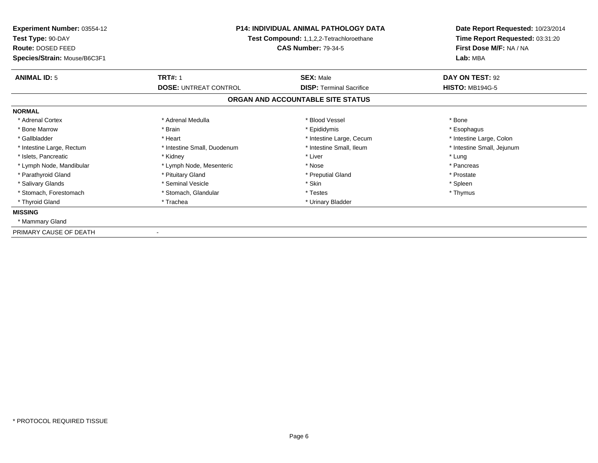| Experiment Number: 03554-12<br>Test Type: 90-DAY<br>Route: DOSED FEED<br>Species/Strain: Mouse/B6C3F1 | <b>P14: INDIVIDUAL ANIMAL PATHOLOGY DATA</b><br>Test Compound: 1,1,2,2-Tetrachloroethane<br><b>CAS Number: 79-34-5</b> |                                   | Date Report Requested: 10/23/2014<br>Time Report Requested: 03:31:20<br>First Dose M/F: NA / NA<br>Lab: MBA |
|-------------------------------------------------------------------------------------------------------|------------------------------------------------------------------------------------------------------------------------|-----------------------------------|-------------------------------------------------------------------------------------------------------------|
| <b>ANIMAL ID: 5</b>                                                                                   | <b>TRT#: 1</b>                                                                                                         | <b>SEX: Male</b>                  | DAY ON TEST: 92                                                                                             |
|                                                                                                       | <b>DOSE: UNTREAT CONTROL</b>                                                                                           | <b>DISP:</b> Terminal Sacrifice   | <b>HISTO: MB194G-5</b>                                                                                      |
|                                                                                                       |                                                                                                                        | ORGAN AND ACCOUNTABLE SITE STATUS |                                                                                                             |
| <b>NORMAL</b>                                                                                         |                                                                                                                        |                                   |                                                                                                             |
| * Adrenal Cortex                                                                                      | * Adrenal Medulla                                                                                                      | * Blood Vessel                    | * Bone                                                                                                      |
| * Bone Marrow                                                                                         | * Brain                                                                                                                | * Epididymis                      | * Esophagus                                                                                                 |
| * Gallbladder                                                                                         | * Heart                                                                                                                | * Intestine Large, Cecum          | * Intestine Large, Colon                                                                                    |
| * Intestine Large, Rectum                                                                             | * Intestine Small, Duodenum                                                                                            | * Intestine Small, Ileum          | * Intestine Small, Jejunum                                                                                  |
| * Islets, Pancreatic                                                                                  | * Kidney                                                                                                               | * Liver                           | * Lung                                                                                                      |
| * Lymph Node, Mandibular                                                                              | * Lymph Node, Mesenteric                                                                                               | * Nose                            | * Pancreas                                                                                                  |
| * Parathyroid Gland                                                                                   | * Pituitary Gland                                                                                                      | * Preputial Gland                 | * Prostate                                                                                                  |
| * Salivary Glands                                                                                     | * Seminal Vesicle                                                                                                      | * Skin                            | * Spleen                                                                                                    |
| * Stomach, Forestomach                                                                                | * Stomach, Glandular                                                                                                   | * Testes                          | * Thymus                                                                                                    |
| * Thyroid Gland                                                                                       | * Trachea                                                                                                              | * Urinary Bladder                 |                                                                                                             |
| <b>MISSING</b>                                                                                        |                                                                                                                        |                                   |                                                                                                             |
| * Mammary Gland                                                                                       |                                                                                                                        |                                   |                                                                                                             |
| PRIMARY CAUSE OF DEATH                                                                                |                                                                                                                        |                                   |                                                                                                             |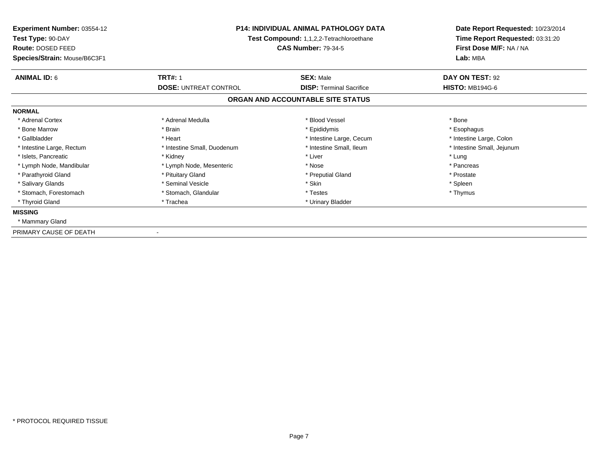| Experiment Number: 03554-12<br>Test Type: 90-DAY<br>Route: DOSED FEED<br>Species/Strain: Mouse/B6C3F1 | <b>P14: INDIVIDUAL ANIMAL PATHOLOGY DATA</b><br>Test Compound: 1,1,2,2-Tetrachloroethane<br><b>CAS Number: 79-34-5</b> |                                   | Date Report Requested: 10/23/2014<br>Time Report Requested: 03:31:20<br>First Dose M/F: NA / NA<br>Lab: MBA |
|-------------------------------------------------------------------------------------------------------|------------------------------------------------------------------------------------------------------------------------|-----------------------------------|-------------------------------------------------------------------------------------------------------------|
| <b>ANIMAL ID: 6</b>                                                                                   | <b>TRT#: 1</b>                                                                                                         | <b>SEX: Male</b>                  | DAY ON TEST: 92                                                                                             |
|                                                                                                       | <b>DOSE: UNTREAT CONTROL</b>                                                                                           | <b>DISP:</b> Terminal Sacrifice   | <b>HISTO: MB194G-6</b>                                                                                      |
|                                                                                                       |                                                                                                                        | ORGAN AND ACCOUNTABLE SITE STATUS |                                                                                                             |
| <b>NORMAL</b>                                                                                         |                                                                                                                        |                                   |                                                                                                             |
| * Adrenal Cortex                                                                                      | * Adrenal Medulla                                                                                                      | * Blood Vessel                    | * Bone                                                                                                      |
| * Bone Marrow                                                                                         | * Brain                                                                                                                | * Epididymis                      | * Esophagus                                                                                                 |
| * Gallbladder                                                                                         | * Heart                                                                                                                | * Intestine Large, Cecum          | * Intestine Large, Colon                                                                                    |
| * Intestine Large, Rectum                                                                             | * Intestine Small, Duodenum                                                                                            | * Intestine Small, Ileum          | * Intestine Small, Jejunum                                                                                  |
| * Islets, Pancreatic                                                                                  | * Kidney                                                                                                               | * Liver                           | * Lung                                                                                                      |
| * Lymph Node, Mandibular                                                                              | * Lymph Node, Mesenteric                                                                                               | * Nose                            | * Pancreas                                                                                                  |
| * Parathyroid Gland                                                                                   | * Pituitary Gland                                                                                                      | * Preputial Gland                 | * Prostate                                                                                                  |
| * Salivary Glands                                                                                     | * Seminal Vesicle                                                                                                      | * Skin                            | * Spleen                                                                                                    |
| * Stomach, Forestomach                                                                                | * Stomach, Glandular                                                                                                   | * Testes                          | * Thymus                                                                                                    |
| * Thyroid Gland                                                                                       | * Trachea                                                                                                              | * Urinary Bladder                 |                                                                                                             |
| <b>MISSING</b>                                                                                        |                                                                                                                        |                                   |                                                                                                             |
| * Mammary Gland                                                                                       |                                                                                                                        |                                   |                                                                                                             |
| PRIMARY CAUSE OF DEATH                                                                                |                                                                                                                        |                                   |                                                                                                             |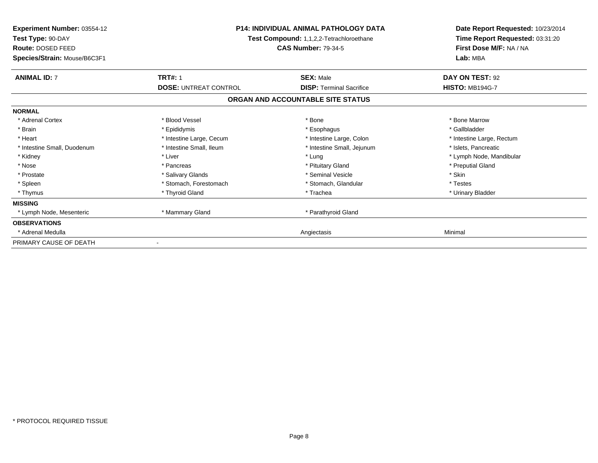| Experiment Number: 03554-12<br>Test Type: 90-DAY<br><b>Route: DOSED FEED</b><br>Species/Strain: Mouse/B6C3F1 | <b>P14: INDIVIDUAL ANIMAL PATHOLOGY DATA</b><br>Test Compound: 1,1,2,2-Tetrachloroethane<br><b>CAS Number: 79-34-5</b> |                                   | Date Report Requested: 10/23/2014<br>Time Report Requested: 03:31:20<br>First Dose M/F: NA / NA<br>Lab: MBA |
|--------------------------------------------------------------------------------------------------------------|------------------------------------------------------------------------------------------------------------------------|-----------------------------------|-------------------------------------------------------------------------------------------------------------|
| <b>ANIMAL ID: 7</b>                                                                                          | <b>TRT#: 1</b>                                                                                                         | <b>SEX: Male</b>                  | DAY ON TEST: 92                                                                                             |
|                                                                                                              | <b>DOSE: UNTREAT CONTROL</b>                                                                                           | <b>DISP: Terminal Sacrifice</b>   | <b>HISTO: MB194G-7</b>                                                                                      |
|                                                                                                              |                                                                                                                        | ORGAN AND ACCOUNTABLE SITE STATUS |                                                                                                             |
| <b>NORMAL</b>                                                                                                |                                                                                                                        |                                   |                                                                                                             |
| * Adrenal Cortex                                                                                             | * Blood Vessel                                                                                                         | * Bone                            | * Bone Marrow                                                                                               |
| * Brain                                                                                                      | * Epididymis                                                                                                           | * Esophagus                       | * Gallbladder                                                                                               |
| * Heart                                                                                                      | * Intestine Large, Cecum                                                                                               | * Intestine Large, Colon          | * Intestine Large, Rectum                                                                                   |
| * Intestine Small, Duodenum                                                                                  | * Intestine Small, Ileum                                                                                               | * Intestine Small, Jejunum        | * Islets, Pancreatic                                                                                        |
| * Kidney                                                                                                     | * Liver                                                                                                                | * Lung                            | * Lymph Node, Mandibular                                                                                    |
| * Nose                                                                                                       | * Pancreas                                                                                                             | * Pituitary Gland                 | * Preputial Gland                                                                                           |
| * Prostate                                                                                                   | * Salivary Glands                                                                                                      | * Seminal Vesicle                 | * Skin                                                                                                      |
| * Spleen                                                                                                     | * Stomach, Forestomach                                                                                                 | * Stomach, Glandular              | * Testes                                                                                                    |
| * Thymus                                                                                                     | * Thyroid Gland                                                                                                        | * Trachea                         | * Urinary Bladder                                                                                           |
| <b>MISSING</b>                                                                                               |                                                                                                                        |                                   |                                                                                                             |
| * Lymph Node, Mesenteric                                                                                     | * Mammary Gland                                                                                                        | * Parathyroid Gland               |                                                                                                             |
| <b>OBSERVATIONS</b>                                                                                          |                                                                                                                        |                                   |                                                                                                             |
| Adrenal Medulla                                                                                              |                                                                                                                        | Angiectasis                       | Minimal                                                                                                     |
| PRIMARY CAUSE OF DEATH                                                                                       |                                                                                                                        |                                   |                                                                                                             |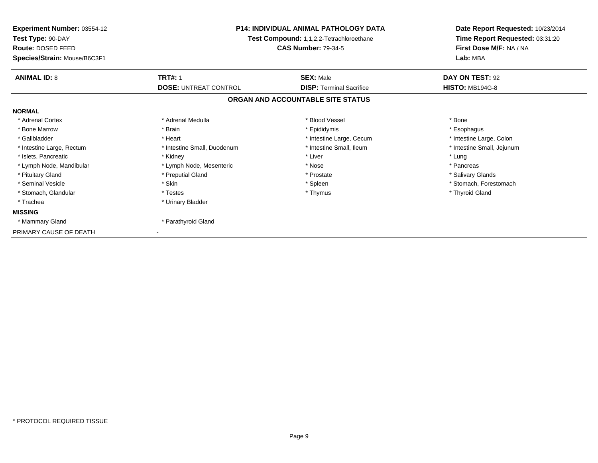| <b>Experiment Number: 03554-12</b><br>Test Type: 90-DAY<br>Route: DOSED FEED<br>Species/Strain: Mouse/B6C3F1 | <b>P14: INDIVIDUAL ANIMAL PATHOLOGY DATA</b><br>Test Compound: 1,1,2,2-Tetrachloroethane<br><b>CAS Number: 79-34-5</b> |                                                     | Date Report Requested: 10/23/2014<br>Time Report Requested: 03:31:20<br>First Dose M/F: NA / NA<br>Lab: MBA |
|--------------------------------------------------------------------------------------------------------------|------------------------------------------------------------------------------------------------------------------------|-----------------------------------------------------|-------------------------------------------------------------------------------------------------------------|
| <b>ANIMAL ID: 8</b>                                                                                          | <b>TRT#: 1</b><br><b>DOSE: UNTREAT CONTROL</b>                                                                         | <b>SEX: Male</b><br><b>DISP: Terminal Sacrifice</b> | DAY ON TEST: 92<br><b>HISTO: MB194G-8</b>                                                                   |
|                                                                                                              |                                                                                                                        | ORGAN AND ACCOUNTABLE SITE STATUS                   |                                                                                                             |
| <b>NORMAL</b>                                                                                                |                                                                                                                        |                                                     |                                                                                                             |
| * Adrenal Cortex                                                                                             | * Adrenal Medulla                                                                                                      | * Blood Vessel                                      | * Bone                                                                                                      |
| * Bone Marrow                                                                                                | * Brain                                                                                                                | * Epididymis                                        | * Esophagus                                                                                                 |
| * Gallbladder                                                                                                | * Heart                                                                                                                | * Intestine Large, Cecum                            | * Intestine Large, Colon                                                                                    |
| * Intestine Large, Rectum                                                                                    | * Intestine Small, Duodenum                                                                                            | * Intestine Small, Ileum                            | * Intestine Small, Jejunum                                                                                  |
| * Islets, Pancreatic                                                                                         | * Kidney                                                                                                               | * Liver                                             | * Lung                                                                                                      |
| * Lymph Node, Mandibular                                                                                     | * Lymph Node, Mesenteric                                                                                               | * Nose                                              | * Pancreas                                                                                                  |
| * Pituitary Gland                                                                                            | * Preputial Gland                                                                                                      | * Prostate                                          | * Salivary Glands                                                                                           |
| * Seminal Vesicle                                                                                            | * Skin                                                                                                                 | * Spleen                                            | * Stomach. Forestomach                                                                                      |
| * Stomach, Glandular                                                                                         | * Testes                                                                                                               | * Thymus                                            | * Thyroid Gland                                                                                             |
| * Trachea                                                                                                    | * Urinary Bladder                                                                                                      |                                                     |                                                                                                             |
| <b>MISSING</b>                                                                                               |                                                                                                                        |                                                     |                                                                                                             |
| * Mammary Gland                                                                                              | * Parathyroid Gland                                                                                                    |                                                     |                                                                                                             |
| PRIMARY CAUSE OF DEATH                                                                                       |                                                                                                                        |                                                     |                                                                                                             |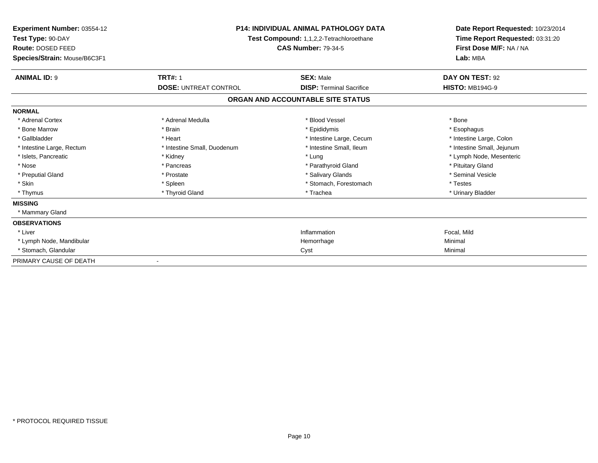| Experiment Number: 03554-12<br>Test Type: 90-DAY<br>Route: DOSED FEED<br>Species/Strain: Mouse/B6C3F1 | <b>P14: INDIVIDUAL ANIMAL PATHOLOGY DATA</b><br><b>Test Compound: 1,1,2,2-Tetrachloroethane</b><br><b>CAS Number: 79-34-5</b> |                                   | Date Report Requested: 10/23/2014<br>Time Report Requested: 03:31:20<br>First Dose M/F: NA / NA<br>Lab: MBA |  |
|-------------------------------------------------------------------------------------------------------|-------------------------------------------------------------------------------------------------------------------------------|-----------------------------------|-------------------------------------------------------------------------------------------------------------|--|
| <b>ANIMAL ID: 9</b>                                                                                   | <b>TRT#: 1</b>                                                                                                                | <b>SEX: Male</b>                  | DAY ON TEST: 92                                                                                             |  |
|                                                                                                       | <b>DOSE: UNTREAT CONTROL</b>                                                                                                  | <b>DISP: Terminal Sacrifice</b>   | <b>HISTO: MB194G-9</b>                                                                                      |  |
|                                                                                                       |                                                                                                                               | ORGAN AND ACCOUNTABLE SITE STATUS |                                                                                                             |  |
| <b>NORMAL</b>                                                                                         |                                                                                                                               |                                   |                                                                                                             |  |
| * Adrenal Cortex                                                                                      | * Adrenal Medulla                                                                                                             | * Blood Vessel                    | * Bone                                                                                                      |  |
| * Bone Marrow                                                                                         | * Brain                                                                                                                       | * Epididymis                      | * Esophagus                                                                                                 |  |
| * Gallbladder                                                                                         | * Heart                                                                                                                       | * Intestine Large, Cecum          | * Intestine Large, Colon                                                                                    |  |
| * Intestine Large, Rectum                                                                             | * Intestine Small, Duodenum                                                                                                   | * Intestine Small, Ileum          | * Intestine Small, Jejunum                                                                                  |  |
| * Islets, Pancreatic                                                                                  | * Kidney                                                                                                                      | * Lung                            | * Lymph Node, Mesenteric                                                                                    |  |
| * Nose                                                                                                | * Pancreas                                                                                                                    | * Parathyroid Gland               | * Pituitary Gland                                                                                           |  |
| * Preputial Gland                                                                                     | * Prostate                                                                                                                    | * Salivary Glands                 | * Seminal Vesicle                                                                                           |  |
| * Skin                                                                                                | * Spleen                                                                                                                      | * Stomach, Forestomach            | * Testes                                                                                                    |  |
| * Thymus                                                                                              | * Thyroid Gland                                                                                                               | * Trachea                         | * Urinary Bladder                                                                                           |  |
| <b>MISSING</b>                                                                                        |                                                                                                                               |                                   |                                                                                                             |  |
| * Mammary Gland                                                                                       |                                                                                                                               |                                   |                                                                                                             |  |
| <b>OBSERVATIONS</b>                                                                                   |                                                                                                                               |                                   |                                                                                                             |  |
| * Liver                                                                                               |                                                                                                                               | Inflammation                      | Focal, Mild                                                                                                 |  |
| * Lymph Node, Mandibular                                                                              |                                                                                                                               | Hemorrhage                        | Minimal                                                                                                     |  |
| * Stomach, Glandular                                                                                  |                                                                                                                               | Cyst                              | Minimal                                                                                                     |  |
| PRIMARY CAUSE OF DEATH                                                                                |                                                                                                                               |                                   |                                                                                                             |  |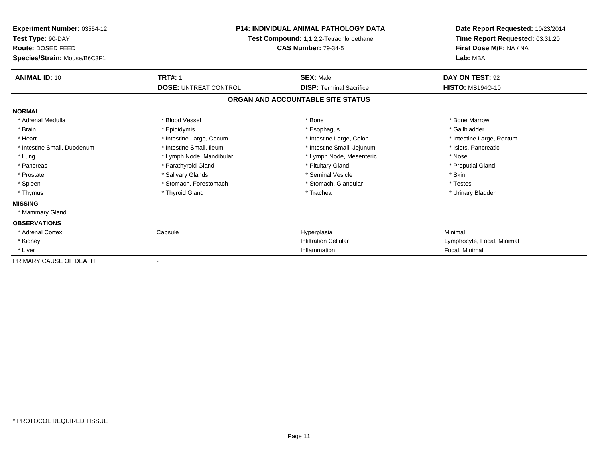| Experiment Number: 03554-12<br>Test Type: 90-DAY<br>Route: DOSED FEED<br>Species/Strain: Mouse/B6C3F1 | <b>P14: INDIVIDUAL ANIMAL PATHOLOGY DATA</b><br>Test Compound: 1,1,2,2-Tetrachloroethane<br><b>CAS Number: 79-34-5</b> |                                   | Date Report Requested: 10/23/2014<br>Time Report Requested: 03:31:20<br>First Dose M/F: NA / NA<br>Lab: MBA |
|-------------------------------------------------------------------------------------------------------|------------------------------------------------------------------------------------------------------------------------|-----------------------------------|-------------------------------------------------------------------------------------------------------------|
| <b>ANIMAL ID: 10</b>                                                                                  | <b>TRT#: 1</b>                                                                                                         | <b>SEX: Male</b>                  | DAY ON TEST: 92                                                                                             |
|                                                                                                       | <b>DOSE: UNTREAT CONTROL</b>                                                                                           | <b>DISP: Terminal Sacrifice</b>   | <b>HISTO: MB194G-10</b>                                                                                     |
|                                                                                                       |                                                                                                                        | ORGAN AND ACCOUNTABLE SITE STATUS |                                                                                                             |
| <b>NORMAL</b>                                                                                         |                                                                                                                        |                                   |                                                                                                             |
| * Adrenal Medulla                                                                                     | * Blood Vessel                                                                                                         | * Bone                            | * Bone Marrow                                                                                               |
| * Brain                                                                                               | * Epididymis                                                                                                           | * Esophagus                       | * Gallbladder                                                                                               |
| * Heart                                                                                               | * Intestine Large, Cecum                                                                                               | * Intestine Large, Colon          | * Intestine Large, Rectum                                                                                   |
| * Intestine Small, Duodenum                                                                           | * Intestine Small, Ileum                                                                                               | * Intestine Small, Jejunum        | * Islets, Pancreatic                                                                                        |
| * Lung                                                                                                | * Lymph Node, Mandibular                                                                                               | * Lymph Node, Mesenteric          | * Nose                                                                                                      |
| * Pancreas                                                                                            | * Parathyroid Gland                                                                                                    | * Pituitary Gland                 | * Preputial Gland                                                                                           |
| * Prostate                                                                                            | * Salivary Glands                                                                                                      | * Seminal Vesicle                 | * Skin                                                                                                      |
| * Spleen                                                                                              | * Stomach, Forestomach                                                                                                 | * Stomach, Glandular              | * Testes                                                                                                    |
| * Thymus                                                                                              | * Thyroid Gland                                                                                                        | * Trachea                         | * Urinary Bladder                                                                                           |
| <b>MISSING</b>                                                                                        |                                                                                                                        |                                   |                                                                                                             |
| * Mammary Gland                                                                                       |                                                                                                                        |                                   |                                                                                                             |
| <b>OBSERVATIONS</b>                                                                                   |                                                                                                                        |                                   |                                                                                                             |
| * Adrenal Cortex                                                                                      | Capsule                                                                                                                | Hyperplasia                       | Minimal                                                                                                     |
| * Kidney                                                                                              |                                                                                                                        | <b>Infiltration Cellular</b>      | Lymphocyte, Focal, Minimal                                                                                  |
| * Liver                                                                                               |                                                                                                                        | Inflammation                      | Focal, Minimal                                                                                              |
| PRIMARY CAUSE OF DEATH                                                                                |                                                                                                                        |                                   |                                                                                                             |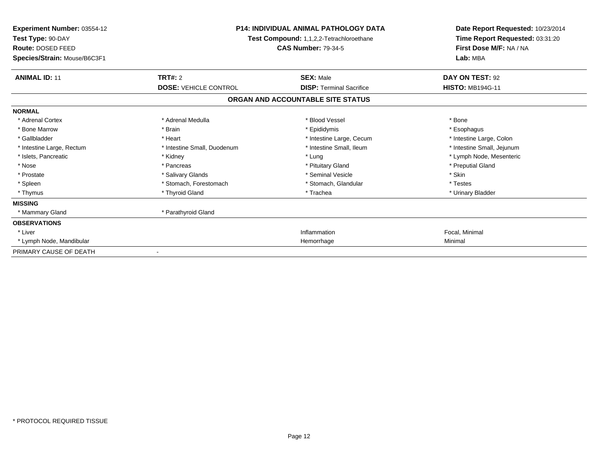| <b>Experiment Number: 03554-12</b><br>Test Type: 90-DAY<br>Route: DOSED FEED<br>Species/Strain: Mouse/B6C3F1 | <b>P14: INDIVIDUAL ANIMAL PATHOLOGY DATA</b><br>Test Compound: 1,1,2,2-Tetrachloroethane<br><b>CAS Number: 79-34-5</b> |                                   | Date Report Requested: 10/23/2014<br>Time Report Requested: 03:31:20<br>First Dose M/F: NA / NA<br>Lab: MBA |  |
|--------------------------------------------------------------------------------------------------------------|------------------------------------------------------------------------------------------------------------------------|-----------------------------------|-------------------------------------------------------------------------------------------------------------|--|
|                                                                                                              |                                                                                                                        |                                   |                                                                                                             |  |
| <b>ANIMAL ID: 11</b>                                                                                         | <b>TRT#: 2</b>                                                                                                         | <b>SEX: Male</b>                  | DAY ON TEST: 92                                                                                             |  |
|                                                                                                              | <b>DOSE: VEHICLE CONTROL</b>                                                                                           | <b>DISP: Terminal Sacrifice</b>   | <b>HISTO: MB194G-11</b>                                                                                     |  |
|                                                                                                              |                                                                                                                        | ORGAN AND ACCOUNTABLE SITE STATUS |                                                                                                             |  |
| <b>NORMAL</b>                                                                                                |                                                                                                                        |                                   |                                                                                                             |  |
| * Adrenal Cortex                                                                                             | * Adrenal Medulla                                                                                                      | * Blood Vessel                    | * Bone                                                                                                      |  |
| * Bone Marrow                                                                                                | * Brain                                                                                                                | * Epididymis                      | * Esophagus                                                                                                 |  |
| * Gallbladder                                                                                                | * Heart                                                                                                                | * Intestine Large, Cecum          | * Intestine Large, Colon                                                                                    |  |
| * Intestine Large, Rectum                                                                                    | * Intestine Small, Duodenum                                                                                            | * Intestine Small. Ileum          | * Intestine Small, Jejunum                                                                                  |  |
| * Islets, Pancreatic                                                                                         | * Kidney                                                                                                               | * Lung                            | * Lymph Node, Mesenteric                                                                                    |  |
| * Nose                                                                                                       | * Pancreas                                                                                                             | * Pituitary Gland                 | * Preputial Gland                                                                                           |  |
| * Prostate                                                                                                   | * Salivary Glands                                                                                                      | * Seminal Vesicle                 | * Skin                                                                                                      |  |
| * Spleen                                                                                                     | * Stomach, Forestomach                                                                                                 | * Stomach, Glandular              | * Testes                                                                                                    |  |
| * Thymus                                                                                                     | * Thyroid Gland                                                                                                        | * Trachea                         | * Urinary Bladder                                                                                           |  |
| <b>MISSING</b>                                                                                               |                                                                                                                        |                                   |                                                                                                             |  |
| * Mammary Gland                                                                                              | * Parathyroid Gland                                                                                                    |                                   |                                                                                                             |  |
| <b>OBSERVATIONS</b>                                                                                          |                                                                                                                        |                                   |                                                                                                             |  |
| * Liver                                                                                                      |                                                                                                                        | Inflammation                      | Focal, Minimal                                                                                              |  |
| * Lymph Node, Mandibular                                                                                     |                                                                                                                        | Hemorrhage                        | Minimal                                                                                                     |  |
| PRIMARY CAUSE OF DEATH                                                                                       |                                                                                                                        |                                   |                                                                                                             |  |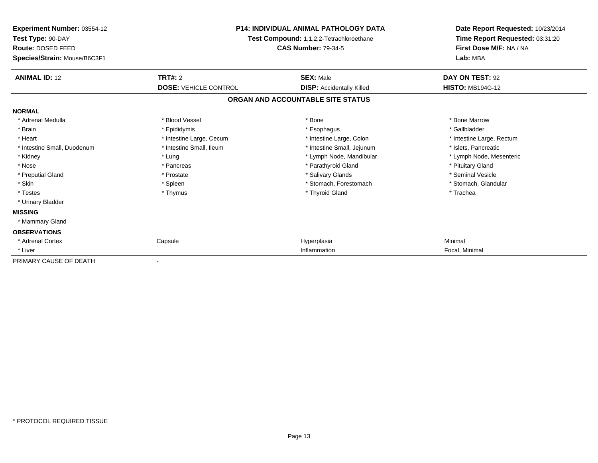| Experiment Number: 03554-12<br>Test Type: 90-DAY<br>Route: DOSED FEED<br>Species/Strain: Mouse/B6C3F1 | <b>P14: INDIVIDUAL ANIMAL PATHOLOGY DATA</b><br>Test Compound: 1,1,2,2-Tetrachloroethane<br><b>CAS Number: 79-34-5</b> |                                   | Date Report Requested: 10/23/2014<br>Time Report Requested: 03:31:20<br>First Dose M/F: NA / NA<br>Lab: MBA |  |
|-------------------------------------------------------------------------------------------------------|------------------------------------------------------------------------------------------------------------------------|-----------------------------------|-------------------------------------------------------------------------------------------------------------|--|
| <b>ANIMAL ID: 12</b>                                                                                  | TRT#: 2                                                                                                                | <b>SEX: Male</b>                  | DAY ON TEST: 92                                                                                             |  |
|                                                                                                       | <b>DOSE: VEHICLE CONTROL</b>                                                                                           | <b>DISP:</b> Accidentally Killed  | <b>HISTO: MB194G-12</b>                                                                                     |  |
|                                                                                                       |                                                                                                                        | ORGAN AND ACCOUNTABLE SITE STATUS |                                                                                                             |  |
| <b>NORMAL</b>                                                                                         |                                                                                                                        |                                   |                                                                                                             |  |
| * Adrenal Medulla                                                                                     | * Blood Vessel                                                                                                         | * Bone                            | * Bone Marrow                                                                                               |  |
| * Brain                                                                                               | * Epididymis                                                                                                           | * Esophagus                       | * Gallbladder                                                                                               |  |
| * Heart                                                                                               | * Intestine Large, Cecum                                                                                               | * Intestine Large, Colon          | * Intestine Large, Rectum                                                                                   |  |
| * Intestine Small, Duodenum                                                                           | * Intestine Small, Ileum                                                                                               | * Intestine Small, Jejunum        | * Islets, Pancreatic                                                                                        |  |
| * Kidney                                                                                              | * Lung                                                                                                                 | * Lymph Node, Mandibular          | * Lymph Node, Mesenteric                                                                                    |  |
| * Nose                                                                                                | * Pancreas                                                                                                             | * Parathyroid Gland               | * Pituitary Gland                                                                                           |  |
| * Preputial Gland                                                                                     | * Prostate                                                                                                             | * Salivary Glands                 | * Seminal Vesicle                                                                                           |  |
| * Skin                                                                                                | * Spleen                                                                                                               | * Stomach, Forestomach            | * Stomach, Glandular                                                                                        |  |
| * Testes                                                                                              | * Thymus                                                                                                               | * Thyroid Gland                   | * Trachea                                                                                                   |  |
| * Urinary Bladder                                                                                     |                                                                                                                        |                                   |                                                                                                             |  |
| <b>MISSING</b>                                                                                        |                                                                                                                        |                                   |                                                                                                             |  |
| * Mammary Gland                                                                                       |                                                                                                                        |                                   |                                                                                                             |  |
| <b>OBSERVATIONS</b>                                                                                   |                                                                                                                        |                                   |                                                                                                             |  |
| * Adrenal Cortex                                                                                      | Capsule                                                                                                                | Hyperplasia                       | Minimal                                                                                                     |  |
| * Liver                                                                                               |                                                                                                                        | Inflammation                      | Focal, Minimal                                                                                              |  |
| PRIMARY CAUSE OF DEATH                                                                                |                                                                                                                        |                                   |                                                                                                             |  |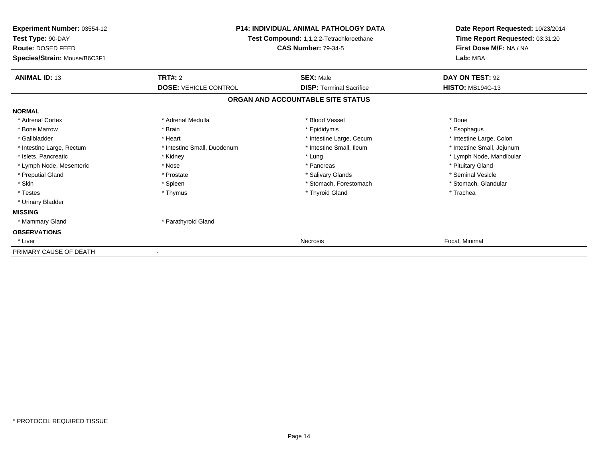| <b>Experiment Number: 03554-12</b><br>Test Type: 90-DAY<br>Route: DOSED FEED<br>Species/Strain: Mouse/B6C3F1 | <b>P14: INDIVIDUAL ANIMAL PATHOLOGY DATA</b><br>Test Compound: 1,1,2,2-Tetrachloroethane<br><b>CAS Number: 79-34-5</b> |                                   | Date Report Requested: 10/23/2014<br>Time Report Requested: 03:31:20<br>First Dose M/F: NA / NA<br>Lab: MBA |  |
|--------------------------------------------------------------------------------------------------------------|------------------------------------------------------------------------------------------------------------------------|-----------------------------------|-------------------------------------------------------------------------------------------------------------|--|
| <b>ANIMAL ID: 13</b>                                                                                         | <b>TRT#: 2</b>                                                                                                         | <b>SEX: Male</b>                  | DAY ON TEST: 92                                                                                             |  |
|                                                                                                              | <b>DOSE: VEHICLE CONTROL</b>                                                                                           | <b>DISP: Terminal Sacrifice</b>   | <b>HISTO: MB194G-13</b>                                                                                     |  |
|                                                                                                              |                                                                                                                        | ORGAN AND ACCOUNTABLE SITE STATUS |                                                                                                             |  |
| <b>NORMAL</b>                                                                                                |                                                                                                                        |                                   |                                                                                                             |  |
| * Adrenal Cortex                                                                                             | * Adrenal Medulla                                                                                                      | * Blood Vessel                    | * Bone                                                                                                      |  |
| * Bone Marrow                                                                                                | * Brain                                                                                                                | * Epididymis                      | * Esophagus                                                                                                 |  |
| * Gallbladder                                                                                                | * Heart                                                                                                                | * Intestine Large, Cecum          | * Intestine Large, Colon                                                                                    |  |
| * Intestine Large, Rectum                                                                                    | * Intestine Small, Duodenum                                                                                            | * Intestine Small, Ileum          | * Intestine Small, Jejunum                                                                                  |  |
| * Islets, Pancreatic                                                                                         | * Kidney                                                                                                               | * Lung                            | * Lymph Node, Mandibular                                                                                    |  |
| * Lymph Node, Mesenteric                                                                                     | * Nose                                                                                                                 | * Pancreas                        | * Pituitary Gland                                                                                           |  |
| * Preputial Gland                                                                                            | * Prostate                                                                                                             | * Salivary Glands                 | * Seminal Vesicle                                                                                           |  |
| * Skin                                                                                                       | * Spleen                                                                                                               | * Stomach, Forestomach            | * Stomach, Glandular                                                                                        |  |
| * Testes                                                                                                     | * Thymus                                                                                                               | * Thyroid Gland                   | * Trachea                                                                                                   |  |
| * Urinary Bladder                                                                                            |                                                                                                                        |                                   |                                                                                                             |  |
| <b>MISSING</b>                                                                                               |                                                                                                                        |                                   |                                                                                                             |  |
| * Mammary Gland                                                                                              | * Parathyroid Gland                                                                                                    |                                   |                                                                                                             |  |
| <b>OBSERVATIONS</b>                                                                                          |                                                                                                                        |                                   |                                                                                                             |  |
| * Liver                                                                                                      |                                                                                                                        | Necrosis                          | Focal, Minimal                                                                                              |  |
| PRIMARY CAUSE OF DEATH                                                                                       |                                                                                                                        |                                   |                                                                                                             |  |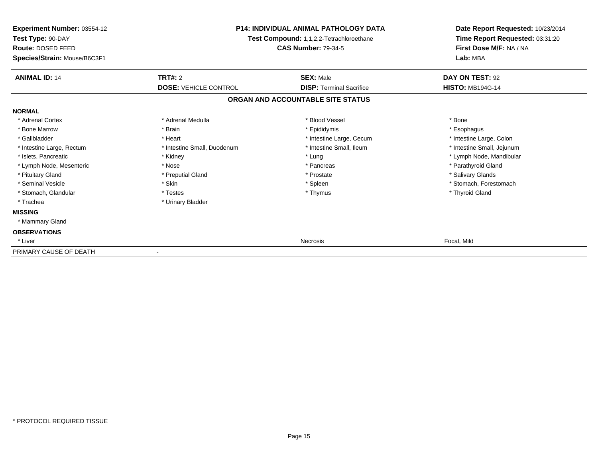| <b>Experiment Number: 03554-12</b><br>Test Type: 90-DAY<br>Route: DOSED FEED | <b>P14: INDIVIDUAL ANIMAL PATHOLOGY DATA</b><br>Test Compound: 1,1,2,2-Tetrachloroethane<br><b>CAS Number: 79-34-5</b> |                                   | Date Report Requested: 10/23/2014<br>Time Report Requested: 03:31:20<br>First Dose M/F: NA / NA |
|------------------------------------------------------------------------------|------------------------------------------------------------------------------------------------------------------------|-----------------------------------|-------------------------------------------------------------------------------------------------|
| Species/Strain: Mouse/B6C3F1                                                 |                                                                                                                        |                                   | Lab: MBA                                                                                        |
| <b>ANIMAL ID: 14</b>                                                         | TRT#: 2                                                                                                                | <b>SEX: Male</b>                  | DAY ON TEST: 92                                                                                 |
|                                                                              | <b>DOSE: VEHICLE CONTROL</b>                                                                                           | <b>DISP: Terminal Sacrifice</b>   | <b>HISTO: MB194G-14</b>                                                                         |
|                                                                              |                                                                                                                        | ORGAN AND ACCOUNTABLE SITE STATUS |                                                                                                 |
| <b>NORMAL</b>                                                                |                                                                                                                        |                                   |                                                                                                 |
| * Adrenal Cortex                                                             | * Adrenal Medulla                                                                                                      | * Blood Vessel                    | * Bone                                                                                          |
| * Bone Marrow                                                                | * Brain                                                                                                                | * Epididymis                      | * Esophagus                                                                                     |
| * Gallbladder                                                                | * Heart                                                                                                                | * Intestine Large, Cecum          | * Intestine Large, Colon                                                                        |
| * Intestine Large, Rectum                                                    | * Intestine Small, Duodenum                                                                                            | * Intestine Small, Ileum          | * Intestine Small, Jejunum                                                                      |
| * Islets, Pancreatic                                                         | * Kidney                                                                                                               | * Lung                            | * Lymph Node, Mandibular                                                                        |
| * Lymph Node, Mesenteric                                                     | * Nose                                                                                                                 | * Pancreas                        | * Parathyroid Gland                                                                             |
| * Pituitary Gland                                                            | * Preputial Gland                                                                                                      | * Prostate                        | * Salivary Glands                                                                               |
| * Seminal Vesicle                                                            | * Skin                                                                                                                 | * Spleen                          | * Stomach, Forestomach                                                                          |
| * Stomach, Glandular                                                         | * Testes                                                                                                               | * Thymus                          | * Thyroid Gland                                                                                 |
| * Trachea                                                                    | * Urinary Bladder                                                                                                      |                                   |                                                                                                 |
| <b>MISSING</b>                                                               |                                                                                                                        |                                   |                                                                                                 |
| * Mammary Gland                                                              |                                                                                                                        |                                   |                                                                                                 |
| <b>OBSERVATIONS</b>                                                          |                                                                                                                        |                                   |                                                                                                 |
| * Liver                                                                      |                                                                                                                        | Necrosis                          | Focal, Mild                                                                                     |
| PRIMARY CAUSE OF DEATH                                                       |                                                                                                                        |                                   |                                                                                                 |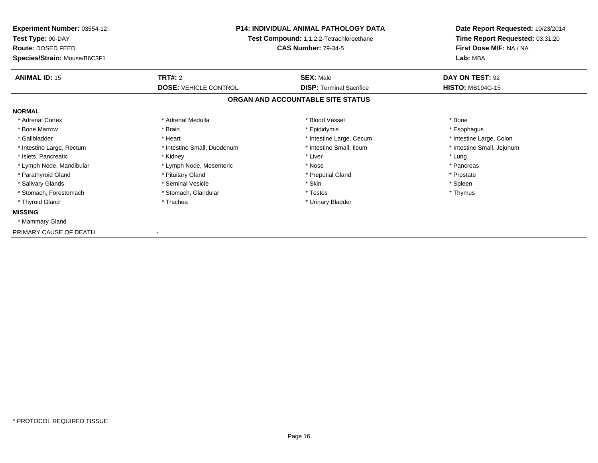| Experiment Number: 03554-12<br>Test Type: 90-DAY<br>Route: DOSED FEED<br>Species/Strain: Mouse/B6C3F1 | <b>P14: INDIVIDUAL ANIMAL PATHOLOGY DATA</b><br>Test Compound: 1,1,2,2-Tetrachloroethane<br><b>CAS Number: 79-34-5</b> |                                   | Date Report Requested: 10/23/2014<br>Time Report Requested: 03:31:20<br>First Dose M/F: NA / NA<br>Lab: MBA |
|-------------------------------------------------------------------------------------------------------|------------------------------------------------------------------------------------------------------------------------|-----------------------------------|-------------------------------------------------------------------------------------------------------------|
| <b>ANIMAL ID: 15</b>                                                                                  | <b>TRT#: 2</b>                                                                                                         | <b>SEX: Male</b>                  | DAY ON TEST: 92                                                                                             |
|                                                                                                       | <b>DOSE: VEHICLE CONTROL</b>                                                                                           | <b>DISP:</b> Terminal Sacrifice   | <b>HISTO: MB194G-15</b>                                                                                     |
|                                                                                                       |                                                                                                                        | ORGAN AND ACCOUNTABLE SITE STATUS |                                                                                                             |
| <b>NORMAL</b>                                                                                         |                                                                                                                        |                                   |                                                                                                             |
| * Adrenal Cortex                                                                                      | * Adrenal Medulla                                                                                                      | * Blood Vessel                    | * Bone                                                                                                      |
| * Bone Marrow                                                                                         | * Brain                                                                                                                | * Epididymis                      | * Esophagus                                                                                                 |
| * Gallbladder                                                                                         | * Heart                                                                                                                | * Intestine Large, Cecum          | * Intestine Large, Colon                                                                                    |
| * Intestine Large, Rectum                                                                             | * Intestine Small, Duodenum                                                                                            | * Intestine Small, Ileum          | * Intestine Small, Jejunum                                                                                  |
| * Islets, Pancreatic                                                                                  | * Kidney                                                                                                               | * Liver                           | * Lung                                                                                                      |
| * Lymph Node, Mandibular                                                                              | * Lymph Node, Mesenteric                                                                                               | * Nose                            | * Pancreas                                                                                                  |
| * Parathyroid Gland                                                                                   | * Pituitary Gland                                                                                                      | * Preputial Gland                 | * Prostate                                                                                                  |
| * Salivary Glands                                                                                     | * Seminal Vesicle                                                                                                      | * Skin                            | * Spleen                                                                                                    |
| * Stomach, Forestomach                                                                                | * Stomach, Glandular                                                                                                   | * Testes                          | * Thymus                                                                                                    |
| * Thyroid Gland                                                                                       | * Trachea                                                                                                              | * Urinary Bladder                 |                                                                                                             |
| <b>MISSING</b>                                                                                        |                                                                                                                        |                                   |                                                                                                             |
| * Mammary Gland                                                                                       |                                                                                                                        |                                   |                                                                                                             |
| PRIMARY CAUSE OF DEATH                                                                                |                                                                                                                        |                                   |                                                                                                             |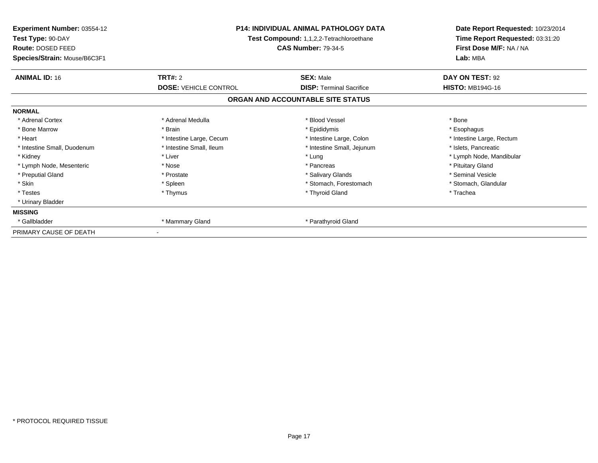| Experiment Number: 03554-12<br>Test Type: 90-DAY<br><b>Route: DOSED FEED</b><br>Species/Strain: Mouse/B6C3F1 | <b>P14: INDIVIDUAL ANIMAL PATHOLOGY DATA</b><br>Test Compound: 1,1,2,2-Tetrachloroethane<br><b>CAS Number: 79-34-5</b> |                                                     | Date Report Requested: 10/23/2014<br>Time Report Requested: 03:31:20<br>First Dose M/F: NA / NA<br>Lab: MBA |
|--------------------------------------------------------------------------------------------------------------|------------------------------------------------------------------------------------------------------------------------|-----------------------------------------------------|-------------------------------------------------------------------------------------------------------------|
| <b>ANIMAL ID: 16</b>                                                                                         | <b>TRT#: 2</b><br><b>DOSE: VEHICLE CONTROL</b>                                                                         | <b>SEX: Male</b><br><b>DISP: Terminal Sacrifice</b> | DAY ON TEST: 92<br><b>HISTO: MB194G-16</b>                                                                  |
|                                                                                                              |                                                                                                                        | ORGAN AND ACCOUNTABLE SITE STATUS                   |                                                                                                             |
| <b>NORMAL</b>                                                                                                |                                                                                                                        |                                                     |                                                                                                             |
| * Adrenal Cortex                                                                                             | * Adrenal Medulla                                                                                                      | * Blood Vessel                                      | * Bone                                                                                                      |
| * Bone Marrow                                                                                                | * Brain                                                                                                                | * Epididymis                                        | * Esophagus                                                                                                 |
| * Heart                                                                                                      | * Intestine Large, Cecum                                                                                               | * Intestine Large, Colon                            | * Intestine Large, Rectum                                                                                   |
| * Intestine Small, Duodenum                                                                                  | * Intestine Small, Ileum                                                                                               | * Intestine Small, Jejunum                          | * Islets, Pancreatic                                                                                        |
| * Kidney                                                                                                     | * Liver                                                                                                                | * Lung                                              | * Lymph Node, Mandibular                                                                                    |
| * Lymph Node, Mesenteric                                                                                     | * Nose                                                                                                                 | * Pancreas                                          | * Pituitary Gland                                                                                           |
| * Preputial Gland                                                                                            | * Prostate                                                                                                             | * Salivary Glands                                   | * Seminal Vesicle                                                                                           |
| * Skin                                                                                                       | * Spleen                                                                                                               | * Stomach. Forestomach                              | * Stomach, Glandular                                                                                        |
| * Testes                                                                                                     | * Thymus                                                                                                               | * Thyroid Gland                                     | * Trachea                                                                                                   |
| * Urinary Bladder                                                                                            |                                                                                                                        |                                                     |                                                                                                             |
| <b>MISSING</b>                                                                                               |                                                                                                                        |                                                     |                                                                                                             |
| * Gallbladder                                                                                                | * Mammary Gland                                                                                                        | * Parathyroid Gland                                 |                                                                                                             |
| PRIMARY CAUSE OF DEATH                                                                                       |                                                                                                                        |                                                     |                                                                                                             |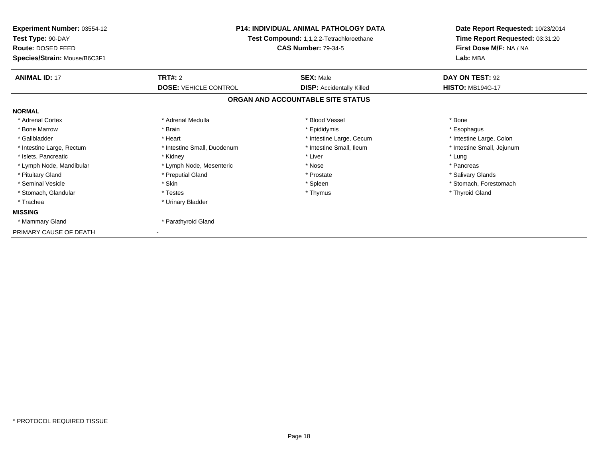| Experiment Number: 03554-12<br>Test Type: 90-DAY<br>Route: DOSED FEED<br>Species/Strain: Mouse/B6C3F1 | <b>P14: INDIVIDUAL ANIMAL PATHOLOGY DATA</b><br>Test Compound: 1,1,2,2-Tetrachloroethane<br><b>CAS Number: 79-34-5</b> |                                                      | Date Report Requested: 10/23/2014<br>Time Report Requested: 03:31:20<br>First Dose M/F: NA / NA<br>Lab: MBA |
|-------------------------------------------------------------------------------------------------------|------------------------------------------------------------------------------------------------------------------------|------------------------------------------------------|-------------------------------------------------------------------------------------------------------------|
| <b>ANIMAL ID: 17</b>                                                                                  | <b>TRT#: 2</b><br><b>DOSE: VEHICLE CONTROL</b>                                                                         | <b>SEX: Male</b><br><b>DISP:</b> Accidentally Killed | DAY ON TEST: 92<br><b>HISTO: MB194G-17</b>                                                                  |
|                                                                                                       |                                                                                                                        | ORGAN AND ACCOUNTABLE SITE STATUS                    |                                                                                                             |
| <b>NORMAL</b>                                                                                         |                                                                                                                        |                                                      |                                                                                                             |
| * Adrenal Cortex                                                                                      | * Adrenal Medulla                                                                                                      | * Blood Vessel                                       | * Bone                                                                                                      |
| * Bone Marrow                                                                                         | * Brain                                                                                                                | * Epididymis                                         | * Esophagus                                                                                                 |
| * Gallbladder                                                                                         | * Heart                                                                                                                | * Intestine Large, Cecum                             | * Intestine Large, Colon                                                                                    |
| * Intestine Large, Rectum                                                                             | * Intestine Small, Duodenum                                                                                            | * Intestine Small, Ileum                             | * Intestine Small, Jejunum                                                                                  |
| * Islets, Pancreatic                                                                                  | * Kidney                                                                                                               | * Liver                                              | * Lung                                                                                                      |
| * Lymph Node, Mandibular                                                                              | * Lymph Node, Mesenteric                                                                                               | * Nose                                               | * Pancreas                                                                                                  |
| * Pituitary Gland                                                                                     | * Preputial Gland                                                                                                      | * Prostate                                           | * Salivary Glands                                                                                           |
| * Seminal Vesicle                                                                                     | * Skin                                                                                                                 | * Spleen                                             | * Stomach. Forestomach                                                                                      |
| * Stomach, Glandular                                                                                  | * Testes                                                                                                               | * Thymus                                             | * Thyroid Gland                                                                                             |
| * Trachea                                                                                             | * Urinary Bladder                                                                                                      |                                                      |                                                                                                             |
| <b>MISSING</b>                                                                                        |                                                                                                                        |                                                      |                                                                                                             |
| * Mammary Gland                                                                                       | * Parathyroid Gland                                                                                                    |                                                      |                                                                                                             |
| PRIMARY CAUSE OF DEATH                                                                                |                                                                                                                        |                                                      |                                                                                                             |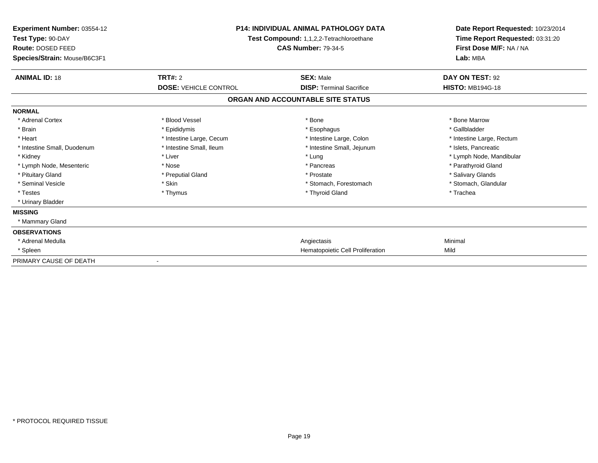| Experiment Number: 03554-12<br>Test Type: 90-DAY<br>Route: DOSED FEED<br>Species/Strain: Mouse/B6C3F1 | <b>P14: INDIVIDUAL ANIMAL PATHOLOGY DATA</b><br><b>Test Compound: 1,1,2,2-Tetrachloroethane</b><br><b>CAS Number: 79-34-5</b> |                                   | Date Report Requested: 10/23/2014<br>Time Report Requested: 03:31:20<br>First Dose M/F: NA / NA<br>Lab: MBA |  |
|-------------------------------------------------------------------------------------------------------|-------------------------------------------------------------------------------------------------------------------------------|-----------------------------------|-------------------------------------------------------------------------------------------------------------|--|
| <b>ANIMAL ID: 18</b>                                                                                  | TRT#: 2                                                                                                                       | <b>SEX: Male</b>                  | DAY ON TEST: 92                                                                                             |  |
|                                                                                                       | <b>DOSE: VEHICLE CONTROL</b>                                                                                                  | <b>DISP:</b> Terminal Sacrifice   | <b>HISTO: MB194G-18</b>                                                                                     |  |
|                                                                                                       |                                                                                                                               | ORGAN AND ACCOUNTABLE SITE STATUS |                                                                                                             |  |
| <b>NORMAL</b>                                                                                         |                                                                                                                               |                                   |                                                                                                             |  |
| * Adrenal Cortex                                                                                      | * Blood Vessel                                                                                                                | * Bone                            | * Bone Marrow                                                                                               |  |
| * Brain                                                                                               | * Epididymis                                                                                                                  | * Esophagus                       | * Gallbladder                                                                                               |  |
| * Heart                                                                                               | * Intestine Large, Cecum                                                                                                      | * Intestine Large, Colon          | * Intestine Large, Rectum                                                                                   |  |
| * Intestine Small, Duodenum                                                                           | * Intestine Small, Ileum                                                                                                      | * Intestine Small, Jejunum        | * Islets, Pancreatic                                                                                        |  |
| * Kidney                                                                                              | * Liver                                                                                                                       | * Lung                            | * Lymph Node, Mandibular                                                                                    |  |
| * Lymph Node, Mesenteric                                                                              | * Nose                                                                                                                        | * Pancreas                        | * Parathyroid Gland                                                                                         |  |
| * Pituitary Gland                                                                                     | * Preputial Gland                                                                                                             | * Prostate                        | * Salivary Glands                                                                                           |  |
| * Seminal Vesicle                                                                                     | * Skin                                                                                                                        | * Stomach, Forestomach            | * Stomach, Glandular                                                                                        |  |
| * Testes                                                                                              | * Thymus                                                                                                                      | * Thyroid Gland                   | * Trachea                                                                                                   |  |
| * Urinary Bladder                                                                                     |                                                                                                                               |                                   |                                                                                                             |  |
| <b>MISSING</b>                                                                                        |                                                                                                                               |                                   |                                                                                                             |  |
| * Mammary Gland                                                                                       |                                                                                                                               |                                   |                                                                                                             |  |
| <b>OBSERVATIONS</b>                                                                                   |                                                                                                                               |                                   |                                                                                                             |  |
| * Adrenal Medulla                                                                                     |                                                                                                                               | Angiectasis                       | Minimal                                                                                                     |  |
| * Spleen                                                                                              |                                                                                                                               | Hematopoietic Cell Proliferation  | Mild                                                                                                        |  |
| PRIMARY CAUSE OF DEATH                                                                                |                                                                                                                               |                                   |                                                                                                             |  |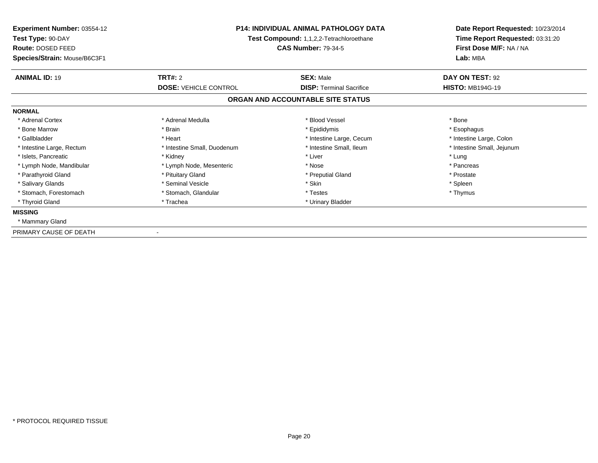| Experiment Number: 03554-12<br>Test Type: 90-DAY<br>Route: DOSED FEED<br>Species/Strain: Mouse/B6C3F1 | <b>P14: INDIVIDUAL ANIMAL PATHOLOGY DATA</b><br>Test Compound: 1,1,2,2-Tetrachloroethane<br><b>CAS Number: 79-34-5</b> |                                                     | Date Report Requested: 10/23/2014<br>Time Report Requested: 03:31:20<br>First Dose M/F: NA / NA<br>Lab: MBA |
|-------------------------------------------------------------------------------------------------------|------------------------------------------------------------------------------------------------------------------------|-----------------------------------------------------|-------------------------------------------------------------------------------------------------------------|
| <b>ANIMAL ID: 19</b>                                                                                  | <b>TRT#: 2</b><br><b>DOSE: VEHICLE CONTROL</b>                                                                         | <b>SEX: Male</b><br><b>DISP: Terminal Sacrifice</b> | DAY ON TEST: 92<br><b>HISTO: MB194G-19</b>                                                                  |
|                                                                                                       |                                                                                                                        | ORGAN AND ACCOUNTABLE SITE STATUS                   |                                                                                                             |
| <b>NORMAL</b>                                                                                         |                                                                                                                        |                                                     |                                                                                                             |
| * Adrenal Cortex                                                                                      | * Adrenal Medulla                                                                                                      | * Blood Vessel                                      | * Bone                                                                                                      |
| * Bone Marrow                                                                                         | * Brain                                                                                                                | * Epididymis                                        | * Esophagus                                                                                                 |
| * Gallbladder                                                                                         | * Heart                                                                                                                | * Intestine Large, Cecum                            | * Intestine Large, Colon                                                                                    |
| * Intestine Large, Rectum                                                                             | * Intestine Small, Duodenum                                                                                            | * Intestine Small, Ileum                            | * Intestine Small, Jejunum                                                                                  |
| * Islets, Pancreatic                                                                                  | * Kidney                                                                                                               | * Liver                                             | * Lung                                                                                                      |
| * Lymph Node, Mandibular                                                                              | * Lymph Node, Mesenteric                                                                                               | * Nose                                              | * Pancreas                                                                                                  |
| * Parathyroid Gland                                                                                   | * Pituitary Gland                                                                                                      | * Preputial Gland                                   | * Prostate                                                                                                  |
| * Salivary Glands                                                                                     | * Seminal Vesicle                                                                                                      | * Skin                                              | * Spleen                                                                                                    |
| * Stomach, Forestomach                                                                                | * Stomach, Glandular                                                                                                   | * Testes                                            | * Thymus                                                                                                    |
| * Thyroid Gland                                                                                       | * Trachea                                                                                                              | * Urinary Bladder                                   |                                                                                                             |
| <b>MISSING</b>                                                                                        |                                                                                                                        |                                                     |                                                                                                             |
| * Mammary Gland                                                                                       |                                                                                                                        |                                                     |                                                                                                             |
| PRIMARY CAUSE OF DEATH                                                                                |                                                                                                                        |                                                     |                                                                                                             |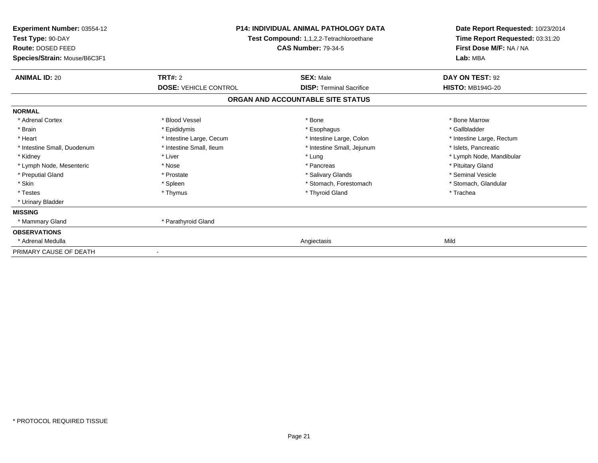| Experiment Number: 03554-12<br>Test Type: 90-DAY<br>Route: DOSED FEED<br>Species/Strain: Mouse/B6C3F1 | <b>P14: INDIVIDUAL ANIMAL PATHOLOGY DATA</b><br>Test Compound: 1,1,2,2-Tetrachloroethane<br><b>CAS Number: 79-34-5</b> |                                   | Date Report Requested: 10/23/2014<br>Time Report Requested: 03:31:20<br>First Dose M/F: NA / NA<br>Lab: MBA |
|-------------------------------------------------------------------------------------------------------|------------------------------------------------------------------------------------------------------------------------|-----------------------------------|-------------------------------------------------------------------------------------------------------------|
| <b>ANIMAL ID: 20</b>                                                                                  | <b>TRT#: 2</b>                                                                                                         | <b>SEX: Male</b>                  | DAY ON TEST: 92                                                                                             |
|                                                                                                       | <b>DOSE: VEHICLE CONTROL</b>                                                                                           | <b>DISP: Terminal Sacrifice</b>   | <b>HISTO: MB194G-20</b>                                                                                     |
|                                                                                                       |                                                                                                                        | ORGAN AND ACCOUNTABLE SITE STATUS |                                                                                                             |
| <b>NORMAL</b>                                                                                         |                                                                                                                        |                                   |                                                                                                             |
| * Adrenal Cortex                                                                                      | * Blood Vessel                                                                                                         | * Bone                            | * Bone Marrow                                                                                               |
| * Brain                                                                                               | * Epididymis                                                                                                           | * Esophagus                       | * Gallbladder                                                                                               |
| * Heart                                                                                               | * Intestine Large, Cecum                                                                                               | * Intestine Large, Colon          | * Intestine Large, Rectum                                                                                   |
| * Intestine Small, Duodenum                                                                           | * Intestine Small, Ileum                                                                                               | * Intestine Small, Jejunum        | * Islets, Pancreatic                                                                                        |
| * Kidney                                                                                              | * Liver                                                                                                                | * Lung                            | * Lymph Node, Mandibular                                                                                    |
| * Lymph Node, Mesenteric                                                                              | * Nose                                                                                                                 | * Pancreas                        | * Pituitary Gland                                                                                           |
| * Preputial Gland                                                                                     | * Prostate                                                                                                             | * Salivary Glands                 | * Seminal Vesicle                                                                                           |
| * Skin                                                                                                | * Spleen                                                                                                               | * Stomach, Forestomach            | * Stomach, Glandular                                                                                        |
| * Testes                                                                                              | * Thymus                                                                                                               | * Thyroid Gland                   | * Trachea                                                                                                   |
| * Urinary Bladder                                                                                     |                                                                                                                        |                                   |                                                                                                             |
| <b>MISSING</b>                                                                                        |                                                                                                                        |                                   |                                                                                                             |
| * Mammary Gland                                                                                       | * Parathyroid Gland                                                                                                    |                                   |                                                                                                             |
| <b>OBSERVATIONS</b>                                                                                   |                                                                                                                        |                                   |                                                                                                             |
| * Adrenal Medulla                                                                                     |                                                                                                                        | Angiectasis                       | Mild                                                                                                        |
| PRIMARY CAUSE OF DEATH                                                                                |                                                                                                                        |                                   |                                                                                                             |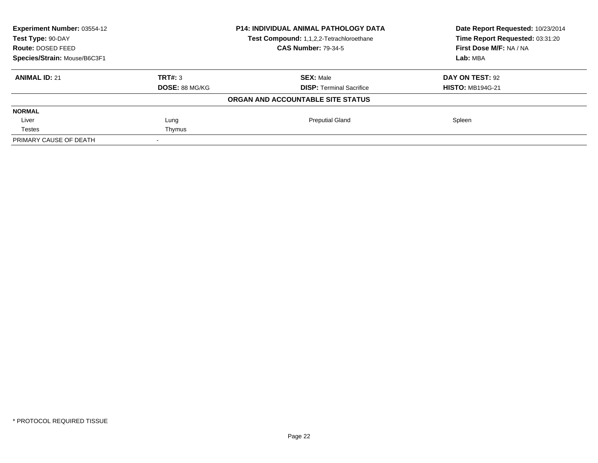| Experiment Number: 03554-12<br><b>P14: INDIVIDUAL ANIMAL PATHOLOGY DATA</b><br>Test Type: 90-DAY<br>Test Compound: 1,1,2,2-Tetrachloroethane<br><b>CAS Number: 79-34-5</b><br>Route: DOSED FEED |                       |                                   | Date Report Requested: 10/23/2014 |
|-------------------------------------------------------------------------------------------------------------------------------------------------------------------------------------------------|-----------------------|-----------------------------------|-----------------------------------|
|                                                                                                                                                                                                 |                       |                                   | Time Report Requested: 03:31:20   |
|                                                                                                                                                                                                 |                       |                                   | First Dose M/F: NA / NA           |
| Species/Strain: Mouse/B6C3F1                                                                                                                                                                    |                       |                                   | Lab: MBA                          |
| <b>ANIMAL ID: 21</b>                                                                                                                                                                            | TRT#: 3               | <b>SEX: Male</b>                  | DAY ON TEST: 92                   |
|                                                                                                                                                                                                 | <b>DOSE: 88 MG/KG</b> | <b>DISP:</b> Terminal Sacrifice   | <b>HISTO: MB194G-21</b>           |
|                                                                                                                                                                                                 |                       | ORGAN AND ACCOUNTABLE SITE STATUS |                                   |
| <b>NORMAL</b>                                                                                                                                                                                   |                       |                                   |                                   |
| Liver                                                                                                                                                                                           | Lung                  | <b>Preputial Gland</b>            | Spleen                            |
| <b>Testes</b>                                                                                                                                                                                   | Thymus                |                                   |                                   |
| PRIMARY CAUSE OF DEATH                                                                                                                                                                          |                       |                                   |                                   |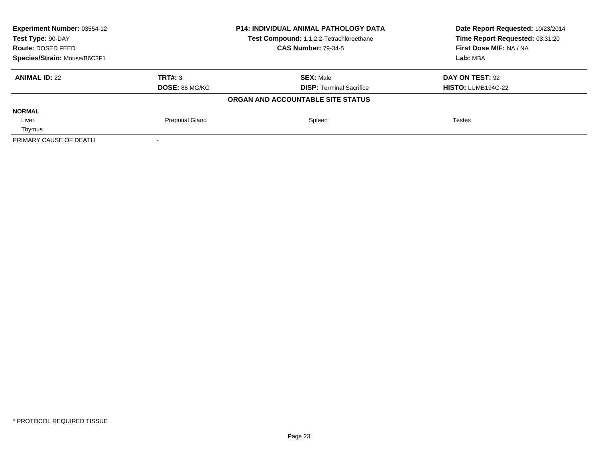| Experiment Number: 03554-12  |                        | <b>P14: INDIVIDUAL ANIMAL PATHOLOGY DATA</b> | Date Report Requested: 10/23/2014 |
|------------------------------|------------------------|----------------------------------------------|-----------------------------------|
| Test Type: 90-DAY            |                        | Test Compound: 1,1,2,2-Tetrachloroethane     | Time Report Requested: 03:31:20   |
| Route: DOSED FEED            |                        | <b>CAS Number: 79-34-5</b>                   | First Dose M/F: NA / NA           |
| Species/Strain: Mouse/B6C3F1 |                        |                                              | Lab: MBA                          |
| <b>ANIMAL ID: 22</b>         | TRT#: 3                | <b>SEX: Male</b>                             | DAY ON TEST: 92                   |
|                              | DOSE: 88 MG/KG         | <b>DISP:</b> Terminal Sacrifice              | <b>HISTO: LUMB194G-22</b>         |
|                              |                        | ORGAN AND ACCOUNTABLE SITE STATUS            |                                   |
| <b>NORMAL</b>                |                        |                                              |                                   |
| Liver                        | <b>Preputial Gland</b> | Spleen                                       | <b>Testes</b>                     |
| Thymus                       |                        |                                              |                                   |
| PRIMARY CAUSE OF DEATH       |                        |                                              |                                   |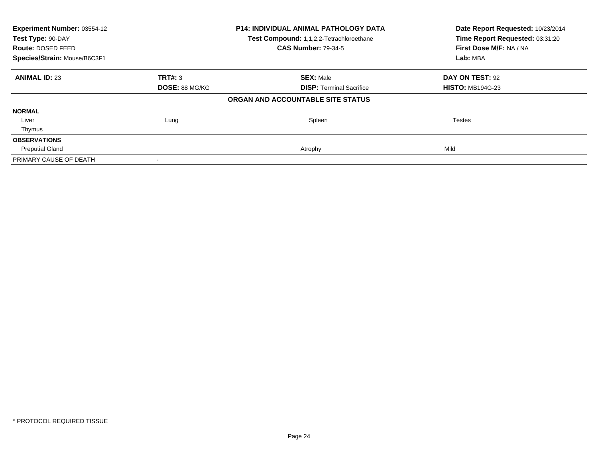| Experiment Number: 03554-12<br>P14: INDIVIDUAL ANIMAL PATHOLOGY DATA<br>Test Type: 90-DAY<br>Test Compound: 1,1,2,2-Tetrachloroethane<br><b>CAS Number: 79-34-5</b><br>Route: DOSED FEED |                       |                                   | Date Report Requested: 10/23/2014<br>Time Report Requested: 03:31:20 |  |
|------------------------------------------------------------------------------------------------------------------------------------------------------------------------------------------|-----------------------|-----------------------------------|----------------------------------------------------------------------|--|
|                                                                                                                                                                                          |                       | First Dose M/F: NA / NA           |                                                                      |  |
| Species/Strain: Mouse/B6C3F1                                                                                                                                                             |                       |                                   | Lab: MBA                                                             |  |
| <b>ANIMAL ID: 23</b>                                                                                                                                                                     | <b>TRT#: 3</b>        | <b>SEX: Male</b>                  | DAY ON TEST: 92                                                      |  |
|                                                                                                                                                                                          | <b>DOSE: 88 MG/KG</b> | <b>DISP:</b> Terminal Sacrifice   | <b>HISTO: MB194G-23</b>                                              |  |
|                                                                                                                                                                                          |                       | ORGAN AND ACCOUNTABLE SITE STATUS |                                                                      |  |
| <b>NORMAL</b>                                                                                                                                                                            |                       |                                   |                                                                      |  |
| Liver                                                                                                                                                                                    | Lung                  | Spleen                            | Testes                                                               |  |
| Thymus                                                                                                                                                                                   |                       |                                   |                                                                      |  |
| <b>OBSERVATIONS</b>                                                                                                                                                                      |                       |                                   |                                                                      |  |
| <b>Preputial Gland</b>                                                                                                                                                                   |                       | Atrophy                           | Mild                                                                 |  |
| PRIMARY CAUSE OF DEATH                                                                                                                                                                   |                       |                                   |                                                                      |  |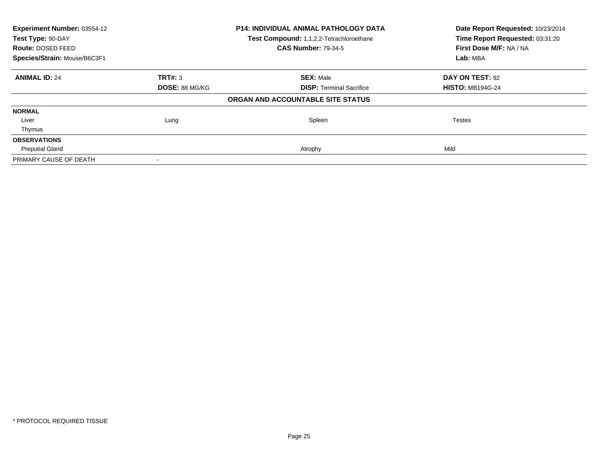| Experiment Number: 03554-12<br>Test Type: 90-DAY |                       | <b>P14: INDIVIDUAL ANIMAL PATHOLOGY DATA</b><br>Test Compound: 1,1,2,2-Tetrachloroethane | Date Report Requested: 10/23/2014<br>Time Report Requested: 03:31:20 |
|--------------------------------------------------|-----------------------|------------------------------------------------------------------------------------------|----------------------------------------------------------------------|
| <b>Route: DOSED FEED</b>                         |                       | <b>CAS Number: 79-34-5</b>                                                               | First Dose M/F: NA / NA                                              |
| Species/Strain: Mouse/B6C3F1                     |                       | Lab: MBA                                                                                 |                                                                      |
| <b>ANIMAL ID: 24</b>                             | TRT#: 3               | <b>SEX: Male</b>                                                                         | DAY ON TEST: 92                                                      |
|                                                  | <b>DOSE: 88 MG/KG</b> | <b>DISP:</b> Terminal Sacrifice                                                          | <b>HISTO: MB194G-24</b>                                              |
|                                                  |                       | ORGAN AND ACCOUNTABLE SITE STATUS                                                        |                                                                      |
| <b>NORMAL</b>                                    |                       |                                                                                          |                                                                      |
| Liver                                            | Lung                  | Spleen                                                                                   | <b>Testes</b>                                                        |
| Thymus                                           |                       |                                                                                          |                                                                      |
| <b>OBSERVATIONS</b>                              |                       |                                                                                          |                                                                      |
| <b>Preputial Gland</b>                           |                       | Atrophy                                                                                  | Mild                                                                 |
| PRIMARY CAUSE OF DEATH                           |                       |                                                                                          |                                                                      |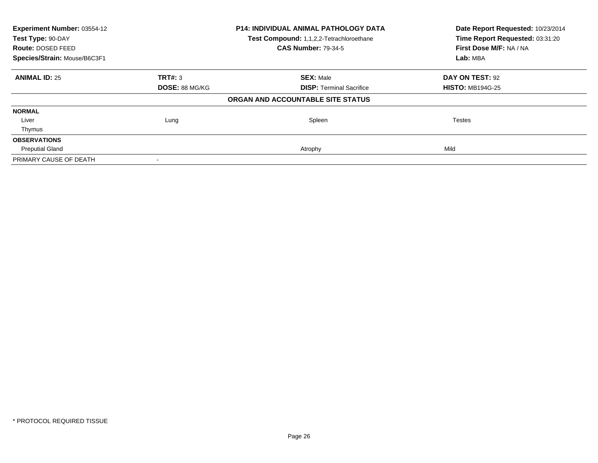| Experiment Number: 03554-12<br>Test Type: 90-DAY |                       | <b>P14: INDIVIDUAL ANIMAL PATHOLOGY DATA</b><br>Test Compound: 1,1,2,2-Tetrachloroethane | Date Report Requested: 10/23/2014<br>Time Report Requested: 03:31:20 |  |
|--------------------------------------------------|-----------------------|------------------------------------------------------------------------------------------|----------------------------------------------------------------------|--|
| <b>Route: DOSED FEED</b>                         |                       | <b>CAS Number: 79-34-5</b>                                                               | First Dose M/F: NA / NA                                              |  |
| Species/Strain: Mouse/B6C3F1                     |                       |                                                                                          | Lab: MBA                                                             |  |
| <b>ANIMAL ID: 25</b>                             | TRT#: 3               | <b>SEX: Male</b>                                                                         | DAY ON TEST: 92                                                      |  |
|                                                  | <b>DOSE: 88 MG/KG</b> | <b>DISP:</b> Terminal Sacrifice                                                          | <b>HISTO: MB194G-25</b>                                              |  |
|                                                  |                       | ORGAN AND ACCOUNTABLE SITE STATUS                                                        |                                                                      |  |
| <b>NORMAL</b>                                    |                       |                                                                                          |                                                                      |  |
| Liver                                            | Lung                  | Spleen                                                                                   | <b>Testes</b>                                                        |  |
| Thymus                                           |                       |                                                                                          |                                                                      |  |
| <b>OBSERVATIONS</b>                              |                       |                                                                                          |                                                                      |  |
| <b>Preputial Gland</b>                           |                       | Atrophy                                                                                  | Mild                                                                 |  |
| PRIMARY CAUSE OF DEATH                           |                       |                                                                                          |                                                                      |  |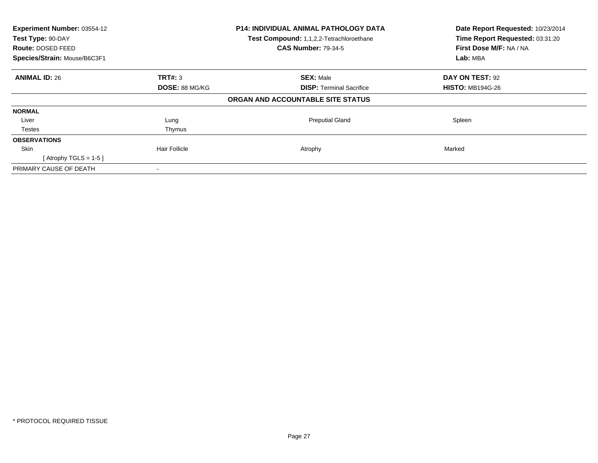| Experiment Number: 03554-12<br>Test Type: 90-DAY<br><b>Route: DOSED FEED</b><br>Species/Strain: Mouse/B6C3F1 |                       | <b>P14: INDIVIDUAL ANIMAL PATHOLOGY DATA</b><br>Test Compound: 1,1,2,2-Tetrachloroethane<br><b>CAS Number: 79-34-5</b> | Date Report Requested: 10/23/2014<br>Time Report Requested: 03:31:20<br>First Dose M/F: NA / NA<br>Lab: MBA |
|--------------------------------------------------------------------------------------------------------------|-----------------------|------------------------------------------------------------------------------------------------------------------------|-------------------------------------------------------------------------------------------------------------|
| <b>ANIMAL ID: 26</b>                                                                                         | TRT#: 3               | <b>SEX: Male</b>                                                                                                       | DAY ON TEST: 92                                                                                             |
|                                                                                                              | <b>DOSE: 88 MG/KG</b> | <b>DISP:</b> Terminal Sacrifice                                                                                        | <b>HISTO: MB194G-26</b>                                                                                     |
|                                                                                                              |                       | ORGAN AND ACCOUNTABLE SITE STATUS                                                                                      |                                                                                                             |
| <b>NORMAL</b>                                                                                                |                       |                                                                                                                        |                                                                                                             |
| Liver                                                                                                        | Lung                  | <b>Preputial Gland</b>                                                                                                 | Spleen                                                                                                      |
| Testes                                                                                                       | Thymus                |                                                                                                                        |                                                                                                             |
| <b>OBSERVATIONS</b>                                                                                          |                       |                                                                                                                        |                                                                                                             |
| <b>Skin</b>                                                                                                  | <b>Hair Follicle</b>  | Atrophy                                                                                                                | Marked                                                                                                      |
| [Atrophy TGLS = $1-5$ ]                                                                                      |                       |                                                                                                                        |                                                                                                             |
| PRIMARY CAUSE OF DEATH                                                                                       |                       |                                                                                                                        |                                                                                                             |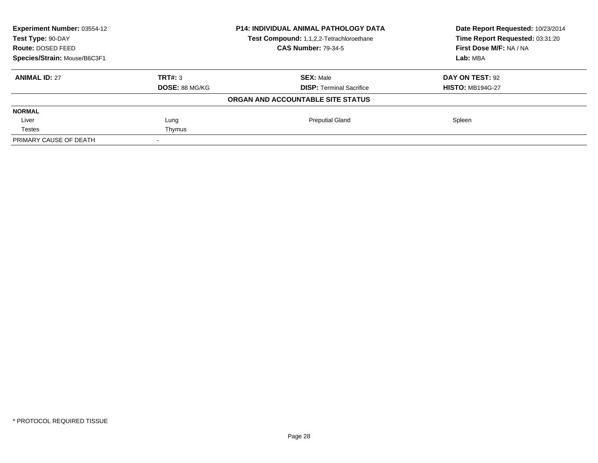| Experiment Number: 03554-12  |                       | <b>P14: INDIVIDUAL ANIMAL PATHOLOGY DATA</b> | Date Report Requested: 10/23/2014 |  |
|------------------------------|-----------------------|----------------------------------------------|-----------------------------------|--|
| Test Type: 90-DAY            |                       | Test Compound: 1,1,2,2-Tetrachloroethane     | Time Report Requested: 03:31:20   |  |
| Route: DOSED FEED            |                       | <b>CAS Number: 79-34-5</b>                   | First Dose M/F: NA / NA           |  |
| Species/Strain: Mouse/B6C3F1 |                       |                                              | Lab: MBA                          |  |
| <b>ANIMAL ID: 27</b>         | TRT#: 3               | <b>SEX: Male</b>                             | DAY ON TEST: 92                   |  |
|                              | <b>DOSE: 88 MG/KG</b> | <b>DISP:</b> Terminal Sacrifice              | <b>HISTO: MB194G-27</b>           |  |
|                              |                       | ORGAN AND ACCOUNTABLE SITE STATUS            |                                   |  |
| <b>NORMAL</b>                |                       |                                              |                                   |  |
| Liver                        | Lung                  | <b>Preputial Gland</b>                       | Spleen                            |  |
| <b>Testes</b>                | Thymus                |                                              |                                   |  |
| PRIMARY CAUSE OF DEATH       |                       |                                              |                                   |  |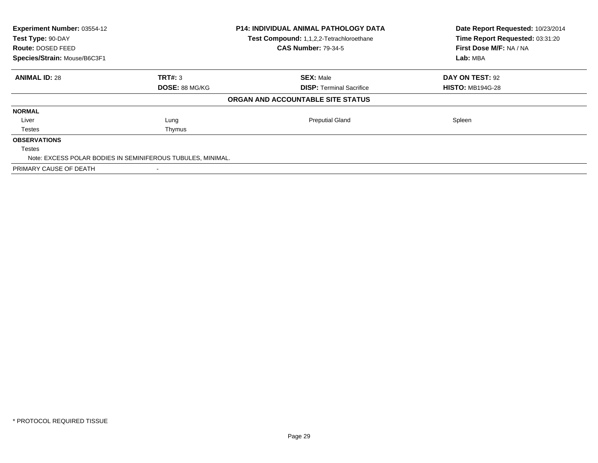| Experiment Number: 03554-12<br>Test Type: 90-DAY<br><b>Route: DOSED FEED</b><br>Species/Strain: Mouse/B6C3F1 |                                                             | <b>P14: INDIVIDUAL ANIMAL PATHOLOGY DATA</b><br>Test Compound: 1,1,2,2-Tetrachloroethane<br><b>CAS Number: 79-34-5</b> | Date Report Requested: 10/23/2014<br>Time Report Requested: 03:31:20<br>First Dose M/F: NA / NA<br>Lab: MBA |
|--------------------------------------------------------------------------------------------------------------|-------------------------------------------------------------|------------------------------------------------------------------------------------------------------------------------|-------------------------------------------------------------------------------------------------------------|
| <b>ANIMAL ID: 28</b>                                                                                         | TRT#: 3                                                     | <b>SEX: Male</b>                                                                                                       | DAY ON TEST: 92                                                                                             |
|                                                                                                              | <b>DOSE: 88 MG/KG</b>                                       | <b>DISP:</b> Terminal Sacrifice                                                                                        | <b>HISTO: MB194G-28</b>                                                                                     |
|                                                                                                              |                                                             | ORGAN AND ACCOUNTABLE SITE STATUS                                                                                      |                                                                                                             |
| <b>NORMAL</b>                                                                                                |                                                             |                                                                                                                        |                                                                                                             |
| Liver                                                                                                        | Lung                                                        | <b>Preputial Gland</b>                                                                                                 | Spleen                                                                                                      |
| Testes                                                                                                       | Thymus                                                      |                                                                                                                        |                                                                                                             |
| <b>OBSERVATIONS</b>                                                                                          |                                                             |                                                                                                                        |                                                                                                             |
| Testes                                                                                                       |                                                             |                                                                                                                        |                                                                                                             |
|                                                                                                              | Note: EXCESS POLAR BODIES IN SEMINIFEROUS TUBULES, MINIMAL. |                                                                                                                        |                                                                                                             |
| PRIMARY CAUSE OF DEATH                                                                                       |                                                             |                                                                                                                        |                                                                                                             |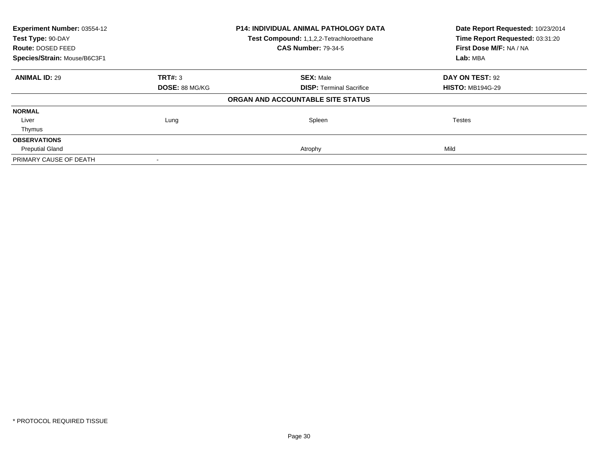| Experiment Number: 03554-12<br>Test Type: 90-DAY |                       | P14: INDIVIDUAL ANIMAL PATHOLOGY DATA<br>Test Compound: 1,1,2,2-Tetrachloroethane | Date Report Requested: 10/23/2014<br>Time Report Requested: 03:31:20 |  |
|--------------------------------------------------|-----------------------|-----------------------------------------------------------------------------------|----------------------------------------------------------------------|--|
| Route: DOSED FEED                                |                       | <b>CAS Number: 79-34-5</b>                                                        | First Dose M/F: NA / NA                                              |  |
| Species/Strain: Mouse/B6C3F1                     |                       |                                                                                   | Lab: MBA                                                             |  |
| <b>ANIMAL ID: 29</b>                             | TRT#: 3               | <b>SEX: Male</b>                                                                  | DAY ON TEST: 92                                                      |  |
|                                                  | <b>DOSE: 88 MG/KG</b> | <b>DISP:</b> Terminal Sacrifice                                                   | <b>HISTO: MB194G-29</b>                                              |  |
|                                                  |                       | ORGAN AND ACCOUNTABLE SITE STATUS                                                 |                                                                      |  |
| <b>NORMAL</b>                                    |                       |                                                                                   |                                                                      |  |
| Liver                                            | Lung                  | Spleen                                                                            | Testes                                                               |  |
| Thymus                                           |                       |                                                                                   |                                                                      |  |
| <b>OBSERVATIONS</b>                              |                       |                                                                                   |                                                                      |  |
| <b>Preputial Gland</b>                           |                       | Atrophy                                                                           | Mild                                                                 |  |
| PRIMARY CAUSE OF DEATH                           |                       |                                                                                   |                                                                      |  |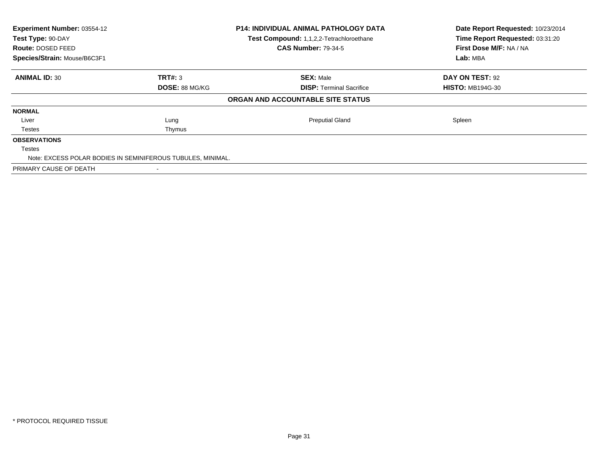| Experiment Number: 03554-12<br>Test Type: 90-DAY<br><b>Route: DOSED FEED</b><br>Species/Strain: Mouse/B6C3F1 |                                                             | <b>P14: INDIVIDUAL ANIMAL PATHOLOGY DATA</b><br>Test Compound: 1,1,2,2-Tetrachloroethane<br><b>CAS Number: 79-34-5</b> | Date Report Requested: 10/23/2014<br>Time Report Requested: 03:31:20<br>First Dose M/F: NA / NA<br>Lab: MBA |
|--------------------------------------------------------------------------------------------------------------|-------------------------------------------------------------|------------------------------------------------------------------------------------------------------------------------|-------------------------------------------------------------------------------------------------------------|
| <b>ANIMAL ID: 30</b>                                                                                         | TRT#: 3                                                     | <b>SEX: Male</b>                                                                                                       | DAY ON TEST: 92                                                                                             |
|                                                                                                              | <b>DOSE: 88 MG/KG</b>                                       | <b>DISP:</b> Terminal Sacrifice                                                                                        | <b>HISTO: MB194G-30</b>                                                                                     |
|                                                                                                              |                                                             | ORGAN AND ACCOUNTABLE SITE STATUS                                                                                      |                                                                                                             |
| <b>NORMAL</b>                                                                                                |                                                             |                                                                                                                        |                                                                                                             |
| Liver                                                                                                        | Lung                                                        | <b>Preputial Gland</b>                                                                                                 | Spleen                                                                                                      |
| Testes                                                                                                       | Thymus                                                      |                                                                                                                        |                                                                                                             |
| <b>OBSERVATIONS</b>                                                                                          |                                                             |                                                                                                                        |                                                                                                             |
| Testes                                                                                                       |                                                             |                                                                                                                        |                                                                                                             |
|                                                                                                              | Note: EXCESS POLAR BODIES IN SEMINIFEROUS TUBULES, MINIMAL. |                                                                                                                        |                                                                                                             |
| PRIMARY CAUSE OF DEATH                                                                                       |                                                             |                                                                                                                        |                                                                                                             |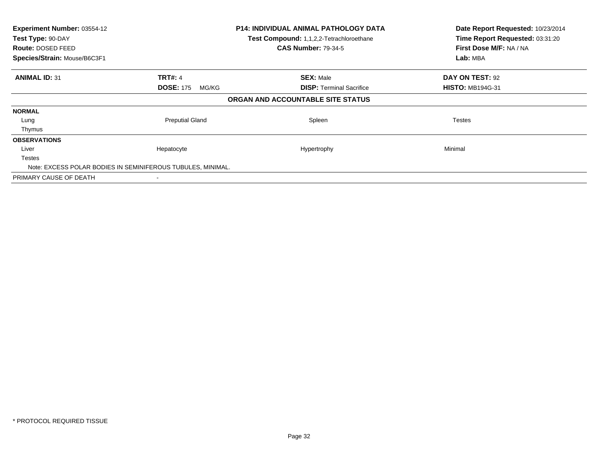| Experiment Number: 03554-12<br>Test Type: 90-DAY<br>Route: DOSED FEED<br>Species/Strain: Mouse/B6C3F1 |                           | <b>P14: INDIVIDUAL ANIMAL PATHOLOGY DATA</b><br>Test Compound: 1,1,2,2-Tetrachloroethane<br><b>CAS Number: 79-34-5</b> | Date Report Requested: 10/23/2014<br>Time Report Requested: 03:31:20<br>First Dose M/F: NA / NA<br>Lab: MBA |
|-------------------------------------------------------------------------------------------------------|---------------------------|------------------------------------------------------------------------------------------------------------------------|-------------------------------------------------------------------------------------------------------------|
| <b>ANIMAL ID: 31</b>                                                                                  | <b>TRT#: 4</b>            | <b>SEX: Male</b>                                                                                                       | DAY ON TEST: 92                                                                                             |
|                                                                                                       | <b>DOSE: 175</b><br>MG/KG | <b>DISP:</b> Terminal Sacrifice                                                                                        | <b>HISTO: MB194G-31</b>                                                                                     |
|                                                                                                       |                           | ORGAN AND ACCOUNTABLE SITE STATUS                                                                                      |                                                                                                             |
| <b>NORMAL</b>                                                                                         |                           |                                                                                                                        |                                                                                                             |
| Lung                                                                                                  | <b>Preputial Gland</b>    | Spleen                                                                                                                 | Testes                                                                                                      |
| Thymus                                                                                                |                           |                                                                                                                        |                                                                                                             |
| <b>OBSERVATIONS</b>                                                                                   |                           |                                                                                                                        |                                                                                                             |
| Liver                                                                                                 | Hepatocyte                | Hypertrophy                                                                                                            | Minimal                                                                                                     |
| <b>Testes</b>                                                                                         |                           |                                                                                                                        |                                                                                                             |
| Note: EXCESS POLAR BODIES IN SEMINIFEROUS TUBULES, MINIMAL.                                           |                           |                                                                                                                        |                                                                                                             |
| PRIMARY CAUSE OF DEATH                                                                                |                           |                                                                                                                        |                                                                                                             |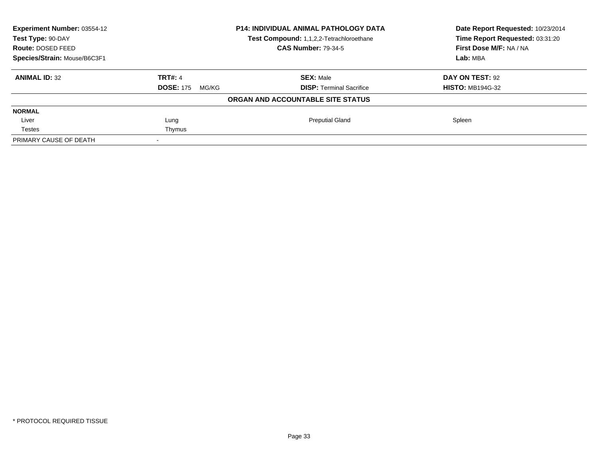| Experiment Number: 03554-12<br>Test Type: 90-DAY |                           | <b>P14: INDIVIDUAL ANIMAL PATHOLOGY DATA</b><br><b>Test Compound: 1,1,2,2-Tetrachloroethane</b> | Date Report Requested: 10/23/2014<br>Time Report Requested: 03:31:20 |
|--------------------------------------------------|---------------------------|-------------------------------------------------------------------------------------------------|----------------------------------------------------------------------|
| Route: DOSED FEED                                |                           | <b>CAS Number: 79-34-5</b>                                                                      | First Dose M/F: NA / NA                                              |
| Species/Strain: Mouse/B6C3F1                     |                           |                                                                                                 | Lab: MBA                                                             |
| <b>ANIMAL ID: 32</b>                             | <b>TRT#: 4</b>            | <b>SEX: Male</b>                                                                                | DAY ON TEST: 92                                                      |
|                                                  | <b>DOSE: 175</b><br>MG/KG | <b>DISP:</b> Terminal Sacrifice                                                                 | <b>HISTO: MB194G-32</b>                                              |
|                                                  |                           | ORGAN AND ACCOUNTABLE SITE STATUS                                                               |                                                                      |
| <b>NORMAL</b>                                    |                           |                                                                                                 |                                                                      |
| Liver                                            | Lung                      | <b>Preputial Gland</b>                                                                          | Spleen                                                               |
| Testes                                           | Thymus                    |                                                                                                 |                                                                      |
| PRIMARY CAUSE OF DEATH                           |                           |                                                                                                 |                                                                      |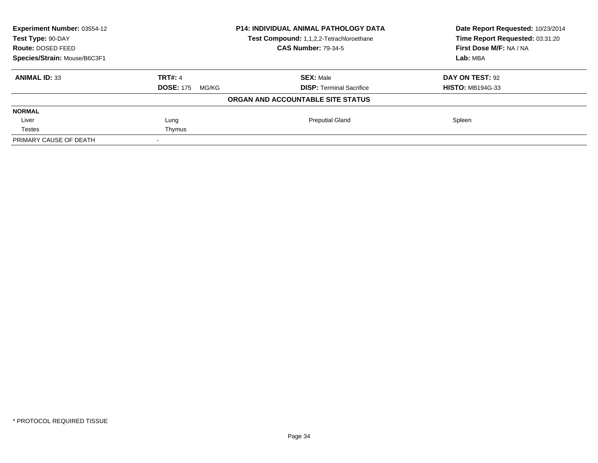| Experiment Number: 03554-12<br>Test Type: 90-DAY |                           | <b>P14: INDIVIDUAL ANIMAL PATHOLOGY DATA</b><br><b>Test Compound: 1,1,2,2-Tetrachloroethane</b> | Date Report Requested: 10/23/2014<br>Time Report Requested: 03:31:20 |
|--------------------------------------------------|---------------------------|-------------------------------------------------------------------------------------------------|----------------------------------------------------------------------|
| Route: DOSED FEED                                |                           | <b>CAS Number: 79-34-5</b>                                                                      | First Dose M/F: NA / NA                                              |
| Species/Strain: Mouse/B6C3F1                     |                           |                                                                                                 | Lab: MBA                                                             |
| <b>ANIMAL ID: 33</b>                             | <b>TRT#: 4</b>            | <b>SEX: Male</b>                                                                                | DAY ON TEST: 92                                                      |
|                                                  | <b>DOSE: 175</b><br>MG/KG | <b>DISP:</b> Terminal Sacrifice                                                                 | <b>HISTO: MB194G-33</b>                                              |
|                                                  |                           | ORGAN AND ACCOUNTABLE SITE STATUS                                                               |                                                                      |
| <b>NORMAL</b>                                    |                           |                                                                                                 |                                                                      |
| Liver                                            | Lung                      | <b>Preputial Gland</b>                                                                          | Spleen                                                               |
| Testes                                           | Thymus                    |                                                                                                 |                                                                      |
| PRIMARY CAUSE OF DEATH                           |                           |                                                                                                 |                                                                      |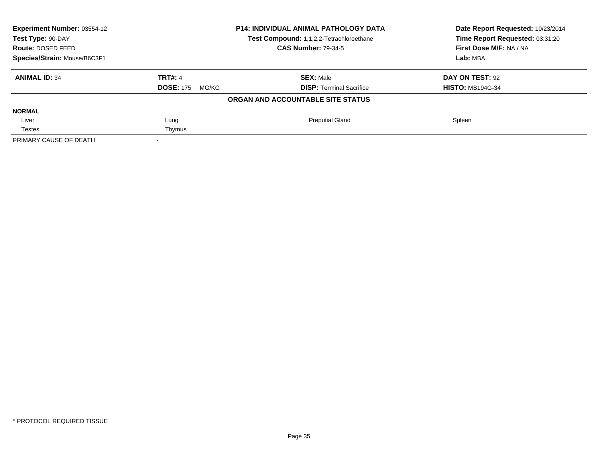| Experiment Number: 03554-12<br>Test Type: 90-DAY |                           | <b>P14: INDIVIDUAL ANIMAL PATHOLOGY DATA</b><br><b>Test Compound: 1,1,2,2-Tetrachloroethane</b> | Date Report Requested: 10/23/2014<br>Time Report Requested: 03:31:20 |
|--------------------------------------------------|---------------------------|-------------------------------------------------------------------------------------------------|----------------------------------------------------------------------|
| Route: DOSED FEED                                |                           | <b>CAS Number: 79-34-5</b>                                                                      | First Dose M/F: NA / NA                                              |
| Species/Strain: Mouse/B6C3F1                     |                           |                                                                                                 | Lab: MBA                                                             |
| <b>ANIMAL ID: 34</b>                             | <b>TRT#: 4</b>            | <b>SEX: Male</b>                                                                                | DAY ON TEST: 92                                                      |
|                                                  | <b>DOSE: 175</b><br>MG/KG | <b>DISP:</b> Terminal Sacrifice                                                                 | <b>HISTO: MB194G-34</b>                                              |
|                                                  |                           | ORGAN AND ACCOUNTABLE SITE STATUS                                                               |                                                                      |
| <b>NORMAL</b>                                    |                           |                                                                                                 |                                                                      |
| Liver                                            | Lung                      | <b>Preputial Gland</b>                                                                          | Spleen                                                               |
| Testes                                           | Thymus                    |                                                                                                 |                                                                      |
| PRIMARY CAUSE OF DEATH                           |                           |                                                                                                 |                                                                      |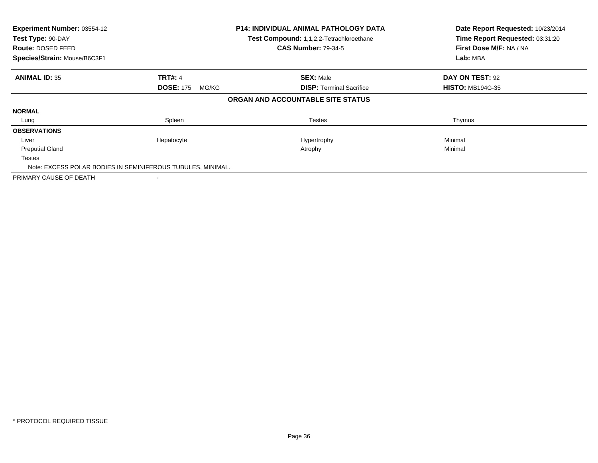| Experiment Number: 03554-12<br>Test Type: 90-DAY<br>Route: DOSED FEED<br>Species/Strain: Mouse/B6C3F1 |                           | <b>P14: INDIVIDUAL ANIMAL PATHOLOGY DATA</b><br>Test Compound: 1,1,2,2-Tetrachloroethane<br><b>CAS Number: 79-34-5</b> | Date Report Requested: 10/23/2014<br>Time Report Requested: 03:31:20<br>First Dose M/F: NA / NA<br>Lab: MBA |  |
|-------------------------------------------------------------------------------------------------------|---------------------------|------------------------------------------------------------------------------------------------------------------------|-------------------------------------------------------------------------------------------------------------|--|
| <b>ANIMAL ID: 35</b>                                                                                  | <b>TRT#: 4</b>            | <b>SEX: Male</b>                                                                                                       | DAY ON TEST: 92                                                                                             |  |
|                                                                                                       | <b>DOSE: 175</b><br>MG/KG | <b>DISP:</b> Terminal Sacrifice                                                                                        | <b>HISTO: MB194G-35</b>                                                                                     |  |
|                                                                                                       |                           | ORGAN AND ACCOUNTABLE SITE STATUS                                                                                      |                                                                                                             |  |
| <b>NORMAL</b>                                                                                         |                           |                                                                                                                        |                                                                                                             |  |
| Lung                                                                                                  | Spleen                    | <b>Testes</b>                                                                                                          | Thymus                                                                                                      |  |
| <b>OBSERVATIONS</b>                                                                                   |                           |                                                                                                                        |                                                                                                             |  |
| Liver                                                                                                 | Hepatocyte                | Hypertrophy                                                                                                            | Minimal                                                                                                     |  |
| <b>Preputial Gland</b>                                                                                |                           | Atrophy                                                                                                                | Minimal                                                                                                     |  |
| <b>Testes</b>                                                                                         |                           |                                                                                                                        |                                                                                                             |  |
| Note: EXCESS POLAR BODIES IN SEMINIFEROUS TUBULES, MINIMAL.                                           |                           |                                                                                                                        |                                                                                                             |  |
| PRIMARY CAUSE OF DEATH                                                                                |                           |                                                                                                                        |                                                                                                             |  |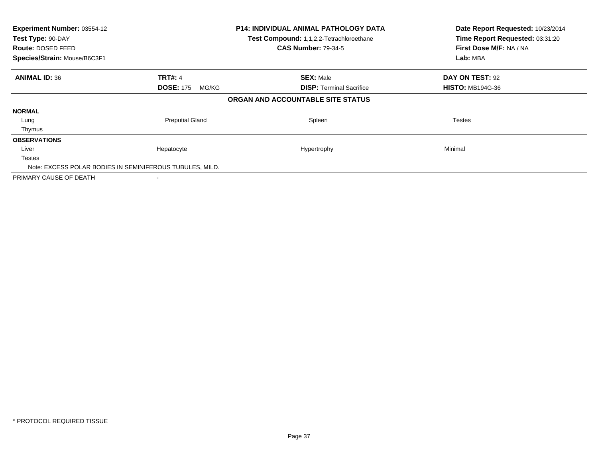| Experiment Number: 03554-12<br>Test Type: 90-DAY<br>Route: DOSED FEED<br>Species/Strain: Mouse/B6C3F1 |                           | <b>P14: INDIVIDUAL ANIMAL PATHOLOGY DATA</b><br>Test Compound: 1,1,2,2-Tetrachloroethane<br><b>CAS Number: 79-34-5</b> | Date Report Requested: 10/23/2014<br>Time Report Requested: 03:31:20<br>First Dose M/F: NA / NA<br>Lab: MBA |
|-------------------------------------------------------------------------------------------------------|---------------------------|------------------------------------------------------------------------------------------------------------------------|-------------------------------------------------------------------------------------------------------------|
| <b>ANIMAL ID: 36</b>                                                                                  | <b>TRT#: 4</b>            | <b>SEX: Male</b>                                                                                                       | DAY ON TEST: 92                                                                                             |
|                                                                                                       | <b>DOSE: 175</b><br>MG/KG | <b>DISP:</b> Terminal Sacrifice                                                                                        | <b>HISTO: MB194G-36</b>                                                                                     |
|                                                                                                       |                           | ORGAN AND ACCOUNTABLE SITE STATUS                                                                                      |                                                                                                             |
| <b>NORMAL</b>                                                                                         |                           |                                                                                                                        |                                                                                                             |
| Lung                                                                                                  | <b>Preputial Gland</b>    | Spleen                                                                                                                 | <b>Testes</b>                                                                                               |
| Thymus                                                                                                |                           |                                                                                                                        |                                                                                                             |
| <b>OBSERVATIONS</b>                                                                                   |                           |                                                                                                                        |                                                                                                             |
| Liver                                                                                                 | Hepatocyte                | Hypertrophy                                                                                                            | Minimal                                                                                                     |
| <b>Testes</b>                                                                                         |                           |                                                                                                                        |                                                                                                             |
| Note: EXCESS POLAR BODIES IN SEMINIFEROUS TUBULES, MILD.                                              |                           |                                                                                                                        |                                                                                                             |
| PRIMARY CAUSE OF DEATH                                                                                |                           |                                                                                                                        |                                                                                                             |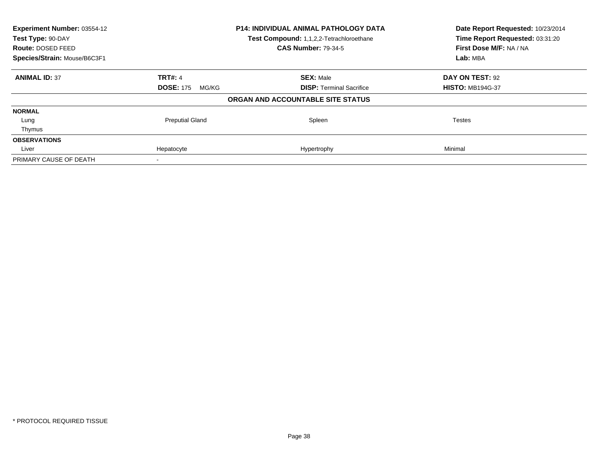| Experiment Number: 03554-12<br>Test Type: 90-DAY<br>Route: DOSED FEED |                           | <b>P14: INDIVIDUAL ANIMAL PATHOLOGY DATA</b><br>Test Compound: 1,1,2,2-Tetrachloroethane<br><b>CAS Number: 79-34-5</b> | Date Report Requested: 10/23/2014<br>Time Report Requested: 03:31:20<br>First Dose M/F: NA / NA |
|-----------------------------------------------------------------------|---------------------------|------------------------------------------------------------------------------------------------------------------------|-------------------------------------------------------------------------------------------------|
| Species/Strain: Mouse/B6C3F1                                          |                           |                                                                                                                        | Lab: MBA                                                                                        |
| <b>ANIMAL ID: 37</b>                                                  | <b>TRT#: 4</b>            | <b>SEX: Male</b>                                                                                                       | DAY ON TEST: 92                                                                                 |
|                                                                       | <b>DOSE: 175</b><br>MG/KG | <b>DISP:</b> Terminal Sacrifice                                                                                        | <b>HISTO: MB194G-37</b>                                                                         |
|                                                                       |                           | ORGAN AND ACCOUNTABLE SITE STATUS                                                                                      |                                                                                                 |
| <b>NORMAL</b>                                                         |                           |                                                                                                                        |                                                                                                 |
| Lung                                                                  | <b>Preputial Gland</b>    | Spleen                                                                                                                 | Testes                                                                                          |
| Thymus                                                                |                           |                                                                                                                        |                                                                                                 |
| <b>OBSERVATIONS</b>                                                   |                           |                                                                                                                        |                                                                                                 |
| Liver                                                                 | Hepatocyte                | Hypertrophy                                                                                                            | Minimal                                                                                         |
| PRIMARY CAUSE OF DEATH                                                |                           |                                                                                                                        |                                                                                                 |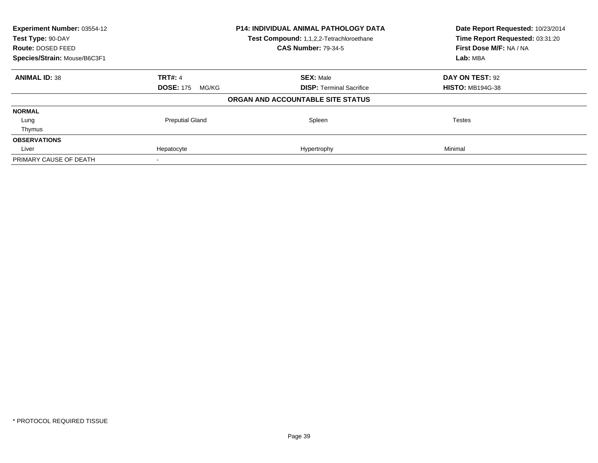| Experiment Number: 03554-12  |                           | P14: INDIVIDUAL ANIMAL PATHOLOGY DATA    | Date Report Requested: 10/23/2014                          |
|------------------------------|---------------------------|------------------------------------------|------------------------------------------------------------|
| Test Type: 90-DAY            |                           | Test Compound: 1,1,2,2-Tetrachloroethane | Time Report Requested: 03:31:20<br>First Dose M/F: NA / NA |
| Route: DOSED FEED            |                           | <b>CAS Number: 79-34-5</b>               |                                                            |
| Species/Strain: Mouse/B6C3F1 |                           |                                          | Lab: MBA                                                   |
| <b>ANIMAL ID: 38</b>         | <b>TRT#: 4</b>            | <b>SEX: Male</b>                         | DAY ON TEST: 92                                            |
|                              | <b>DOSE: 175</b><br>MG/KG | <b>DISP:</b> Terminal Sacrifice          | <b>HISTO: MB194G-38</b>                                    |
|                              |                           | ORGAN AND ACCOUNTABLE SITE STATUS        |                                                            |
| <b>NORMAL</b>                |                           |                                          |                                                            |
| Lung                         | <b>Preputial Gland</b>    | Spleen                                   | Testes                                                     |
| Thymus                       |                           |                                          |                                                            |
| <b>OBSERVATIONS</b>          |                           |                                          |                                                            |
| Liver                        | Hepatocyte                | Hypertrophy                              | Minimal                                                    |
| PRIMARY CAUSE OF DEATH       |                           |                                          |                                                            |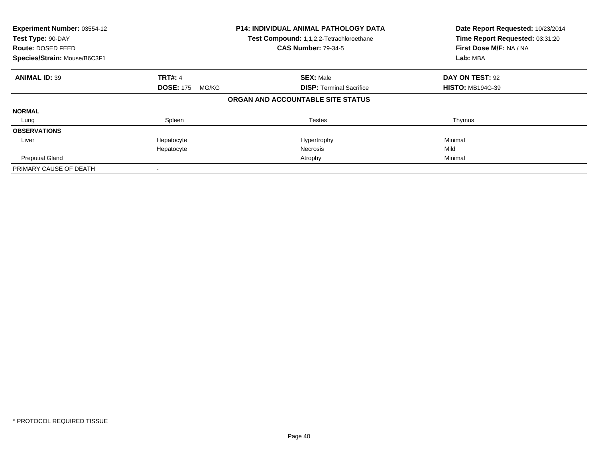| Experiment Number: 03554-12<br>Test Type: 90-DAY<br><b>Route: DOSED FEED</b><br>Species/Strain: Mouse/B6C3F1 |                           | <b>P14: INDIVIDUAL ANIMAL PATHOLOGY DATA</b><br>Test Compound: 1,1,2,2-Tetrachloroethane<br><b>CAS Number: 79-34-5</b> | Date Report Requested: 10/23/2014<br>Time Report Requested: 03:31:20<br>First Dose M/F: NA / NA<br>Lab: MBA |
|--------------------------------------------------------------------------------------------------------------|---------------------------|------------------------------------------------------------------------------------------------------------------------|-------------------------------------------------------------------------------------------------------------|
| <b>ANIMAL ID: 39</b>                                                                                         | <b>TRT#: 4</b>            | <b>SEX: Male</b>                                                                                                       | DAY ON TEST: 92                                                                                             |
|                                                                                                              | <b>DOSE: 175</b><br>MG/KG | <b>DISP:</b> Terminal Sacrifice                                                                                        | <b>HISTO: MB194G-39</b>                                                                                     |
|                                                                                                              |                           | ORGAN AND ACCOUNTABLE SITE STATUS                                                                                      |                                                                                                             |
| <b>NORMAL</b>                                                                                                |                           |                                                                                                                        |                                                                                                             |
| Lung                                                                                                         | Spleen                    | <b>Testes</b>                                                                                                          | Thymus                                                                                                      |
| <b>OBSERVATIONS</b>                                                                                          |                           |                                                                                                                        |                                                                                                             |
| Liver                                                                                                        | Hepatocyte                | Hypertrophy                                                                                                            | Minimal                                                                                                     |
|                                                                                                              | Hepatocyte                | Necrosis                                                                                                               | Mild                                                                                                        |
| <b>Preputial Gland</b>                                                                                       |                           | Atrophy                                                                                                                | Minimal                                                                                                     |
| PRIMARY CAUSE OF DEATH                                                                                       |                           |                                                                                                                        |                                                                                                             |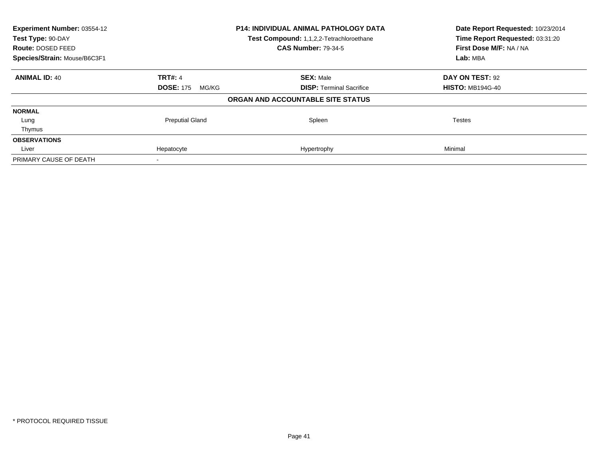| Experiment Number: 03554-12<br>Test Type: 90-DAY<br>Route: DOSED FEED |                           | P14: INDIVIDUAL ANIMAL PATHOLOGY DATA<br>Test Compound: 1,1,2,2-Tetrachloroethane<br><b>CAS Number: 79-34-5</b> | Date Report Requested: 10/23/2014<br>Time Report Requested: 03:31:20<br>First Dose M/F: NA / NA |
|-----------------------------------------------------------------------|---------------------------|-----------------------------------------------------------------------------------------------------------------|-------------------------------------------------------------------------------------------------|
| Species/Strain: Mouse/B6C3F1                                          |                           |                                                                                                                 | Lab: MBA                                                                                        |
| <b>ANIMAL ID: 40</b>                                                  | <b>TRT#: 4</b>            | <b>SEX: Male</b>                                                                                                | DAY ON TEST: 92                                                                                 |
|                                                                       | <b>DOSE: 175</b><br>MG/KG | <b>DISP:</b> Terminal Sacrifice                                                                                 | <b>HISTO: MB194G-40</b>                                                                         |
|                                                                       |                           | ORGAN AND ACCOUNTABLE SITE STATUS                                                                               |                                                                                                 |
| <b>NORMAL</b>                                                         |                           |                                                                                                                 |                                                                                                 |
| Lung                                                                  | <b>Preputial Gland</b>    | Spleen                                                                                                          | Testes                                                                                          |
| Thymus                                                                |                           |                                                                                                                 |                                                                                                 |
| <b>OBSERVATIONS</b>                                                   |                           |                                                                                                                 |                                                                                                 |
| Liver                                                                 | Hepatocyte                | Hypertrophy                                                                                                     | Minimal                                                                                         |
| PRIMARY CAUSE OF DEATH                                                |                           |                                                                                                                 |                                                                                                 |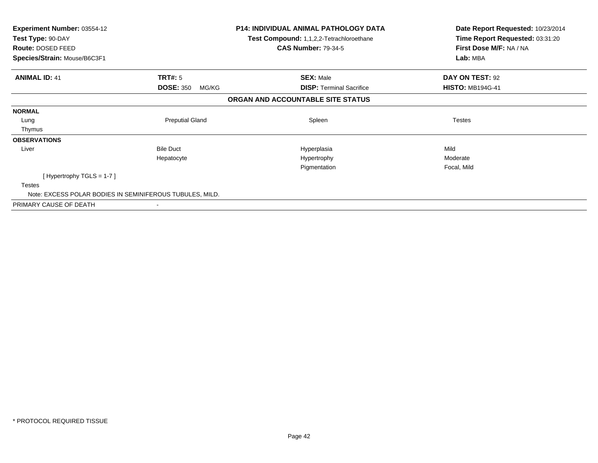| <b>Experiment Number: 03554-12</b><br>Test Type: 90-DAY  |                           | <b>P14: INDIVIDUAL ANIMAL PATHOLOGY DATA</b><br>Test Compound: 1,1,2,2-Tetrachloroethane | Date Report Requested: 10/23/2014<br>Time Report Requested: 03:31:20 |
|----------------------------------------------------------|---------------------------|------------------------------------------------------------------------------------------|----------------------------------------------------------------------|
| Route: DOSED FEED                                        |                           | <b>CAS Number: 79-34-5</b>                                                               | First Dose M/F: NA / NA                                              |
| Species/Strain: Mouse/B6C3F1                             |                           |                                                                                          | Lab: MBA                                                             |
| <b>ANIMAL ID: 41</b>                                     | TRT#: 5                   | <b>SEX: Male</b>                                                                         | DAY ON TEST: 92                                                      |
|                                                          | <b>DOSE: 350</b><br>MG/KG | <b>DISP:</b> Terminal Sacrifice                                                          | <b>HISTO: MB194G-41</b>                                              |
|                                                          |                           | ORGAN AND ACCOUNTABLE SITE STATUS                                                        |                                                                      |
| <b>NORMAL</b>                                            |                           |                                                                                          |                                                                      |
| Lung                                                     | <b>Preputial Gland</b>    | Spleen                                                                                   | <b>Testes</b>                                                        |
| Thymus                                                   |                           |                                                                                          |                                                                      |
| <b>OBSERVATIONS</b>                                      |                           |                                                                                          |                                                                      |
| Liver                                                    | <b>Bile Duct</b>          | Hyperplasia                                                                              | Mild                                                                 |
|                                                          | Hepatocyte                | Hypertrophy                                                                              | Moderate                                                             |
|                                                          |                           | Pigmentation                                                                             | Focal, Mild                                                          |
| [Hypertrophy TGLS = $1-7$ ]                              |                           |                                                                                          |                                                                      |
| <b>Testes</b>                                            |                           |                                                                                          |                                                                      |
| Note: EXCESS POLAR BODIES IN SEMINIFEROUS TUBULES, MILD. |                           |                                                                                          |                                                                      |
| PRIMARY CAUSE OF DEATH                                   |                           |                                                                                          |                                                                      |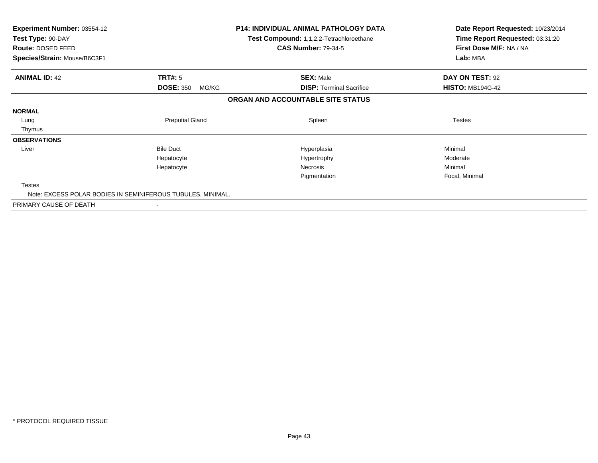| <b>Experiment Number: 03554-12</b><br>Test Type: 90-DAY<br>Route: DOSED FEED |                           | <b>P14: INDIVIDUAL ANIMAL PATHOLOGY DATA</b><br>Test Compound: 1,1,2,2-Tetrachloroethane<br><b>CAS Number: 79-34-5</b> | Date Report Requested: 10/23/2014<br>Time Report Requested: 03:31:20<br>First Dose M/F: NA / NA |
|------------------------------------------------------------------------------|---------------------------|------------------------------------------------------------------------------------------------------------------------|-------------------------------------------------------------------------------------------------|
| Species/Strain: Mouse/B6C3F1                                                 |                           |                                                                                                                        | Lab: MBA                                                                                        |
| <b>ANIMAL ID: 42</b>                                                         | TRT#: 5                   | <b>SEX: Male</b>                                                                                                       | DAY ON TEST: 92                                                                                 |
|                                                                              | <b>DOSE: 350</b><br>MG/KG | <b>DISP:</b> Terminal Sacrifice                                                                                        | <b>HISTO: MB194G-42</b>                                                                         |
|                                                                              |                           | ORGAN AND ACCOUNTABLE SITE STATUS                                                                                      |                                                                                                 |
| <b>NORMAL</b>                                                                |                           |                                                                                                                        |                                                                                                 |
| Lung                                                                         | <b>Preputial Gland</b>    | Spleen                                                                                                                 | <b>Testes</b>                                                                                   |
| Thymus                                                                       |                           |                                                                                                                        |                                                                                                 |
| <b>OBSERVATIONS</b>                                                          |                           |                                                                                                                        |                                                                                                 |
| Liver                                                                        | <b>Bile Duct</b>          | Hyperplasia                                                                                                            | Minimal                                                                                         |
|                                                                              | Hepatocyte                | Hypertrophy                                                                                                            | Moderate                                                                                        |
|                                                                              | Hepatocyte                | Necrosis                                                                                                               | Minimal                                                                                         |
|                                                                              |                           | Pigmentation                                                                                                           | Focal, Minimal                                                                                  |
| <b>Testes</b>                                                                |                           |                                                                                                                        |                                                                                                 |
| Note: EXCESS POLAR BODIES IN SEMINIFEROUS TUBULES, MINIMAL.                  |                           |                                                                                                                        |                                                                                                 |
| PRIMARY CAUSE OF DEATH                                                       |                           |                                                                                                                        |                                                                                                 |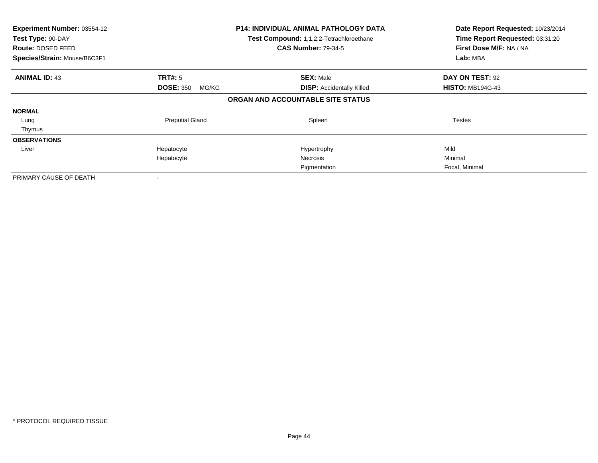| Experiment Number: 03554-12<br>Test Type: 90-DAY<br>Route: DOSED FEED<br>Species/Strain: Mouse/B6C3F1 |                           | <b>P14: INDIVIDUAL ANIMAL PATHOLOGY DATA</b><br>Test Compound: 1,1,2,2-Tetrachloroethane<br><b>CAS Number: 79-34-5</b> | Date Report Requested: 10/23/2014<br>Time Report Requested: 03:31:20<br>First Dose M/F: NA / NA<br>Lab: MBA |
|-------------------------------------------------------------------------------------------------------|---------------------------|------------------------------------------------------------------------------------------------------------------------|-------------------------------------------------------------------------------------------------------------|
| <b>ANIMAL ID: 43</b>                                                                                  | <b>TRT#:</b> 5            | <b>SEX: Male</b>                                                                                                       | DAY ON TEST: 92                                                                                             |
|                                                                                                       | <b>DOSE: 350</b><br>MG/KG | <b>DISP:</b> Accidentally Killed                                                                                       | <b>HISTO: MB194G-43</b>                                                                                     |
|                                                                                                       |                           | ORGAN AND ACCOUNTABLE SITE STATUS                                                                                      |                                                                                                             |
| <b>NORMAL</b>                                                                                         |                           |                                                                                                                        |                                                                                                             |
| Lung                                                                                                  | <b>Preputial Gland</b>    | Spleen                                                                                                                 | Testes                                                                                                      |
| Thymus                                                                                                |                           |                                                                                                                        |                                                                                                             |
| <b>OBSERVATIONS</b>                                                                                   |                           |                                                                                                                        |                                                                                                             |
| Liver                                                                                                 | Hepatocyte                | Hypertrophy                                                                                                            | Mild                                                                                                        |
|                                                                                                       | Hepatocyte                | Necrosis                                                                                                               | Minimal                                                                                                     |
|                                                                                                       |                           | Pigmentation                                                                                                           | Focal, Minimal                                                                                              |
| PRIMARY CAUSE OF DEATH                                                                                |                           |                                                                                                                        |                                                                                                             |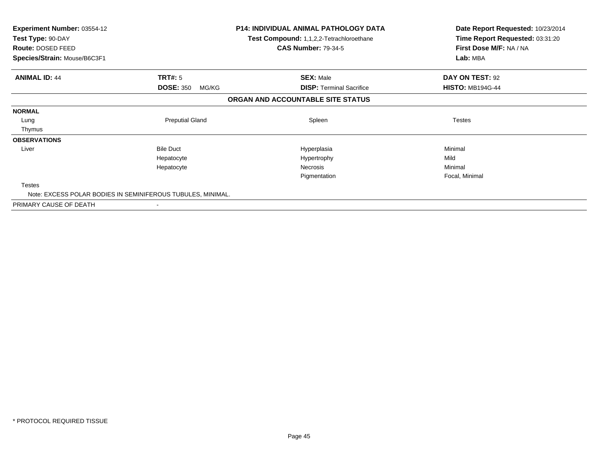| <b>Experiment Number: 03554-12</b><br>Test Type: 90-DAY<br>Route: DOSED FEED |                           | <b>P14: INDIVIDUAL ANIMAL PATHOLOGY DATA</b><br>Test Compound: 1,1,2,2-Tetrachloroethane<br><b>CAS Number: 79-34-5</b> | Date Report Requested: 10/23/2014<br>Time Report Requested: 03:31:20<br>First Dose M/F: NA / NA |
|------------------------------------------------------------------------------|---------------------------|------------------------------------------------------------------------------------------------------------------------|-------------------------------------------------------------------------------------------------|
| Species/Strain: Mouse/B6C3F1                                                 |                           |                                                                                                                        | Lab: MBA                                                                                        |
| <b>ANIMAL ID: 44</b>                                                         | TRT#: 5                   | <b>SEX: Male</b>                                                                                                       | DAY ON TEST: 92                                                                                 |
|                                                                              | <b>DOSE: 350</b><br>MG/KG | <b>DISP:</b> Terminal Sacrifice                                                                                        | <b>HISTO: MB194G-44</b>                                                                         |
|                                                                              |                           | ORGAN AND ACCOUNTABLE SITE STATUS                                                                                      |                                                                                                 |
| <b>NORMAL</b>                                                                |                           |                                                                                                                        |                                                                                                 |
| Lung                                                                         | <b>Preputial Gland</b>    | Spleen                                                                                                                 | <b>Testes</b>                                                                                   |
| Thymus                                                                       |                           |                                                                                                                        |                                                                                                 |
| <b>OBSERVATIONS</b>                                                          |                           |                                                                                                                        |                                                                                                 |
| Liver                                                                        | <b>Bile Duct</b>          | Hyperplasia                                                                                                            | Minimal                                                                                         |
|                                                                              | Hepatocyte                | Hypertrophy                                                                                                            | Mild                                                                                            |
|                                                                              | Hepatocyte                | Necrosis                                                                                                               | Minimal                                                                                         |
|                                                                              |                           | Pigmentation                                                                                                           | Focal, Minimal                                                                                  |
| <b>Testes</b>                                                                |                           |                                                                                                                        |                                                                                                 |
| Note: EXCESS POLAR BODIES IN SEMINIFEROUS TUBULES, MINIMAL.                  |                           |                                                                                                                        |                                                                                                 |
| PRIMARY CAUSE OF DEATH                                                       |                           |                                                                                                                        |                                                                                                 |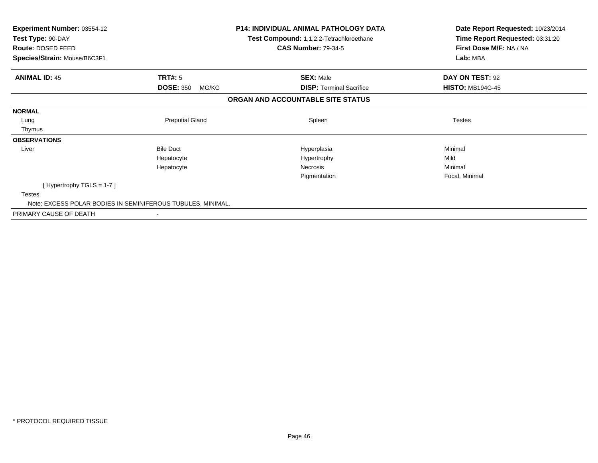| Experiment Number: 03554-12<br>Test Type: 90-DAY<br>Route: DOSED FEED |                           | <b>P14: INDIVIDUAL ANIMAL PATHOLOGY DATA</b><br>Test Compound: 1,1,2,2-Tetrachloroethane<br><b>CAS Number: 79-34-5</b> | Date Report Requested: 10/23/2014<br>Time Report Requested: 03:31:20<br>First Dose M/F: NA / NA |
|-----------------------------------------------------------------------|---------------------------|------------------------------------------------------------------------------------------------------------------------|-------------------------------------------------------------------------------------------------|
| Species/Strain: Mouse/B6C3F1                                          |                           |                                                                                                                        | Lab: MBA                                                                                        |
| <b>ANIMAL ID: 45</b>                                                  | TRT#: 5                   | <b>SEX: Male</b>                                                                                                       | DAY ON TEST: 92                                                                                 |
|                                                                       | <b>DOSE: 350</b><br>MG/KG | <b>DISP:</b> Terminal Sacrifice                                                                                        | <b>HISTO: MB194G-45</b>                                                                         |
|                                                                       |                           | ORGAN AND ACCOUNTABLE SITE STATUS                                                                                      |                                                                                                 |
| <b>NORMAL</b>                                                         |                           |                                                                                                                        |                                                                                                 |
| Lung                                                                  | <b>Preputial Gland</b>    | Spleen                                                                                                                 | <b>Testes</b>                                                                                   |
| Thymus                                                                |                           |                                                                                                                        |                                                                                                 |
| <b>OBSERVATIONS</b>                                                   |                           |                                                                                                                        |                                                                                                 |
| Liver                                                                 | <b>Bile Duct</b>          | Hyperplasia                                                                                                            | Minimal                                                                                         |
|                                                                       | Hepatocyte                | Hypertrophy                                                                                                            | Mild                                                                                            |
|                                                                       | Hepatocyte                | Necrosis                                                                                                               | Minimal                                                                                         |
|                                                                       |                           | Pigmentation                                                                                                           | Focal, Minimal                                                                                  |
| [Hypertrophy TGLS = $1-7$ ]                                           |                           |                                                                                                                        |                                                                                                 |
| <b>Testes</b>                                                         |                           |                                                                                                                        |                                                                                                 |
| Note: EXCESS POLAR BODIES IN SEMINIFEROUS TUBULES, MINIMAL.           |                           |                                                                                                                        |                                                                                                 |
| PRIMARY CAUSE OF DEATH                                                |                           |                                                                                                                        |                                                                                                 |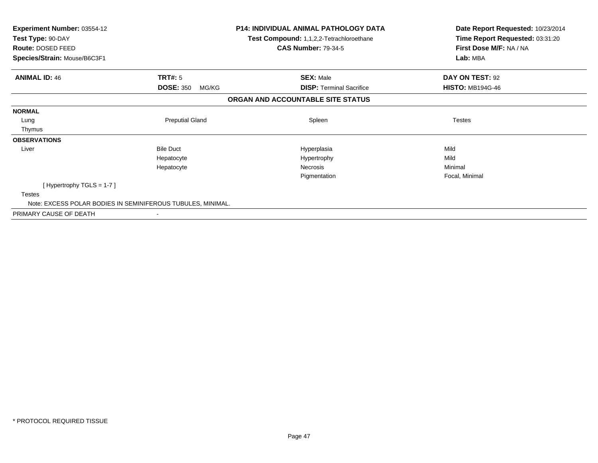| Experiment Number: 03554-12<br>Test Type: 90-DAY<br>Route: DOSED FEED |                           | <b>P14: INDIVIDUAL ANIMAL PATHOLOGY DATA</b><br>Test Compound: 1,1,2,2-Tetrachloroethane<br><b>CAS Number: 79-34-5</b> | Date Report Requested: 10/23/2014<br>Time Report Requested: 03:31:20<br>First Dose M/F: NA / NA |
|-----------------------------------------------------------------------|---------------------------|------------------------------------------------------------------------------------------------------------------------|-------------------------------------------------------------------------------------------------|
| Species/Strain: Mouse/B6C3F1                                          |                           |                                                                                                                        | Lab: MBA                                                                                        |
| <b>ANIMAL ID: 46</b>                                                  | TRT#: 5                   | <b>SEX: Male</b>                                                                                                       | DAY ON TEST: 92                                                                                 |
|                                                                       | <b>DOSE: 350</b><br>MG/KG | <b>DISP:</b> Terminal Sacrifice                                                                                        | <b>HISTO: MB194G-46</b>                                                                         |
|                                                                       |                           | ORGAN AND ACCOUNTABLE SITE STATUS                                                                                      |                                                                                                 |
| <b>NORMAL</b>                                                         |                           |                                                                                                                        |                                                                                                 |
| Lung                                                                  | <b>Preputial Gland</b>    | Spleen                                                                                                                 | <b>Testes</b>                                                                                   |
| Thymus                                                                |                           |                                                                                                                        |                                                                                                 |
| <b>OBSERVATIONS</b>                                                   |                           |                                                                                                                        |                                                                                                 |
| Liver                                                                 | <b>Bile Duct</b>          | Hyperplasia                                                                                                            | Mild                                                                                            |
|                                                                       | Hepatocyte                | Hypertrophy                                                                                                            | Mild                                                                                            |
|                                                                       | Hepatocyte                | Necrosis                                                                                                               | Minimal                                                                                         |
|                                                                       |                           | Pigmentation                                                                                                           | Focal, Minimal                                                                                  |
| [Hypertrophy TGLS = $1-7$ ]                                           |                           |                                                                                                                        |                                                                                                 |
| <b>Testes</b>                                                         |                           |                                                                                                                        |                                                                                                 |
| Note: EXCESS POLAR BODIES IN SEMINIFEROUS TUBULES, MINIMAL.           |                           |                                                                                                                        |                                                                                                 |
| PRIMARY CAUSE OF DEATH                                                |                           |                                                                                                                        |                                                                                                 |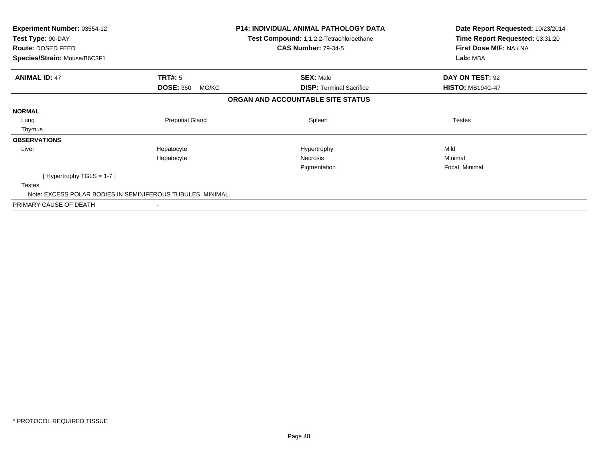| <b>Experiment Number: 03554-12</b><br>Test Type: 90-DAY     |                           | <b>P14: INDIVIDUAL ANIMAL PATHOLOGY DATA</b><br>Test Compound: 1,1,2,2-Tetrachloroethane | Date Report Requested: 10/23/2014<br>Time Report Requested: 03:31:20 |
|-------------------------------------------------------------|---------------------------|------------------------------------------------------------------------------------------|----------------------------------------------------------------------|
| Route: DOSED FEED                                           |                           | <b>CAS Number: 79-34-5</b>                                                               | First Dose M/F: NA / NA                                              |
| Species/Strain: Mouse/B6C3F1                                |                           |                                                                                          | Lab: MBA                                                             |
| <b>ANIMAL ID: 47</b>                                        | TRT#: 5                   | <b>SEX: Male</b>                                                                         | DAY ON TEST: 92                                                      |
|                                                             | <b>DOSE: 350</b><br>MG/KG | <b>DISP:</b> Terminal Sacrifice                                                          | <b>HISTO: MB194G-47</b>                                              |
|                                                             |                           | ORGAN AND ACCOUNTABLE SITE STATUS                                                        |                                                                      |
| <b>NORMAL</b>                                               |                           |                                                                                          |                                                                      |
| Lung                                                        | <b>Preputial Gland</b>    | Spleen                                                                                   | <b>Testes</b>                                                        |
| Thymus                                                      |                           |                                                                                          |                                                                      |
| <b>OBSERVATIONS</b>                                         |                           |                                                                                          |                                                                      |
| Liver                                                       | Hepatocyte                | Hypertrophy                                                                              | Mild                                                                 |
|                                                             | Hepatocyte                | <b>Necrosis</b>                                                                          | Minimal                                                              |
|                                                             |                           | Pigmentation                                                                             | Focal, Minimal                                                       |
| [Hypertrophy TGLS = $1-7$ ]                                 |                           |                                                                                          |                                                                      |
| <b>Testes</b>                                               |                           |                                                                                          |                                                                      |
| Note: EXCESS POLAR BODIES IN SEMINIFEROUS TUBULES, MINIMAL. |                           |                                                                                          |                                                                      |
| PRIMARY CAUSE OF DEATH                                      |                           |                                                                                          |                                                                      |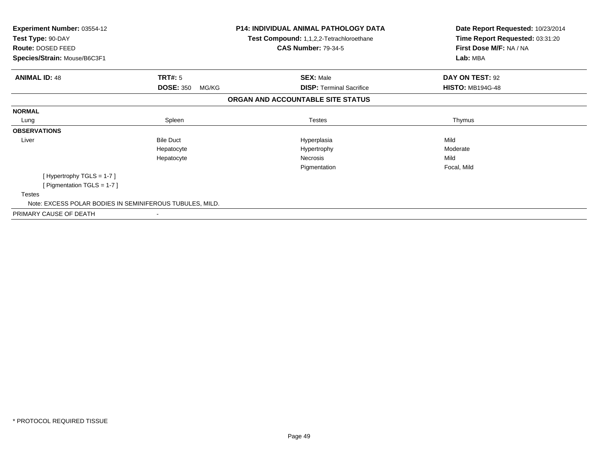| <b>Experiment Number: 03554-12</b><br>Test Type: 90-DAY<br>Route: DOSED FEED |                           | <b>P14: INDIVIDUAL ANIMAL PATHOLOGY DATA</b><br>Test Compound: 1,1,2,2-Tetrachloroethane<br><b>CAS Number: 79-34-5</b> | Date Report Requested: 10/23/2014<br>Time Report Requested: 03:31:20<br>First Dose M/F: NA / NA |
|------------------------------------------------------------------------------|---------------------------|------------------------------------------------------------------------------------------------------------------------|-------------------------------------------------------------------------------------------------|
| Species/Strain: Mouse/B6C3F1                                                 |                           |                                                                                                                        | Lab: MBA                                                                                        |
| <b>ANIMAL ID: 48</b>                                                         | TRT#: 5                   | <b>SEX: Male</b>                                                                                                       | DAY ON TEST: 92                                                                                 |
|                                                                              | <b>DOSE: 350</b><br>MG/KG | <b>DISP: Terminal Sacrifice</b>                                                                                        | <b>HISTO: MB194G-48</b>                                                                         |
|                                                                              |                           | ORGAN AND ACCOUNTABLE SITE STATUS                                                                                      |                                                                                                 |
| <b>NORMAL</b>                                                                |                           |                                                                                                                        |                                                                                                 |
| Lung                                                                         | Spleen                    | <b>Testes</b>                                                                                                          | Thymus                                                                                          |
| <b>OBSERVATIONS</b>                                                          |                           |                                                                                                                        |                                                                                                 |
| Liver                                                                        | <b>Bile Duct</b>          | Hyperplasia                                                                                                            | Mild                                                                                            |
|                                                                              | Hepatocyte                | Hypertrophy                                                                                                            | Moderate                                                                                        |
|                                                                              | Hepatocyte                | Necrosis                                                                                                               | Mild                                                                                            |
|                                                                              |                           | Pigmentation                                                                                                           | Focal, Mild                                                                                     |
| [Hypertrophy TGLS = 1-7]                                                     |                           |                                                                                                                        |                                                                                                 |
| [ Pigmentation TGLS = 1-7 ]                                                  |                           |                                                                                                                        |                                                                                                 |
| <b>Testes</b>                                                                |                           |                                                                                                                        |                                                                                                 |
| Note: EXCESS POLAR BODIES IN SEMINIFEROUS TUBULES, MILD.                     |                           |                                                                                                                        |                                                                                                 |
| PRIMARY CAUSE OF DEATH                                                       |                           |                                                                                                                        |                                                                                                 |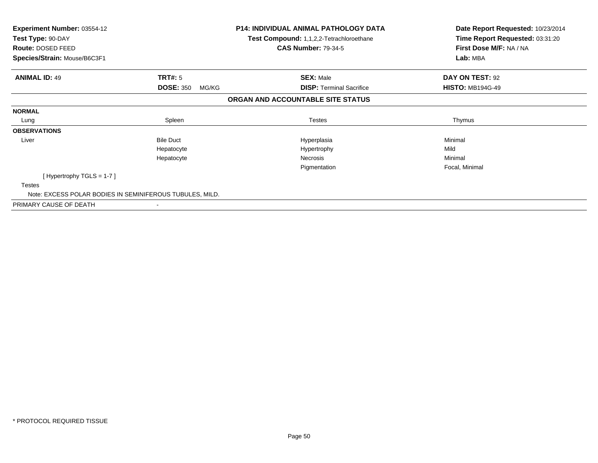| Experiment Number: 03554-12<br>Test Type: 90-DAY<br><b>Route: DOSED FEED</b> |                           | <b>P14: INDIVIDUAL ANIMAL PATHOLOGY DATA</b><br>Test Compound: 1,1,2,2-Tetrachloroethane<br><b>CAS Number: 79-34-5</b> | Date Report Requested: 10/23/2014<br>Time Report Requested: 03:31:20<br>First Dose M/F: NA / NA |
|------------------------------------------------------------------------------|---------------------------|------------------------------------------------------------------------------------------------------------------------|-------------------------------------------------------------------------------------------------|
| Species/Strain: Mouse/B6C3F1                                                 |                           |                                                                                                                        | Lab: MBA                                                                                        |
| <b>ANIMAL ID: 49</b>                                                         | TRT#: 5                   | <b>SEX: Male</b>                                                                                                       | DAY ON TEST: 92                                                                                 |
|                                                                              | <b>DOSE: 350</b><br>MG/KG | <b>DISP:</b> Terminal Sacrifice                                                                                        | <b>HISTO: MB194G-49</b>                                                                         |
|                                                                              |                           | ORGAN AND ACCOUNTABLE SITE STATUS                                                                                      |                                                                                                 |
| <b>NORMAL</b>                                                                |                           |                                                                                                                        |                                                                                                 |
| Lung                                                                         | Spleen                    | <b>Testes</b>                                                                                                          | Thymus                                                                                          |
| <b>OBSERVATIONS</b>                                                          |                           |                                                                                                                        |                                                                                                 |
| Liver                                                                        | <b>Bile Duct</b>          | Hyperplasia                                                                                                            | Minimal                                                                                         |
|                                                                              | Hepatocyte                | Hypertrophy                                                                                                            | Mild                                                                                            |
|                                                                              | Hepatocyte                | Necrosis                                                                                                               | Minimal                                                                                         |
|                                                                              |                           | Pigmentation                                                                                                           | Focal, Minimal                                                                                  |
| [Hypertrophy TGLS = $1-7$ ]                                                  |                           |                                                                                                                        |                                                                                                 |
| <b>Testes</b>                                                                |                           |                                                                                                                        |                                                                                                 |
| Note: EXCESS POLAR BODIES IN SEMINIFEROUS TUBULES, MILD.                     |                           |                                                                                                                        |                                                                                                 |
| PRIMARY CAUSE OF DEATH                                                       | $\overline{\phantom{a}}$  |                                                                                                                        |                                                                                                 |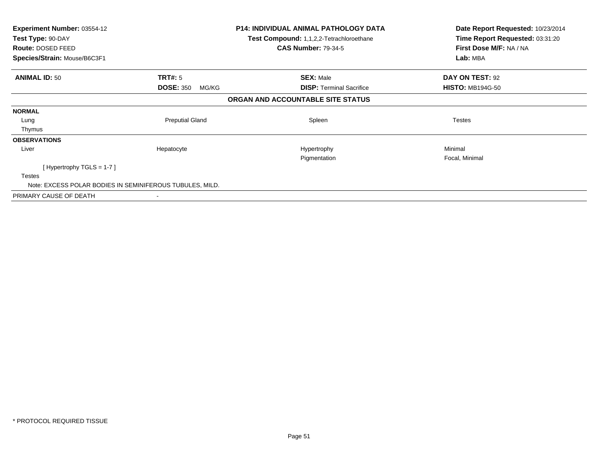| Experiment Number: 03554-12<br>Test Type: 90-DAY<br>Route: DOSED FEED<br>Species/Strain: Mouse/B6C3F1 |                           | <b>P14: INDIVIDUAL ANIMAL PATHOLOGY DATA</b><br>Test Compound: 1,1,2,2-Tetrachloroethane<br><b>CAS Number: 79-34-5</b> | Date Report Requested: 10/23/2014<br>Time Report Requested: 03:31:20<br>First Dose M/F: NA / NA<br>Lab: MBA |
|-------------------------------------------------------------------------------------------------------|---------------------------|------------------------------------------------------------------------------------------------------------------------|-------------------------------------------------------------------------------------------------------------|
| <b>ANIMAL ID: 50</b>                                                                                  | TRT#: 5                   | <b>SEX: Male</b>                                                                                                       | DAY ON TEST: 92                                                                                             |
|                                                                                                       | <b>DOSE: 350</b><br>MG/KG | <b>DISP: Terminal Sacrifice</b>                                                                                        | <b>HISTO: MB194G-50</b>                                                                                     |
|                                                                                                       |                           | ORGAN AND ACCOUNTABLE SITE STATUS                                                                                      |                                                                                                             |
| <b>NORMAL</b>                                                                                         |                           |                                                                                                                        |                                                                                                             |
| Lung                                                                                                  | <b>Preputial Gland</b>    | Spleen                                                                                                                 | <b>Testes</b>                                                                                               |
| Thymus                                                                                                |                           |                                                                                                                        |                                                                                                             |
| <b>OBSERVATIONS</b>                                                                                   |                           |                                                                                                                        |                                                                                                             |
| Liver                                                                                                 | Hepatocyte                | Hypertrophy<br>Pigmentation                                                                                            | Minimal<br>Focal, Minimal                                                                                   |
| [Hypertrophy TGLS = $1-7$ ]                                                                           |                           |                                                                                                                        |                                                                                                             |
| <b>Testes</b>                                                                                         |                           |                                                                                                                        |                                                                                                             |
| Note: EXCESS POLAR BODIES IN SEMINIFEROUS TUBULES, MILD.                                              |                           |                                                                                                                        |                                                                                                             |
| PRIMARY CAUSE OF DEATH                                                                                |                           |                                                                                                                        |                                                                                                             |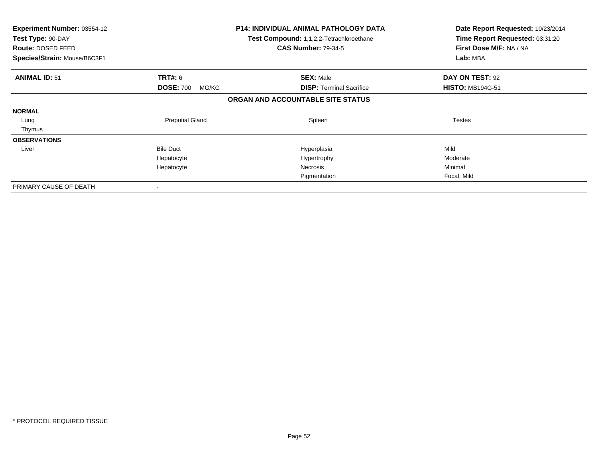| <b>Experiment Number: 03554-12</b><br>Test Type: 90-DAY<br><b>Route: DOSED FEED</b><br>Species/Strain: Mouse/B6C3F1 |                           | <b>P14: INDIVIDUAL ANIMAL PATHOLOGY DATA</b><br>Test Compound: 1,1,2,2-Tetrachloroethane<br><b>CAS Number: 79-34-5</b> | Date Report Requested: 10/23/2014<br>Time Report Requested: 03:31:20<br>First Dose M/F: NA / NA<br>Lab: MBA |
|---------------------------------------------------------------------------------------------------------------------|---------------------------|------------------------------------------------------------------------------------------------------------------------|-------------------------------------------------------------------------------------------------------------|
| <b>ANIMAL ID: 51</b>                                                                                                | <b>TRT#: 6</b>            | <b>SEX: Male</b>                                                                                                       | DAY ON TEST: 92                                                                                             |
|                                                                                                                     | <b>DOSE: 700</b><br>MG/KG | <b>DISP: Terminal Sacrifice</b>                                                                                        | <b>HISTO: MB194G-51</b>                                                                                     |
|                                                                                                                     |                           | ORGAN AND ACCOUNTABLE SITE STATUS                                                                                      |                                                                                                             |
| <b>NORMAL</b>                                                                                                       |                           |                                                                                                                        |                                                                                                             |
| Lung                                                                                                                | <b>Preputial Gland</b>    | Spleen                                                                                                                 | <b>Testes</b>                                                                                               |
| Thymus                                                                                                              |                           |                                                                                                                        |                                                                                                             |
| <b>OBSERVATIONS</b>                                                                                                 |                           |                                                                                                                        |                                                                                                             |
| Liver                                                                                                               | <b>Bile Duct</b>          | Hyperplasia                                                                                                            | Mild                                                                                                        |
|                                                                                                                     | Hepatocyte                | Hypertrophy                                                                                                            | Moderate                                                                                                    |
|                                                                                                                     | Hepatocyte                | Necrosis                                                                                                               | Minimal                                                                                                     |
|                                                                                                                     |                           | Pigmentation                                                                                                           | Focal, Mild                                                                                                 |
| PRIMARY CAUSE OF DEATH                                                                                              |                           |                                                                                                                        |                                                                                                             |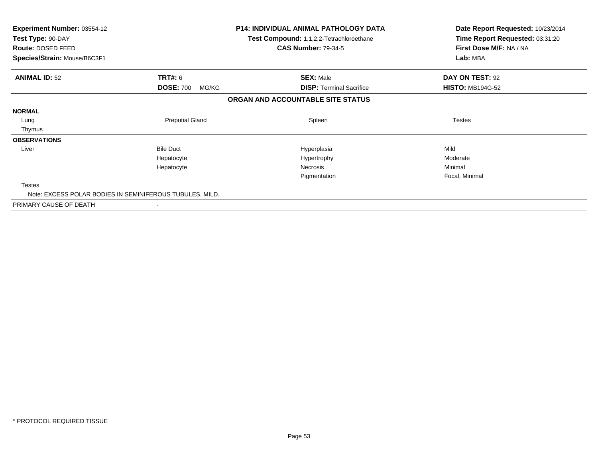| <b>Experiment Number: 03554-12</b><br>Test Type: 90-DAY<br>Route: DOSED FEED |                           | <b>P14: INDIVIDUAL ANIMAL PATHOLOGY DATA</b><br>Test Compound: 1,1,2,2-Tetrachloroethane<br><b>CAS Number: 79-34-5</b> | Date Report Requested: 10/23/2014<br>Time Report Requested: 03:31:20<br>First Dose M/F: NA / NA |
|------------------------------------------------------------------------------|---------------------------|------------------------------------------------------------------------------------------------------------------------|-------------------------------------------------------------------------------------------------|
| Species/Strain: Mouse/B6C3F1                                                 |                           |                                                                                                                        | Lab: MBA                                                                                        |
| <b>ANIMAL ID: 52</b>                                                         | TRT#: 6                   | <b>SEX: Male</b>                                                                                                       | DAY ON TEST: 92                                                                                 |
|                                                                              | <b>DOSE: 700</b><br>MG/KG | <b>DISP:</b> Terminal Sacrifice                                                                                        | <b>HISTO: MB194G-52</b>                                                                         |
|                                                                              |                           | ORGAN AND ACCOUNTABLE SITE STATUS                                                                                      |                                                                                                 |
| <b>NORMAL</b>                                                                |                           |                                                                                                                        |                                                                                                 |
| Lung                                                                         | <b>Preputial Gland</b>    | Spleen                                                                                                                 | <b>Testes</b>                                                                                   |
| Thymus                                                                       |                           |                                                                                                                        |                                                                                                 |
| <b>OBSERVATIONS</b>                                                          |                           |                                                                                                                        |                                                                                                 |
| Liver                                                                        | <b>Bile Duct</b>          | Hyperplasia                                                                                                            | Mild                                                                                            |
|                                                                              | Hepatocyte                | Hypertrophy                                                                                                            | Moderate                                                                                        |
|                                                                              | Hepatocyte                | Necrosis                                                                                                               | Minimal                                                                                         |
|                                                                              |                           | Pigmentation                                                                                                           | Focal, Minimal                                                                                  |
| <b>Testes</b>                                                                |                           |                                                                                                                        |                                                                                                 |
| Note: EXCESS POLAR BODIES IN SEMINIFEROUS TUBULES, MILD.                     |                           |                                                                                                                        |                                                                                                 |
| PRIMARY CAUSE OF DEATH                                                       |                           |                                                                                                                        |                                                                                                 |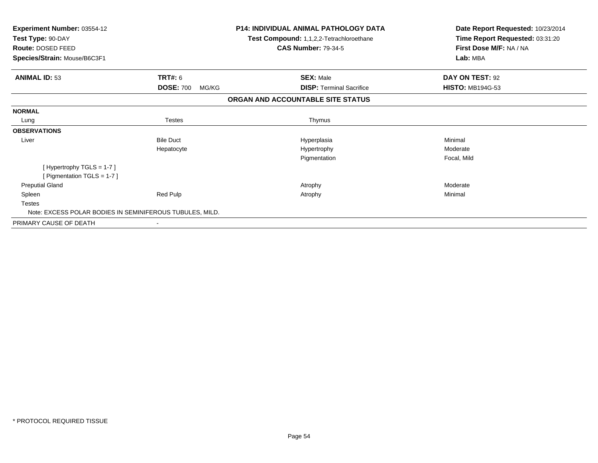| <b>Experiment Number: 03554-12</b><br>Test Type: 90-DAY<br><b>Route: DOSED FEED</b><br>Species/Strain: Mouse/B6C3F1 |                           | <b>P14: INDIVIDUAL ANIMAL PATHOLOGY DATA</b><br>Test Compound: 1,1,2,2-Tetrachloroethane<br><b>CAS Number: 79-34-5</b> | Date Report Requested: 10/23/2014<br>Time Report Requested: 03:31:20<br>First Dose M/F: NA / NA<br>Lab: MBA |
|---------------------------------------------------------------------------------------------------------------------|---------------------------|------------------------------------------------------------------------------------------------------------------------|-------------------------------------------------------------------------------------------------------------|
| <b>ANIMAL ID: 53</b>                                                                                                | TRT#: 6                   | <b>SEX: Male</b>                                                                                                       | DAY ON TEST: 92                                                                                             |
|                                                                                                                     | <b>DOSE: 700</b><br>MG/KG | <b>DISP: Terminal Sacrifice</b>                                                                                        | <b>HISTO: MB194G-53</b>                                                                                     |
|                                                                                                                     |                           | ORGAN AND ACCOUNTABLE SITE STATUS                                                                                      |                                                                                                             |
| <b>NORMAL</b>                                                                                                       |                           |                                                                                                                        |                                                                                                             |
| Lung                                                                                                                | Testes                    | Thymus                                                                                                                 |                                                                                                             |
| <b>OBSERVATIONS</b>                                                                                                 |                           |                                                                                                                        |                                                                                                             |
| Liver                                                                                                               | <b>Bile Duct</b>          | Hyperplasia                                                                                                            | Minimal                                                                                                     |
|                                                                                                                     | Hepatocyte                | Hypertrophy                                                                                                            | Moderate                                                                                                    |
|                                                                                                                     |                           | Pigmentation                                                                                                           | Focal, Mild                                                                                                 |
| [Hypertrophy TGLS = $1-7$ ]                                                                                         |                           |                                                                                                                        |                                                                                                             |
| [ Pigmentation TGLS = $1-7$ ]                                                                                       |                           |                                                                                                                        |                                                                                                             |
| <b>Preputial Gland</b>                                                                                              |                           | Atrophy                                                                                                                | Moderate                                                                                                    |
| Spleen                                                                                                              | Red Pulp                  | Atrophy                                                                                                                | Minimal                                                                                                     |
| <b>Testes</b>                                                                                                       |                           |                                                                                                                        |                                                                                                             |
| Note: EXCESS POLAR BODIES IN SEMINIFEROUS TUBULES, MILD.                                                            |                           |                                                                                                                        |                                                                                                             |
| PRIMARY CAUSE OF DEATH                                                                                              |                           |                                                                                                                        |                                                                                                             |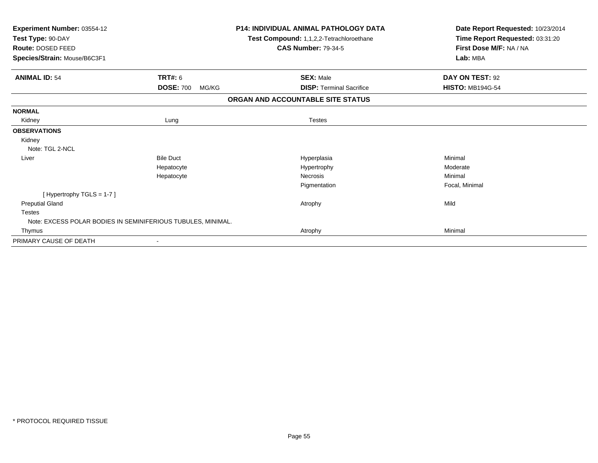| Experiment Number: 03554-12<br>Test Type: 90-DAY             |                           | <b>P14: INDIVIDUAL ANIMAL PATHOLOGY DATA</b><br>Test Compound: 1,1,2,2-Tetrachloroethane | Date Report Requested: 10/23/2014<br>Time Report Requested: 03:31:20 |
|--------------------------------------------------------------|---------------------------|------------------------------------------------------------------------------------------|----------------------------------------------------------------------|
| Route: DOSED FEED                                            |                           | <b>CAS Number: 79-34-5</b>                                                               | First Dose M/F: NA / NA                                              |
| Species/Strain: Mouse/B6C3F1                                 |                           |                                                                                          | Lab: MBA                                                             |
| <b>ANIMAL ID: 54</b>                                         | TRT#: 6                   | <b>SEX: Male</b>                                                                         | DAY ON TEST: 92                                                      |
|                                                              | <b>DOSE: 700</b><br>MG/KG | <b>DISP: Terminal Sacrifice</b>                                                          | <b>HISTO: MB194G-54</b>                                              |
|                                                              |                           | ORGAN AND ACCOUNTABLE SITE STATUS                                                        |                                                                      |
| <b>NORMAL</b>                                                |                           |                                                                                          |                                                                      |
| Kidney                                                       | Lung                      | <b>Testes</b>                                                                            |                                                                      |
| <b>OBSERVATIONS</b>                                          |                           |                                                                                          |                                                                      |
| Kidney                                                       |                           |                                                                                          |                                                                      |
| Note: TGL 2-NCL                                              |                           |                                                                                          |                                                                      |
| Liver                                                        | <b>Bile Duct</b>          | Hyperplasia                                                                              | Minimal                                                              |
|                                                              | Hepatocyte                | Hypertrophy                                                                              | Moderate                                                             |
|                                                              | Hepatocyte                | <b>Necrosis</b>                                                                          | Minimal                                                              |
|                                                              |                           | Pigmentation                                                                             | Focal, Minimal                                                       |
| [Hypertrophy TGLS = 1-7]                                     |                           |                                                                                          |                                                                      |
| <b>Preputial Gland</b>                                       |                           | Atrophy                                                                                  | Mild                                                                 |
| <b>Testes</b>                                                |                           |                                                                                          |                                                                      |
| Note: EXCESS POLAR BODIES IN SEMINIFERIOUS TUBULES, MINIMAL. |                           |                                                                                          |                                                                      |
| Thymus                                                       |                           | Atrophy                                                                                  | Minimal                                                              |
| PRIMARY CAUSE OF DEATH                                       |                           |                                                                                          |                                                                      |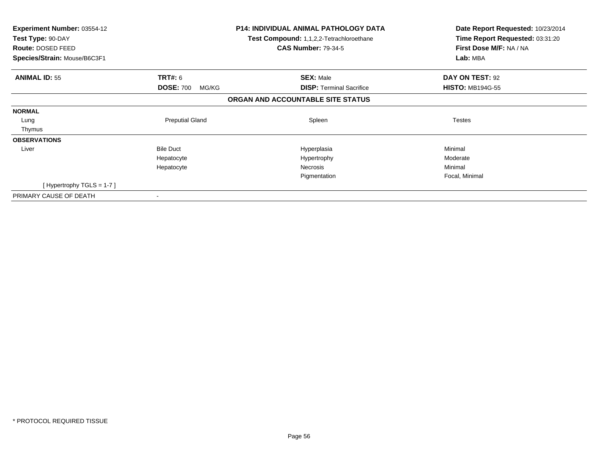| Experiment Number: 03554-12<br>Test Type: 90-DAY<br>Route: DOSED FEED<br>Species/Strain: Mouse/B6C3F1 |                           | <b>P14: INDIVIDUAL ANIMAL PATHOLOGY DATA</b><br>Test Compound: 1,1,2,2-Tetrachloroethane<br><b>CAS Number: 79-34-5</b> | Date Report Requested: 10/23/2014<br>Time Report Requested: 03:31:20<br>First Dose M/F: NA / NA<br>Lab: MBA |
|-------------------------------------------------------------------------------------------------------|---------------------------|------------------------------------------------------------------------------------------------------------------------|-------------------------------------------------------------------------------------------------------------|
| <b>ANIMAL ID: 55</b>                                                                                  | <b>TRT#: 6</b>            | <b>SEX: Male</b>                                                                                                       | DAY ON TEST: 92                                                                                             |
|                                                                                                       | <b>DOSE: 700</b><br>MG/KG | <b>DISP:</b> Terminal Sacrifice                                                                                        | <b>HISTO: MB194G-55</b>                                                                                     |
|                                                                                                       |                           | ORGAN AND ACCOUNTABLE SITE STATUS                                                                                      |                                                                                                             |
| <b>NORMAL</b>                                                                                         |                           |                                                                                                                        |                                                                                                             |
| Lung                                                                                                  | <b>Preputial Gland</b>    | Spleen                                                                                                                 | <b>Testes</b>                                                                                               |
| Thymus                                                                                                |                           |                                                                                                                        |                                                                                                             |
| <b>OBSERVATIONS</b>                                                                                   |                           |                                                                                                                        |                                                                                                             |
| Liver                                                                                                 | <b>Bile Duct</b>          | Hyperplasia                                                                                                            | Minimal                                                                                                     |
|                                                                                                       | Hepatocyte                | Hypertrophy                                                                                                            | Moderate                                                                                                    |
|                                                                                                       | Hepatocyte                | <b>Necrosis</b>                                                                                                        | Minimal                                                                                                     |
|                                                                                                       |                           | Pigmentation                                                                                                           | Focal, Minimal                                                                                              |
| [Hypertrophy TGLS = $1-7$ ]                                                                           |                           |                                                                                                                        |                                                                                                             |
| PRIMARY CAUSE OF DEATH                                                                                |                           |                                                                                                                        |                                                                                                             |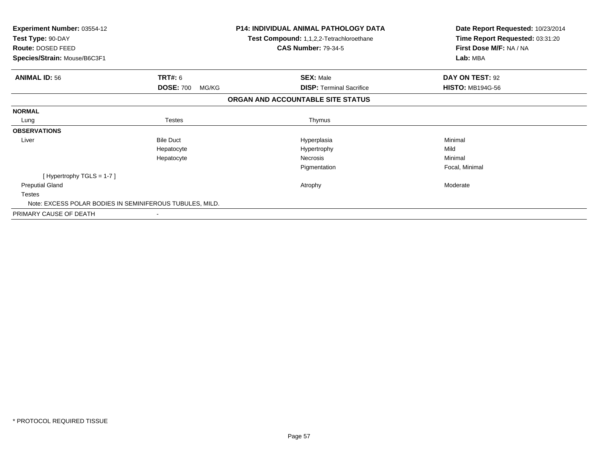| <b>Experiment Number: 03554-12</b><br>Test Type: 90-DAY<br>Route: DOSED FEED |                           | <b>P14: INDIVIDUAL ANIMAL PATHOLOGY DATA</b><br>Test Compound: 1,1,2,2-Tetrachloroethane<br><b>CAS Number: 79-34-5</b> | Date Report Requested: 10/23/2014<br>Time Report Requested: 03:31:20<br>First Dose M/F: NA / NA |
|------------------------------------------------------------------------------|---------------------------|------------------------------------------------------------------------------------------------------------------------|-------------------------------------------------------------------------------------------------|
| Species/Strain: Mouse/B6C3F1                                                 |                           |                                                                                                                        | Lab: MBA                                                                                        |
| <b>ANIMAL ID: 56</b>                                                         | <b>TRT#: 6</b>            | <b>SEX: Male</b>                                                                                                       | DAY ON TEST: 92                                                                                 |
|                                                                              | <b>DOSE: 700</b><br>MG/KG | <b>DISP:</b> Terminal Sacrifice                                                                                        | <b>HISTO: MB194G-56</b>                                                                         |
|                                                                              |                           | ORGAN AND ACCOUNTABLE SITE STATUS                                                                                      |                                                                                                 |
| <b>NORMAL</b>                                                                |                           |                                                                                                                        |                                                                                                 |
| Lung                                                                         | <b>Testes</b>             | Thymus                                                                                                                 |                                                                                                 |
| <b>OBSERVATIONS</b>                                                          |                           |                                                                                                                        |                                                                                                 |
| Liver                                                                        | <b>Bile Duct</b>          | Hyperplasia                                                                                                            | Minimal                                                                                         |
|                                                                              | Hepatocyte                | Hypertrophy                                                                                                            | Mild                                                                                            |
|                                                                              | Hepatocyte                | Necrosis                                                                                                               | Minimal                                                                                         |
|                                                                              |                           | Pigmentation                                                                                                           | Focal, Minimal                                                                                  |
| [Hypertrophy TGLS = 1-7]                                                     |                           |                                                                                                                        |                                                                                                 |
| <b>Preputial Gland</b>                                                       |                           | Atrophy                                                                                                                | Moderate                                                                                        |
| <b>Testes</b>                                                                |                           |                                                                                                                        |                                                                                                 |
| Note: EXCESS POLAR BODIES IN SEMINIFEROUS TUBULES, MILD.                     |                           |                                                                                                                        |                                                                                                 |
| PRIMARY CAUSE OF DEATH                                                       |                           |                                                                                                                        |                                                                                                 |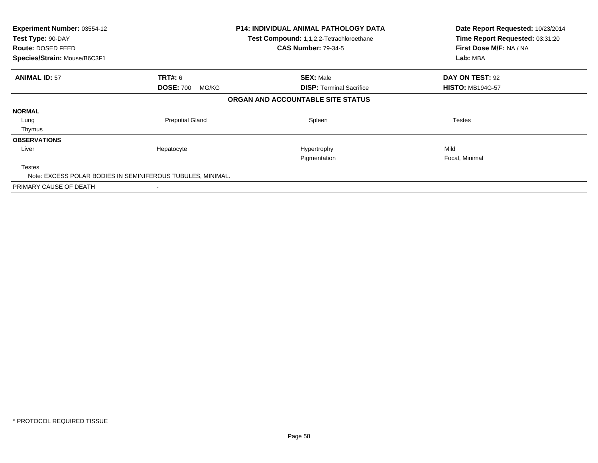| <b>Experiment Number: 03554-12</b><br>Test Type: 90-DAY<br><b>Route: DOSED FEED</b><br>Species/Strain: Mouse/B6C3F1 |                           | P14: INDIVIDUAL ANIMAL PATHOLOGY DATA<br><b>Test Compound: 1,1,2,2-Tetrachloroethane</b><br><b>CAS Number: 79-34-5</b> | Date Report Requested: 10/23/2014<br>Time Report Requested: 03:31:20<br>First Dose M/F: NA / NA<br>Lab: MBA |
|---------------------------------------------------------------------------------------------------------------------|---------------------------|------------------------------------------------------------------------------------------------------------------------|-------------------------------------------------------------------------------------------------------------|
| <b>ANIMAL ID: 57</b>                                                                                                | <b>TRT#:</b> 6            | <b>SEX: Male</b>                                                                                                       | DAY ON TEST: 92                                                                                             |
|                                                                                                                     | <b>DOSE: 700</b><br>MG/KG | <b>DISP: Terminal Sacrifice</b>                                                                                        | <b>HISTO: MB194G-57</b>                                                                                     |
|                                                                                                                     |                           | ORGAN AND ACCOUNTABLE SITE STATUS                                                                                      |                                                                                                             |
| <b>NORMAL</b>                                                                                                       |                           |                                                                                                                        |                                                                                                             |
| Lung                                                                                                                | <b>Preputial Gland</b>    | Spleen                                                                                                                 | <b>Testes</b>                                                                                               |
| Thymus                                                                                                              |                           |                                                                                                                        |                                                                                                             |
| <b>OBSERVATIONS</b>                                                                                                 |                           |                                                                                                                        |                                                                                                             |
| Liver                                                                                                               | Hepatocyte                | Hypertrophy                                                                                                            | Mild                                                                                                        |
|                                                                                                                     |                           | Pigmentation                                                                                                           | Focal, Minimal                                                                                              |
| <b>Testes</b>                                                                                                       |                           |                                                                                                                        |                                                                                                             |
| Note: EXCESS POLAR BODIES IN SEMINIFEROUS TUBULES, MINIMAL.                                                         |                           |                                                                                                                        |                                                                                                             |
| PRIMARY CAUSE OF DEATH                                                                                              |                           |                                                                                                                        |                                                                                                             |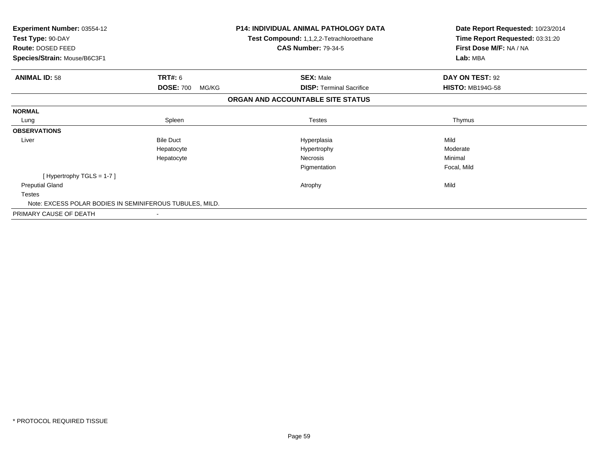| <b>Experiment Number: 03554-12</b><br>Test Type: 90-DAY<br>Route: DOSED FEED |                           | <b>P14: INDIVIDUAL ANIMAL PATHOLOGY DATA</b><br>Test Compound: 1,1,2,2-Tetrachloroethane<br><b>CAS Number: 79-34-5</b> | Date Report Requested: 10/23/2014<br>Time Report Requested: 03:31:20<br>First Dose M/F: NA / NA |
|------------------------------------------------------------------------------|---------------------------|------------------------------------------------------------------------------------------------------------------------|-------------------------------------------------------------------------------------------------|
| Species/Strain: Mouse/B6C3F1                                                 |                           |                                                                                                                        | Lab: MBA                                                                                        |
| <b>ANIMAL ID: 58</b>                                                         | TRT#: 6                   | <b>SEX: Male</b>                                                                                                       | DAY ON TEST: 92                                                                                 |
|                                                                              | <b>DOSE: 700</b><br>MG/KG | <b>DISP:</b> Terminal Sacrifice                                                                                        | <b>HISTO: MB194G-58</b>                                                                         |
|                                                                              |                           | ORGAN AND ACCOUNTABLE SITE STATUS                                                                                      |                                                                                                 |
| <b>NORMAL</b>                                                                |                           |                                                                                                                        |                                                                                                 |
| Lung                                                                         | Spleen                    | <b>Testes</b>                                                                                                          | Thymus                                                                                          |
| <b>OBSERVATIONS</b>                                                          |                           |                                                                                                                        |                                                                                                 |
| Liver                                                                        | <b>Bile Duct</b>          | Hyperplasia                                                                                                            | Mild                                                                                            |
|                                                                              | Hepatocyte                | Hypertrophy                                                                                                            | Moderate                                                                                        |
|                                                                              | Hepatocyte                | Necrosis                                                                                                               | Minimal                                                                                         |
|                                                                              |                           | Pigmentation                                                                                                           | Focal, Mild                                                                                     |
| [Hypertrophy TGLS = 1-7]                                                     |                           |                                                                                                                        |                                                                                                 |
| <b>Preputial Gland</b>                                                       |                           | Atrophy                                                                                                                | Mild                                                                                            |
| <b>Testes</b>                                                                |                           |                                                                                                                        |                                                                                                 |
| Note: EXCESS POLAR BODIES IN SEMINIFEROUS TUBULES, MILD.                     |                           |                                                                                                                        |                                                                                                 |
| PRIMARY CAUSE OF DEATH                                                       |                           |                                                                                                                        |                                                                                                 |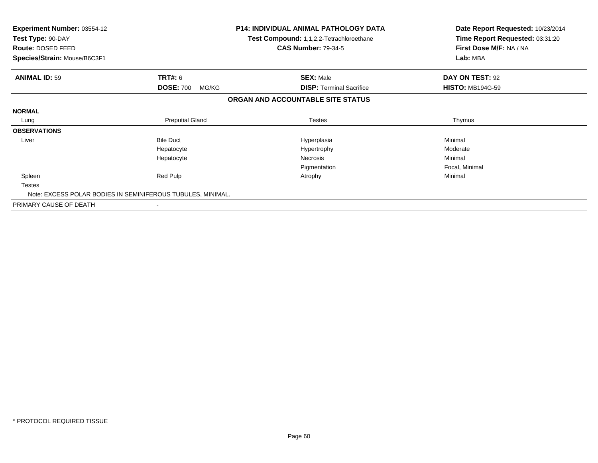| <b>Experiment Number: 03554-12</b><br>Test Type: 90-DAY<br>Route: DOSED FEED |                           | <b>P14: INDIVIDUAL ANIMAL PATHOLOGY DATA</b><br>Test Compound: 1,1,2,2-Tetrachloroethane<br><b>CAS Number: 79-34-5</b> | Date Report Requested: 10/23/2014<br>Time Report Requested: 03:31:20<br>First Dose M/F: NA / NA |
|------------------------------------------------------------------------------|---------------------------|------------------------------------------------------------------------------------------------------------------------|-------------------------------------------------------------------------------------------------|
| Species/Strain: Mouse/B6C3F1                                                 |                           |                                                                                                                        | Lab: MBA                                                                                        |
| <b>ANIMAL ID: 59</b>                                                         | TRT#: 6                   | <b>SEX: Male</b>                                                                                                       | DAY ON TEST: 92                                                                                 |
|                                                                              | <b>DOSE: 700</b><br>MG/KG | <b>DISP: Terminal Sacrifice</b>                                                                                        | <b>HISTO: MB194G-59</b>                                                                         |
|                                                                              |                           | ORGAN AND ACCOUNTABLE SITE STATUS                                                                                      |                                                                                                 |
| <b>NORMAL</b>                                                                |                           |                                                                                                                        |                                                                                                 |
| Lung                                                                         | <b>Preputial Gland</b>    | <b>Testes</b>                                                                                                          | Thymus                                                                                          |
| <b>OBSERVATIONS</b>                                                          |                           |                                                                                                                        |                                                                                                 |
| Liver                                                                        | <b>Bile Duct</b>          | Hyperplasia                                                                                                            | Minimal                                                                                         |
|                                                                              | Hepatocyte                | Hypertrophy                                                                                                            | Moderate                                                                                        |
|                                                                              | Hepatocyte                | Necrosis                                                                                                               | Minimal                                                                                         |
|                                                                              |                           | Pigmentation                                                                                                           | Focal, Minimal                                                                                  |
| Spleen                                                                       | Red Pulp                  | Atrophy                                                                                                                | Minimal                                                                                         |
| <b>Testes</b>                                                                |                           |                                                                                                                        |                                                                                                 |
| Note: EXCESS POLAR BODIES IN SEMINIFEROUS TUBULES, MINIMAL.                  |                           |                                                                                                                        |                                                                                                 |
| PRIMARY CAUSE OF DEATH                                                       | $\overline{\phantom{a}}$  |                                                                                                                        |                                                                                                 |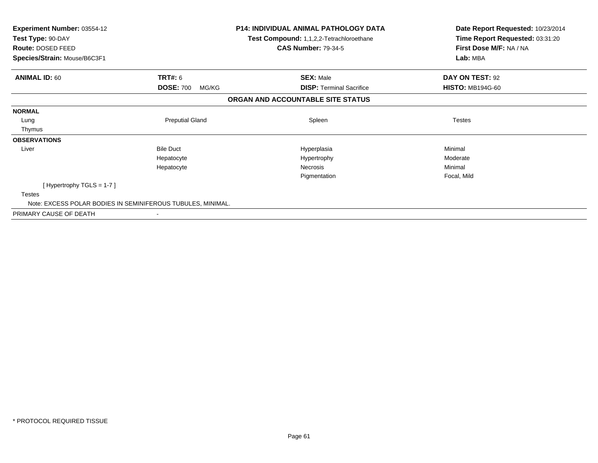| Experiment Number: 03554-12<br>Test Type: 90-DAY<br>Route: DOSED FEED |                           | <b>P14: INDIVIDUAL ANIMAL PATHOLOGY DATA</b><br>Test Compound: 1,1,2,2-Tetrachloroethane<br><b>CAS Number: 79-34-5</b> | Date Report Requested: 10/23/2014<br>Time Report Requested: 03:31:20<br>First Dose M/F: NA / NA<br>Lab: MBA |  |
|-----------------------------------------------------------------------|---------------------------|------------------------------------------------------------------------------------------------------------------------|-------------------------------------------------------------------------------------------------------------|--|
| Species/Strain: Mouse/B6C3F1                                          |                           |                                                                                                                        |                                                                                                             |  |
| <b>ANIMAL ID: 60</b>                                                  | TRT#: 6                   | <b>SEX: Male</b>                                                                                                       | DAY ON TEST: 92                                                                                             |  |
|                                                                       | <b>DOSE: 700</b><br>MG/KG | <b>DISP:</b> Terminal Sacrifice                                                                                        | <b>HISTO: MB194G-60</b>                                                                                     |  |
|                                                                       |                           | ORGAN AND ACCOUNTABLE SITE STATUS                                                                                      |                                                                                                             |  |
| <b>NORMAL</b>                                                         |                           |                                                                                                                        |                                                                                                             |  |
| Lung                                                                  | <b>Preputial Gland</b>    | Spleen                                                                                                                 | <b>Testes</b>                                                                                               |  |
| Thymus                                                                |                           |                                                                                                                        |                                                                                                             |  |
| <b>OBSERVATIONS</b>                                                   |                           |                                                                                                                        |                                                                                                             |  |
| Liver                                                                 | <b>Bile Duct</b>          | Hyperplasia                                                                                                            | Minimal                                                                                                     |  |
|                                                                       | Hepatocyte                | Hypertrophy                                                                                                            | Moderate                                                                                                    |  |
|                                                                       | Hepatocyte                | Necrosis                                                                                                               | Minimal                                                                                                     |  |
|                                                                       |                           | Pigmentation                                                                                                           | Focal, Mild                                                                                                 |  |
| [Hypertrophy TGLS = $1-7$ ]                                           |                           |                                                                                                                        |                                                                                                             |  |
| <b>Testes</b>                                                         |                           |                                                                                                                        |                                                                                                             |  |
| Note: EXCESS POLAR BODIES IN SEMINIFEROUS TUBULES, MINIMAL.           |                           |                                                                                                                        |                                                                                                             |  |
| PRIMARY CAUSE OF DEATH                                                |                           |                                                                                                                        |                                                                                                             |  |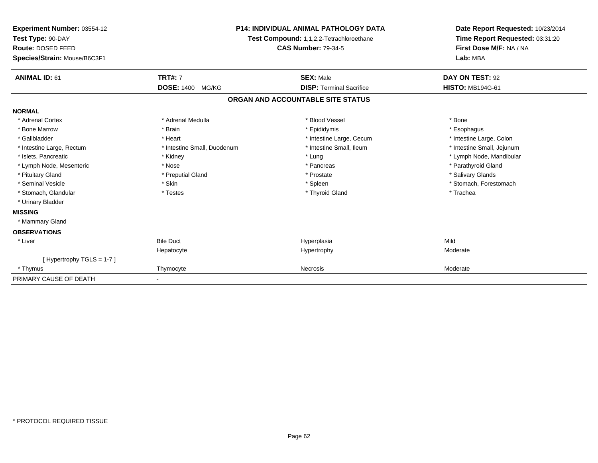| Experiment Number: 03554-12<br>Test Type: 90-DAY<br>Route: DOSED FEED<br>Species/Strain: Mouse/B6C3F1 |                             | <b>P14: INDIVIDUAL ANIMAL PATHOLOGY DATA</b><br>Test Compound: 1,1,2,2-Tetrachloroethane<br><b>CAS Number: 79-34-5</b> | Date Report Requested: 10/23/2014<br>Time Report Requested: 03:31:20<br>First Dose M/F: NA / NA<br>Lab: MBA |  |
|-------------------------------------------------------------------------------------------------------|-----------------------------|------------------------------------------------------------------------------------------------------------------------|-------------------------------------------------------------------------------------------------------------|--|
| <b>ANIMAL ID: 61</b>                                                                                  | <b>TRT#: 7</b>              | <b>SEX: Male</b>                                                                                                       | DAY ON TEST: 92                                                                                             |  |
|                                                                                                       | <b>DOSE: 1400</b><br>MG/KG  | <b>DISP: Terminal Sacrifice</b>                                                                                        | <b>HISTO: MB194G-61</b>                                                                                     |  |
|                                                                                                       |                             | ORGAN AND ACCOUNTABLE SITE STATUS                                                                                      |                                                                                                             |  |
| <b>NORMAL</b>                                                                                         |                             |                                                                                                                        |                                                                                                             |  |
| * Adrenal Cortex                                                                                      | * Adrenal Medulla           | * Blood Vessel                                                                                                         | * Bone                                                                                                      |  |
| * Bone Marrow                                                                                         | * Brain                     | * Epididymis                                                                                                           | * Esophagus                                                                                                 |  |
| * Gallbladder                                                                                         | * Heart                     | * Intestine Large, Cecum                                                                                               | * Intestine Large, Colon                                                                                    |  |
| * Intestine Large, Rectum                                                                             | * Intestine Small, Duodenum | * Intestine Small, Ileum                                                                                               | * Intestine Small, Jejunum                                                                                  |  |
| * Islets. Pancreatic                                                                                  | * Kidney                    | * Lung                                                                                                                 | * Lymph Node, Mandibular                                                                                    |  |
| * Lymph Node, Mesenteric                                                                              | * Nose                      | * Pancreas                                                                                                             | * Parathyroid Gland                                                                                         |  |
| * Pituitary Gland                                                                                     | * Preputial Gland           | * Prostate                                                                                                             | * Salivary Glands                                                                                           |  |
| * Seminal Vesicle                                                                                     | * Skin                      | * Spleen                                                                                                               | * Stomach, Forestomach                                                                                      |  |
| * Stomach, Glandular                                                                                  | * Testes                    | * Thyroid Gland                                                                                                        | * Trachea                                                                                                   |  |
| * Urinary Bladder                                                                                     |                             |                                                                                                                        |                                                                                                             |  |
| <b>MISSING</b>                                                                                        |                             |                                                                                                                        |                                                                                                             |  |
| * Mammary Gland                                                                                       |                             |                                                                                                                        |                                                                                                             |  |
| <b>OBSERVATIONS</b>                                                                                   |                             |                                                                                                                        |                                                                                                             |  |
| * Liver                                                                                               | <b>Bile Duct</b>            | Hyperplasia                                                                                                            | Mild                                                                                                        |  |
|                                                                                                       | Hepatocyte                  | Hypertrophy                                                                                                            | Moderate                                                                                                    |  |
| [Hypertrophy TGLS = $1-7$ ]                                                                           |                             |                                                                                                                        |                                                                                                             |  |
| * Thymus                                                                                              | Thymocyte                   | <b>Necrosis</b>                                                                                                        | Moderate                                                                                                    |  |
| PRIMARY CAUSE OF DEATH                                                                                |                             |                                                                                                                        |                                                                                                             |  |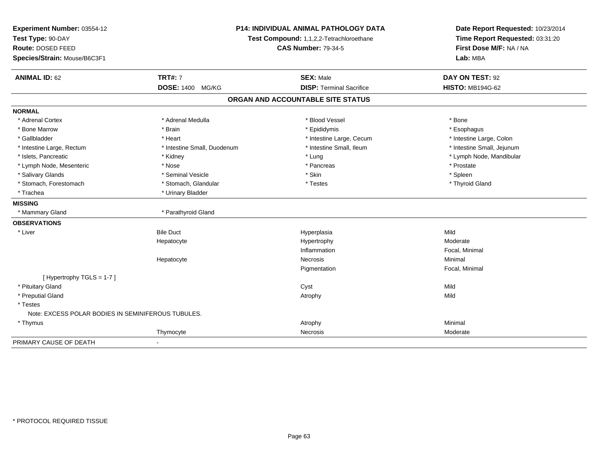| Experiment Number: 03554-12                        | <b>P14: INDIVIDUAL ANIMAL PATHOLOGY DATA</b> |                                          | Date Report Requested: 10/23/2014 |  |
|----------------------------------------------------|----------------------------------------------|------------------------------------------|-----------------------------------|--|
| Test Type: 90-DAY                                  |                                              | Test Compound: 1,1,2,2-Tetrachloroethane | Time Report Requested: 03:31:20   |  |
| Route: DOSED FEED                                  |                                              | <b>CAS Number: 79-34-5</b>               | First Dose M/F: NA / NA           |  |
| Species/Strain: Mouse/B6C3F1                       |                                              |                                          | Lab: MBA                          |  |
| <b>ANIMAL ID: 62</b>                               | <b>TRT#: 7</b>                               | <b>SEX: Male</b>                         | DAY ON TEST: 92                   |  |
|                                                    | DOSE: 1400 MG/KG                             | <b>DISP: Terminal Sacrifice</b>          | <b>HISTO: MB194G-62</b>           |  |
|                                                    |                                              | ORGAN AND ACCOUNTABLE SITE STATUS        |                                   |  |
| <b>NORMAL</b>                                      |                                              |                                          |                                   |  |
| * Adrenal Cortex                                   | * Adrenal Medulla                            | * Blood Vessel                           | * Bone                            |  |
| * Bone Marrow                                      | * Brain                                      | * Epididymis                             | * Esophagus                       |  |
| * Gallbladder                                      | * Heart                                      | * Intestine Large, Cecum                 | * Intestine Large, Colon          |  |
| * Intestine Large, Rectum                          | * Intestine Small, Duodenum                  | * Intestine Small, Ileum                 | * Intestine Small, Jejunum        |  |
| * Islets, Pancreatic                               | * Kidney                                     | * Lung                                   | * Lymph Node, Mandibular          |  |
| * Lymph Node, Mesenteric                           | * Nose                                       | * Pancreas                               | * Prostate                        |  |
| * Salivary Glands                                  | * Seminal Vesicle                            | * Skin                                   | * Spleen                          |  |
| * Stomach, Forestomach                             | * Stomach, Glandular                         | * Testes                                 | * Thyroid Gland                   |  |
| * Trachea                                          | * Urinary Bladder                            |                                          |                                   |  |
| <b>MISSING</b>                                     |                                              |                                          |                                   |  |
| * Mammary Gland                                    | * Parathyroid Gland                          |                                          |                                   |  |
| <b>OBSERVATIONS</b>                                |                                              |                                          |                                   |  |
| * Liver                                            | <b>Bile Duct</b>                             | Hyperplasia                              | Mild                              |  |
|                                                    | Hepatocyte                                   | Hypertrophy                              | Moderate                          |  |
|                                                    |                                              | Inflammation                             | Focal, Minimal                    |  |
|                                                    | Hepatocyte                                   | Necrosis                                 | Minimal                           |  |
|                                                    |                                              | Pigmentation                             | Focal, Minimal                    |  |
| [Hypertrophy TGLS = 1-7]                           |                                              |                                          |                                   |  |
| * Pituitary Gland                                  |                                              | Cyst                                     | Mild                              |  |
| * Preputial Gland                                  |                                              | Atrophy                                  | Mild                              |  |
| * Testes                                           |                                              |                                          |                                   |  |
| Note: EXCESS POLAR BODIES IN SEMINIFEROUS TUBULES. |                                              |                                          |                                   |  |
| * Thymus                                           |                                              | Atrophy                                  | Minimal                           |  |
|                                                    | Thymocyte                                    | Necrosis                                 | Moderate                          |  |
| PRIMARY CAUSE OF DEATH                             |                                              |                                          |                                   |  |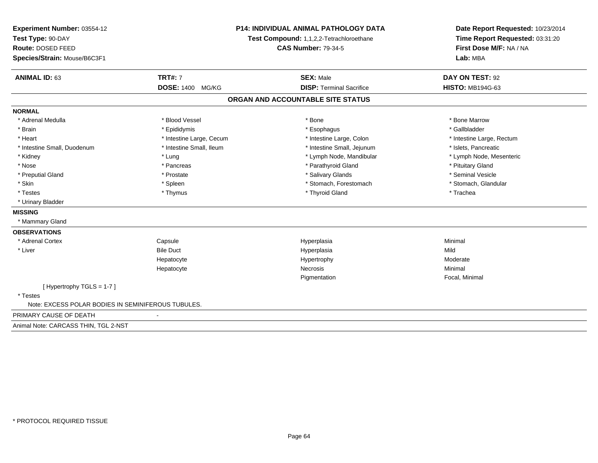| Experiment Number: 03554-12<br>Test Type: 90-DAY<br>Route: DOSED FEED<br>Species/Strain: Mouse/B6C3F1 |                          | <b>P14: INDIVIDUAL ANIMAL PATHOLOGY DATA</b><br>Test Compound: 1,1,2,2-Tetrachloroethane<br><b>CAS Number: 79-34-5</b> | Date Report Requested: 10/23/2014<br>Time Report Requested: 03:31:20<br>First Dose M/F: NA / NA<br>Lab: MBA |
|-------------------------------------------------------------------------------------------------------|--------------------------|------------------------------------------------------------------------------------------------------------------------|-------------------------------------------------------------------------------------------------------------|
| <b>ANIMAL ID: 63</b>                                                                                  | <b>TRT#: 7</b>           | <b>SEX: Male</b>                                                                                                       | DAY ON TEST: 92                                                                                             |
|                                                                                                       | <b>DOSE: 1400 MG/KG</b>  | <b>DISP: Terminal Sacrifice</b>                                                                                        | <b>HISTO: MB194G-63</b>                                                                                     |
|                                                                                                       |                          | ORGAN AND ACCOUNTABLE SITE STATUS                                                                                      |                                                                                                             |
| <b>NORMAL</b>                                                                                         |                          |                                                                                                                        |                                                                                                             |
| * Adrenal Medulla                                                                                     | * Blood Vessel           | * Bone                                                                                                                 | * Bone Marrow                                                                                               |
| * Brain                                                                                               | * Epididymis             | * Esophagus                                                                                                            | * Gallbladder                                                                                               |
| * Heart                                                                                               | * Intestine Large, Cecum | * Intestine Large, Colon                                                                                               | * Intestine Large, Rectum                                                                                   |
| * Intestine Small, Duodenum                                                                           | * Intestine Small, Ileum | * Intestine Small, Jejunum                                                                                             | * Islets, Pancreatic                                                                                        |
| * Kidney                                                                                              | * Lung                   | * Lymph Node, Mandibular                                                                                               | * Lymph Node, Mesenteric                                                                                    |
| * Nose                                                                                                | * Pancreas               | * Parathyroid Gland                                                                                                    | * Pituitary Gland                                                                                           |
| * Preputial Gland                                                                                     | * Prostate               | * Salivary Glands                                                                                                      | * Seminal Vesicle                                                                                           |
| * Skin                                                                                                | * Spleen                 | * Stomach, Forestomach                                                                                                 | * Stomach, Glandular                                                                                        |
| * Testes                                                                                              | * Thymus                 | * Thyroid Gland                                                                                                        | * Trachea                                                                                                   |
| * Urinary Bladder                                                                                     |                          |                                                                                                                        |                                                                                                             |
| <b>MISSING</b>                                                                                        |                          |                                                                                                                        |                                                                                                             |
| * Mammary Gland                                                                                       |                          |                                                                                                                        |                                                                                                             |
| <b>OBSERVATIONS</b>                                                                                   |                          |                                                                                                                        |                                                                                                             |
| * Adrenal Cortex                                                                                      | Capsule                  | Hyperplasia                                                                                                            | Minimal                                                                                                     |
| * Liver                                                                                               | <b>Bile Duct</b>         | Hyperplasia                                                                                                            | Mild                                                                                                        |
|                                                                                                       | Hepatocyte               | Hypertrophy                                                                                                            | Moderate                                                                                                    |
|                                                                                                       | Hepatocyte               | <b>Necrosis</b>                                                                                                        | Minimal                                                                                                     |
|                                                                                                       |                          | Pigmentation                                                                                                           | Focal, Minimal                                                                                              |
| [Hypertrophy TGLS = 1-7]<br>* Testes                                                                  |                          |                                                                                                                        |                                                                                                             |
| Note: EXCESS POLAR BODIES IN SEMINIFEROUS TUBULES.                                                    |                          |                                                                                                                        |                                                                                                             |
| PRIMARY CAUSE OF DEATH                                                                                |                          |                                                                                                                        |                                                                                                             |
| Animal Note: CARCASS THIN, TGL 2-NST                                                                  |                          |                                                                                                                        |                                                                                                             |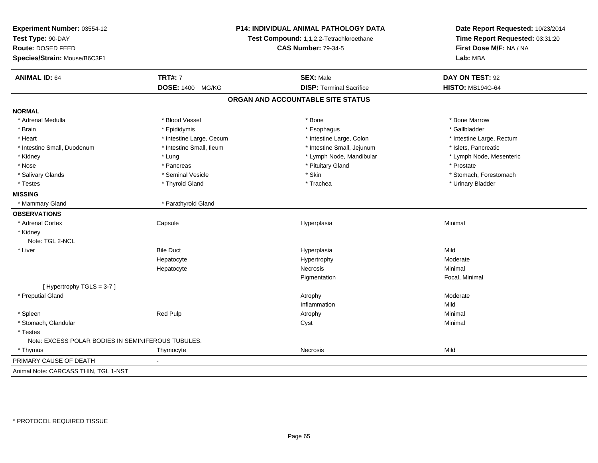| Experiment Number: 03554-12<br>Test Type: 90-DAY<br>Route: DOSED FEED<br>Species/Strain: Mouse/B6C3F1 |                          | P14: INDIVIDUAL ANIMAL PATHOLOGY DATA<br>Test Compound: 1,1,2,2-Tetrachloroethane<br><b>CAS Number: 79-34-5</b> | Date Report Requested: 10/23/2014<br>Time Report Requested: 03:31:20<br>First Dose M/F: NA / NA<br>Lab: MBA |  |
|-------------------------------------------------------------------------------------------------------|--------------------------|-----------------------------------------------------------------------------------------------------------------|-------------------------------------------------------------------------------------------------------------|--|
| <b>ANIMAL ID: 64</b>                                                                                  | <b>TRT#: 7</b>           | <b>SEX: Male</b>                                                                                                | DAY ON TEST: 92                                                                                             |  |
|                                                                                                       | DOSE: 1400 MG/KG         | <b>DISP: Terminal Sacrifice</b>                                                                                 | <b>HISTO: MB194G-64</b>                                                                                     |  |
|                                                                                                       |                          | ORGAN AND ACCOUNTABLE SITE STATUS                                                                               |                                                                                                             |  |
| <b>NORMAL</b>                                                                                         |                          |                                                                                                                 |                                                                                                             |  |
| * Adrenal Medulla                                                                                     | * Blood Vessel           | * Bone                                                                                                          | * Bone Marrow                                                                                               |  |
| * Brain                                                                                               | * Epididymis             | * Esophagus                                                                                                     | * Gallbladder                                                                                               |  |
| * Heart                                                                                               | * Intestine Large, Cecum | * Intestine Large, Colon                                                                                        | * Intestine Large, Rectum                                                                                   |  |
| * Intestine Small, Duodenum                                                                           | * Intestine Small, Ileum | * Intestine Small, Jejunum                                                                                      | * Islets, Pancreatic                                                                                        |  |
| * Kidney                                                                                              | * Lung                   | * Lymph Node, Mandibular                                                                                        | * Lymph Node, Mesenteric                                                                                    |  |
| * Nose                                                                                                | * Pancreas               | * Pituitary Gland                                                                                               | * Prostate                                                                                                  |  |
| * Salivary Glands                                                                                     | * Seminal Vesicle        | * Skin                                                                                                          | * Stomach, Forestomach                                                                                      |  |
| * Testes                                                                                              | * Thyroid Gland          | * Trachea                                                                                                       | * Urinary Bladder                                                                                           |  |
| <b>MISSING</b>                                                                                        |                          |                                                                                                                 |                                                                                                             |  |
| * Mammary Gland                                                                                       | * Parathyroid Gland      |                                                                                                                 |                                                                                                             |  |
| <b>OBSERVATIONS</b>                                                                                   |                          |                                                                                                                 |                                                                                                             |  |
| * Adrenal Cortex                                                                                      | Capsule                  | Hyperplasia                                                                                                     | Minimal                                                                                                     |  |
| * Kidney                                                                                              |                          |                                                                                                                 |                                                                                                             |  |
| Note: TGL 2-NCL                                                                                       |                          |                                                                                                                 |                                                                                                             |  |
| * Liver                                                                                               | <b>Bile Duct</b>         | Hyperplasia                                                                                                     | Mild                                                                                                        |  |
|                                                                                                       | Hepatocyte               | Hypertrophy                                                                                                     | Moderate                                                                                                    |  |
|                                                                                                       | Hepatocyte               | Necrosis                                                                                                        | Minimal                                                                                                     |  |
|                                                                                                       |                          | Pigmentation                                                                                                    | Focal, Minimal                                                                                              |  |
| [Hypertrophy TGLS = 3-7]                                                                              |                          |                                                                                                                 |                                                                                                             |  |
| * Preputial Gland                                                                                     |                          | Atrophy                                                                                                         | Moderate                                                                                                    |  |
|                                                                                                       |                          | Inflammation                                                                                                    | Mild                                                                                                        |  |
| * Spleen                                                                                              | Red Pulp                 | Atrophy                                                                                                         | Minimal                                                                                                     |  |
| * Stomach, Glandular                                                                                  |                          | Cyst                                                                                                            | Minimal                                                                                                     |  |
| * Testes                                                                                              |                          |                                                                                                                 |                                                                                                             |  |
| Note: EXCESS POLAR BODIES IN SEMINIFEROUS TUBULES.                                                    |                          |                                                                                                                 |                                                                                                             |  |
| * Thymus                                                                                              | Thymocyte                | <b>Necrosis</b>                                                                                                 | Mild                                                                                                        |  |
| PRIMARY CAUSE OF DEATH                                                                                |                          |                                                                                                                 |                                                                                                             |  |
| Animal Note: CARCASS THIN, TGL 1-NST                                                                  |                          |                                                                                                                 |                                                                                                             |  |
|                                                                                                       |                          |                                                                                                                 |                                                                                                             |  |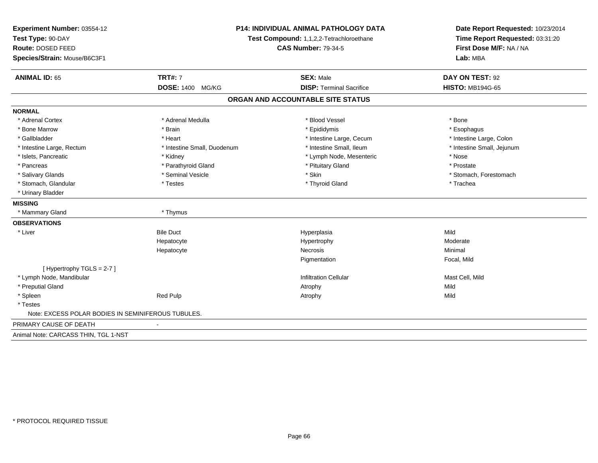| Experiment Number: 03554-12<br>Test Type: 90-DAY<br>Route: DOSED FEED<br>Species/Strain: Mouse/B6C3F1 |                             | P14: INDIVIDUAL ANIMAL PATHOLOGY DATA<br>Test Compound: 1,1,2,2-Tetrachloroethane<br><b>CAS Number: 79-34-5</b> |                            |
|-------------------------------------------------------------------------------------------------------|-----------------------------|-----------------------------------------------------------------------------------------------------------------|----------------------------|
| <b>ANIMAL ID: 65</b>                                                                                  | <b>TRT#: 7</b>              | <b>SEX: Male</b>                                                                                                | DAY ON TEST: 92            |
|                                                                                                       | <b>DOSE: 1400</b><br>MG/KG  | <b>DISP: Terminal Sacrifice</b>                                                                                 | <b>HISTO: MB194G-65</b>    |
|                                                                                                       |                             | ORGAN AND ACCOUNTABLE SITE STATUS                                                                               |                            |
| <b>NORMAL</b>                                                                                         |                             |                                                                                                                 |                            |
| * Adrenal Cortex                                                                                      | * Adrenal Medulla           | * Blood Vessel                                                                                                  | * Bone                     |
| * Bone Marrow                                                                                         | * Brain                     | * Epididymis                                                                                                    | * Esophagus                |
| * Gallbladder                                                                                         | * Heart                     | * Intestine Large, Cecum                                                                                        | * Intestine Large, Colon   |
| * Intestine Large, Rectum                                                                             | * Intestine Small, Duodenum | * Intestine Small. Ileum                                                                                        | * Intestine Small, Jejunum |
| * Islets, Pancreatic                                                                                  | * Kidney                    | * Lymph Node, Mesenteric                                                                                        | * Nose                     |
| * Pancreas                                                                                            | * Parathyroid Gland         | * Pituitary Gland                                                                                               | * Prostate                 |
| * Salivary Glands                                                                                     | * Seminal Vesicle           | * Skin                                                                                                          | * Stomach, Forestomach     |
| * Stomach, Glandular                                                                                  | * Testes                    | * Thyroid Gland                                                                                                 | * Trachea                  |
| * Urinary Bladder                                                                                     |                             |                                                                                                                 |                            |
| <b>MISSING</b>                                                                                        |                             |                                                                                                                 |                            |
| * Mammary Gland                                                                                       | * Thymus                    |                                                                                                                 |                            |
| <b>OBSERVATIONS</b>                                                                                   |                             |                                                                                                                 |                            |
| * Liver                                                                                               | <b>Bile Duct</b>            | Hyperplasia                                                                                                     | Mild                       |
|                                                                                                       | Hepatocyte                  | Hypertrophy                                                                                                     | Moderate                   |
|                                                                                                       | Hepatocyte                  | <b>Necrosis</b>                                                                                                 | Minimal                    |
|                                                                                                       |                             | Pigmentation                                                                                                    | Focal, Mild                |
| [Hypertrophy TGLS = 2-7]                                                                              |                             |                                                                                                                 |                            |
| * Lymph Node, Mandibular                                                                              |                             | <b>Infiltration Cellular</b>                                                                                    | Mast Cell, Mild            |
| * Preputial Gland                                                                                     |                             | Atrophy                                                                                                         | Mild                       |
| * Spleen                                                                                              | <b>Red Pulp</b>             | Atrophy                                                                                                         | Mild                       |
| * Testes                                                                                              |                             |                                                                                                                 |                            |
| Note: EXCESS POLAR BODIES IN SEMINIFEROUS TUBULES.                                                    |                             |                                                                                                                 |                            |
| PRIMARY CAUSE OF DEATH                                                                                |                             |                                                                                                                 |                            |
| Animal Note: CARCASS THIN, TGL 1-NST                                                                  |                             |                                                                                                                 |                            |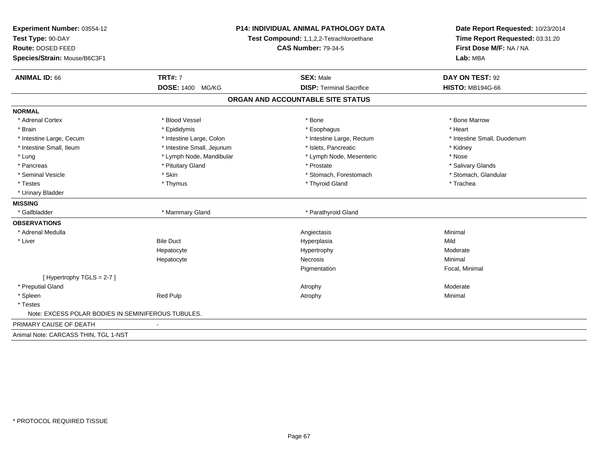| Experiment Number: 03554-12<br>Test Type: 90-DAY<br>Route: DOSED FEED<br>Species/Strain: Mouse/B6C3F1 |                            | P14: INDIVIDUAL ANIMAL PATHOLOGY DATA<br>Test Compound: 1,1,2,2-Tetrachloroethane<br><b>CAS Number: 79-34-5</b> |                             |
|-------------------------------------------------------------------------------------------------------|----------------------------|-----------------------------------------------------------------------------------------------------------------|-----------------------------|
| <b>ANIMAL ID: 66</b>                                                                                  | <b>TRT#: 7</b>             | <b>SEX: Male</b>                                                                                                | DAY ON TEST: 92             |
|                                                                                                       | DOSE: 1400 MG/KG           | <b>DISP: Terminal Sacrifice</b>                                                                                 | <b>HISTO: MB194G-66</b>     |
|                                                                                                       |                            | ORGAN AND ACCOUNTABLE SITE STATUS                                                                               |                             |
| <b>NORMAL</b>                                                                                         |                            |                                                                                                                 |                             |
| * Adrenal Cortex                                                                                      | * Blood Vessel             | * Bone                                                                                                          | * Bone Marrow               |
| * Brain                                                                                               | * Epididymis               | * Esophagus                                                                                                     | * Heart                     |
| * Intestine Large, Cecum                                                                              | * Intestine Large, Colon   | * Intestine Large, Rectum                                                                                       | * Intestine Small, Duodenum |
| * Intestine Small, Ileum                                                                              | * Intestine Small, Jejunum | * Islets, Pancreatic                                                                                            | * Kidney                    |
| * Lung                                                                                                | * Lymph Node, Mandibular   | * Lymph Node, Mesenteric                                                                                        | * Nose                      |
| * Pancreas                                                                                            | * Pituitary Gland          | * Prostate                                                                                                      | * Salivary Glands           |
| * Seminal Vesicle                                                                                     | * Skin                     | * Stomach, Forestomach                                                                                          | * Stomach, Glandular        |
| * Testes                                                                                              | * Thymus                   | * Thyroid Gland                                                                                                 | * Trachea                   |
| * Urinary Bladder                                                                                     |                            |                                                                                                                 |                             |
| <b>MISSING</b>                                                                                        |                            |                                                                                                                 |                             |
| * Gallbladder                                                                                         | * Mammary Gland            | * Parathyroid Gland                                                                                             |                             |
| <b>OBSERVATIONS</b>                                                                                   |                            |                                                                                                                 |                             |
| * Adrenal Medulla                                                                                     |                            | Angiectasis                                                                                                     | Minimal                     |
| * Liver                                                                                               | <b>Bile Duct</b>           | Hyperplasia                                                                                                     | Mild                        |
|                                                                                                       | Hepatocyte                 | Hypertrophy                                                                                                     | Moderate                    |
|                                                                                                       | Hepatocyte                 | Necrosis                                                                                                        | Minimal                     |
|                                                                                                       |                            | Pigmentation                                                                                                    | Focal, Minimal              |
| [Hypertrophy TGLS = $2-7$ ]                                                                           |                            |                                                                                                                 |                             |
| * Preputial Gland                                                                                     |                            | Atrophy                                                                                                         | Moderate                    |
| * Spleen                                                                                              | Red Pulp                   | Atrophy                                                                                                         | Minimal                     |
| * Testes                                                                                              |                            |                                                                                                                 |                             |
| Note: EXCESS POLAR BODIES IN SEMINIFEROUS TUBULES.                                                    |                            |                                                                                                                 |                             |
| PRIMARY CAUSE OF DEATH                                                                                |                            |                                                                                                                 |                             |
| Animal Note: CARCASS THIN, TGL 1-NST                                                                  |                            |                                                                                                                 |                             |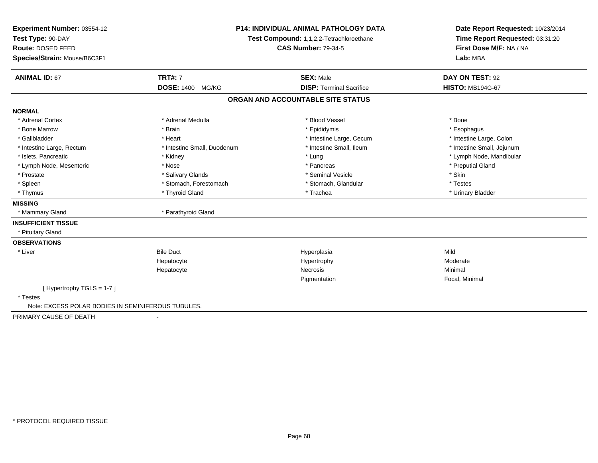| Experiment Number: 03554-12                        | <b>P14: INDIVIDUAL ANIMAL PATHOLOGY DATA</b> |                                          | Date Report Requested: 10/23/2014                          |  |
|----------------------------------------------------|----------------------------------------------|------------------------------------------|------------------------------------------------------------|--|
| Test Type: 90-DAY                                  |                                              | Test Compound: 1,1,2,2-Tetrachloroethane | Time Report Requested: 03:31:20<br>First Dose M/F: NA / NA |  |
| Route: DOSED FEED                                  |                                              | <b>CAS Number: 79-34-5</b>               |                                                            |  |
| Species/Strain: Mouse/B6C3F1                       |                                              |                                          | Lab: MBA                                                   |  |
| <b>TRT#: 7</b><br><b>ANIMAL ID: 67</b>             |                                              | <b>SEX: Male</b>                         | DAY ON TEST: 92                                            |  |
|                                                    | <b>DOSE: 1400</b><br>MG/KG                   | <b>DISP: Terminal Sacrifice</b>          | <b>HISTO: MB194G-67</b>                                    |  |
|                                                    |                                              | ORGAN AND ACCOUNTABLE SITE STATUS        |                                                            |  |
| <b>NORMAL</b>                                      |                                              |                                          |                                                            |  |
| * Adrenal Cortex                                   | * Adrenal Medulla                            | * Blood Vessel                           | * Bone                                                     |  |
| * Bone Marrow<br>* Brain                           |                                              | * Epididymis                             | * Esophagus                                                |  |
| * Gallbladder<br>* Heart                           |                                              | * Intestine Large, Cecum                 | * Intestine Large, Colon                                   |  |
| * Intestine Large, Rectum                          | * Intestine Small, Duodenum                  | * Intestine Small, Ileum                 | * Intestine Small, Jejunum                                 |  |
| * Islets, Pancreatic<br>* Kidney                   |                                              | * Lung                                   | * Lymph Node, Mandibular                                   |  |
| * Lymph Node, Mesenteric<br>* Nose                 |                                              | * Pancreas                               | * Preputial Gland                                          |  |
| * Prostate                                         | * Salivary Glands                            | * Seminal Vesicle                        | * Skin                                                     |  |
| * Spleen                                           | * Stomach, Forestomach                       | * Stomach, Glandular                     | * Testes                                                   |  |
| * Thymus                                           | * Thyroid Gland                              | * Trachea                                | * Urinary Bladder                                          |  |
| <b>MISSING</b>                                     |                                              |                                          |                                                            |  |
| * Mammary Gland                                    | * Parathyroid Gland                          |                                          |                                                            |  |
| <b>INSUFFICIENT TISSUE</b>                         |                                              |                                          |                                                            |  |
| * Pituitary Gland                                  |                                              |                                          |                                                            |  |
| <b>OBSERVATIONS</b>                                |                                              |                                          |                                                            |  |
| <b>Bile Duct</b><br>* Liver                        |                                              | Hyperplasia                              | Mild                                                       |  |
| Hepatocyte                                         |                                              | Hypertrophy                              | Moderate                                                   |  |
| Hepatocyte                                         |                                              | <b>Necrosis</b>                          | Minimal                                                    |  |
|                                                    |                                              | Pigmentation                             | Focal, Minimal                                             |  |
| [Hypertrophy TGLS = $1-7$ ]                        |                                              |                                          |                                                            |  |
| * Testes                                           |                                              |                                          |                                                            |  |
| Note: EXCESS POLAR BODIES IN SEMINIFEROUS TUBULES. |                                              |                                          |                                                            |  |
| PRIMARY CAUSE OF DEATH                             |                                              |                                          |                                                            |  |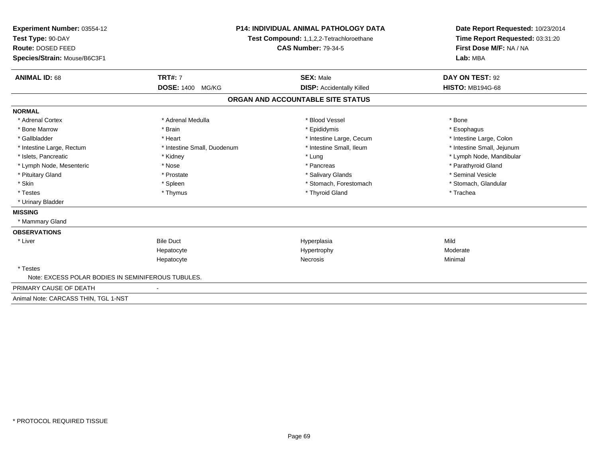| Experiment Number: 03554-12<br>Test Type: 90-DAY   |                             | <b>P14: INDIVIDUAL ANIMAL PATHOLOGY DATA</b><br>Test Compound: 1,1,2,2-Tetrachloroethane | Date Report Requested: 10/23/2014<br>Time Report Requested: 03:31:20 |  |
|----------------------------------------------------|-----------------------------|------------------------------------------------------------------------------------------|----------------------------------------------------------------------|--|
| Route: DOSED FEED                                  |                             | <b>CAS Number: 79-34-5</b>                                                               | First Dose M/F: NA / NA                                              |  |
| Species/Strain: Mouse/B6C3F1                       |                             |                                                                                          | Lab: MBA                                                             |  |
| <b>ANIMAL ID: 68</b>                               | <b>TRT#: 7</b>              | <b>SEX: Male</b>                                                                         | DAY ON TEST: 92                                                      |  |
|                                                    | <b>DOSE: 1400</b><br>MG/KG  | <b>DISP:</b> Accidentally Killed                                                         | <b>HISTO: MB194G-68</b>                                              |  |
|                                                    |                             | ORGAN AND ACCOUNTABLE SITE STATUS                                                        |                                                                      |  |
| <b>NORMAL</b>                                      |                             |                                                                                          |                                                                      |  |
| * Adrenal Cortex                                   | * Adrenal Medulla           | * Blood Vessel                                                                           | * Bone                                                               |  |
| * Bone Marrow                                      | * Brain                     | * Epididymis                                                                             | * Esophagus                                                          |  |
| * Gallbladder                                      | * Heart                     | * Intestine Large, Cecum                                                                 | * Intestine Large, Colon                                             |  |
| * Intestine Large, Rectum                          | * Intestine Small, Duodenum | * Intestine Small, Ileum                                                                 | * Intestine Small, Jejunum                                           |  |
| * Islets, Pancreatic                               | * Kidney                    | * Lung                                                                                   | * Lymph Node, Mandibular                                             |  |
| * Lymph Node, Mesenteric                           | * Nose                      | * Pancreas                                                                               | * Parathyroid Gland                                                  |  |
| * Pituitary Gland                                  | * Prostate                  | * Salivary Glands                                                                        | * Seminal Vesicle                                                    |  |
| * Skin                                             | * Spleen                    | * Stomach, Forestomach                                                                   | * Stomach, Glandular                                                 |  |
| * Testes                                           | * Thymus                    | * Thyroid Gland                                                                          | * Trachea                                                            |  |
| * Urinary Bladder                                  |                             |                                                                                          |                                                                      |  |
| <b>MISSING</b>                                     |                             |                                                                                          |                                                                      |  |
| * Mammary Gland                                    |                             |                                                                                          |                                                                      |  |
| <b>OBSERVATIONS</b>                                |                             |                                                                                          |                                                                      |  |
| * Liver                                            | <b>Bile Duct</b>            | Hyperplasia                                                                              | Mild                                                                 |  |
|                                                    | Hepatocyte                  | Hypertrophy                                                                              | Moderate                                                             |  |
|                                                    | Hepatocyte                  | <b>Necrosis</b>                                                                          | Minimal                                                              |  |
| * Testes                                           |                             |                                                                                          |                                                                      |  |
| Note: EXCESS POLAR BODIES IN SEMINIFEROUS TUBULES. |                             |                                                                                          |                                                                      |  |
| PRIMARY CAUSE OF DEATH                             |                             |                                                                                          |                                                                      |  |
| Animal Note: CARCASS THIN, TGL 1-NST               |                             |                                                                                          |                                                                      |  |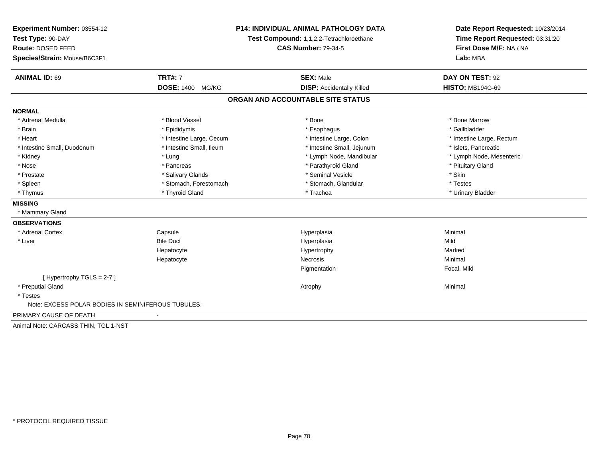| Experiment Number: 03554-12                        | P14: INDIVIDUAL ANIMAL PATHOLOGY DATA<br>Test Compound: 1,1,2,2-Tetrachloroethane<br><b>CAS Number: 79-34-5</b> |                                   | Date Report Requested: 10/23/2014<br>Time Report Requested: 03:31:20<br>First Dose M/F: NA / NA |  |
|----------------------------------------------------|-----------------------------------------------------------------------------------------------------------------|-----------------------------------|-------------------------------------------------------------------------------------------------|--|
| Test Type: 90-DAY                                  |                                                                                                                 |                                   |                                                                                                 |  |
| Route: DOSED FEED                                  |                                                                                                                 |                                   |                                                                                                 |  |
| Species/Strain: Mouse/B6C3F1                       |                                                                                                                 |                                   | Lab: MBA                                                                                        |  |
| <b>ANIMAL ID: 69</b>                               | <b>TRT#: 7</b>                                                                                                  | <b>SEX: Male</b>                  | DAY ON TEST: 92                                                                                 |  |
|                                                    | DOSE: 1400 MG/KG                                                                                                | <b>DISP:</b> Accidentally Killed  | <b>HISTO: MB194G-69</b>                                                                         |  |
|                                                    |                                                                                                                 | ORGAN AND ACCOUNTABLE SITE STATUS |                                                                                                 |  |
| <b>NORMAL</b>                                      |                                                                                                                 |                                   |                                                                                                 |  |
| * Adrenal Medulla                                  | * Blood Vessel                                                                                                  | * Bone                            | * Bone Marrow                                                                                   |  |
| * Brain                                            | * Epididymis                                                                                                    | * Esophagus                       | * Gallbladder                                                                                   |  |
| * Heart                                            | * Intestine Large, Cecum                                                                                        | * Intestine Large, Colon          | * Intestine Large, Rectum                                                                       |  |
| * Intestine Small, Duodenum                        | * Intestine Small, Ileum                                                                                        | * Intestine Small, Jejunum        | * Islets, Pancreatic                                                                            |  |
| * Kidney                                           | * Lung                                                                                                          | * Lymph Node, Mandibular          | * Lymph Node, Mesenteric                                                                        |  |
| * Nose                                             | * Pancreas                                                                                                      | * Parathyroid Gland               | * Pituitary Gland                                                                               |  |
| * Prostate                                         | * Salivary Glands                                                                                               | * Seminal Vesicle                 | * Skin                                                                                          |  |
| * Spleen                                           | * Stomach, Forestomach                                                                                          | * Stomach, Glandular              | * Testes                                                                                        |  |
| * Thymus                                           | * Thyroid Gland                                                                                                 | * Trachea                         | * Urinary Bladder                                                                               |  |
| <b>MISSING</b>                                     |                                                                                                                 |                                   |                                                                                                 |  |
| * Mammary Gland                                    |                                                                                                                 |                                   |                                                                                                 |  |
| <b>OBSERVATIONS</b>                                |                                                                                                                 |                                   |                                                                                                 |  |
| * Adrenal Cortex                                   | Capsule                                                                                                         | Hyperplasia                       | Minimal                                                                                         |  |
| * Liver                                            | <b>Bile Duct</b>                                                                                                | Hyperplasia                       | Mild                                                                                            |  |
|                                                    | Hepatocyte                                                                                                      | Hypertrophy                       | Marked                                                                                          |  |
|                                                    | Hepatocyte                                                                                                      | Necrosis                          | Minimal                                                                                         |  |
|                                                    |                                                                                                                 | Pigmentation                      | Focal, Mild                                                                                     |  |
| [Hypertrophy TGLS = 2-7]                           |                                                                                                                 |                                   |                                                                                                 |  |
| * Preputial Gland                                  |                                                                                                                 | Atrophy                           | Minimal                                                                                         |  |
| * Testes                                           |                                                                                                                 |                                   |                                                                                                 |  |
| Note: EXCESS POLAR BODIES IN SEMINIFEROUS TUBULES. |                                                                                                                 |                                   |                                                                                                 |  |
| PRIMARY CAUSE OF DEATH                             |                                                                                                                 |                                   |                                                                                                 |  |
| Animal Note: CARCASS THIN, TGL 1-NST               |                                                                                                                 |                                   |                                                                                                 |  |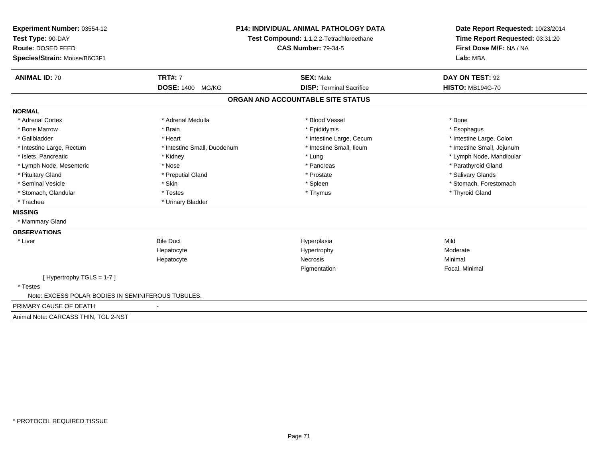| Experiment Number: 03554-12<br>Test Type: 90-DAY<br>Route: DOSED FEED<br>Species/Strain: Mouse/B6C3F1 |                             | P14: INDIVIDUAL ANIMAL PATHOLOGY DATA<br>Test Compound: 1,1,2,2-Tetrachloroethane<br><b>CAS Number: 79-34-5</b> | Date Report Requested: 10/23/2014<br>Time Report Requested: 03:31:20<br>First Dose M/F: NA / NA<br>Lab: MBA |
|-------------------------------------------------------------------------------------------------------|-----------------------------|-----------------------------------------------------------------------------------------------------------------|-------------------------------------------------------------------------------------------------------------|
| <b>ANIMAL ID: 70</b>                                                                                  | <b>TRT#: 7</b>              | <b>SEX: Male</b>                                                                                                | DAY ON TEST: 92                                                                                             |
|                                                                                                       | <b>DOSE: 1400 MG/KG</b>     | <b>DISP: Terminal Sacrifice</b>                                                                                 | <b>HISTO: MB194G-70</b>                                                                                     |
|                                                                                                       |                             | ORGAN AND ACCOUNTABLE SITE STATUS                                                                               |                                                                                                             |
| <b>NORMAL</b>                                                                                         |                             |                                                                                                                 |                                                                                                             |
| * Adrenal Cortex                                                                                      | * Adrenal Medulla           | * Blood Vessel                                                                                                  | * Bone                                                                                                      |
| * Bone Marrow                                                                                         | * Brain                     | * Epididymis                                                                                                    | * Esophagus                                                                                                 |
| * Gallbladder                                                                                         | * Heart                     | * Intestine Large, Cecum                                                                                        | * Intestine Large, Colon                                                                                    |
| * Intestine Large, Rectum                                                                             | * Intestine Small, Duodenum | * Intestine Small, Ileum                                                                                        | * Intestine Small, Jejunum                                                                                  |
| * Islets, Pancreatic                                                                                  | * Kidney                    | * Lung                                                                                                          | * Lymph Node, Mandibular                                                                                    |
| * Lymph Node, Mesenteric                                                                              | * Nose                      | * Pancreas                                                                                                      | * Parathyroid Gland                                                                                         |
| * Pituitary Gland                                                                                     | * Preputial Gland           | * Prostate                                                                                                      | * Salivary Glands                                                                                           |
| * Seminal Vesicle                                                                                     | * Skin                      | * Spleen                                                                                                        | * Stomach, Forestomach                                                                                      |
| * Stomach, Glandular                                                                                  | * Testes                    | * Thymus                                                                                                        | * Thyroid Gland                                                                                             |
| * Trachea                                                                                             | * Urinary Bladder           |                                                                                                                 |                                                                                                             |
| <b>MISSING</b>                                                                                        |                             |                                                                                                                 |                                                                                                             |
| * Mammary Gland                                                                                       |                             |                                                                                                                 |                                                                                                             |
| <b>OBSERVATIONS</b>                                                                                   |                             |                                                                                                                 |                                                                                                             |
| * Liver                                                                                               | <b>Bile Duct</b>            | Hyperplasia                                                                                                     | Mild                                                                                                        |
|                                                                                                       | Hepatocyte                  | Hypertrophy                                                                                                     | Moderate                                                                                                    |
|                                                                                                       | Hepatocyte                  | Necrosis                                                                                                        | Minimal                                                                                                     |
|                                                                                                       |                             | Pigmentation                                                                                                    | Focal, Minimal                                                                                              |
| [Hypertrophy TGLS = $1-7$ ]                                                                           |                             |                                                                                                                 |                                                                                                             |
| * Testes                                                                                              |                             |                                                                                                                 |                                                                                                             |
| Note: EXCESS POLAR BODIES IN SEMINIFEROUS TUBULES.                                                    |                             |                                                                                                                 |                                                                                                             |
| PRIMARY CAUSE OF DEATH                                                                                |                             |                                                                                                                 |                                                                                                             |
| Animal Note: CARCASS THIN, TGL 2-NST                                                                  |                             |                                                                                                                 |                                                                                                             |
|                                                                                                       |                             |                                                                                                                 |                                                                                                             |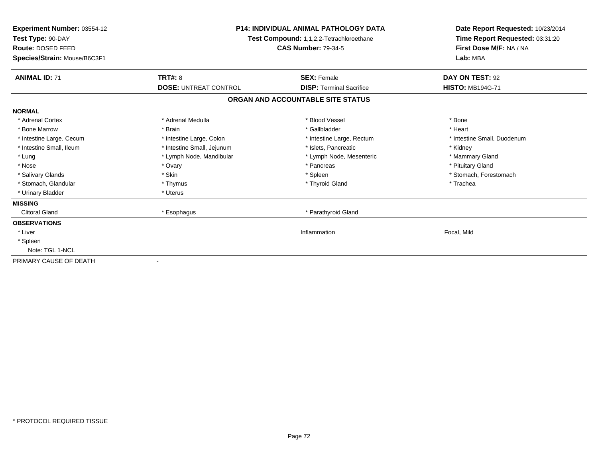| Experiment Number: 03554-12<br>Test Type: 90-DAY<br><b>Route: DOSED FEED</b><br>Species/Strain: Mouse/B6C3F1 | <b>P14: INDIVIDUAL ANIMAL PATHOLOGY DATA</b><br>Test Compound: 1,1,2,2-Tetrachloroethane<br><b>CAS Number: 79-34-5</b> |                                   | Date Report Requested: 10/23/2014<br>Time Report Requested: 03:31:20<br>First Dose M/F: NA / NA<br>Lab: MBA |
|--------------------------------------------------------------------------------------------------------------|------------------------------------------------------------------------------------------------------------------------|-----------------------------------|-------------------------------------------------------------------------------------------------------------|
| <b>ANIMAL ID: 71</b>                                                                                         | <b>TRT#: 8</b>                                                                                                         | <b>SEX: Female</b>                | DAY ON TEST: 92                                                                                             |
|                                                                                                              | <b>DOSE: UNTREAT CONTROL</b>                                                                                           | <b>DISP: Terminal Sacrifice</b>   | <b>HISTO: MB194G-71</b>                                                                                     |
|                                                                                                              |                                                                                                                        | ORGAN AND ACCOUNTABLE SITE STATUS |                                                                                                             |
| <b>NORMAL</b>                                                                                                |                                                                                                                        |                                   |                                                                                                             |
| * Adrenal Cortex                                                                                             | * Adrenal Medulla                                                                                                      | * Blood Vessel                    | * Bone                                                                                                      |
| * Bone Marrow                                                                                                | * Brain                                                                                                                | * Gallbladder                     | * Heart                                                                                                     |
| * Intestine Large, Cecum                                                                                     | * Intestine Large, Colon                                                                                               | * Intestine Large, Rectum         | * Intestine Small, Duodenum                                                                                 |
| * Intestine Small, Ileum                                                                                     | * Intestine Small, Jejunum                                                                                             | * Islets, Pancreatic              | * Kidney                                                                                                    |
| * Lung                                                                                                       | * Lymph Node, Mandibular                                                                                               | * Lymph Node, Mesenteric          | * Mammary Gland                                                                                             |
| * Nose                                                                                                       | * Ovary                                                                                                                | * Pancreas                        | * Pituitary Gland                                                                                           |
| * Salivary Glands                                                                                            | * Skin                                                                                                                 | * Spleen                          | * Stomach, Forestomach                                                                                      |
| * Stomach, Glandular                                                                                         | * Thymus                                                                                                               | * Thyroid Gland                   | * Trachea                                                                                                   |
| * Urinary Bladder                                                                                            | * Uterus                                                                                                               |                                   |                                                                                                             |
| <b>MISSING</b>                                                                                               |                                                                                                                        |                                   |                                                                                                             |
| <b>Clitoral Gland</b>                                                                                        | * Esophagus                                                                                                            | * Parathyroid Gland               |                                                                                                             |
| <b>OBSERVATIONS</b>                                                                                          |                                                                                                                        |                                   |                                                                                                             |
| * Liver                                                                                                      |                                                                                                                        | Inflammation                      | Focal, Mild                                                                                                 |
| * Spleen                                                                                                     |                                                                                                                        |                                   |                                                                                                             |
| Note: TGL 1-NCL                                                                                              |                                                                                                                        |                                   |                                                                                                             |
| PRIMARY CAUSE OF DEATH                                                                                       |                                                                                                                        |                                   |                                                                                                             |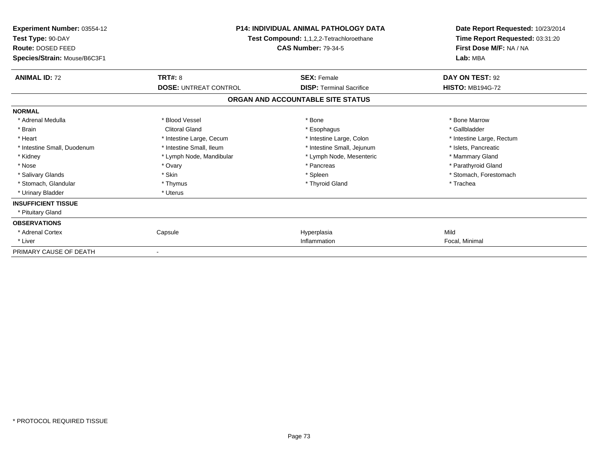| Experiment Number: 03554-12<br>Test Type: 90-DAY<br>Route: DOSED FEED | <b>P14: INDIVIDUAL ANIMAL PATHOLOGY DATA</b><br>Test Compound: 1,1,2,2-Tetrachloroethane<br><b>CAS Number: 79-34-5</b> |                                   | Date Report Requested: 10/23/2014<br>Time Report Requested: 03:31:20<br>First Dose M/F: NA / NA<br>Lab: MBA |  |
|-----------------------------------------------------------------------|------------------------------------------------------------------------------------------------------------------------|-----------------------------------|-------------------------------------------------------------------------------------------------------------|--|
| Species/Strain: Mouse/B6C3F1                                          |                                                                                                                        |                                   |                                                                                                             |  |
| <b>ANIMAL ID: 72</b>                                                  | <b>TRT#: 8</b>                                                                                                         | <b>SEX: Female</b>                | DAY ON TEST: 92                                                                                             |  |
|                                                                       | <b>DOSE: UNTREAT CONTROL</b>                                                                                           | <b>DISP: Terminal Sacrifice</b>   | <b>HISTO: MB194G-72</b>                                                                                     |  |
|                                                                       |                                                                                                                        | ORGAN AND ACCOUNTABLE SITE STATUS |                                                                                                             |  |
| <b>NORMAL</b>                                                         |                                                                                                                        |                                   |                                                                                                             |  |
| * Adrenal Medulla                                                     | * Blood Vessel                                                                                                         | * Bone                            | * Bone Marrow                                                                                               |  |
| * Brain                                                               | <b>Clitoral Gland</b>                                                                                                  | * Esophagus                       | * Gallbladder                                                                                               |  |
| * Heart                                                               | * Intestine Large, Cecum                                                                                               | * Intestine Large, Colon          | * Intestine Large, Rectum                                                                                   |  |
| * Intestine Small, Duodenum                                           | * Intestine Small, Ileum                                                                                               | * Intestine Small, Jejunum        | * Islets, Pancreatic                                                                                        |  |
| * Kidney                                                              | * Lymph Node, Mandibular                                                                                               | * Lymph Node, Mesenteric          | * Mammary Gland                                                                                             |  |
| * Nose                                                                | * Ovary                                                                                                                | * Pancreas                        | * Parathyroid Gland                                                                                         |  |
| * Salivary Glands                                                     | * Skin                                                                                                                 | * Spleen                          | * Stomach, Forestomach                                                                                      |  |
| * Stomach, Glandular                                                  | * Thymus                                                                                                               | * Thyroid Gland                   | * Trachea                                                                                                   |  |
| * Urinary Bladder                                                     | * Uterus                                                                                                               |                                   |                                                                                                             |  |
| <b>INSUFFICIENT TISSUE</b>                                            |                                                                                                                        |                                   |                                                                                                             |  |
| * Pituitary Gland                                                     |                                                                                                                        |                                   |                                                                                                             |  |
| <b>OBSERVATIONS</b>                                                   |                                                                                                                        |                                   |                                                                                                             |  |
| * Adrenal Cortex                                                      | Capsule                                                                                                                | Hyperplasia                       | Mild                                                                                                        |  |
| * Liver                                                               |                                                                                                                        | Inflammation                      | Focal, Minimal                                                                                              |  |
| PRIMARY CAUSE OF DEATH                                                |                                                                                                                        |                                   |                                                                                                             |  |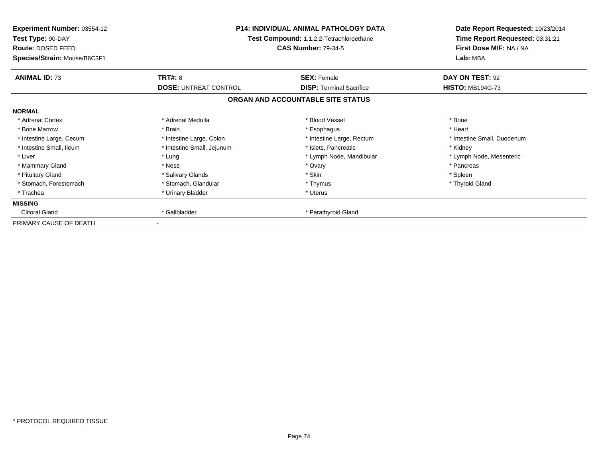| <b>Experiment Number: 03554-12</b><br>Test Type: 90-DAY<br>Route: DOSED FEED<br>Species/Strain: Mouse/B6C3F1 | <b>P14: INDIVIDUAL ANIMAL PATHOLOGY DATA</b><br>Test Compound: 1,1,2,2-Tetrachloroethane<br><b>CAS Number: 79-34-5</b> |                                   | Date Report Requested: 10/23/2014<br>Time Report Requested: 03:31:21<br>First Dose M/F: NA / NA<br>Lab: MBA |
|--------------------------------------------------------------------------------------------------------------|------------------------------------------------------------------------------------------------------------------------|-----------------------------------|-------------------------------------------------------------------------------------------------------------|
| <b>ANIMAL ID: 73</b>                                                                                         | TRT#: 8                                                                                                                | <b>SEX: Female</b>                | DAY ON TEST: 92                                                                                             |
|                                                                                                              | <b>DOSE: UNTREAT CONTROL</b>                                                                                           | <b>DISP:</b> Terminal Sacrifice   | <b>HISTO: MB194G-73</b>                                                                                     |
|                                                                                                              |                                                                                                                        | ORGAN AND ACCOUNTABLE SITE STATUS |                                                                                                             |
| <b>NORMAL</b>                                                                                                |                                                                                                                        |                                   |                                                                                                             |
| * Adrenal Cortex                                                                                             | * Adrenal Medulla                                                                                                      | * Blood Vessel                    | * Bone                                                                                                      |
| * Bone Marrow                                                                                                | * Brain                                                                                                                | * Esophagus                       | * Heart                                                                                                     |
| * Intestine Large, Cecum                                                                                     | * Intestine Large, Colon                                                                                               | * Intestine Large, Rectum         | * Intestine Small, Duodenum                                                                                 |
| * Intestine Small, Ileum                                                                                     | * Intestine Small, Jejunum                                                                                             | * Islets, Pancreatic              | * Kidney                                                                                                    |
| * Liver                                                                                                      | * Lung                                                                                                                 | * Lymph Node, Mandibular          | * Lymph Node, Mesenteric                                                                                    |
| * Mammary Gland                                                                                              | * Nose                                                                                                                 | * Ovary                           | * Pancreas                                                                                                  |
| * Pituitary Gland                                                                                            | * Salivary Glands                                                                                                      | * Skin                            | * Spleen                                                                                                    |
| * Stomach, Forestomach                                                                                       | * Stomach, Glandular                                                                                                   | * Thymus                          | * Thyroid Gland                                                                                             |
| * Trachea                                                                                                    | * Urinary Bladder                                                                                                      | * Uterus                          |                                                                                                             |
| <b>MISSING</b>                                                                                               |                                                                                                                        |                                   |                                                                                                             |
| <b>Clitoral Gland</b>                                                                                        | * Gallbladder                                                                                                          | * Parathyroid Gland               |                                                                                                             |
| PRIMARY CAUSE OF DEATH                                                                                       |                                                                                                                        |                                   |                                                                                                             |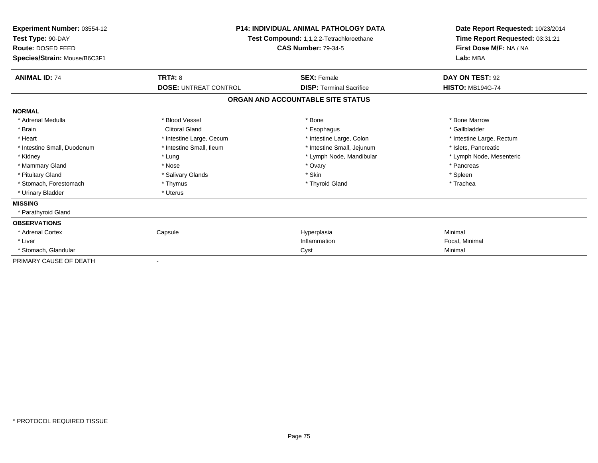| Experiment Number: 03554-12<br>Test Type: 90-DAY<br>Route: DOSED FEED<br>Species/Strain: Mouse/B6C3F1 | <b>P14: INDIVIDUAL ANIMAL PATHOLOGY DATA</b><br><b>Test Compound: 1,1,2,2-Tetrachloroethane</b><br><b>CAS Number: 79-34-5</b> |                                   | Date Report Requested: 10/23/2014<br>Time Report Requested: 03:31:21<br>First Dose M/F: NA / NA<br>Lab: MBA |  |
|-------------------------------------------------------------------------------------------------------|-------------------------------------------------------------------------------------------------------------------------------|-----------------------------------|-------------------------------------------------------------------------------------------------------------|--|
| <b>ANIMAL ID: 74</b>                                                                                  | <b>TRT#: 8</b>                                                                                                                | <b>SEX: Female</b>                | DAY ON TEST: 92                                                                                             |  |
|                                                                                                       | <b>DOSE: UNTREAT CONTROL</b>                                                                                                  | <b>DISP: Terminal Sacrifice</b>   | <b>HISTO: MB194G-74</b>                                                                                     |  |
|                                                                                                       |                                                                                                                               | ORGAN AND ACCOUNTABLE SITE STATUS |                                                                                                             |  |
| <b>NORMAL</b>                                                                                         |                                                                                                                               |                                   |                                                                                                             |  |
| * Adrenal Medulla                                                                                     | * Blood Vessel                                                                                                                | * Bone                            | * Bone Marrow                                                                                               |  |
| * Brain                                                                                               | <b>Clitoral Gland</b>                                                                                                         | * Esophagus                       | * Gallbladder                                                                                               |  |
| * Heart                                                                                               | * Intestine Large, Cecum                                                                                                      | * Intestine Large, Colon          | * Intestine Large, Rectum                                                                                   |  |
| * Intestine Small, Duodenum                                                                           | * Intestine Small, Ileum                                                                                                      | * Intestine Small, Jejunum        | * Islets, Pancreatic                                                                                        |  |
| * Kidney                                                                                              | * Lung                                                                                                                        | * Lymph Node, Mandibular          | * Lymph Node, Mesenteric                                                                                    |  |
| * Mammary Gland                                                                                       | * Nose                                                                                                                        | * Ovary                           | * Pancreas                                                                                                  |  |
| * Pituitary Gland                                                                                     | * Salivary Glands                                                                                                             | * Skin                            | * Spleen                                                                                                    |  |
| * Stomach, Forestomach                                                                                | * Thymus                                                                                                                      | * Thyroid Gland                   | * Trachea                                                                                                   |  |
| * Urinary Bladder                                                                                     | * Uterus                                                                                                                      |                                   |                                                                                                             |  |
| <b>MISSING</b>                                                                                        |                                                                                                                               |                                   |                                                                                                             |  |
| * Parathyroid Gland                                                                                   |                                                                                                                               |                                   |                                                                                                             |  |
| <b>OBSERVATIONS</b>                                                                                   |                                                                                                                               |                                   |                                                                                                             |  |
| * Adrenal Cortex                                                                                      | Capsule                                                                                                                       | Hyperplasia                       | Minimal                                                                                                     |  |
| * Liver                                                                                               |                                                                                                                               | Inflammation                      | Focal, Minimal                                                                                              |  |
| * Stomach, Glandular                                                                                  |                                                                                                                               | Cyst                              | Minimal                                                                                                     |  |
| PRIMARY CAUSE OF DEATH                                                                                |                                                                                                                               |                                   |                                                                                                             |  |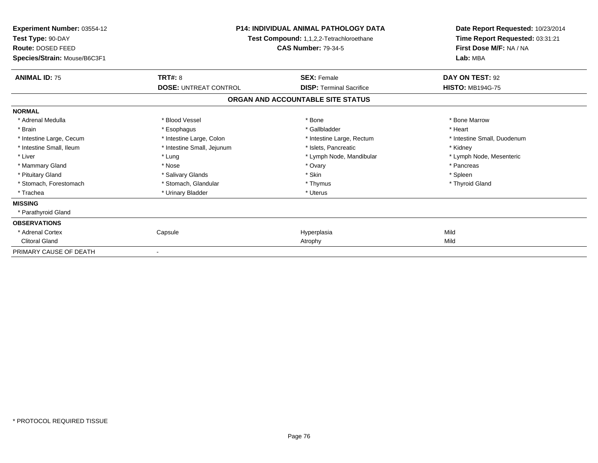| Experiment Number: 03554-12<br>Test Type: 90-DAY<br>Route: DOSED FEED | <b>P14: INDIVIDUAL ANIMAL PATHOLOGY DATA</b><br>Test Compound: 1,1,2,2-Tetrachloroethane<br><b>CAS Number: 79-34-5</b> |                                   | Date Report Requested: 10/23/2014<br>Time Report Requested: 03:31:21<br>First Dose M/F: NA / NA<br>Lab: MBA |  |
|-----------------------------------------------------------------------|------------------------------------------------------------------------------------------------------------------------|-----------------------------------|-------------------------------------------------------------------------------------------------------------|--|
| Species/Strain: Mouse/B6C3F1                                          |                                                                                                                        |                                   |                                                                                                             |  |
| <b>ANIMAL ID: 75</b>                                                  | <b>TRT#: 8</b>                                                                                                         | <b>SEX: Female</b>                | DAY ON TEST: 92                                                                                             |  |
|                                                                       | <b>DOSE: UNTREAT CONTROL</b>                                                                                           | <b>DISP: Terminal Sacrifice</b>   | <b>HISTO: MB194G-75</b>                                                                                     |  |
|                                                                       |                                                                                                                        | ORGAN AND ACCOUNTABLE SITE STATUS |                                                                                                             |  |
| <b>NORMAL</b>                                                         |                                                                                                                        |                                   |                                                                                                             |  |
| * Adrenal Medulla                                                     | * Blood Vessel                                                                                                         | * Bone                            | * Bone Marrow                                                                                               |  |
| * Brain                                                               | * Esophagus                                                                                                            | * Gallbladder                     | * Heart                                                                                                     |  |
| * Intestine Large, Cecum                                              | * Intestine Large, Colon                                                                                               | * Intestine Large, Rectum         | * Intestine Small, Duodenum                                                                                 |  |
| * Intestine Small, Ileum                                              | * Intestine Small, Jejunum                                                                                             | * Islets, Pancreatic              | * Kidney                                                                                                    |  |
| * Liver                                                               | * Lung                                                                                                                 | * Lymph Node, Mandibular          | * Lymph Node, Mesenteric                                                                                    |  |
| * Mammary Gland                                                       | * Nose                                                                                                                 | * Ovary                           | * Pancreas                                                                                                  |  |
| * Pituitary Gland                                                     | * Salivary Glands                                                                                                      | * Skin                            | * Spleen                                                                                                    |  |
| * Stomach, Forestomach                                                | * Stomach, Glandular                                                                                                   | * Thymus                          | * Thyroid Gland                                                                                             |  |
| * Trachea                                                             | * Urinary Bladder                                                                                                      | * Uterus                          |                                                                                                             |  |
| <b>MISSING</b>                                                        |                                                                                                                        |                                   |                                                                                                             |  |
| * Parathyroid Gland                                                   |                                                                                                                        |                                   |                                                                                                             |  |
| <b>OBSERVATIONS</b>                                                   |                                                                                                                        |                                   |                                                                                                             |  |
| * Adrenal Cortex                                                      | Capsule                                                                                                                | Hyperplasia                       | Mild                                                                                                        |  |
| <b>Clitoral Gland</b>                                                 |                                                                                                                        | Atrophy                           | Mild                                                                                                        |  |
| PRIMARY CAUSE OF DEATH                                                |                                                                                                                        |                                   |                                                                                                             |  |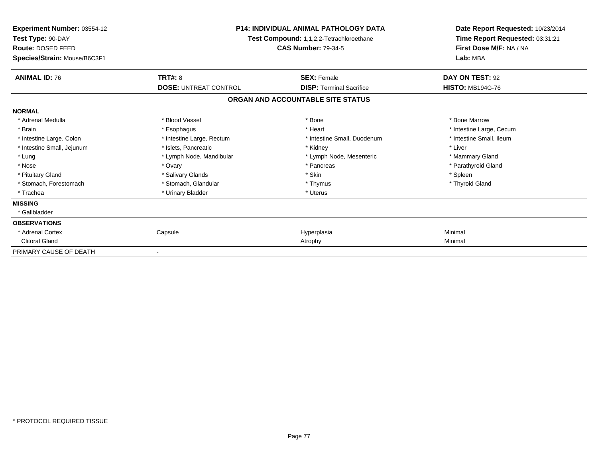| <b>Experiment Number: 03554-12</b><br>Test Type: 90-DAY | <b>P14: INDIVIDUAL ANIMAL PATHOLOGY DATA</b><br>Test Compound: 1,1,2,2-Tetrachloroethane |                                   | Date Report Requested: 10/23/2014<br>Time Report Requested: 03:31:21 |
|---------------------------------------------------------|------------------------------------------------------------------------------------------|-----------------------------------|----------------------------------------------------------------------|
| Route: DOSED FEED                                       |                                                                                          | <b>CAS Number: 79-34-5</b>        | First Dose M/F: NA / NA                                              |
| Species/Strain: Mouse/B6C3F1                            |                                                                                          |                                   | Lab: MBA                                                             |
| <b>ANIMAL ID: 76</b>                                    | <b>TRT#: 8</b>                                                                           | <b>SEX: Female</b>                | DAY ON TEST: 92                                                      |
|                                                         | <b>DOSE: UNTREAT CONTROL</b>                                                             | <b>DISP: Terminal Sacrifice</b>   | <b>HISTO: MB194G-76</b>                                              |
|                                                         |                                                                                          | ORGAN AND ACCOUNTABLE SITE STATUS |                                                                      |
| <b>NORMAL</b>                                           |                                                                                          |                                   |                                                                      |
| * Adrenal Medulla                                       | * Blood Vessel                                                                           | * Bone                            | * Bone Marrow                                                        |
| * Brain                                                 | * Esophagus                                                                              | * Heart                           | * Intestine Large, Cecum                                             |
| * Intestine Large, Colon                                | * Intestine Large, Rectum                                                                | * Intestine Small, Duodenum       | * Intestine Small, Ileum                                             |
| * Intestine Small, Jejunum                              | * Islets, Pancreatic                                                                     | * Kidney                          | * Liver                                                              |
| * Lung                                                  | * Lymph Node, Mandibular                                                                 | * Lymph Node, Mesenteric          | * Mammary Gland                                                      |
| * Nose                                                  | * Ovary                                                                                  | * Pancreas                        | * Parathyroid Gland                                                  |
| * Pituitary Gland                                       | * Salivary Glands                                                                        | * Skin                            | * Spleen                                                             |
| * Stomach, Forestomach                                  | * Stomach, Glandular                                                                     | * Thymus                          | * Thyroid Gland                                                      |
| * Trachea                                               | * Urinary Bladder                                                                        | * Uterus                          |                                                                      |
| <b>MISSING</b>                                          |                                                                                          |                                   |                                                                      |
| * Gallbladder                                           |                                                                                          |                                   |                                                                      |
| <b>OBSERVATIONS</b>                                     |                                                                                          |                                   |                                                                      |
| * Adrenal Cortex                                        | Capsule                                                                                  | Hyperplasia                       | Minimal                                                              |
| <b>Clitoral Gland</b>                                   |                                                                                          | Atrophy                           | Minimal                                                              |
| PRIMARY CAUSE OF DEATH                                  |                                                                                          |                                   |                                                                      |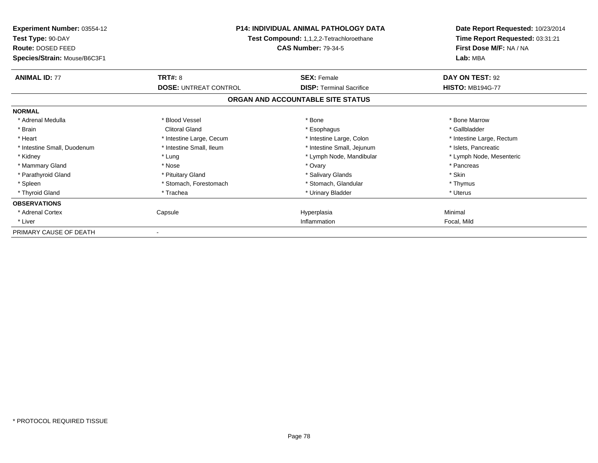| <b>Experiment Number: 03554-12</b><br>Test Type: 90-DAY<br>Route: DOSED FEED<br>Species/Strain: Mouse/B6C3F1 | <b>P14: INDIVIDUAL ANIMAL PATHOLOGY DATA</b><br>Test Compound: 1,1,2,2-Tetrachloroethane<br><b>CAS Number: 79-34-5</b> |                                   | Date Report Requested: 10/23/2014<br>Time Report Requested: 03:31:21<br>First Dose M/F: NA / NA<br>Lab: MBA |
|--------------------------------------------------------------------------------------------------------------|------------------------------------------------------------------------------------------------------------------------|-----------------------------------|-------------------------------------------------------------------------------------------------------------|
| <b>ANIMAL ID: 77</b>                                                                                         | <b>TRT#: 8</b>                                                                                                         | <b>SEX: Female</b>                | DAY ON TEST: 92                                                                                             |
|                                                                                                              | <b>DOSE: UNTREAT CONTROL</b>                                                                                           | <b>DISP: Terminal Sacrifice</b>   | <b>HISTO: MB194G-77</b>                                                                                     |
|                                                                                                              |                                                                                                                        | ORGAN AND ACCOUNTABLE SITE STATUS |                                                                                                             |
| <b>NORMAL</b>                                                                                                |                                                                                                                        |                                   |                                                                                                             |
| * Adrenal Medulla                                                                                            | * Blood Vessel                                                                                                         | * Bone                            | * Bone Marrow                                                                                               |
| * Brain                                                                                                      | <b>Clitoral Gland</b>                                                                                                  | * Esophagus                       | * Gallbladder                                                                                               |
| * Heart                                                                                                      | * Intestine Large, Cecum                                                                                               | * Intestine Large, Colon          | * Intestine Large, Rectum                                                                                   |
| * Intestine Small, Duodenum                                                                                  | * Intestine Small, Ileum                                                                                               | * Intestine Small, Jejunum        | * Islets, Pancreatic                                                                                        |
| * Kidney                                                                                                     | * Lung                                                                                                                 | * Lymph Node, Mandibular          | * Lymph Node, Mesenteric                                                                                    |
| * Mammary Gland                                                                                              | * Nose                                                                                                                 | * Ovary                           | * Pancreas                                                                                                  |
| * Parathyroid Gland                                                                                          | * Pituitary Gland                                                                                                      | * Salivary Glands                 | * Skin                                                                                                      |
| * Spleen                                                                                                     | * Stomach, Forestomach                                                                                                 | * Stomach, Glandular              | * Thymus                                                                                                    |
| * Thyroid Gland                                                                                              | * Trachea                                                                                                              | * Urinary Bladder                 | * Uterus                                                                                                    |
| <b>OBSERVATIONS</b>                                                                                          |                                                                                                                        |                                   |                                                                                                             |
| * Adrenal Cortex                                                                                             | Capsule                                                                                                                | Hyperplasia                       | Minimal                                                                                                     |
| * Liver                                                                                                      |                                                                                                                        | Inflammation                      | Focal, Mild                                                                                                 |
| PRIMARY CAUSE OF DEATH                                                                                       |                                                                                                                        |                                   |                                                                                                             |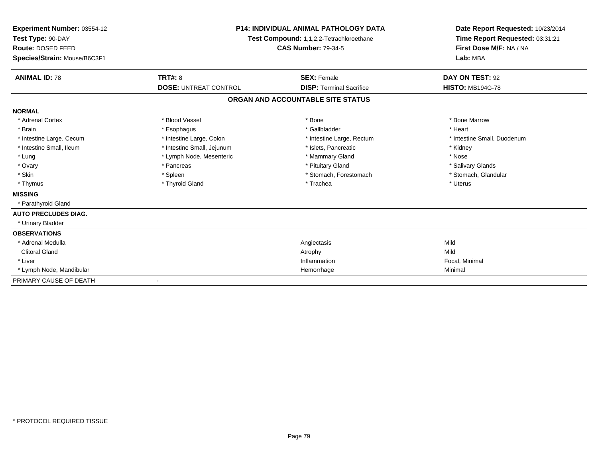| Experiment Number: 03554-12<br>Test Type: 90-DAY<br>Route: DOSED FEED<br>Species/Strain: Mouse/B6C3F1 |                              | <b>P14: INDIVIDUAL ANIMAL PATHOLOGY DATA</b><br>Test Compound: 1,1,2,2-Tetrachloroethane<br><b>CAS Number: 79-34-5</b> |                             |
|-------------------------------------------------------------------------------------------------------|------------------------------|------------------------------------------------------------------------------------------------------------------------|-----------------------------|
| <b>ANIMAL ID: 78</b>                                                                                  | TRT#: 8                      | <b>SEX: Female</b>                                                                                                     | DAY ON TEST: 92             |
|                                                                                                       | <b>DOSE: UNTREAT CONTROL</b> | <b>DISP: Terminal Sacrifice</b>                                                                                        | <b>HISTO: MB194G-78</b>     |
|                                                                                                       |                              | ORGAN AND ACCOUNTABLE SITE STATUS                                                                                      |                             |
| <b>NORMAL</b>                                                                                         |                              |                                                                                                                        |                             |
| * Adrenal Cortex                                                                                      | * Blood Vessel               | * Bone                                                                                                                 | * Bone Marrow               |
| * Brain                                                                                               | * Esophagus                  | * Gallbladder                                                                                                          | * Heart                     |
| * Intestine Large, Cecum                                                                              | * Intestine Large, Colon     | * Intestine Large, Rectum                                                                                              | * Intestine Small, Duodenum |
| * Intestine Small, Ileum                                                                              | * Intestine Small, Jejunum   | * Islets, Pancreatic                                                                                                   | * Kidney                    |
| * Lung                                                                                                | * Lymph Node, Mesenteric     | * Mammary Gland                                                                                                        | * Nose                      |
| * Ovary                                                                                               | * Pancreas                   | * Pituitary Gland                                                                                                      | * Salivary Glands           |
| * Skin                                                                                                | * Spleen                     | * Stomach, Forestomach                                                                                                 | * Stomach, Glandular        |
| * Thymus                                                                                              | * Thyroid Gland              | * Trachea                                                                                                              | * Uterus                    |
| <b>MISSING</b>                                                                                        |                              |                                                                                                                        |                             |
| * Parathyroid Gland                                                                                   |                              |                                                                                                                        |                             |
| <b>AUTO PRECLUDES DIAG.</b>                                                                           |                              |                                                                                                                        |                             |
| * Urinary Bladder                                                                                     |                              |                                                                                                                        |                             |
| <b>OBSERVATIONS</b>                                                                                   |                              |                                                                                                                        |                             |
| * Adrenal Medulla                                                                                     |                              | Angiectasis                                                                                                            | Mild                        |
| <b>Clitoral Gland</b>                                                                                 |                              | Atrophy                                                                                                                | Mild                        |
| * Liver                                                                                               |                              | Inflammation                                                                                                           | Focal, Minimal              |
| * Lymph Node, Mandibular                                                                              |                              | Hemorrhage                                                                                                             | Minimal                     |
| PRIMARY CAUSE OF DEATH                                                                                |                              |                                                                                                                        |                             |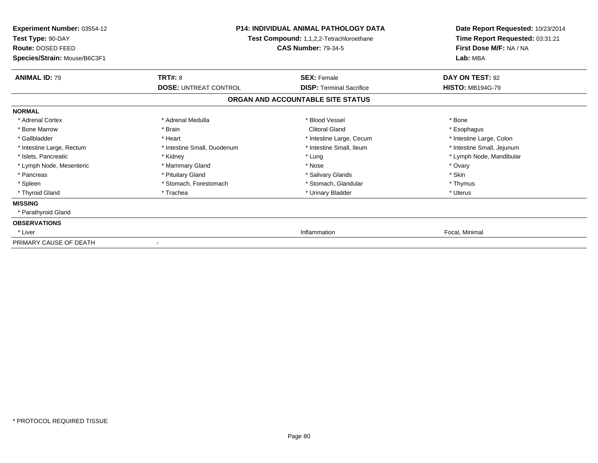| <b>Experiment Number: 03554-12</b><br>Test Type: 90-DAY<br><b>Route: DOSED FEED</b><br>Species/Strain: Mouse/B6C3F1 | <b>P14: INDIVIDUAL ANIMAL PATHOLOGY DATA</b><br>Test Compound: 1,1,2,2-Tetrachloroethane<br><b>CAS Number: 79-34-5</b> |                                   | Date Report Requested: 10/23/2014<br>Time Report Requested: 03:31:21<br>First Dose M/F: NA / NA<br>Lab: MBA |
|---------------------------------------------------------------------------------------------------------------------|------------------------------------------------------------------------------------------------------------------------|-----------------------------------|-------------------------------------------------------------------------------------------------------------|
| <b>ANIMAL ID: 79</b>                                                                                                | TRT#: 8                                                                                                                | <b>SEX: Female</b>                | DAY ON TEST: 92                                                                                             |
|                                                                                                                     | <b>DOSE: UNTREAT CONTROL</b>                                                                                           | <b>DISP:</b> Terminal Sacrifice   | <b>HISTO: MB194G-79</b>                                                                                     |
|                                                                                                                     |                                                                                                                        | ORGAN AND ACCOUNTABLE SITE STATUS |                                                                                                             |
| <b>NORMAL</b>                                                                                                       |                                                                                                                        |                                   |                                                                                                             |
| * Adrenal Cortex                                                                                                    | * Adrenal Medulla                                                                                                      | * Blood Vessel                    | * Bone                                                                                                      |
| * Bone Marrow                                                                                                       | * Brain                                                                                                                | <b>Clitoral Gland</b>             | * Esophagus                                                                                                 |
| * Gallbladder                                                                                                       | * Heart                                                                                                                | * Intestine Large, Cecum          | * Intestine Large, Colon                                                                                    |
| * Intestine Large, Rectum                                                                                           | * Intestine Small, Duodenum                                                                                            | * Intestine Small, Ileum          | * Intestine Small, Jejunum                                                                                  |
| * Islets. Pancreatic                                                                                                | * Kidney                                                                                                               | * Lung                            | * Lymph Node, Mandibular                                                                                    |
| * Lymph Node, Mesenteric                                                                                            | * Mammary Gland                                                                                                        | * Nose                            | * Ovary                                                                                                     |
| * Pancreas                                                                                                          | * Pituitary Gland                                                                                                      | * Salivary Glands                 | * Skin                                                                                                      |
| * Spleen                                                                                                            | * Stomach, Forestomach                                                                                                 | * Stomach, Glandular              | * Thymus                                                                                                    |
| * Thyroid Gland                                                                                                     | * Trachea                                                                                                              | * Urinary Bladder                 | * Uterus                                                                                                    |
| <b>MISSING</b>                                                                                                      |                                                                                                                        |                                   |                                                                                                             |
| * Parathyroid Gland                                                                                                 |                                                                                                                        |                                   |                                                                                                             |
| <b>OBSERVATIONS</b>                                                                                                 |                                                                                                                        |                                   |                                                                                                             |
| * Liver                                                                                                             |                                                                                                                        | Inflammation                      | Focal, Minimal                                                                                              |
| PRIMARY CAUSE OF DEATH                                                                                              |                                                                                                                        |                                   |                                                                                                             |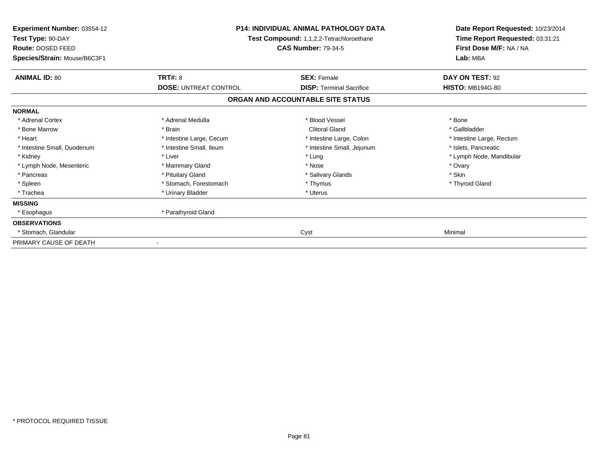| Experiment Number: 03554-12<br>Test Type: 90-DAY<br>Route: DOSED FEED<br>Species/Strain: Mouse/B6C3F1 | <b>P14: INDIVIDUAL ANIMAL PATHOLOGY DATA</b><br>Test Compound: 1,1,2,2-Tetrachloroethane<br><b>CAS Number: 79-34-5</b> |                                   | Date Report Requested: 10/23/2014<br>Time Report Requested: 03:31:21<br>First Dose M/F: NA / NA<br>Lab: MBA |
|-------------------------------------------------------------------------------------------------------|------------------------------------------------------------------------------------------------------------------------|-----------------------------------|-------------------------------------------------------------------------------------------------------------|
| <b>ANIMAL ID: 80</b>                                                                                  | <b>TRT#: 8</b>                                                                                                         | <b>SEX: Female</b>                | DAY ON TEST: 92                                                                                             |
|                                                                                                       | <b>DOSE: UNTREAT CONTROL</b>                                                                                           | <b>DISP:</b> Terminal Sacrifice   | <b>HISTO: MB194G-80</b>                                                                                     |
|                                                                                                       |                                                                                                                        | ORGAN AND ACCOUNTABLE SITE STATUS |                                                                                                             |
| <b>NORMAL</b>                                                                                         |                                                                                                                        |                                   |                                                                                                             |
| * Adrenal Cortex                                                                                      | * Adrenal Medulla                                                                                                      | * Blood Vessel                    | * Bone                                                                                                      |
| * Bone Marrow                                                                                         | * Brain                                                                                                                | <b>Clitoral Gland</b>             | * Gallbladder                                                                                               |
| * Heart                                                                                               | * Intestine Large, Cecum                                                                                               | * Intestine Large, Colon          | * Intestine Large, Rectum                                                                                   |
| * Intestine Small, Duodenum                                                                           | * Intestine Small, Ileum                                                                                               | * Intestine Small, Jejunum        | * Islets, Pancreatic                                                                                        |
| * Kidney                                                                                              | * Liver                                                                                                                | * Lung                            | * Lymph Node, Mandibular                                                                                    |
| * Lymph Node, Mesenteric                                                                              | * Mammary Gland                                                                                                        | * Nose                            | * Ovary                                                                                                     |
| * Pancreas                                                                                            | * Pituitary Gland                                                                                                      | * Salivary Glands                 | * Skin                                                                                                      |
| * Spleen                                                                                              | * Stomach, Forestomach                                                                                                 | * Thymus                          | * Thyroid Gland                                                                                             |
| * Trachea                                                                                             | * Urinary Bladder                                                                                                      | * Uterus                          |                                                                                                             |
| <b>MISSING</b>                                                                                        |                                                                                                                        |                                   |                                                                                                             |
| * Esophagus                                                                                           | * Parathyroid Gland                                                                                                    |                                   |                                                                                                             |
| <b>OBSERVATIONS</b>                                                                                   |                                                                                                                        |                                   |                                                                                                             |
| Stomach, Glandular                                                                                    |                                                                                                                        | Cyst                              | Minimal                                                                                                     |
| PRIMARY CAUSE OF DEATH                                                                                | $\overline{\phantom{a}}$                                                                                               |                                   |                                                                                                             |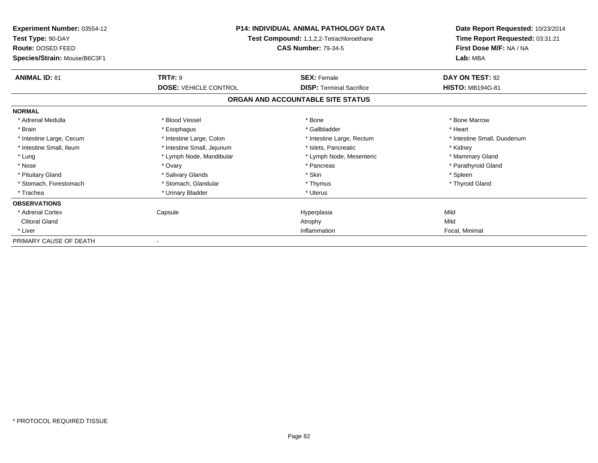| Experiment Number: 03554-12<br>Test Type: 90-DAY<br>Route: DOSED FEED<br>Species/Strain: Mouse/B6C3F1 | <b>P14: INDIVIDUAL ANIMAL PATHOLOGY DATA</b><br>Test Compound: 1,1,2,2-Tetrachloroethane<br><b>CAS Number: 79-34-5</b> |                                   | Date Report Requested: 10/23/2014<br>Time Report Requested: 03:31:21<br>First Dose M/F: NA / NA<br>Lab: MBA |
|-------------------------------------------------------------------------------------------------------|------------------------------------------------------------------------------------------------------------------------|-----------------------------------|-------------------------------------------------------------------------------------------------------------|
| <b>ANIMAL ID: 81</b>                                                                                  | <b>TRT#: 9</b>                                                                                                         | <b>SEX: Female</b>                | DAY ON TEST: 92                                                                                             |
|                                                                                                       | <b>DOSE: VEHICLE CONTROL</b>                                                                                           | <b>DISP:</b> Terminal Sacrifice   | <b>HISTO: MB194G-81</b>                                                                                     |
|                                                                                                       |                                                                                                                        | ORGAN AND ACCOUNTABLE SITE STATUS |                                                                                                             |
| <b>NORMAL</b>                                                                                         |                                                                                                                        |                                   |                                                                                                             |
| * Adrenal Medulla                                                                                     | * Blood Vessel                                                                                                         | * Bone                            | * Bone Marrow                                                                                               |
| * Brain                                                                                               | * Esophagus                                                                                                            | * Gallbladder                     | * Heart                                                                                                     |
| * Intestine Large, Cecum                                                                              | * Intestine Large, Colon                                                                                               | * Intestine Large, Rectum         | * Intestine Small, Duodenum                                                                                 |
| * Intestine Small. Ileum                                                                              | * Intestine Small, Jejunum                                                                                             | * Islets, Pancreatic              | * Kidney                                                                                                    |
| * Lung                                                                                                | * Lymph Node, Mandibular                                                                                               | * Lymph Node, Mesenteric          | * Mammary Gland                                                                                             |
| * Nose                                                                                                | * Ovary                                                                                                                | * Pancreas                        | * Parathyroid Gland                                                                                         |
| * Pituitary Gland                                                                                     | * Salivary Glands                                                                                                      | * Skin                            | * Spleen                                                                                                    |
| * Stomach, Forestomach                                                                                | * Stomach, Glandular                                                                                                   | * Thymus                          | * Thyroid Gland                                                                                             |
| * Trachea                                                                                             | * Urinary Bladder                                                                                                      | * Uterus                          |                                                                                                             |
| <b>OBSERVATIONS</b>                                                                                   |                                                                                                                        |                                   |                                                                                                             |
| * Adrenal Cortex                                                                                      | Capsule                                                                                                                | Hyperplasia                       | Mild                                                                                                        |
| <b>Clitoral Gland</b>                                                                                 |                                                                                                                        | Atrophy                           | Mild                                                                                                        |
| * Liver                                                                                               |                                                                                                                        | Inflammation                      | Focal, Minimal                                                                                              |
| PRIMARY CAUSE OF DEATH                                                                                |                                                                                                                        |                                   |                                                                                                             |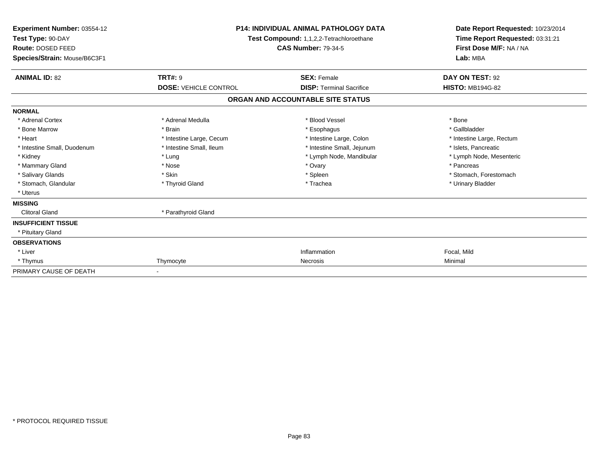| Experiment Number: 03554-12<br>Test Type: 90-DAY<br>Route: DOSED FEED<br>Species/Strain: Mouse/B6C3F1 |                              | <b>P14: INDIVIDUAL ANIMAL PATHOLOGY DATA</b><br><b>Test Compound: 1,1,2,2-Tetrachloroethane</b><br><b>CAS Number: 79-34-5</b> |                           |
|-------------------------------------------------------------------------------------------------------|------------------------------|-------------------------------------------------------------------------------------------------------------------------------|---------------------------|
| <b>ANIMAL ID: 82</b>                                                                                  | <b>TRT#: 9</b>               | <b>SEX: Female</b>                                                                                                            | DAY ON TEST: 92           |
|                                                                                                       | <b>DOSE: VEHICLE CONTROL</b> | <b>DISP: Terminal Sacrifice</b>                                                                                               | <b>HISTO: MB194G-82</b>   |
|                                                                                                       |                              | ORGAN AND ACCOUNTABLE SITE STATUS                                                                                             |                           |
| <b>NORMAL</b>                                                                                         |                              |                                                                                                                               |                           |
| * Adrenal Cortex                                                                                      | * Adrenal Medulla            | * Blood Vessel                                                                                                                | * Bone                    |
| * Bone Marrow                                                                                         | * Brain                      | * Esophagus                                                                                                                   | * Gallbladder             |
| * Heart                                                                                               | * Intestine Large, Cecum     | * Intestine Large, Colon                                                                                                      | * Intestine Large, Rectum |
| * Intestine Small, Duodenum                                                                           | * Intestine Small, Ileum     | * Intestine Small, Jejunum                                                                                                    | * Islets, Pancreatic      |
| * Kidney                                                                                              | * Lung                       | * Lymph Node, Mandibular                                                                                                      | * Lymph Node, Mesenteric  |
| * Mammary Gland                                                                                       | * Nose                       | * Ovary                                                                                                                       | * Pancreas                |
| * Salivary Glands                                                                                     | * Skin                       | * Spleen                                                                                                                      | * Stomach, Forestomach    |
| * Stomach, Glandular                                                                                  | * Thyroid Gland              | * Trachea                                                                                                                     | * Urinary Bladder         |
| * Uterus                                                                                              |                              |                                                                                                                               |                           |
| <b>MISSING</b>                                                                                        |                              |                                                                                                                               |                           |
| <b>Clitoral Gland</b>                                                                                 | * Parathyroid Gland          |                                                                                                                               |                           |
| <b>INSUFFICIENT TISSUE</b>                                                                            |                              |                                                                                                                               |                           |
| * Pituitary Gland                                                                                     |                              |                                                                                                                               |                           |
| <b>OBSERVATIONS</b>                                                                                   |                              |                                                                                                                               |                           |
| * Liver                                                                                               |                              | Inflammation                                                                                                                  | Focal, Mild               |
| * Thymus                                                                                              | Thymocyte                    | Necrosis                                                                                                                      | Minimal                   |
| PRIMARY CAUSE OF DEATH                                                                                |                              |                                                                                                                               |                           |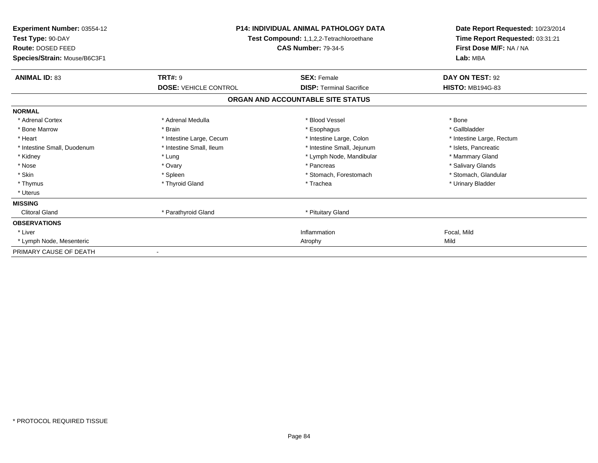| <b>Experiment Number: 03554-12</b><br>Test Type: 90-DAY<br>Route: DOSED FEED<br>Species/Strain: Mouse/B6C3F1 | <b>P14: INDIVIDUAL ANIMAL PATHOLOGY DATA</b><br>Test Compound: 1,1,2,2-Tetrachloroethane<br><b>CAS Number: 79-34-5</b> |                                   | Date Report Requested: 10/23/2014<br>Time Report Requested: 03:31:21<br>First Dose M/F: NA / NA<br>Lab: MBA |
|--------------------------------------------------------------------------------------------------------------|------------------------------------------------------------------------------------------------------------------------|-----------------------------------|-------------------------------------------------------------------------------------------------------------|
| <b>ANIMAL ID: 83</b>                                                                                         | <b>TRT#: 9</b>                                                                                                         | <b>SEX: Female</b>                | DAY ON TEST: 92                                                                                             |
|                                                                                                              | <b>DOSE: VEHICLE CONTROL</b>                                                                                           | <b>DISP: Terminal Sacrifice</b>   | <b>HISTO: MB194G-83</b>                                                                                     |
|                                                                                                              |                                                                                                                        | ORGAN AND ACCOUNTABLE SITE STATUS |                                                                                                             |
| <b>NORMAL</b>                                                                                                |                                                                                                                        |                                   |                                                                                                             |
| * Adrenal Cortex                                                                                             | * Adrenal Medulla                                                                                                      | * Blood Vessel                    | * Bone                                                                                                      |
| * Bone Marrow                                                                                                | * Brain                                                                                                                | * Esophagus                       | * Gallbladder                                                                                               |
| * Heart                                                                                                      | * Intestine Large, Cecum                                                                                               | * Intestine Large, Colon          | * Intestine Large, Rectum                                                                                   |
| * Intestine Small, Duodenum                                                                                  | * Intestine Small, Ileum                                                                                               | * Intestine Small, Jejunum        | * Islets, Pancreatic                                                                                        |
| * Kidney                                                                                                     | * Lung                                                                                                                 | * Lymph Node, Mandibular          | * Mammary Gland                                                                                             |
| * Nose                                                                                                       | * Ovary                                                                                                                | * Pancreas                        | * Salivary Glands                                                                                           |
| * Skin                                                                                                       | * Spleen                                                                                                               | * Stomach, Forestomach            | * Stomach, Glandular                                                                                        |
| * Thymus                                                                                                     | * Thyroid Gland                                                                                                        | * Trachea                         | * Urinary Bladder                                                                                           |
| * Uterus                                                                                                     |                                                                                                                        |                                   |                                                                                                             |
| <b>MISSING</b>                                                                                               |                                                                                                                        |                                   |                                                                                                             |
| <b>Clitoral Gland</b>                                                                                        | * Parathyroid Gland                                                                                                    | * Pituitary Gland                 |                                                                                                             |
| <b>OBSERVATIONS</b>                                                                                          |                                                                                                                        |                                   |                                                                                                             |
| * Liver                                                                                                      |                                                                                                                        | Inflammation                      | Focal, Mild                                                                                                 |
| * Lymph Node, Mesenteric                                                                                     |                                                                                                                        | Atrophy                           | Mild                                                                                                        |
| PRIMARY CAUSE OF DEATH                                                                                       |                                                                                                                        |                                   |                                                                                                             |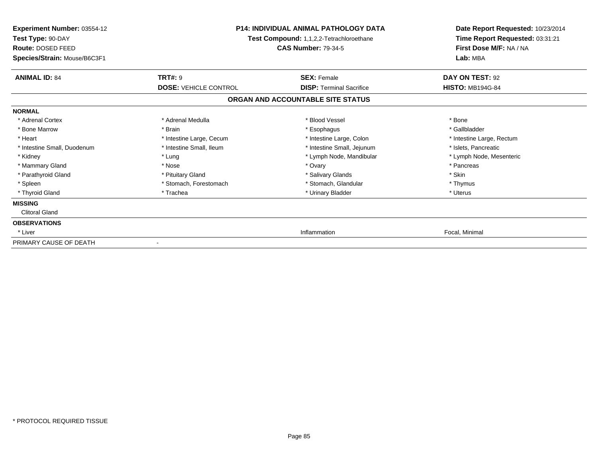| <b>Experiment Number: 03554-12</b><br>Test Type: 90-DAY<br><b>Route: DOSED FEED</b><br>Species/Strain: Mouse/B6C3F1 | <b>P14: INDIVIDUAL ANIMAL PATHOLOGY DATA</b><br>Test Compound: 1,1,2,2-Tetrachloroethane<br><b>CAS Number: 79-34-5</b> |                                   | Date Report Requested: 10/23/2014<br>Time Report Requested: 03:31:21<br>First Dose M/F: NA / NA<br>Lab: MBA |
|---------------------------------------------------------------------------------------------------------------------|------------------------------------------------------------------------------------------------------------------------|-----------------------------------|-------------------------------------------------------------------------------------------------------------|
| <b>ANIMAL ID: 84</b>                                                                                                | <b>TRT#: 9</b>                                                                                                         | <b>SEX: Female</b>                | DAY ON TEST: 92                                                                                             |
|                                                                                                                     | <b>DOSE: VEHICLE CONTROL</b>                                                                                           | <b>DISP:</b> Terminal Sacrifice   | <b>HISTO: MB194G-84</b>                                                                                     |
|                                                                                                                     |                                                                                                                        | ORGAN AND ACCOUNTABLE SITE STATUS |                                                                                                             |
| <b>NORMAL</b>                                                                                                       |                                                                                                                        |                                   |                                                                                                             |
| * Adrenal Cortex                                                                                                    | * Adrenal Medulla                                                                                                      | * Blood Vessel                    | * Bone                                                                                                      |
| * Bone Marrow                                                                                                       | * Brain                                                                                                                | * Esophagus                       | * Gallbladder                                                                                               |
| * Heart                                                                                                             | * Intestine Large, Cecum                                                                                               | * Intestine Large, Colon          | * Intestine Large, Rectum                                                                                   |
| * Intestine Small, Duodenum                                                                                         | * Intestine Small, Ileum                                                                                               | * Intestine Small, Jejunum        | * Islets, Pancreatic                                                                                        |
| * Kidney                                                                                                            | * Lung                                                                                                                 | * Lymph Node, Mandibular          | * Lymph Node, Mesenteric                                                                                    |
| * Mammary Gland                                                                                                     | * Nose                                                                                                                 | * Ovary                           | * Pancreas                                                                                                  |
| * Parathyroid Gland                                                                                                 | * Pituitary Gland                                                                                                      | * Salivary Glands                 | * Skin                                                                                                      |
| * Spleen                                                                                                            | * Stomach, Forestomach                                                                                                 | * Stomach, Glandular              | * Thymus                                                                                                    |
| * Thyroid Gland                                                                                                     | * Trachea                                                                                                              | * Urinary Bladder                 | * Uterus                                                                                                    |
| <b>MISSING</b>                                                                                                      |                                                                                                                        |                                   |                                                                                                             |
| <b>Clitoral Gland</b>                                                                                               |                                                                                                                        |                                   |                                                                                                             |
| <b>OBSERVATIONS</b>                                                                                                 |                                                                                                                        |                                   |                                                                                                             |
| * Liver                                                                                                             |                                                                                                                        | Inflammation                      | Focal, Minimal                                                                                              |
| PRIMARY CAUSE OF DEATH                                                                                              |                                                                                                                        |                                   |                                                                                                             |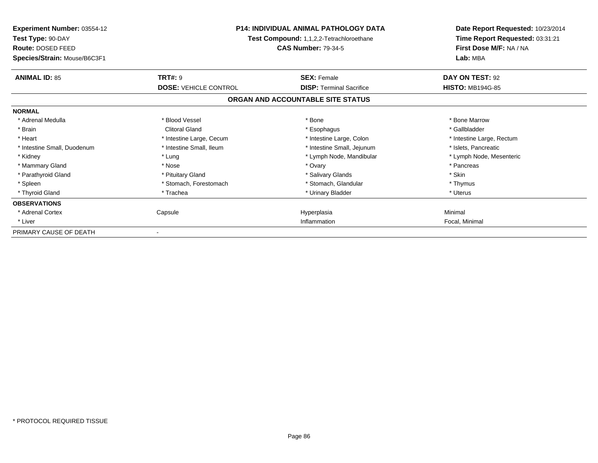| <b>Experiment Number: 03554-12</b><br>Test Type: 90-DAY<br>Route: DOSED FEED<br>Species/Strain: Mouse/B6C3F1 | P14: INDIVIDUAL ANIMAL PATHOLOGY DATA<br>Test Compound: 1,1,2,2-Tetrachloroethane<br><b>CAS Number: 79-34-5</b> |                                   | Date Report Requested: 10/23/2014<br>Time Report Requested: 03:31:21<br>First Dose M/F: NA / NA<br>Lab: MBA |
|--------------------------------------------------------------------------------------------------------------|-----------------------------------------------------------------------------------------------------------------|-----------------------------------|-------------------------------------------------------------------------------------------------------------|
| <b>ANIMAL ID: 85</b>                                                                                         | <b>TRT#: 9</b>                                                                                                  | <b>SEX: Female</b>                | DAY ON TEST: 92                                                                                             |
|                                                                                                              | <b>DOSE: VEHICLE CONTROL</b>                                                                                    | <b>DISP: Terminal Sacrifice</b>   | <b>HISTO: MB194G-85</b>                                                                                     |
|                                                                                                              |                                                                                                                 | ORGAN AND ACCOUNTABLE SITE STATUS |                                                                                                             |
| <b>NORMAL</b>                                                                                                |                                                                                                                 |                                   |                                                                                                             |
| * Adrenal Medulla                                                                                            | * Blood Vessel                                                                                                  | * Bone                            | * Bone Marrow                                                                                               |
| * Brain                                                                                                      | <b>Clitoral Gland</b>                                                                                           | * Esophagus                       | * Gallbladder                                                                                               |
| * Heart                                                                                                      | * Intestine Large, Cecum                                                                                        | * Intestine Large, Colon          | * Intestine Large, Rectum                                                                                   |
| * Intestine Small, Duodenum                                                                                  | * Intestine Small, Ileum                                                                                        | * Intestine Small, Jejunum        | * Islets, Pancreatic                                                                                        |
| * Kidney                                                                                                     | * Lung                                                                                                          | * Lymph Node, Mandibular          | * Lymph Node, Mesenteric                                                                                    |
| * Mammary Gland                                                                                              | * Nose                                                                                                          | * Ovary                           | * Pancreas                                                                                                  |
| * Parathyroid Gland                                                                                          | * Pituitary Gland                                                                                               | * Salivary Glands                 | * Skin                                                                                                      |
| * Spleen                                                                                                     | * Stomach, Forestomach                                                                                          | * Stomach, Glandular              | * Thymus                                                                                                    |
| * Thyroid Gland                                                                                              | * Trachea                                                                                                       | * Urinary Bladder                 | * Uterus                                                                                                    |
| <b>OBSERVATIONS</b>                                                                                          |                                                                                                                 |                                   |                                                                                                             |
| * Adrenal Cortex                                                                                             | Capsule                                                                                                         | Hyperplasia                       | Minimal                                                                                                     |
| * Liver                                                                                                      |                                                                                                                 | Inflammation                      | Focal, Minimal                                                                                              |
| PRIMARY CAUSE OF DEATH                                                                                       |                                                                                                                 |                                   |                                                                                                             |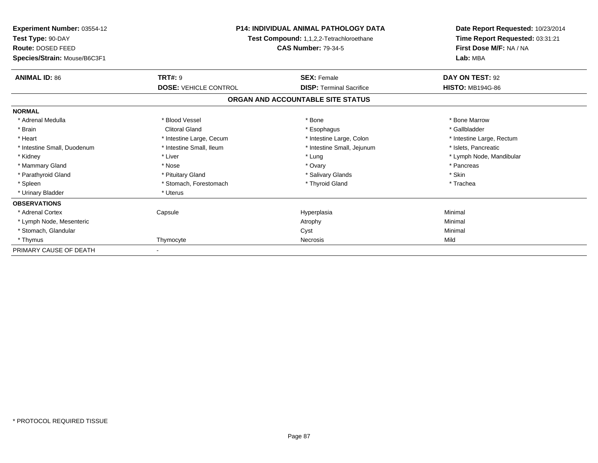| Experiment Number: 03554-12<br>Test Type: 90-DAY<br>Route: DOSED FEED | <b>P14: INDIVIDUAL ANIMAL PATHOLOGY DATA</b><br>Test Compound: 1,1,2,2-Tetrachloroethane<br><b>CAS Number: 79-34-5</b> |                                   | Date Report Requested: 10/23/2014<br>Time Report Requested: 03:31:21<br>First Dose M/F: NA / NA |
|-----------------------------------------------------------------------|------------------------------------------------------------------------------------------------------------------------|-----------------------------------|-------------------------------------------------------------------------------------------------|
| Species/Strain: Mouse/B6C3F1                                          |                                                                                                                        |                                   |                                                                                                 |
| <b>ANIMAL ID: 86</b>                                                  | <b>TRT#: 9</b>                                                                                                         | <b>SEX: Female</b>                | DAY ON TEST: 92                                                                                 |
|                                                                       | <b>DOSE: VEHICLE CONTROL</b>                                                                                           | <b>DISP: Terminal Sacrifice</b>   | <b>HISTO: MB194G-86</b>                                                                         |
|                                                                       |                                                                                                                        | ORGAN AND ACCOUNTABLE SITE STATUS |                                                                                                 |
| <b>NORMAL</b>                                                         |                                                                                                                        |                                   |                                                                                                 |
| * Adrenal Medulla                                                     | * Blood Vessel                                                                                                         | * Bone                            | * Bone Marrow                                                                                   |
| * Brain                                                               | <b>Clitoral Gland</b>                                                                                                  | * Esophagus                       | * Gallbladder                                                                                   |
| * Heart                                                               | * Intestine Large, Cecum                                                                                               | * Intestine Large, Colon          | * Intestine Large, Rectum                                                                       |
| * Intestine Small, Duodenum                                           | * Intestine Small, Ileum                                                                                               | * Intestine Small, Jejunum        | * Islets, Pancreatic                                                                            |
| * Kidney                                                              | * Liver                                                                                                                | * Lung                            | * Lymph Node, Mandibular                                                                        |
| * Mammary Gland                                                       | * Nose                                                                                                                 | * Ovary                           | * Pancreas                                                                                      |
| * Parathyroid Gland                                                   | * Pituitary Gland                                                                                                      | * Salivary Glands                 | * Skin                                                                                          |
| * Spleen                                                              | * Stomach, Forestomach                                                                                                 | * Thyroid Gland                   | * Trachea                                                                                       |
| * Urinary Bladder                                                     | * Uterus                                                                                                               |                                   |                                                                                                 |
| <b>OBSERVATIONS</b>                                                   |                                                                                                                        |                                   |                                                                                                 |
| * Adrenal Cortex                                                      | Capsule                                                                                                                | Hyperplasia                       | Minimal                                                                                         |
| * Lymph Node, Mesenteric                                              |                                                                                                                        | Atrophy                           | Minimal                                                                                         |
| * Stomach, Glandular                                                  |                                                                                                                        | Cyst                              | Minimal                                                                                         |
| * Thymus                                                              | Thymocyte                                                                                                              | Necrosis                          | Mild                                                                                            |
| PRIMARY CAUSE OF DEATH                                                |                                                                                                                        |                                   |                                                                                                 |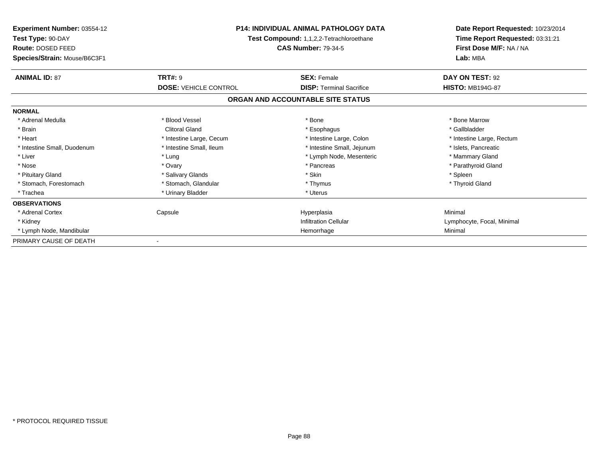| <b>Experiment Number: 03554-12</b><br>Test Type: 90-DAY<br><b>Route: DOSED FEED</b><br>Species/Strain: Mouse/B6C3F1 | <b>P14: INDIVIDUAL ANIMAL PATHOLOGY DATA</b><br>Test Compound: 1,1,2,2-Tetrachloroethane<br><b>CAS Number: 79-34-5</b> |                                   | Date Report Requested: 10/23/2014<br>Time Report Requested: 03:31:21<br>First Dose M/F: NA / NA<br>Lab: MBA |
|---------------------------------------------------------------------------------------------------------------------|------------------------------------------------------------------------------------------------------------------------|-----------------------------------|-------------------------------------------------------------------------------------------------------------|
| <b>ANIMAL ID: 87</b>                                                                                                | <b>TRT#: 9</b>                                                                                                         | <b>SEX: Female</b>                | DAY ON TEST: 92                                                                                             |
|                                                                                                                     | <b>DOSE: VEHICLE CONTROL</b>                                                                                           | <b>DISP: Terminal Sacrifice</b>   | <b>HISTO: MB194G-87</b>                                                                                     |
|                                                                                                                     |                                                                                                                        | ORGAN AND ACCOUNTABLE SITE STATUS |                                                                                                             |
| <b>NORMAL</b>                                                                                                       |                                                                                                                        |                                   |                                                                                                             |
| * Adrenal Medulla                                                                                                   | * Blood Vessel                                                                                                         | * Bone                            | * Bone Marrow                                                                                               |
| * Brain                                                                                                             | <b>Clitoral Gland</b>                                                                                                  | * Esophagus                       | * Gallbladder                                                                                               |
| * Heart                                                                                                             | * Intestine Large, Cecum                                                                                               | * Intestine Large, Colon          | * Intestine Large, Rectum                                                                                   |
| * Intestine Small, Duodenum                                                                                         | * Intestine Small, Ileum                                                                                               | * Intestine Small, Jejunum        | * Islets, Pancreatic                                                                                        |
| * Liver                                                                                                             | * Lung                                                                                                                 | * Lymph Node, Mesenteric          | * Mammary Gland                                                                                             |
| * Nose                                                                                                              | * Ovary                                                                                                                | * Pancreas                        | * Parathyroid Gland                                                                                         |
| * Pituitary Gland                                                                                                   | * Salivary Glands                                                                                                      | * Skin                            | * Spleen                                                                                                    |
| * Stomach, Forestomach                                                                                              | * Stomach, Glandular                                                                                                   | * Thymus                          | * Thyroid Gland                                                                                             |
| * Trachea                                                                                                           | * Urinary Bladder                                                                                                      | * Uterus                          |                                                                                                             |
| <b>OBSERVATIONS</b>                                                                                                 |                                                                                                                        |                                   |                                                                                                             |
| * Adrenal Cortex                                                                                                    | Capsule                                                                                                                | Hyperplasia                       | Minimal                                                                                                     |
| * Kidney                                                                                                            |                                                                                                                        | <b>Infiltration Cellular</b>      | Lymphocyte, Focal, Minimal                                                                                  |
| * Lymph Node, Mandibular                                                                                            |                                                                                                                        | Hemorrhage                        | Minimal                                                                                                     |
| PRIMARY CAUSE OF DEATH                                                                                              |                                                                                                                        |                                   |                                                                                                             |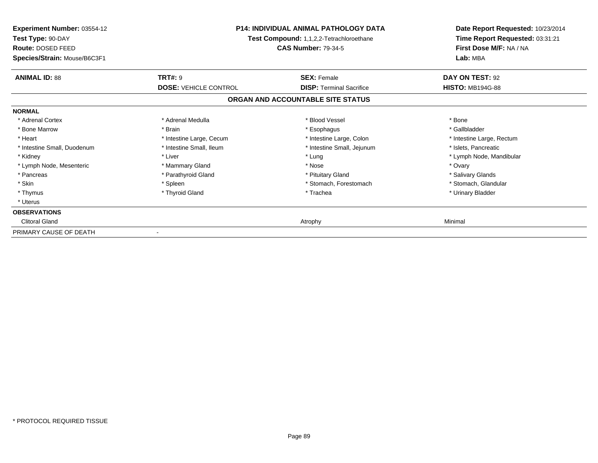| Experiment Number: 03554-12<br>Test Type: 90-DAY<br>Route: DOSED FEED<br>Species/Strain: Mouse/B6C3F1 | <b>P14: INDIVIDUAL ANIMAL PATHOLOGY DATA</b><br>Test Compound: 1,1,2,2-Tetrachloroethane<br><b>CAS Number: 79-34-5</b> |                                   | Date Report Requested: 10/23/2014<br>Time Report Requested: 03:31:21<br>First Dose M/F: NA / NA<br>Lab: MBA |
|-------------------------------------------------------------------------------------------------------|------------------------------------------------------------------------------------------------------------------------|-----------------------------------|-------------------------------------------------------------------------------------------------------------|
| <b>ANIMAL ID: 88</b>                                                                                  | <b>TRT#: 9</b>                                                                                                         | <b>SEX: Female</b>                | DAY ON TEST: 92                                                                                             |
|                                                                                                       | <b>DOSE: VEHICLE CONTROL</b>                                                                                           | <b>DISP:</b> Terminal Sacrifice   | <b>HISTO: MB194G-88</b>                                                                                     |
|                                                                                                       |                                                                                                                        | ORGAN AND ACCOUNTABLE SITE STATUS |                                                                                                             |
| <b>NORMAL</b>                                                                                         |                                                                                                                        |                                   |                                                                                                             |
| * Adrenal Cortex                                                                                      | * Adrenal Medulla                                                                                                      | * Blood Vessel                    | * Bone                                                                                                      |
| * Bone Marrow                                                                                         | * Brain                                                                                                                | * Esophagus                       | * Gallbladder                                                                                               |
| * Heart                                                                                               | * Intestine Large, Cecum                                                                                               | * Intestine Large, Colon          | * Intestine Large, Rectum                                                                                   |
| * Intestine Small, Duodenum                                                                           | * Intestine Small, Ileum                                                                                               | * Intestine Small, Jejunum        | * Islets, Pancreatic                                                                                        |
| * Kidney                                                                                              | * Liver                                                                                                                | * Lung                            | * Lymph Node, Mandibular                                                                                    |
| * Lymph Node, Mesenteric                                                                              | * Mammary Gland                                                                                                        | * Nose                            | * Ovary                                                                                                     |
| * Pancreas                                                                                            | * Parathyroid Gland                                                                                                    | * Pituitary Gland                 | * Salivary Glands                                                                                           |
| * Skin                                                                                                | * Spleen                                                                                                               | * Stomach, Forestomach            | * Stomach, Glandular                                                                                        |
| * Thymus                                                                                              | * Thyroid Gland                                                                                                        | * Trachea                         | * Urinary Bladder                                                                                           |
| * Uterus                                                                                              |                                                                                                                        |                                   |                                                                                                             |
| <b>OBSERVATIONS</b>                                                                                   |                                                                                                                        |                                   |                                                                                                             |
| <b>Clitoral Gland</b>                                                                                 |                                                                                                                        | Atrophy                           | Minimal                                                                                                     |
| PRIMARY CAUSE OF DEATH                                                                                |                                                                                                                        |                                   |                                                                                                             |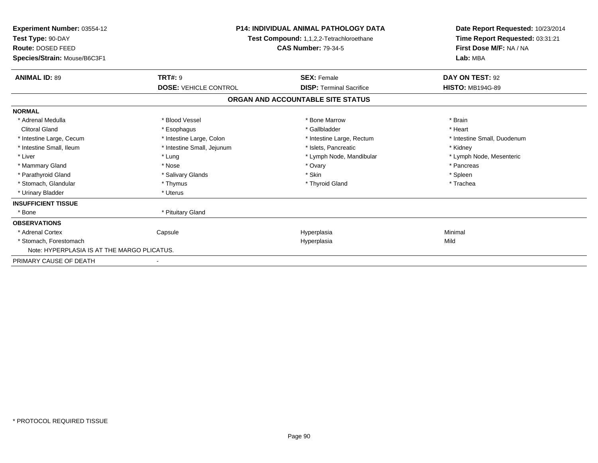| Experiment Number: 03554-12<br>Test Type: 90-DAY<br>Route: DOSED FEED<br>Species/Strain: Mouse/B6C3F1 | <b>P14: INDIVIDUAL ANIMAL PATHOLOGY DATA</b><br><b>Test Compound: 1,1,2,2-Tetrachloroethane</b><br><b>CAS Number: 79-34-5</b> |                                   | Date Report Requested: 10/23/2014<br>Time Report Requested: 03:31:21<br>First Dose M/F: NA / NA<br>Lab: MBA |
|-------------------------------------------------------------------------------------------------------|-------------------------------------------------------------------------------------------------------------------------------|-----------------------------------|-------------------------------------------------------------------------------------------------------------|
| <b>ANIMAL ID: 89</b>                                                                                  | <b>TRT#: 9</b>                                                                                                                | <b>SEX: Female</b>                | DAY ON TEST: 92                                                                                             |
|                                                                                                       | <b>DOSE: VEHICLE CONTROL</b>                                                                                                  | <b>DISP: Terminal Sacrifice</b>   | <b>HISTO: MB194G-89</b>                                                                                     |
|                                                                                                       |                                                                                                                               | ORGAN AND ACCOUNTABLE SITE STATUS |                                                                                                             |
| <b>NORMAL</b>                                                                                         |                                                                                                                               |                                   |                                                                                                             |
| * Adrenal Medulla                                                                                     | * Blood Vessel                                                                                                                | * Bone Marrow                     | * Brain                                                                                                     |
| <b>Clitoral Gland</b>                                                                                 | * Esophagus                                                                                                                   | * Gallbladder                     | * Heart                                                                                                     |
| * Intestine Large, Cecum                                                                              | * Intestine Large, Colon                                                                                                      | * Intestine Large, Rectum         | * Intestine Small, Duodenum                                                                                 |
| * Intestine Small, Ileum                                                                              | * Intestine Small, Jejunum                                                                                                    | * Islets. Pancreatic              | * Kidney                                                                                                    |
| * Liver                                                                                               | * Lung                                                                                                                        | * Lymph Node, Mandibular          | * Lymph Node, Mesenteric                                                                                    |
| * Mammary Gland                                                                                       | * Nose                                                                                                                        | * Ovary                           | * Pancreas                                                                                                  |
| * Parathyroid Gland                                                                                   | * Salivary Glands                                                                                                             | * Skin                            | * Spleen                                                                                                    |
| * Stomach, Glandular                                                                                  | * Thymus                                                                                                                      | * Thyroid Gland                   | * Trachea                                                                                                   |
| * Urinary Bladder                                                                                     | * Uterus                                                                                                                      |                                   |                                                                                                             |
| <b>INSUFFICIENT TISSUE</b>                                                                            |                                                                                                                               |                                   |                                                                                                             |
| * Bone                                                                                                | * Pituitary Gland                                                                                                             |                                   |                                                                                                             |
| <b>OBSERVATIONS</b>                                                                                   |                                                                                                                               |                                   |                                                                                                             |
| * Adrenal Cortex                                                                                      | Capsule                                                                                                                       | Hyperplasia                       | Minimal                                                                                                     |
| * Stomach, Forestomach                                                                                |                                                                                                                               | Hyperplasia                       | Mild                                                                                                        |
| Note: HYPERPLASIA IS AT THE MARGO PLICATUS.                                                           |                                                                                                                               |                                   |                                                                                                             |
| PRIMARY CAUSE OF DEATH                                                                                | $\blacksquare$                                                                                                                |                                   |                                                                                                             |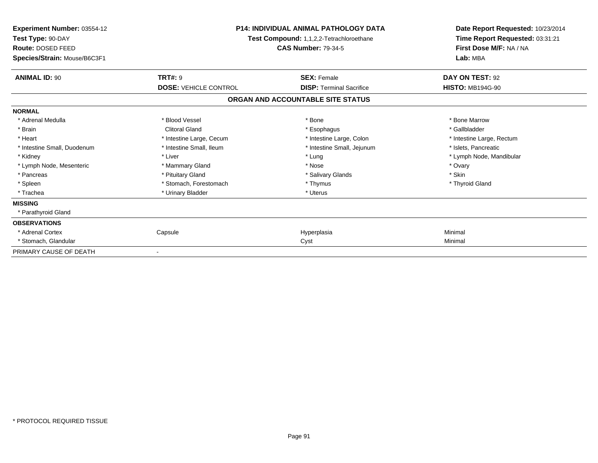| Experiment Number: 03554-12<br>Test Type: 90-DAY<br>Route: DOSED FEED<br>Species/Strain: Mouse/B6C3F1 | <b>P14: INDIVIDUAL ANIMAL PATHOLOGY DATA</b><br>Test Compound: 1,1,2,2-Tetrachloroethane<br><b>CAS Number: 79-34-5</b> |                                   | Date Report Requested: 10/23/2014<br>Time Report Requested: 03:31:21<br>First Dose M/F: NA / NA<br>Lab: MBA |
|-------------------------------------------------------------------------------------------------------|------------------------------------------------------------------------------------------------------------------------|-----------------------------------|-------------------------------------------------------------------------------------------------------------|
| <b>ANIMAL ID: 90</b>                                                                                  | <b>TRT#: 9</b>                                                                                                         | <b>SEX: Female</b>                | DAY ON TEST: 92                                                                                             |
|                                                                                                       | <b>DOSE: VEHICLE CONTROL</b>                                                                                           | <b>DISP: Terminal Sacrifice</b>   | <b>HISTO: MB194G-90</b>                                                                                     |
|                                                                                                       |                                                                                                                        | ORGAN AND ACCOUNTABLE SITE STATUS |                                                                                                             |
| <b>NORMAL</b>                                                                                         |                                                                                                                        |                                   |                                                                                                             |
| * Adrenal Medulla                                                                                     | * Blood Vessel                                                                                                         | * Bone                            | * Bone Marrow                                                                                               |
| * Brain                                                                                               | <b>Clitoral Gland</b>                                                                                                  | * Esophagus                       | * Gallbladder                                                                                               |
| * Heart                                                                                               | * Intestine Large, Cecum                                                                                               | * Intestine Large, Colon          | * Intestine Large, Rectum                                                                                   |
| * Intestine Small, Duodenum                                                                           | * Intestine Small, Ileum                                                                                               | * Intestine Small, Jejunum        | * Islets, Pancreatic                                                                                        |
| * Kidney                                                                                              | * Liver                                                                                                                | * Lung                            | * Lymph Node, Mandibular                                                                                    |
| * Lymph Node, Mesenteric                                                                              | * Mammary Gland                                                                                                        | * Nose                            | * Ovary                                                                                                     |
| * Pancreas                                                                                            | * Pituitary Gland                                                                                                      | * Salivary Glands                 | * Skin                                                                                                      |
| * Spleen                                                                                              | * Stomach, Forestomach                                                                                                 | * Thymus                          | * Thyroid Gland                                                                                             |
| * Trachea                                                                                             | * Urinary Bladder                                                                                                      | * Uterus                          |                                                                                                             |
| <b>MISSING</b>                                                                                        |                                                                                                                        |                                   |                                                                                                             |
| * Parathyroid Gland                                                                                   |                                                                                                                        |                                   |                                                                                                             |
| <b>OBSERVATIONS</b>                                                                                   |                                                                                                                        |                                   |                                                                                                             |
| * Adrenal Cortex                                                                                      | Capsule                                                                                                                | Hyperplasia                       | Minimal                                                                                                     |
| * Stomach, Glandular                                                                                  |                                                                                                                        | Cyst                              | Minimal                                                                                                     |
| PRIMARY CAUSE OF DEATH                                                                                |                                                                                                                        |                                   |                                                                                                             |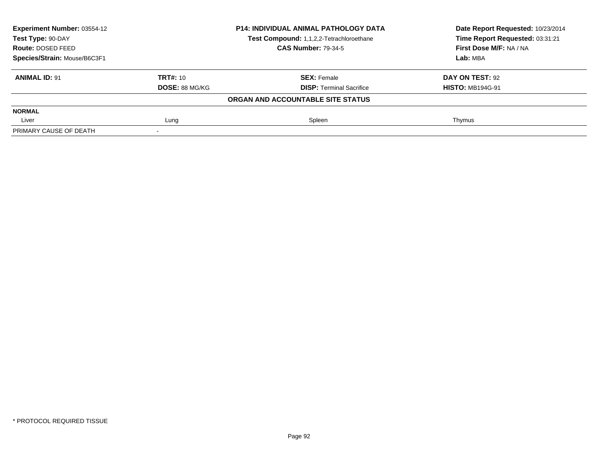| <b>Experiment Number: 03554-12</b> |                       | <b>P14: INDIVIDUAL ANIMAL PATHOLOGY DATA</b> | Date Report Requested: 10/23/2014 |
|------------------------------------|-----------------------|----------------------------------------------|-----------------------------------|
| Test Type: 90-DAY                  |                       | Test Compound: 1,1,2,2-Tetrachloroethane     | Time Report Requested: 03:31:21   |
| Route: DOSED FEED                  |                       | <b>CAS Number: 79-34-5</b>                   | First Dose M/F: NA / NA           |
| Species/Strain: Mouse/B6C3F1       |                       |                                              | Lab: MBA                          |
| <b>ANIMAL ID: 91</b>               | <b>TRT#: 10</b>       | <b>SEX: Female</b>                           | DAY ON TEST: 92                   |
|                                    | <b>DOSE: 88 MG/KG</b> | <b>DISP: Terminal Sacrifice</b>              | <b>HISTO: MB194G-91</b>           |
|                                    |                       | ORGAN AND ACCOUNTABLE SITE STATUS            |                                   |
| <b>NORMAL</b>                      |                       |                                              |                                   |
| Liver                              | Lung                  | Spleen                                       | Thymus                            |
| PRIMARY CAUSE OF DEATH             |                       |                                              |                                   |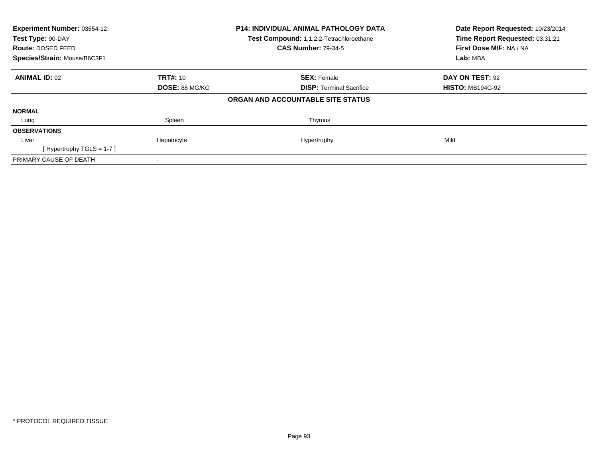| Experiment Number: 03554-12<br>Test Type: 90-DAY |                       | P14: INDIVIDUAL ANIMAL PATHOLOGY DATA    | Date Report Requested: 10/23/2014<br>Time Report Requested: 03:31:21 |
|--------------------------------------------------|-----------------------|------------------------------------------|----------------------------------------------------------------------|
|                                                  |                       | Test Compound: 1,1,2,2-Tetrachloroethane |                                                                      |
| Route: DOSED FEED                                |                       | <b>CAS Number: 79-34-5</b>               | First Dose M/F: NA / NA                                              |
| Species/Strain: Mouse/B6C3F1                     |                       |                                          | Lab: MBA                                                             |
| <b>ANIMAL ID: 92</b>                             | <b>TRT#: 10</b>       | <b>SEX: Female</b>                       | DAY ON TEST: 92                                                      |
|                                                  | <b>DOSE: 88 MG/KG</b> | <b>DISP: Terminal Sacrifice</b>          | <b>HISTO: MB194G-92</b>                                              |
|                                                  |                       | ORGAN AND ACCOUNTABLE SITE STATUS        |                                                                      |
| <b>NORMAL</b>                                    |                       |                                          |                                                                      |
| Lung                                             | Spleen                | Thymus                                   |                                                                      |
| <b>OBSERVATIONS</b>                              |                       |                                          |                                                                      |
| Liver                                            | Hepatocyte            | Hypertrophy                              | Mild                                                                 |
| [Hypertrophy TGLS = $1-7$ ]                      |                       |                                          |                                                                      |
| PRIMARY CAUSE OF DEATH                           |                       |                                          |                                                                      |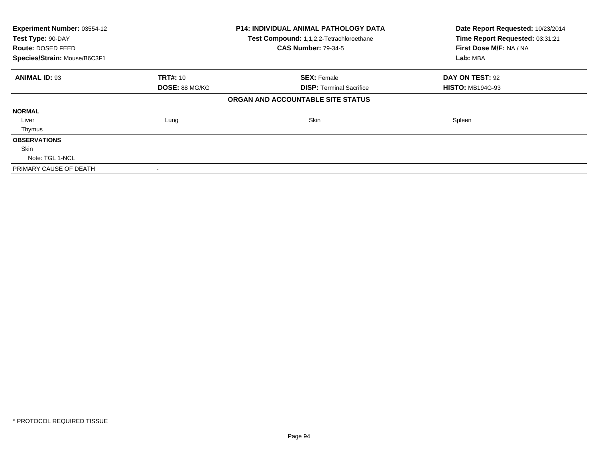| Experiment Number: 03554-12  |                 | <b>P14: INDIVIDUAL ANIMAL PATHOLOGY DATA</b> | Date Report Requested: 10/23/2014 |
|------------------------------|-----------------|----------------------------------------------|-----------------------------------|
| Test Type: 90-DAY            |                 | Test Compound: 1,1,2,2-Tetrachloroethane     | Time Report Requested: 03:31:21   |
| <b>Route: DOSED FEED</b>     |                 | <b>CAS Number: 79-34-5</b>                   | First Dose M/F: NA / NA           |
| Species/Strain: Mouse/B6C3F1 |                 |                                              | Lab: MBA                          |
| <b>ANIMAL ID: 93</b>         | <b>TRT#: 10</b> | <b>SEX: Female</b>                           | <b>DAY ON TEST: 92</b>            |
|                              | DOSE: 88 MG/KG  | <b>DISP:</b> Terminal Sacrifice              | <b>HISTO: MB194G-93</b>           |
|                              |                 | ORGAN AND ACCOUNTABLE SITE STATUS            |                                   |
| <b>NORMAL</b>                |                 |                                              |                                   |
| Liver                        | Lung            | Skin                                         | Spleen                            |
| Thymus                       |                 |                                              |                                   |
| <b>OBSERVATIONS</b>          |                 |                                              |                                   |
| <b>Skin</b>                  |                 |                                              |                                   |
| Note: TGL 1-NCL              |                 |                                              |                                   |
| PRIMARY CAUSE OF DEATH       |                 |                                              |                                   |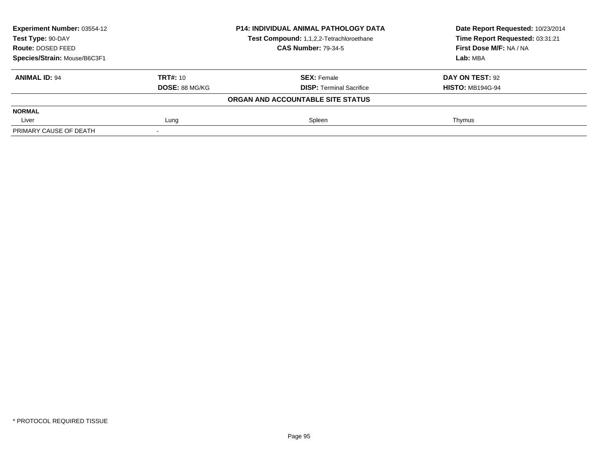| Experiment Number: 03554-12  |                 | <b>P14: INDIVIDUAL ANIMAL PATHOLOGY DATA</b> | Date Report Requested: 10/23/2014 |
|------------------------------|-----------------|----------------------------------------------|-----------------------------------|
| Test Type: 90-DAY            |                 | Test Compound: 1,1,2,2-Tetrachloroethane     | Time Report Requested: 03:31:21   |
| Route: DOSED FEED            |                 | <b>CAS Number: 79-34-5</b>                   | First Dose M/F: NA / NA           |
| Species/Strain: Mouse/B6C3F1 |                 |                                              | Lab: MBA                          |
| <b>ANIMAL ID: 94</b>         | <b>TRT#: 10</b> | <b>SEX: Female</b>                           | DAY ON TEST: 92                   |
|                              | DOSE: 88 MG/KG  | <b>DISP:</b> Terminal Sacrifice              | <b>HISTO: MB194G-94</b>           |
|                              |                 | ORGAN AND ACCOUNTABLE SITE STATUS            |                                   |
| <b>NORMAL</b>                |                 |                                              |                                   |
| Liver                        | Lung            | Spleen                                       | Thymus                            |
| PRIMARY CAUSE OF DEATH       |                 |                                              |                                   |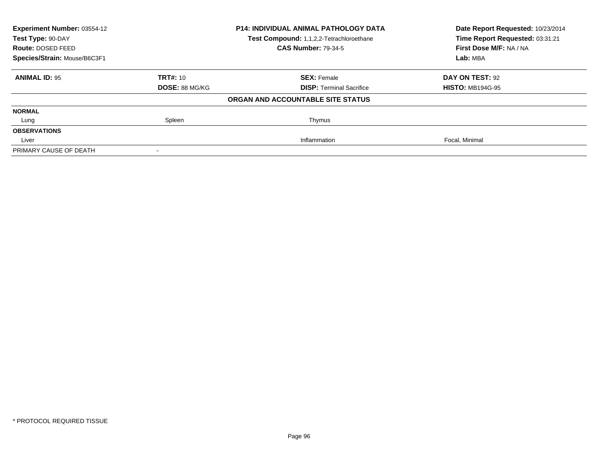| Experiment Number: 03554-12<br><b>P14: INDIVIDUAL ANIMAL PATHOLOGY DATA</b><br>Test Type: 90-DAY<br>Test Compound: 1,1,2,2-Tetrachloroethane |                       |                                   | Date Report Requested: 10/23/2014 |
|----------------------------------------------------------------------------------------------------------------------------------------------|-----------------------|-----------------------------------|-----------------------------------|
|                                                                                                                                              |                       | Time Report Requested: 03:31:21   |                                   |
| Route: DOSED FEED                                                                                                                            |                       | <b>CAS Number: 79-34-5</b>        | First Dose M/F: NA / NA           |
| Species/Strain: Mouse/B6C3F1                                                                                                                 |                       |                                   | Lab: MBA                          |
| <b>ANIMAL ID: 95</b>                                                                                                                         | <b>TRT#: 10</b>       | <b>SEX: Female</b>                | DAY ON TEST: 92                   |
|                                                                                                                                              | <b>DOSE: 88 MG/KG</b> | <b>DISP:</b> Terminal Sacrifice   | <b>HISTO: MB194G-95</b>           |
|                                                                                                                                              |                       | ORGAN AND ACCOUNTABLE SITE STATUS |                                   |
| <b>NORMAL</b>                                                                                                                                |                       |                                   |                                   |
| Lung                                                                                                                                         | Spleen                | Thymus                            |                                   |
| <b>OBSERVATIONS</b>                                                                                                                          |                       |                                   |                                   |
| Liver                                                                                                                                        |                       | Inflammation                      | Focal, Minimal                    |
| PRIMARY CAUSE OF DEATH                                                                                                                       |                       |                                   |                                   |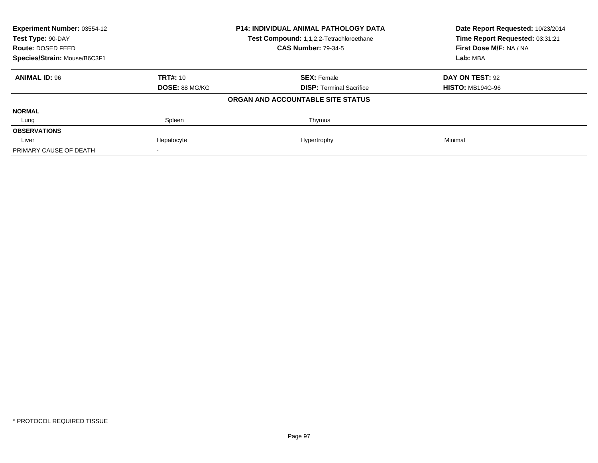| <b>Experiment Number: 03554-12</b><br>Test Type: 90-DAY |                       | <b>P14: INDIVIDUAL ANIMAL PATHOLOGY DATA</b> | Date Report Requested: 10/23/2014<br>Time Report Requested: 03:31:21 |
|---------------------------------------------------------|-----------------------|----------------------------------------------|----------------------------------------------------------------------|
|                                                         |                       | Test Compound: 1,1,2,2-Tetrachloroethane     |                                                                      |
| Route: DOSED FEED                                       |                       | <b>CAS Number: 79-34-5</b>                   | First Dose M/F: NA / NA                                              |
| Species/Strain: Mouse/B6C3F1                            |                       |                                              | Lab: MBA                                                             |
| <b>ANIMAL ID: 96</b>                                    | <b>TRT#: 10</b>       | <b>SEX: Female</b>                           | DAY ON TEST: 92                                                      |
|                                                         | <b>DOSE: 88 MG/KG</b> | <b>DISP:</b> Terminal Sacrifice              | <b>HISTO: MB194G-96</b>                                              |
|                                                         |                       | ORGAN AND ACCOUNTABLE SITE STATUS            |                                                                      |
| <b>NORMAL</b>                                           |                       |                                              |                                                                      |
| Lung                                                    | Spleen                | Thymus                                       |                                                                      |
| <b>OBSERVATIONS</b>                                     |                       |                                              |                                                                      |
| Liver                                                   | Hepatocyte            | Hypertrophy                                  | Minimal                                                              |
| PRIMARY CAUSE OF DEATH                                  |                       |                                              |                                                                      |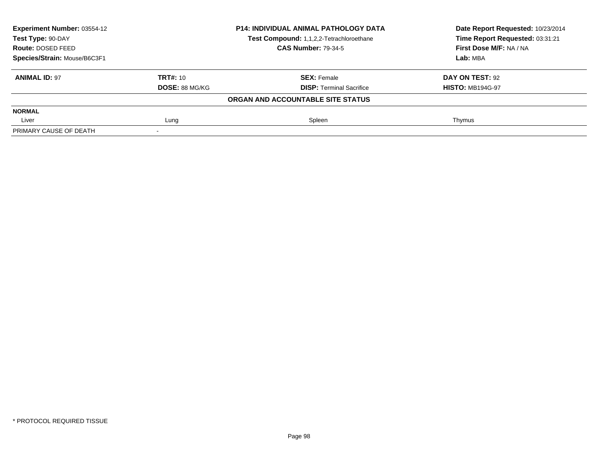| Experiment Number: 03554-12  |                 | <b>P14: INDIVIDUAL ANIMAL PATHOLOGY DATA</b> | Date Report Requested: 10/23/2014 |  |
|------------------------------|-----------------|----------------------------------------------|-----------------------------------|--|
| Test Type: 90-DAY            |                 | Test Compound: 1,1,2,2-Tetrachloroethane     | Time Report Requested: 03:31:21   |  |
| Route: DOSED FEED            |                 | <b>CAS Number: 79-34-5</b>                   | First Dose M/F: NA / NA           |  |
| Species/Strain: Mouse/B6C3F1 |                 |                                              | Lab: MBA                          |  |
| <b>ANIMAL ID: 97</b>         | <b>TRT#: 10</b> | <b>SEX: Female</b>                           | DAY ON TEST: 92                   |  |
|                              | DOSE: 88 MG/KG  | <b>DISP:</b> Terminal Sacrifice              | <b>HISTO: MB194G-97</b>           |  |
|                              |                 | ORGAN AND ACCOUNTABLE SITE STATUS            |                                   |  |
| <b>NORMAL</b>                |                 |                                              |                                   |  |
| Liver                        | Lung            | Spleen                                       | Thymus                            |  |
| PRIMARY CAUSE OF DEATH       |                 |                                              |                                   |  |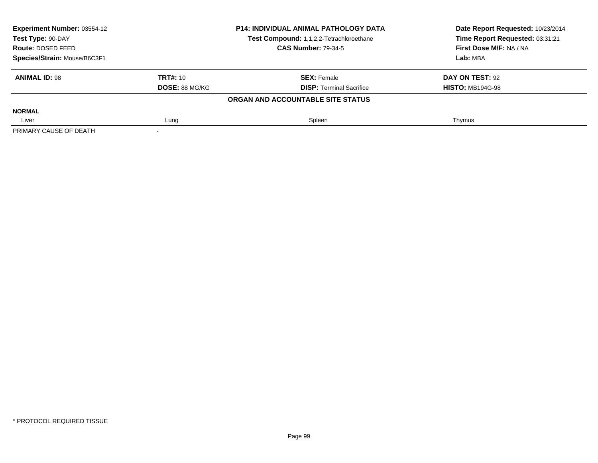| <b>Experiment Number: 03554-12</b><br>Test Type: 90-DAY |                       | <b>P14: INDIVIDUAL ANIMAL PATHOLOGY DATA</b> | Date Report Requested: 10/23/2014<br>Time Report Requested: 03:31:21 |
|---------------------------------------------------------|-----------------------|----------------------------------------------|----------------------------------------------------------------------|
|                                                         |                       | Test Compound: 1,1,2,2-Tetrachloroethane     |                                                                      |
| Route: DOSED FEED                                       |                       | <b>CAS Number: 79-34-5</b>                   | First Dose M/F: NA / NA                                              |
| Species/Strain: Mouse/B6C3F1                            |                       |                                              | Lab: MBA                                                             |
| <b>ANIMAL ID: 98</b>                                    | <b>TRT#: 10</b>       | <b>SEX: Female</b>                           | DAY ON TEST: 92                                                      |
|                                                         | <b>DOSE: 88 MG/KG</b> | <b>DISP: Terminal Sacrifice</b>              | <b>HISTO: MB194G-98</b>                                              |
|                                                         |                       | ORGAN AND ACCOUNTABLE SITE STATUS            |                                                                      |
| <b>NORMAL</b>                                           |                       |                                              |                                                                      |
| Liver                                                   | Lung                  | Spleen                                       | Thymus                                                               |
| PRIMARY CAUSE OF DEATH                                  |                       |                                              |                                                                      |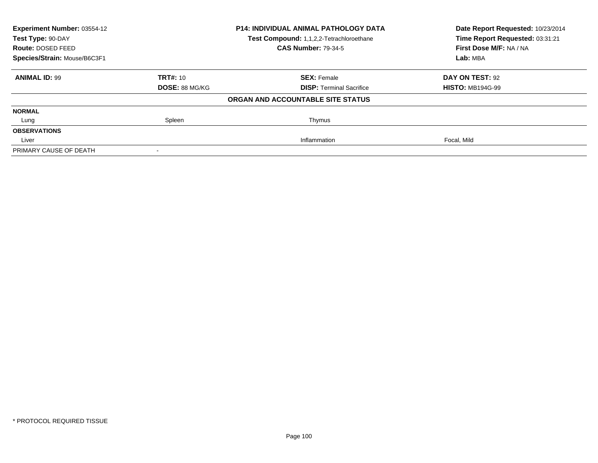| Experiment Number: 03554-12<br>Test Type: 90-DAY |                       | <b>P14: INDIVIDUAL ANIMAL PATHOLOGY DATA</b> | Date Report Requested: 10/23/2014<br>Time Report Requested: 03:31:21 |  |
|--------------------------------------------------|-----------------------|----------------------------------------------|----------------------------------------------------------------------|--|
|                                                  |                       | Test Compound: 1,1,2,2-Tetrachloroethane     |                                                                      |  |
| Route: DOSED FEED                                |                       | <b>CAS Number: 79-34-5</b>                   | First Dose M/F: NA / NA                                              |  |
| Species/Strain: Mouse/B6C3F1                     |                       |                                              | Lab: MBA                                                             |  |
| <b>ANIMAL ID: 99</b>                             | <b>TRT#: 10</b>       | <b>SEX: Female</b>                           | DAY ON TEST: 92                                                      |  |
|                                                  | <b>DOSE: 88 MG/KG</b> | <b>DISP:</b> Terminal Sacrifice              | <b>HISTO: MB194G-99</b>                                              |  |
|                                                  |                       | ORGAN AND ACCOUNTABLE SITE STATUS            |                                                                      |  |
| <b>NORMAL</b>                                    |                       |                                              |                                                                      |  |
| Lung                                             | Spleen                | Thymus                                       |                                                                      |  |
| <b>OBSERVATIONS</b>                              |                       |                                              |                                                                      |  |
| Liver                                            |                       | Inflammation                                 | Focal, Mild                                                          |  |
| PRIMARY CAUSE OF DEATH                           |                       |                                              |                                                                      |  |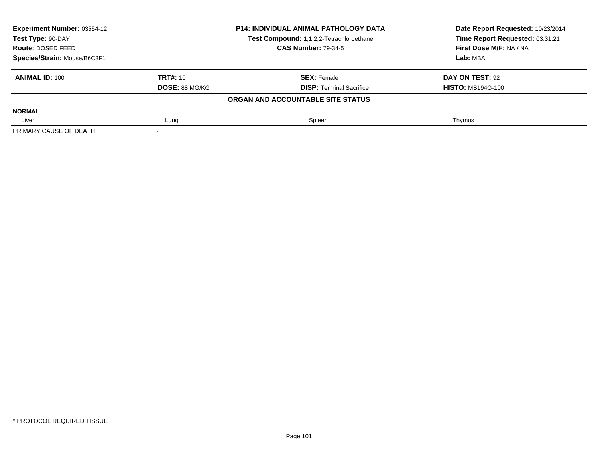| <b>Experiment Number: 03554-12</b><br>Test Type: 90-DAY |                       | <b>P14: INDIVIDUAL ANIMAL PATHOLOGY DATA</b> | Date Report Requested: 10/23/2014<br>Time Report Requested: 03:31:21 |
|---------------------------------------------------------|-----------------------|----------------------------------------------|----------------------------------------------------------------------|
|                                                         |                       | Test Compound: 1,1,2,2-Tetrachloroethane     |                                                                      |
| Route: DOSED FEED                                       |                       | <b>CAS Number: 79-34-5</b>                   | First Dose M/F: NA / NA                                              |
| Species/Strain: Mouse/B6C3F1                            |                       |                                              | Lab: MBA                                                             |
| <b>ANIMAL ID: 100</b>                                   | <b>TRT#: 10</b>       | <b>SEX: Female</b>                           | DAY ON TEST: 92                                                      |
|                                                         | <b>DOSE: 88 MG/KG</b> | <b>DISP: Terminal Sacrifice</b>              | <b>HISTO: MB194G-100</b>                                             |
|                                                         |                       | ORGAN AND ACCOUNTABLE SITE STATUS            |                                                                      |
| <b>NORMAL</b>                                           |                       |                                              |                                                                      |
| Liver                                                   | Lung                  | Spleen                                       | Thymus                                                               |
| PRIMARY CAUSE OF DEATH                                  |                       |                                              |                                                                      |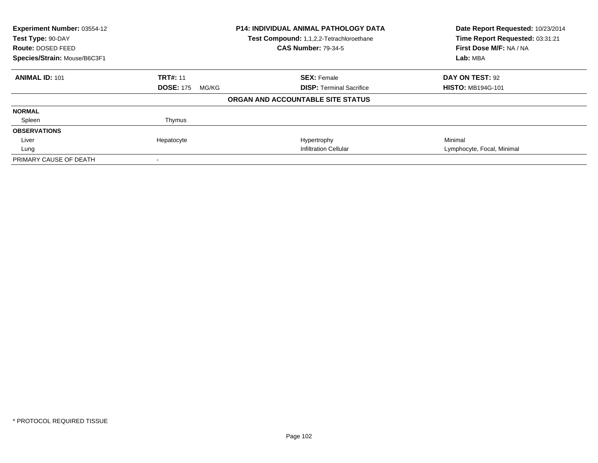| Experiment Number: 03554-12<br>Test Type: 90-DAY<br>Route: DOSED FEED<br>Species/Strain: Mouse/B6C3F1 |                           | <b>P14: INDIVIDUAL ANIMAL PATHOLOGY DATA</b><br>Test Compound: 1,1,2,2-Tetrachloroethane<br><b>CAS Number: 79-34-5</b> | Date Report Requested: 10/23/2014<br>Time Report Requested: 03:31:21<br>First Dose M/F: NA / NA<br>Lab: MBA |
|-------------------------------------------------------------------------------------------------------|---------------------------|------------------------------------------------------------------------------------------------------------------------|-------------------------------------------------------------------------------------------------------------|
|                                                                                                       |                           |                                                                                                                        |                                                                                                             |
| <b>ANIMAL ID: 101</b>                                                                                 | <b>TRT#: 11</b>           | <b>SEX: Female</b>                                                                                                     | DAY ON TEST: 92                                                                                             |
|                                                                                                       | <b>DOSE: 175</b><br>MG/KG | <b>DISP: Terminal Sacrifice</b>                                                                                        | <b>HISTO: MB194G-101</b>                                                                                    |
|                                                                                                       |                           | ORGAN AND ACCOUNTABLE SITE STATUS                                                                                      |                                                                                                             |
| <b>NORMAL</b>                                                                                         |                           |                                                                                                                        |                                                                                                             |
| Spleen                                                                                                | Thymus                    |                                                                                                                        |                                                                                                             |
| <b>OBSERVATIONS</b>                                                                                   |                           |                                                                                                                        |                                                                                                             |
| Liver                                                                                                 | Hepatocyte                | Hypertrophy                                                                                                            | Minimal                                                                                                     |
| Lung                                                                                                  |                           | <b>Infiltration Cellular</b>                                                                                           | Lymphocyte, Focal, Minimal                                                                                  |
| PRIMARY CAUSE OF DEATH                                                                                |                           |                                                                                                                        |                                                                                                             |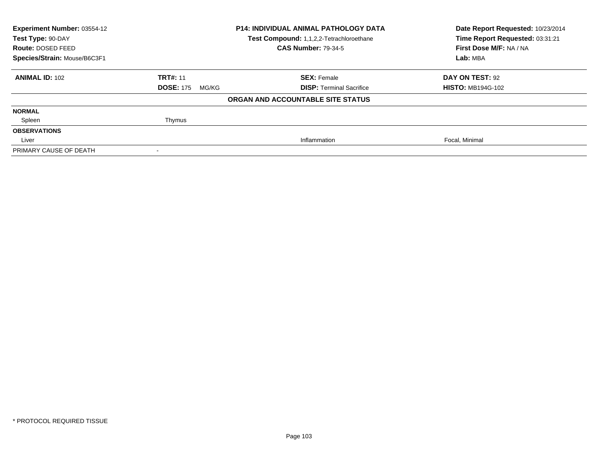| <b>Experiment Number: 03554-12</b><br><b>P14: INDIVIDUAL ANIMAL PATHOLOGY DATA</b><br>Test Type: 90-DAY<br>Test Compound: 1,1,2,2-Tetrachloroethane<br><b>CAS Number: 79-34-5</b><br>Route: DOSED FEED |                           | Date Report Requested: 10/23/2014<br>Time Report Requested: 03:31:21<br>First Dose M/F: NA / NA |                          |
|--------------------------------------------------------------------------------------------------------------------------------------------------------------------------------------------------------|---------------------------|-------------------------------------------------------------------------------------------------|--------------------------|
| Species/Strain: Mouse/B6C3F1                                                                                                                                                                           |                           |                                                                                                 | Lab: MBA                 |
| <b>ANIMAL ID: 102</b>                                                                                                                                                                                  | <b>TRT#: 11</b>           | <b>SEX: Female</b>                                                                              | DAY ON TEST: 92          |
|                                                                                                                                                                                                        | <b>DOSE: 175</b><br>MG/KG | <b>DISP: Terminal Sacrifice</b>                                                                 | <b>HISTO: MB194G-102</b> |
|                                                                                                                                                                                                        |                           | ORGAN AND ACCOUNTABLE SITE STATUS                                                               |                          |
| <b>NORMAL</b>                                                                                                                                                                                          |                           |                                                                                                 |                          |
| Spleen                                                                                                                                                                                                 | Thymus                    |                                                                                                 |                          |
| <b>OBSERVATIONS</b>                                                                                                                                                                                    |                           |                                                                                                 |                          |
| Liver                                                                                                                                                                                                  |                           | Inflammation                                                                                    | Focal, Minimal           |
| PRIMARY CAUSE OF DEATH                                                                                                                                                                                 |                           |                                                                                                 |                          |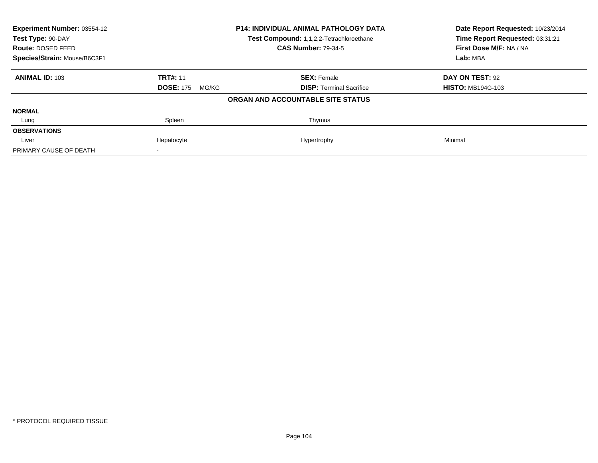| <b>Experiment Number: 03554-12</b><br>Test Type: 90-DAY |                           | <b>P14: INDIVIDUAL ANIMAL PATHOLOGY DATA</b> | Date Report Requested: 10/23/2014<br>Time Report Requested: 03:31:21 |
|---------------------------------------------------------|---------------------------|----------------------------------------------|----------------------------------------------------------------------|
|                                                         |                           | Test Compound: 1,1,2,2-Tetrachloroethane     |                                                                      |
| Route: DOSED FEED                                       |                           | <b>CAS Number: 79-34-5</b>                   | First Dose M/F: NA / NA                                              |
| Species/Strain: Mouse/B6C3F1                            |                           |                                              | Lab: MBA                                                             |
| <b>ANIMAL ID: 103</b>                                   | <b>TRT#: 11</b>           | <b>SEX: Female</b>                           | DAY ON TEST: 92                                                      |
|                                                         | <b>DOSE: 175</b><br>MG/KG | <b>DISP:</b> Terminal Sacrifice              | <b>HISTO: MB194G-103</b>                                             |
|                                                         |                           | ORGAN AND ACCOUNTABLE SITE STATUS            |                                                                      |
| <b>NORMAL</b>                                           |                           |                                              |                                                                      |
| Lung                                                    | Spleen                    | Thymus                                       |                                                                      |
| <b>OBSERVATIONS</b>                                     |                           |                                              |                                                                      |
| Liver                                                   | Hepatocyte                | Hypertrophy                                  | Minimal                                                              |
| PRIMARY CAUSE OF DEATH                                  |                           |                                              |                                                                      |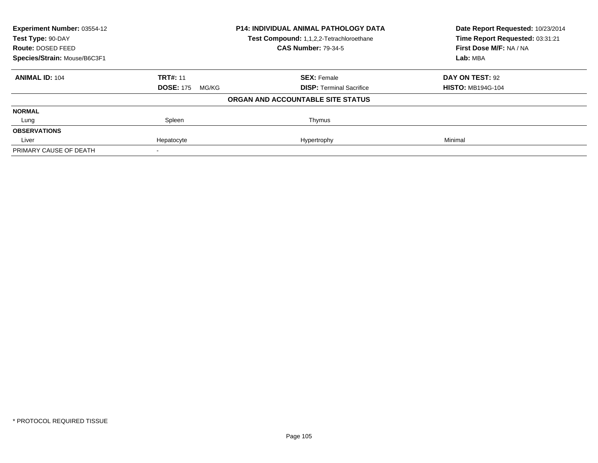| Experiment Number: 03554-12<br>Test Type: 90-DAY |                           | <b>P14: INDIVIDUAL ANIMAL PATHOLOGY DATA</b> | Date Report Requested: 10/23/2014<br>Time Report Requested: 03:31:21 |
|--------------------------------------------------|---------------------------|----------------------------------------------|----------------------------------------------------------------------|
|                                                  |                           | Test Compound: 1,1,2,2-Tetrachloroethane     |                                                                      |
| Route: DOSED FEED                                |                           | <b>CAS Number: 79-34-5</b>                   | First Dose M/F: NA / NA                                              |
| Species/Strain: Mouse/B6C3F1                     |                           |                                              | Lab: MBA                                                             |
| <b>ANIMAL ID: 104</b>                            | <b>TRT#: 11</b>           | <b>SEX: Female</b>                           | DAY ON TEST: 92                                                      |
|                                                  | <b>DOSE: 175</b><br>MG/KG | <b>DISP:</b> Terminal Sacrifice              | <b>HISTO: MB194G-104</b>                                             |
|                                                  |                           | ORGAN AND ACCOUNTABLE SITE STATUS            |                                                                      |
| <b>NORMAL</b>                                    |                           |                                              |                                                                      |
| Lung                                             | Spleen                    | Thymus                                       |                                                                      |
| <b>OBSERVATIONS</b>                              |                           |                                              |                                                                      |
| Liver                                            | Hepatocyte                | Hypertrophy                                  | Minimal                                                              |
| PRIMARY CAUSE OF DEATH                           |                           |                                              |                                                                      |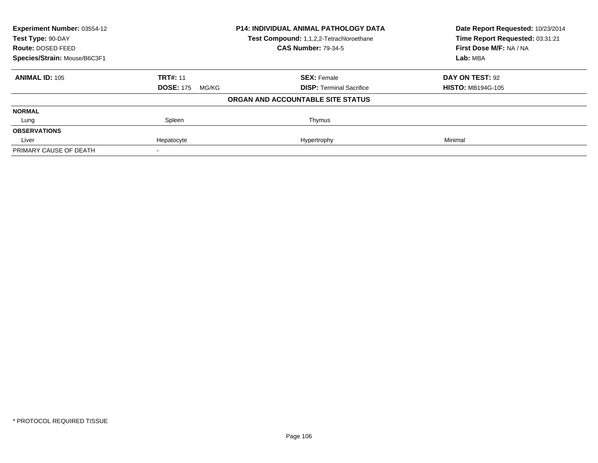| <b>Experiment Number: 03554-12</b><br>Test Type: 90-DAY |                           | P14: INDIVIDUAL ANIMAL PATHOLOGY DATA    | Date Report Requested: 10/23/2014<br>Time Report Requested: 03:31:21 |
|---------------------------------------------------------|---------------------------|------------------------------------------|----------------------------------------------------------------------|
|                                                         |                           | Test Compound: 1,1,2,2-Tetrachloroethane |                                                                      |
| Route: DOSED FEED                                       |                           | <b>CAS Number: 79-34-5</b>               | First Dose M/F: NA / NA                                              |
| Species/Strain: Mouse/B6C3F1                            |                           |                                          | Lab: MBA                                                             |
| <b>ANIMAL ID: 105</b>                                   | <b>TRT#: 11</b>           | <b>SEX: Female</b>                       | DAY ON TEST: 92                                                      |
|                                                         | <b>DOSE: 175</b><br>MG/KG | <b>DISP:</b> Terminal Sacrifice          | <b>HISTO: MB194G-105</b>                                             |
|                                                         |                           | ORGAN AND ACCOUNTABLE SITE STATUS        |                                                                      |
| <b>NORMAL</b>                                           |                           |                                          |                                                                      |
| Lung                                                    | Spleen                    | Thymus                                   |                                                                      |
| <b>OBSERVATIONS</b>                                     |                           |                                          |                                                                      |
| Liver                                                   | Hepatocyte                | Hypertrophy                              | Minimal                                                              |
| PRIMARY CAUSE OF DEATH                                  |                           |                                          |                                                                      |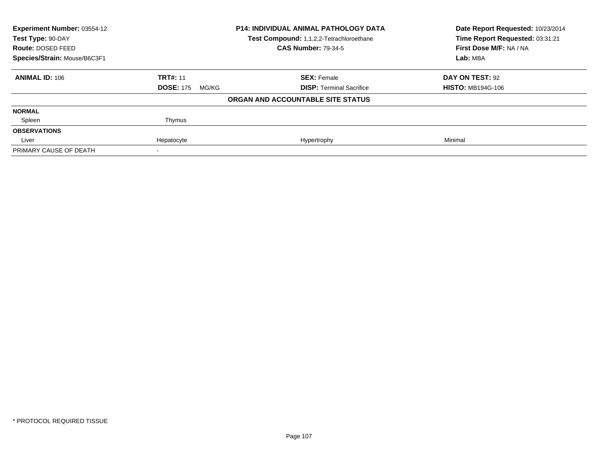| Experiment Number: 03554-12<br>Test Type: 90-DAY |                           | <b>P14: INDIVIDUAL ANIMAL PATHOLOGY DATA</b><br>Test Compound: 1,1,2,2-Tetrachloroethane | Date Report Requested: 10/23/2014<br>Time Report Requested: 03:31:21 |  |
|--------------------------------------------------|---------------------------|------------------------------------------------------------------------------------------|----------------------------------------------------------------------|--|
| Route: DOSED FEED                                |                           | <b>CAS Number: 79-34-5</b>                                                               | First Dose M/F: NA / NA                                              |  |
| Species/Strain: Mouse/B6C3F1                     |                           |                                                                                          | Lab: MBA                                                             |  |
| <b>ANIMAL ID: 106</b>                            | <b>TRT#: 11</b>           | <b>SEX: Female</b>                                                                       | DAY ON TEST: 92                                                      |  |
|                                                  | <b>DOSE: 175</b><br>MG/KG | <b>DISP: Terminal Sacrifice</b>                                                          | <b>HISTO: MB194G-106</b>                                             |  |
|                                                  |                           | ORGAN AND ACCOUNTABLE SITE STATUS                                                        |                                                                      |  |
| <b>NORMAL</b>                                    |                           |                                                                                          |                                                                      |  |
| Spleen                                           | Thymus                    |                                                                                          |                                                                      |  |
| <b>OBSERVATIONS</b>                              |                           |                                                                                          |                                                                      |  |
| Liver                                            | Hepatocyte                | Hypertrophy                                                                              | Minimal                                                              |  |
| PRIMARY CAUSE OF DEATH                           |                           |                                                                                          |                                                                      |  |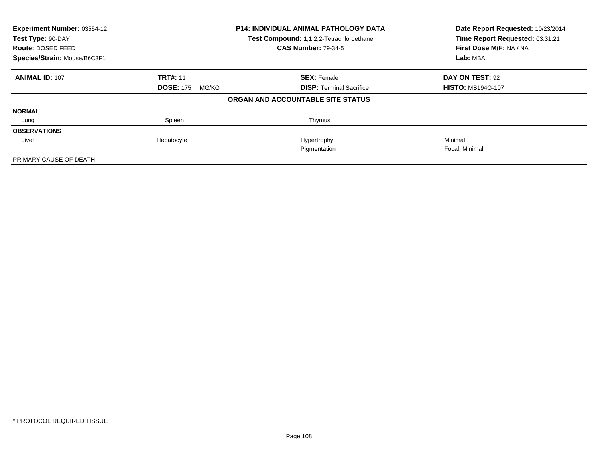| Experiment Number: 03554-12<br><b>P14: INDIVIDUAL ANIMAL PATHOLOGY DATA</b><br>Test Compound: 1,1,2,2-Tetrachloroethane<br>Test Type: 90-DAY<br>Route: DOSED FEED |                           |                                   | Date Report Requested: 10/23/2014<br>Time Report Requested: 03:31:21 |
|-------------------------------------------------------------------------------------------------------------------------------------------------------------------|---------------------------|-----------------------------------|----------------------------------------------------------------------|
|                                                                                                                                                                   |                           | <b>CAS Number: 79-34-5</b>        | First Dose M/F: NA / NA                                              |
| Species/Strain: Mouse/B6C3F1                                                                                                                                      |                           |                                   | Lab: MBA                                                             |
| <b>ANIMAL ID: 107</b>                                                                                                                                             | <b>TRT#: 11</b>           | <b>SEX: Female</b>                | DAY ON TEST: 92                                                      |
|                                                                                                                                                                   | <b>DOSE: 175</b><br>MG/KG | <b>DISP:</b> Terminal Sacrifice   | <b>HISTO: MB194G-107</b>                                             |
|                                                                                                                                                                   |                           | ORGAN AND ACCOUNTABLE SITE STATUS |                                                                      |
| <b>NORMAL</b>                                                                                                                                                     |                           |                                   |                                                                      |
| Lung                                                                                                                                                              | Spleen                    | Thymus                            |                                                                      |
| <b>OBSERVATIONS</b>                                                                                                                                               |                           |                                   |                                                                      |
| Liver                                                                                                                                                             | Hepatocyte                | Hypertrophy                       | Minimal                                                              |
|                                                                                                                                                                   |                           | Pigmentation                      | Focal, Minimal                                                       |
| PRIMARY CAUSE OF DEATH                                                                                                                                            |                           |                                   |                                                                      |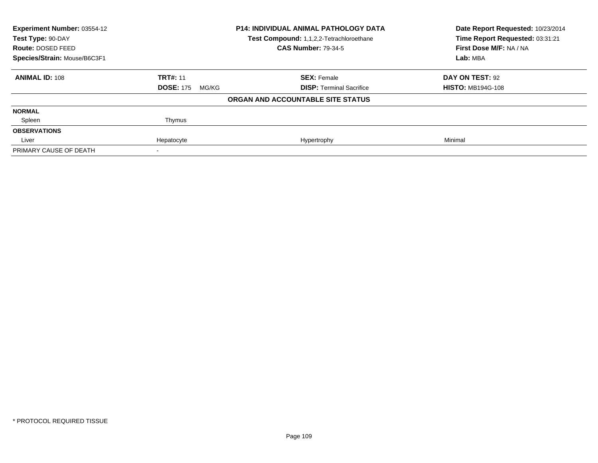| Experiment Number: 03554-12<br>Test Type: 90-DAY |                           | <b>P14: INDIVIDUAL ANIMAL PATHOLOGY DATA</b><br>Test Compound: 1,1,2,2-Tetrachloroethane | Date Report Requested: 10/23/2014<br>Time Report Requested: 03:31:21 |
|--------------------------------------------------|---------------------------|------------------------------------------------------------------------------------------|----------------------------------------------------------------------|
| Route: DOSED FEED                                |                           | <b>CAS Number: 79-34-5</b>                                                               | First Dose M/F: NA / NA                                              |
| Species/Strain: Mouse/B6C3F1                     |                           |                                                                                          | Lab: MBA                                                             |
| <b>ANIMAL ID: 108</b>                            | <b>TRT#: 11</b>           | <b>SEX: Female</b>                                                                       | DAY ON TEST: 92                                                      |
|                                                  | <b>DOSE: 175</b><br>MG/KG | <b>DISP: Terminal Sacrifice</b>                                                          | <b>HISTO: MB194G-108</b>                                             |
|                                                  |                           | ORGAN AND ACCOUNTABLE SITE STATUS                                                        |                                                                      |
| <b>NORMAL</b>                                    |                           |                                                                                          |                                                                      |
| Spleen                                           | Thymus                    |                                                                                          |                                                                      |
| <b>OBSERVATIONS</b>                              |                           |                                                                                          |                                                                      |
| Liver                                            | Hepatocyte                | Hypertrophy                                                                              | Minimal                                                              |
| PRIMARY CAUSE OF DEATH                           |                           |                                                                                          |                                                                      |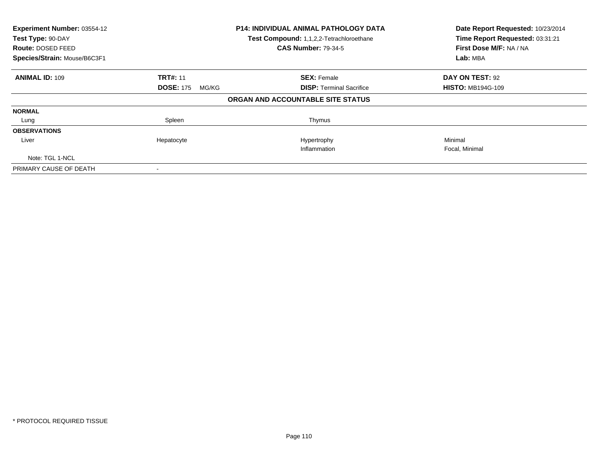| Experiment Number: 03554-12<br>Test Type: 90-DAY<br>Route: DOSED FEED<br>Species/Strain: Mouse/B6C3F1 |                           | <b>P14: INDIVIDUAL ANIMAL PATHOLOGY DATA</b><br>Test Compound: 1,1,2,2-Tetrachloroethane<br><b>CAS Number: 79-34-5</b> | Date Report Requested: 10/23/2014<br>Time Report Requested: 03:31:21<br>First Dose M/F: NA / NA<br>Lab: MBA |
|-------------------------------------------------------------------------------------------------------|---------------------------|------------------------------------------------------------------------------------------------------------------------|-------------------------------------------------------------------------------------------------------------|
| <b>ANIMAL ID: 109</b>                                                                                 | <b>TRT#: 11</b>           | <b>SEX: Female</b>                                                                                                     | DAY ON TEST: 92                                                                                             |
|                                                                                                       | <b>DOSE: 175</b><br>MG/KG | <b>DISP: Terminal Sacrifice</b>                                                                                        | <b>HISTO: MB194G-109</b>                                                                                    |
|                                                                                                       |                           | ORGAN AND ACCOUNTABLE SITE STATUS                                                                                      |                                                                                                             |
| <b>NORMAL</b>                                                                                         |                           |                                                                                                                        |                                                                                                             |
| Lung                                                                                                  | Spleen                    | Thymus                                                                                                                 |                                                                                                             |
| <b>OBSERVATIONS</b>                                                                                   |                           |                                                                                                                        |                                                                                                             |
| Liver                                                                                                 | Hepatocyte                | Hypertrophy                                                                                                            | Minimal                                                                                                     |
|                                                                                                       |                           | Inflammation                                                                                                           | Focal, Minimal                                                                                              |
| Note: TGL 1-NCL                                                                                       |                           |                                                                                                                        |                                                                                                             |
| PRIMARY CAUSE OF DEATH                                                                                |                           |                                                                                                                        |                                                                                                             |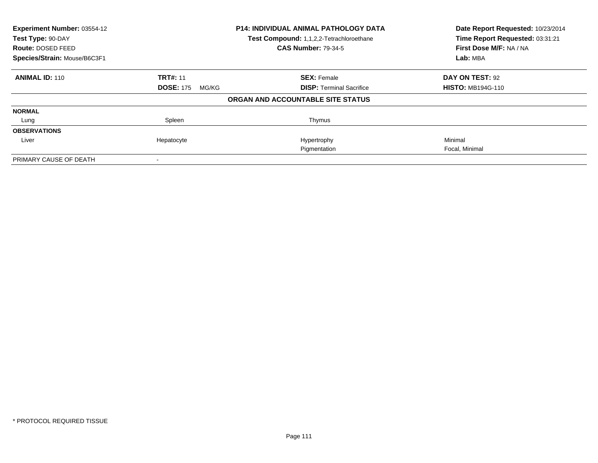| Experiment Number: 03554-12            |                           | <b>P14: INDIVIDUAL ANIMAL PATHOLOGY DATA</b><br>Test Compound: 1,1,2,2-Tetrachloroethane | Date Report Requested: 10/23/2014                          |
|----------------------------------------|---------------------------|------------------------------------------------------------------------------------------|------------------------------------------------------------|
| Test Type: 90-DAY<br>Route: DOSED FEED |                           | <b>CAS Number: 79-34-5</b>                                                               | Time Report Requested: 03:31:21<br>First Dose M/F: NA / NA |
| Species/Strain: Mouse/B6C3F1           |                           |                                                                                          | Lab: MBA                                                   |
| <b>ANIMAL ID: 110</b>                  | <b>TRT#: 11</b>           | <b>SEX: Female</b>                                                                       | DAY ON TEST: 92                                            |
|                                        | <b>DOSE: 175</b><br>MG/KG | <b>DISP:</b> Terminal Sacrifice                                                          | <b>HISTO: MB194G-110</b>                                   |
|                                        |                           | ORGAN AND ACCOUNTABLE SITE STATUS                                                        |                                                            |
| <b>NORMAL</b>                          |                           |                                                                                          |                                                            |
| Lung                                   | Spleen                    | Thymus                                                                                   |                                                            |
| <b>OBSERVATIONS</b>                    |                           |                                                                                          |                                                            |
| Liver                                  | Hepatocyte                | Hypertrophy                                                                              | Minimal                                                    |
|                                        |                           | Pigmentation                                                                             | Focal, Minimal                                             |
| PRIMARY CAUSE OF DEATH                 |                           |                                                                                          |                                                            |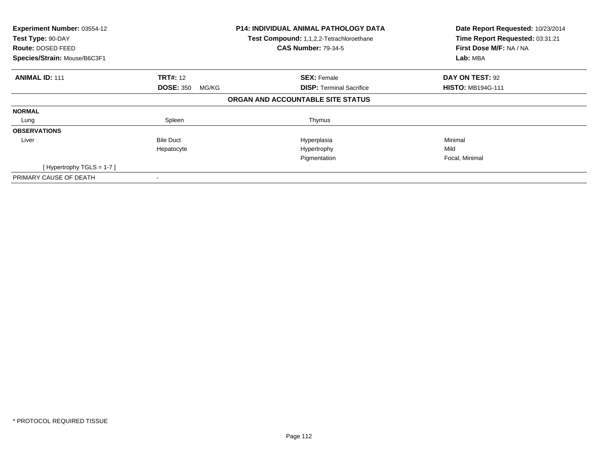| Experiment Number: 03554-12<br>Test Type: 90-DAY<br>Route: DOSED FEED<br>Species/Strain: Mouse/B6C3F1 |                           | <b>P14: INDIVIDUAL ANIMAL PATHOLOGY DATA</b><br>Test Compound: 1,1,2,2-Tetrachloroethane<br><b>CAS Number: 79-34-5</b> | Date Report Requested: 10/23/2014<br>Time Report Requested: 03:31:21<br>First Dose M/F: NA / NA<br>Lab: MBA |
|-------------------------------------------------------------------------------------------------------|---------------------------|------------------------------------------------------------------------------------------------------------------------|-------------------------------------------------------------------------------------------------------------|
|                                                                                                       |                           |                                                                                                                        |                                                                                                             |
| <b>ANIMAL ID: 111</b>                                                                                 | <b>TRT#:</b> 12           | <b>SEX: Female</b>                                                                                                     | DAY ON TEST: 92                                                                                             |
|                                                                                                       | <b>DOSE: 350</b><br>MG/KG | <b>DISP:</b> Terminal Sacrifice                                                                                        | <b>HISTO: MB194G-111</b>                                                                                    |
|                                                                                                       |                           | ORGAN AND ACCOUNTABLE SITE STATUS                                                                                      |                                                                                                             |
| <b>NORMAL</b>                                                                                         |                           |                                                                                                                        |                                                                                                             |
| Lung                                                                                                  | Spleen                    | Thymus                                                                                                                 |                                                                                                             |
| <b>OBSERVATIONS</b>                                                                                   |                           |                                                                                                                        |                                                                                                             |
| Liver                                                                                                 | <b>Bile Duct</b>          | Hyperplasia                                                                                                            | Minimal                                                                                                     |
|                                                                                                       | Hepatocyte                | Hypertrophy                                                                                                            | Mild                                                                                                        |
|                                                                                                       |                           | Pigmentation                                                                                                           | Focal, Minimal                                                                                              |
| [Hypertrophy TGLS = 1-7]                                                                              |                           |                                                                                                                        |                                                                                                             |
| PRIMARY CAUSE OF DEATH                                                                                |                           |                                                                                                                        |                                                                                                             |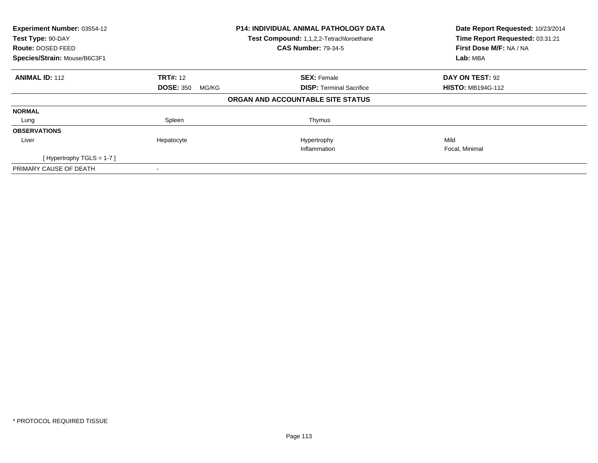| Experiment Number: 03554-12<br>Test Type: 90-DAY<br>Route: DOSED FEED |                           | <b>P14: INDIVIDUAL ANIMAL PATHOLOGY DATA</b><br>Test Compound: 1,1,2,2-Tetrachloroethane<br><b>CAS Number: 79-34-5</b> | Date Report Requested: 10/23/2014<br>Time Report Requested: 03:31:21<br>First Dose M/F: NA / NA |
|-----------------------------------------------------------------------|---------------------------|------------------------------------------------------------------------------------------------------------------------|-------------------------------------------------------------------------------------------------|
| Species/Strain: Mouse/B6C3F1                                          |                           |                                                                                                                        | Lab: MBA                                                                                        |
| <b>ANIMAL ID: 112</b>                                                 | <b>TRT#: 12</b>           | <b>SEX: Female</b>                                                                                                     | <b>DAY ON TEST: 92</b>                                                                          |
|                                                                       | <b>DOSE: 350</b><br>MG/KG | <b>DISP:</b> Terminal Sacrifice                                                                                        | <b>HISTO: MB194G-112</b>                                                                        |
|                                                                       |                           | ORGAN AND ACCOUNTABLE SITE STATUS                                                                                      |                                                                                                 |
| <b>NORMAL</b>                                                         |                           |                                                                                                                        |                                                                                                 |
| Lung                                                                  | Spleen                    | Thymus                                                                                                                 |                                                                                                 |
| <b>OBSERVATIONS</b>                                                   |                           |                                                                                                                        |                                                                                                 |
| Liver                                                                 | Hepatocyte                | Hypertrophy                                                                                                            | Mild                                                                                            |
|                                                                       |                           | Inflammation                                                                                                           | Focal, Minimal                                                                                  |
| [Hypertrophy TGLS = $1-7$ ]                                           |                           |                                                                                                                        |                                                                                                 |
| PRIMARY CAUSE OF DEATH                                                |                           |                                                                                                                        |                                                                                                 |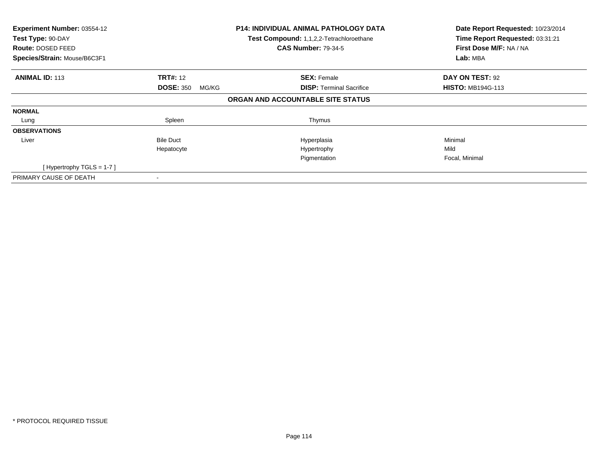| Experiment Number: 03554-12<br>Test Type: 90-DAY<br>Route: DOSED FEED<br>Species/Strain: Mouse/B6C3F1 |                           | <b>P14: INDIVIDUAL ANIMAL PATHOLOGY DATA</b><br>Test Compound: 1,1,2,2-Tetrachloroethane<br><b>CAS Number: 79-34-5</b> | Date Report Requested: 10/23/2014<br>Time Report Requested: 03:31:21<br>First Dose M/F: NA / NA<br>Lab: MBA |
|-------------------------------------------------------------------------------------------------------|---------------------------|------------------------------------------------------------------------------------------------------------------------|-------------------------------------------------------------------------------------------------------------|
|                                                                                                       |                           |                                                                                                                        |                                                                                                             |
| <b>ANIMAL ID: 113</b>                                                                                 | <b>TRT#:</b> 12           | <b>SEX: Female</b>                                                                                                     | DAY ON TEST: 92                                                                                             |
|                                                                                                       | <b>DOSE: 350</b><br>MG/KG | <b>DISP:</b> Terminal Sacrifice                                                                                        | <b>HISTO: MB194G-113</b>                                                                                    |
|                                                                                                       |                           | ORGAN AND ACCOUNTABLE SITE STATUS                                                                                      |                                                                                                             |
| <b>NORMAL</b>                                                                                         |                           |                                                                                                                        |                                                                                                             |
| Lung                                                                                                  | Spleen                    | Thymus                                                                                                                 |                                                                                                             |
| <b>OBSERVATIONS</b>                                                                                   |                           |                                                                                                                        |                                                                                                             |
| Liver                                                                                                 | <b>Bile Duct</b>          | Hyperplasia                                                                                                            | Minimal                                                                                                     |
|                                                                                                       | Hepatocyte                | Hypertrophy                                                                                                            | Mild                                                                                                        |
|                                                                                                       |                           | Pigmentation                                                                                                           | Focal, Minimal                                                                                              |
| [Hypertrophy TGLS = 1-7]                                                                              |                           |                                                                                                                        |                                                                                                             |
| PRIMARY CAUSE OF DEATH                                                                                |                           |                                                                                                                        |                                                                                                             |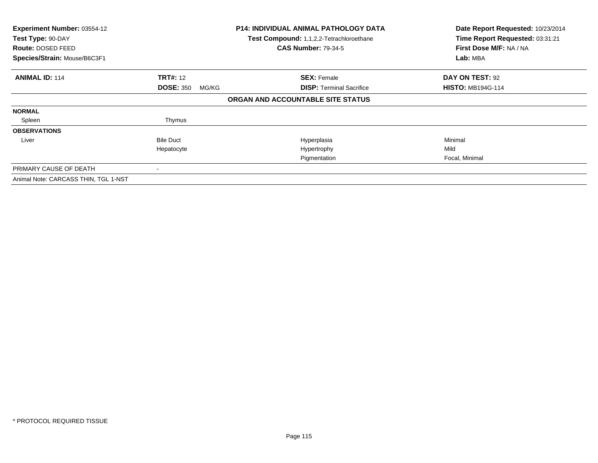| Experiment Number: 03554-12<br>Test Type: 90-DAY<br>Route: DOSED FEED<br>Species/Strain: Mouse/B6C3F1 |                           | <b>P14: INDIVIDUAL ANIMAL PATHOLOGY DATA</b><br>Test Compound: 1,1,2,2-Tetrachloroethane<br><b>CAS Number: 79-34-5</b> | Date Report Requested: 10/23/2014<br>Time Report Requested: 03:31:21<br>First Dose M/F: NA / NA<br>Lab: MBA |
|-------------------------------------------------------------------------------------------------------|---------------------------|------------------------------------------------------------------------------------------------------------------------|-------------------------------------------------------------------------------------------------------------|
|                                                                                                       |                           |                                                                                                                        |                                                                                                             |
| <b>ANIMAL ID: 114</b>                                                                                 | <b>TRT#: 12</b>           | <b>SEX: Female</b>                                                                                                     | DAY ON TEST: 92                                                                                             |
|                                                                                                       | <b>DOSE: 350</b><br>MG/KG | <b>DISP:</b> Terminal Sacrifice                                                                                        | <b>HISTO: MB194G-114</b>                                                                                    |
|                                                                                                       |                           | ORGAN AND ACCOUNTABLE SITE STATUS                                                                                      |                                                                                                             |
| <b>NORMAL</b>                                                                                         |                           |                                                                                                                        |                                                                                                             |
| Spleen                                                                                                | Thymus                    |                                                                                                                        |                                                                                                             |
| <b>OBSERVATIONS</b>                                                                                   |                           |                                                                                                                        |                                                                                                             |
| Liver                                                                                                 | <b>Bile Duct</b>          | Hyperplasia                                                                                                            | Minimal                                                                                                     |
|                                                                                                       | Hepatocyte                | Hypertrophy                                                                                                            | Mild                                                                                                        |
|                                                                                                       |                           | Pigmentation                                                                                                           | Focal, Minimal                                                                                              |
| PRIMARY CAUSE OF DEATH                                                                                |                           |                                                                                                                        |                                                                                                             |
| Animal Note: CARCASS THIN, TGL 1-NST                                                                  |                           |                                                                                                                        |                                                                                                             |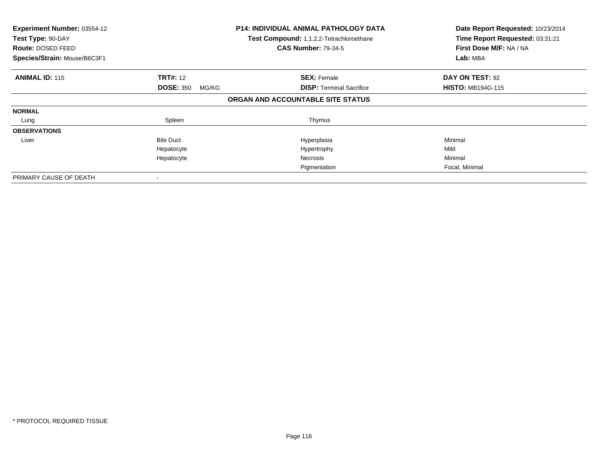| Experiment Number: 03554-12<br>Test Type: 90-DAY<br>Route: DOSED FEED<br>Species/Strain: Mouse/B6C3F1 |                           | <b>P14: INDIVIDUAL ANIMAL PATHOLOGY DATA</b><br>Test Compound: 1,1,2,2-Tetrachloroethane<br><b>CAS Number: 79-34-5</b> | Date Report Requested: 10/23/2014<br>Time Report Requested: 03:31:21<br>First Dose M/F: NA / NA<br>Lab: MBA |
|-------------------------------------------------------------------------------------------------------|---------------------------|------------------------------------------------------------------------------------------------------------------------|-------------------------------------------------------------------------------------------------------------|
| <b>ANIMAL ID: 115</b>                                                                                 | <b>TRT#: 12</b>           | <b>SEX: Female</b>                                                                                                     | DAY ON TEST: 92                                                                                             |
|                                                                                                       | <b>DOSE: 350</b><br>MG/KG | <b>DISP:</b> Terminal Sacrifice<br>ORGAN AND ACCOUNTABLE SITE STATUS                                                   | <b>HISTO: MB194G-115</b>                                                                                    |
| <b>NORMAL</b>                                                                                         |                           |                                                                                                                        |                                                                                                             |
| Lung                                                                                                  | Spleen                    | Thymus                                                                                                                 |                                                                                                             |
| <b>OBSERVATIONS</b>                                                                                   |                           |                                                                                                                        |                                                                                                             |
| Liver                                                                                                 | <b>Bile Duct</b>          | Hyperplasia                                                                                                            | Minimal                                                                                                     |
|                                                                                                       | Hepatocyte                | Hypertrophy                                                                                                            | Mild                                                                                                        |
|                                                                                                       | Hepatocyte                | <b>Necrosis</b>                                                                                                        | Minimal                                                                                                     |
|                                                                                                       |                           | Pigmentation                                                                                                           | Focal, Minimal                                                                                              |
| PRIMARY CAUSE OF DEATH                                                                                |                           |                                                                                                                        |                                                                                                             |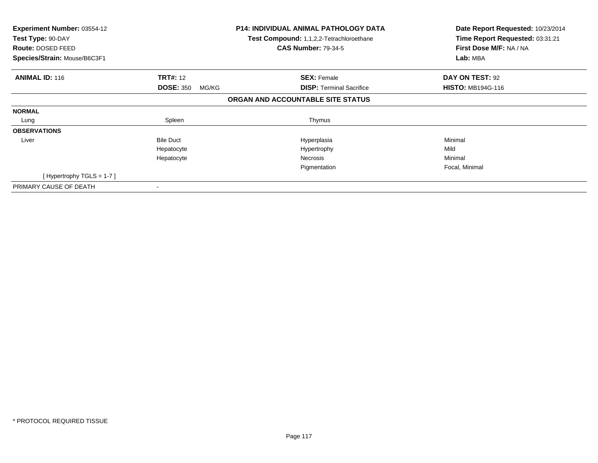| Experiment Number: 03554-12<br>Test Type: 90-DAY<br>Route: DOSED FEED<br>Species/Strain: Mouse/B6C3F1 |                           | <b>P14: INDIVIDUAL ANIMAL PATHOLOGY DATA</b><br>Test Compound: 1,1,2,2-Tetrachloroethane<br><b>CAS Number: 79-34-5</b> | Date Report Requested: 10/23/2014<br>Time Report Requested: 03:31:21<br>First Dose M/F: NA / NA<br>Lab: MBA |
|-------------------------------------------------------------------------------------------------------|---------------------------|------------------------------------------------------------------------------------------------------------------------|-------------------------------------------------------------------------------------------------------------|
| <b>ANIMAL ID: 116</b>                                                                                 | <b>TRT#:</b> 12           | <b>SEX: Female</b>                                                                                                     | DAY ON TEST: 92                                                                                             |
|                                                                                                       | <b>DOSE: 350</b><br>MG/KG | <b>DISP:</b> Terminal Sacrifice                                                                                        | <b>HISTO: MB194G-116</b>                                                                                    |
|                                                                                                       |                           | ORGAN AND ACCOUNTABLE SITE STATUS                                                                                      |                                                                                                             |
| <b>NORMAL</b>                                                                                         |                           |                                                                                                                        |                                                                                                             |
| Lung                                                                                                  | Spleen                    | Thymus                                                                                                                 |                                                                                                             |
| <b>OBSERVATIONS</b>                                                                                   |                           |                                                                                                                        |                                                                                                             |
| Liver                                                                                                 | <b>Bile Duct</b>          | Hyperplasia                                                                                                            | Minimal                                                                                                     |
|                                                                                                       | Hepatocyte                | Hypertrophy                                                                                                            | Mild                                                                                                        |
|                                                                                                       | Hepatocyte                | Necrosis                                                                                                               | Minimal                                                                                                     |
|                                                                                                       |                           | Pigmentation                                                                                                           | Focal, Minimal                                                                                              |
| [Hypertrophy TGLS = $1-7$ ]                                                                           |                           |                                                                                                                        |                                                                                                             |
| PRIMARY CAUSE OF DEATH                                                                                |                           |                                                                                                                        |                                                                                                             |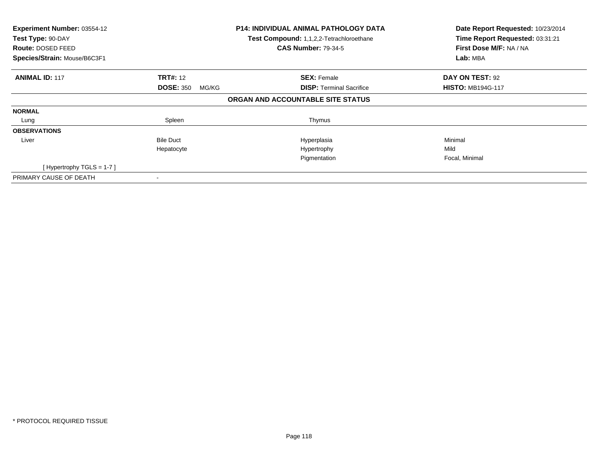| Experiment Number: 03554-12<br>Test Type: 90-DAY<br>Route: DOSED FEED<br>Species/Strain: Mouse/B6C3F1 |                           | <b>P14: INDIVIDUAL ANIMAL PATHOLOGY DATA</b><br>Test Compound: 1,1,2,2-Tetrachloroethane<br><b>CAS Number: 79-34-5</b> | Date Report Requested: 10/23/2014<br>Time Report Requested: 03:31:21<br>First Dose M/F: NA / NA<br>Lab: MBA |
|-------------------------------------------------------------------------------------------------------|---------------------------|------------------------------------------------------------------------------------------------------------------------|-------------------------------------------------------------------------------------------------------------|
|                                                                                                       |                           |                                                                                                                        |                                                                                                             |
| <b>ANIMAL ID: 117</b>                                                                                 | <b>TRT#:</b> 12           | <b>SEX: Female</b>                                                                                                     | DAY ON TEST: 92                                                                                             |
|                                                                                                       | <b>DOSE: 350</b><br>MG/KG | <b>DISP:</b> Terminal Sacrifice                                                                                        | <b>HISTO: MB194G-117</b>                                                                                    |
|                                                                                                       |                           | ORGAN AND ACCOUNTABLE SITE STATUS                                                                                      |                                                                                                             |
| <b>NORMAL</b>                                                                                         |                           |                                                                                                                        |                                                                                                             |
| Lung                                                                                                  | Spleen                    | Thymus                                                                                                                 |                                                                                                             |
| <b>OBSERVATIONS</b>                                                                                   |                           |                                                                                                                        |                                                                                                             |
| Liver                                                                                                 | <b>Bile Duct</b>          | Hyperplasia                                                                                                            | Minimal                                                                                                     |
|                                                                                                       | Hepatocyte                | Hypertrophy                                                                                                            | Mild                                                                                                        |
|                                                                                                       |                           | Pigmentation                                                                                                           | Focal, Minimal                                                                                              |
| [Hypertrophy TGLS = 1-7]                                                                              |                           |                                                                                                                        |                                                                                                             |
| PRIMARY CAUSE OF DEATH                                                                                |                           |                                                                                                                        |                                                                                                             |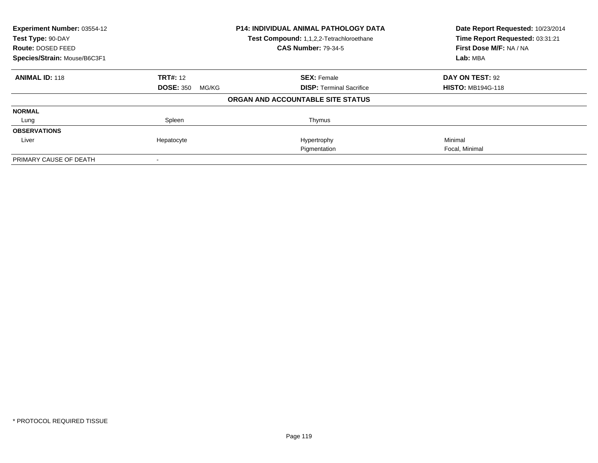| Experiment Number: 03554-12  |                           | <b>P14: INDIVIDUAL ANIMAL PATHOLOGY DATA</b> | Date Report Requested: 10/23/2014 |
|------------------------------|---------------------------|----------------------------------------------|-----------------------------------|
| Test Type: 90-DAY            |                           | Test Compound: 1,1,2,2-Tetrachloroethane     | Time Report Requested: 03:31:21   |
| Route: DOSED FEED            |                           | <b>CAS Number: 79-34-5</b>                   | First Dose M/F: NA / NA           |
| Species/Strain: Mouse/B6C3F1 |                           |                                              | Lab: MBA                          |
| <b>ANIMAL ID: 118</b>        | <b>TRT#: 12</b>           | <b>SEX: Female</b>                           | DAY ON TEST: 92                   |
|                              | <b>DOSE: 350</b><br>MG/KG | <b>DISP:</b> Terminal Sacrifice              | <b>HISTO: MB194G-118</b>          |
|                              |                           | ORGAN AND ACCOUNTABLE SITE STATUS            |                                   |
| <b>NORMAL</b>                |                           |                                              |                                   |
| Lung                         | Spleen                    | Thymus                                       |                                   |
| <b>OBSERVATIONS</b>          |                           |                                              |                                   |
| Liver                        | Hepatocyte                | Hypertrophy                                  | Minimal                           |
|                              |                           | Pigmentation                                 | Focal, Minimal                    |
| PRIMARY CAUSE OF DEATH       |                           |                                              |                                   |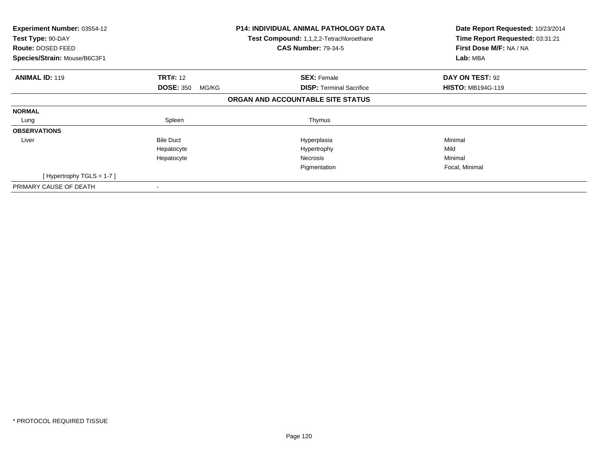| Experiment Number: 03554-12<br>Test Type: 90-DAY<br>Route: DOSED FEED<br>Species/Strain: Mouse/B6C3F1 |                           | <b>P14: INDIVIDUAL ANIMAL PATHOLOGY DATA</b><br>Test Compound: 1,1,2,2-Tetrachloroethane<br><b>CAS Number: 79-34-5</b> | Date Report Requested: 10/23/2014<br>Time Report Requested: 03:31:21<br>First Dose M/F: NA / NA<br>Lab: MBA |
|-------------------------------------------------------------------------------------------------------|---------------------------|------------------------------------------------------------------------------------------------------------------------|-------------------------------------------------------------------------------------------------------------|
| <b>ANIMAL ID: 119</b>                                                                                 | <b>TRT#: 12</b>           | <b>SEX: Female</b>                                                                                                     | DAY ON TEST: 92                                                                                             |
|                                                                                                       | <b>DOSE: 350</b><br>MG/KG | <b>DISP:</b> Terminal Sacrifice                                                                                        | <b>HISTO: MB194G-119</b>                                                                                    |
|                                                                                                       |                           | ORGAN AND ACCOUNTABLE SITE STATUS                                                                                      |                                                                                                             |
| <b>NORMAL</b>                                                                                         |                           |                                                                                                                        |                                                                                                             |
| Lung                                                                                                  | Spleen                    | Thymus                                                                                                                 |                                                                                                             |
| <b>OBSERVATIONS</b>                                                                                   |                           |                                                                                                                        |                                                                                                             |
| Liver                                                                                                 | <b>Bile Duct</b>          | Hyperplasia                                                                                                            | Minimal                                                                                                     |
|                                                                                                       | Hepatocyte                | Hypertrophy                                                                                                            | Mild                                                                                                        |
|                                                                                                       | Hepatocyte                | Necrosis                                                                                                               | Minimal                                                                                                     |
|                                                                                                       |                           | Pigmentation                                                                                                           | Focal, Minimal                                                                                              |
| [Hypertrophy TGLS = $1-7$ ]                                                                           |                           |                                                                                                                        |                                                                                                             |
| PRIMARY CAUSE OF DEATH                                                                                |                           |                                                                                                                        |                                                                                                             |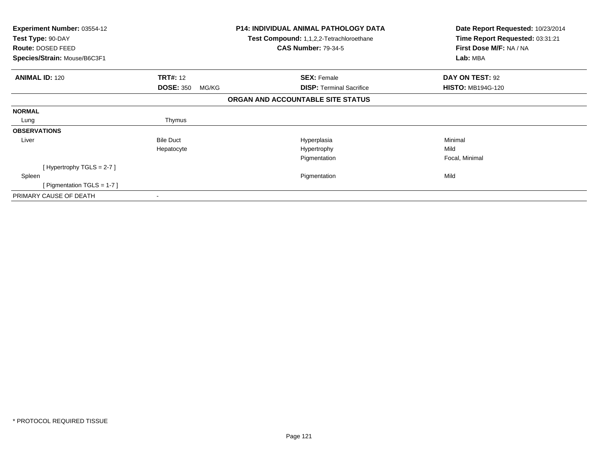| Experiment Number: 03554-12<br>Test Type: 90-DAY<br>Route: DOSED FEED<br>Species/Strain: Mouse/B6C3F1 |                           | <b>P14: INDIVIDUAL ANIMAL PATHOLOGY DATA</b><br>Test Compound: 1,1,2,2-Tetrachloroethane<br><b>CAS Number: 79-34-5</b> | Date Report Requested: 10/23/2014<br>Time Report Requested: 03:31:21<br>First Dose M/F: NA / NA<br>Lab: MBA |
|-------------------------------------------------------------------------------------------------------|---------------------------|------------------------------------------------------------------------------------------------------------------------|-------------------------------------------------------------------------------------------------------------|
| <b>ANIMAL ID: 120</b>                                                                                 | <b>TRT#: 12</b>           | <b>SEX: Female</b>                                                                                                     | DAY ON TEST: 92                                                                                             |
|                                                                                                       | <b>DOSE: 350</b><br>MG/KG | <b>DISP:</b> Terminal Sacrifice                                                                                        | <b>HISTO: MB194G-120</b>                                                                                    |
|                                                                                                       |                           | ORGAN AND ACCOUNTABLE SITE STATUS                                                                                      |                                                                                                             |
| <b>NORMAL</b>                                                                                         |                           |                                                                                                                        |                                                                                                             |
| Lung                                                                                                  | Thymus                    |                                                                                                                        |                                                                                                             |
| <b>OBSERVATIONS</b>                                                                                   |                           |                                                                                                                        |                                                                                                             |
| Liver                                                                                                 | <b>Bile Duct</b>          | Hyperplasia                                                                                                            | Minimal                                                                                                     |
|                                                                                                       | Hepatocyte                | Hypertrophy                                                                                                            | Mild                                                                                                        |
|                                                                                                       |                           | Pigmentation                                                                                                           | Focal, Minimal                                                                                              |
| [Hypertrophy TGLS = $2-7$ ]                                                                           |                           |                                                                                                                        |                                                                                                             |
| Spleen                                                                                                |                           | Pigmentation                                                                                                           | Mild                                                                                                        |
| [Pigmentation TGLS = 1-7]                                                                             |                           |                                                                                                                        |                                                                                                             |
| PRIMARY CAUSE OF DEATH                                                                                |                           |                                                                                                                        |                                                                                                             |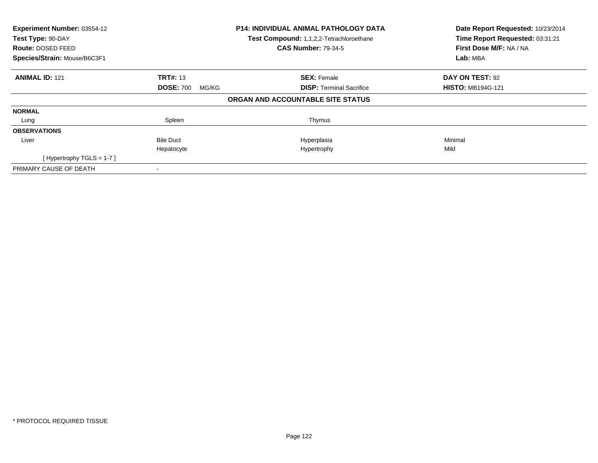| Experiment Number: 03554-12<br>Test Type: 90-DAY<br><b>Route: DOSED FEED</b><br>Species/Strain: Mouse/B6C3F1 |                           | <b>P14: INDIVIDUAL ANIMAL PATHOLOGY DATA</b><br>Test Compound: 1,1,2,2-Tetrachloroethane<br><b>CAS Number: 79-34-5</b> | Date Report Requested: 10/23/2014<br>Time Report Requested: 03:31:21<br>First Dose M/F: NA / NA<br>Lab: MBA |
|--------------------------------------------------------------------------------------------------------------|---------------------------|------------------------------------------------------------------------------------------------------------------------|-------------------------------------------------------------------------------------------------------------|
| <b>ANIMAL ID: 121</b>                                                                                        | <b>TRT#: 13</b>           | <b>SEX: Female</b>                                                                                                     | DAY ON TEST: 92                                                                                             |
|                                                                                                              | <b>DOSE: 700</b><br>MG/KG | <b>DISP:</b> Terminal Sacrifice                                                                                        | <b>HISTO: MB194G-121</b>                                                                                    |
|                                                                                                              |                           | ORGAN AND ACCOUNTABLE SITE STATUS                                                                                      |                                                                                                             |
| <b>NORMAL</b>                                                                                                |                           |                                                                                                                        |                                                                                                             |
| Lung                                                                                                         | Spleen                    | Thymus                                                                                                                 |                                                                                                             |
| <b>OBSERVATIONS</b>                                                                                          |                           |                                                                                                                        |                                                                                                             |
| Liver                                                                                                        | <b>Bile Duct</b>          | Hyperplasia                                                                                                            | Minimal                                                                                                     |
|                                                                                                              | Hepatocyte                | Hypertrophy                                                                                                            | Mild                                                                                                        |
| [Hypertrophy TGLS = $1-7$ ]                                                                                  |                           |                                                                                                                        |                                                                                                             |
| PRIMARY CAUSE OF DEATH                                                                                       |                           |                                                                                                                        |                                                                                                             |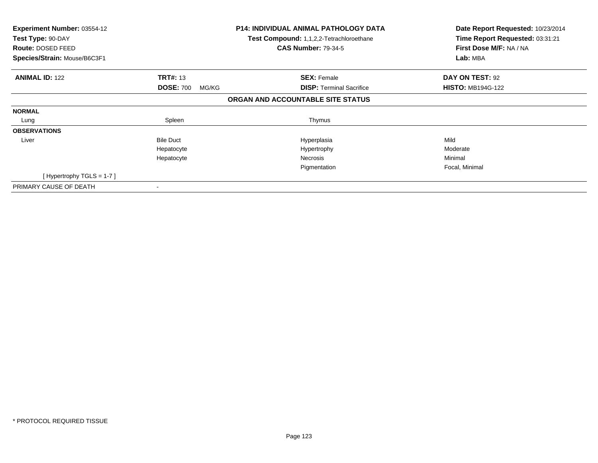| Experiment Number: 03554-12<br>Test Type: 90-DAY<br>Route: DOSED FEED<br>Species/Strain: Mouse/B6C3F1 |                           | <b>P14: INDIVIDUAL ANIMAL PATHOLOGY DATA</b><br>Test Compound: 1,1,2,2-Tetrachloroethane<br><b>CAS Number: 79-34-5</b> | Date Report Requested: 10/23/2014<br>Time Report Requested: 03:31:21<br>First Dose M/F: NA / NA<br>Lab: MBA |
|-------------------------------------------------------------------------------------------------------|---------------------------|------------------------------------------------------------------------------------------------------------------------|-------------------------------------------------------------------------------------------------------------|
|                                                                                                       |                           |                                                                                                                        |                                                                                                             |
| <b>ANIMAL ID: 122</b>                                                                                 | <b>TRT#: 13</b>           | <b>SEX: Female</b>                                                                                                     | DAY ON TEST: 92                                                                                             |
|                                                                                                       | <b>DOSE: 700</b><br>MG/KG | <b>DISP:</b> Terminal Sacrifice                                                                                        | <b>HISTO: MB194G-122</b>                                                                                    |
|                                                                                                       |                           | ORGAN AND ACCOUNTABLE SITE STATUS                                                                                      |                                                                                                             |
| <b>NORMAL</b>                                                                                         |                           |                                                                                                                        |                                                                                                             |
| Lung                                                                                                  | Spleen                    | Thymus                                                                                                                 |                                                                                                             |
| <b>OBSERVATIONS</b>                                                                                   |                           |                                                                                                                        |                                                                                                             |
| Liver                                                                                                 | <b>Bile Duct</b>          | Hyperplasia                                                                                                            | Mild                                                                                                        |
|                                                                                                       | Hepatocyte                | Hypertrophy                                                                                                            | Moderate                                                                                                    |
|                                                                                                       | Hepatocyte                | Necrosis                                                                                                               | Minimal                                                                                                     |
|                                                                                                       |                           | Pigmentation                                                                                                           | Focal, Minimal                                                                                              |
| [Hypertrophy TGLS = $1-7$ ]                                                                           |                           |                                                                                                                        |                                                                                                             |
| PRIMARY CAUSE OF DEATH                                                                                |                           |                                                                                                                        |                                                                                                             |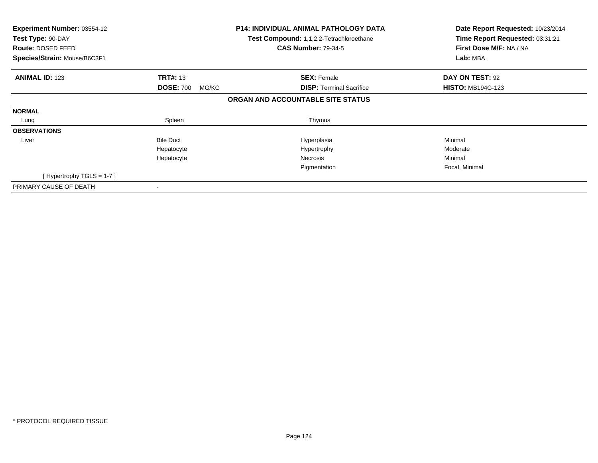| Experiment Number: 03554-12<br>Test Type: 90-DAY<br>Route: DOSED FEED<br>Species/Strain: Mouse/B6C3F1 |                           | <b>P14: INDIVIDUAL ANIMAL PATHOLOGY DATA</b><br>Test Compound: 1,1,2,2-Tetrachloroethane<br><b>CAS Number: 79-34-5</b> | Date Report Requested: 10/23/2014<br>Time Report Requested: 03:31:21<br>First Dose M/F: NA / NA<br>Lab: MBA |
|-------------------------------------------------------------------------------------------------------|---------------------------|------------------------------------------------------------------------------------------------------------------------|-------------------------------------------------------------------------------------------------------------|
| <b>ANIMAL ID: 123</b>                                                                                 | <b>TRT#: 13</b>           | <b>SEX: Female</b>                                                                                                     | DAY ON TEST: 92                                                                                             |
|                                                                                                       | <b>DOSE: 700</b><br>MG/KG | <b>DISP:</b> Terminal Sacrifice                                                                                        | <b>HISTO: MB194G-123</b>                                                                                    |
|                                                                                                       |                           | ORGAN AND ACCOUNTABLE SITE STATUS                                                                                      |                                                                                                             |
| <b>NORMAL</b>                                                                                         |                           |                                                                                                                        |                                                                                                             |
| Lung                                                                                                  | Spleen                    | Thymus                                                                                                                 |                                                                                                             |
| <b>OBSERVATIONS</b>                                                                                   |                           |                                                                                                                        |                                                                                                             |
| Liver                                                                                                 | <b>Bile Duct</b>          | Hyperplasia                                                                                                            | Minimal                                                                                                     |
|                                                                                                       | Hepatocyte                | Hypertrophy                                                                                                            | Moderate                                                                                                    |
|                                                                                                       | Hepatocyte                | Necrosis                                                                                                               | Minimal                                                                                                     |
|                                                                                                       |                           | Pigmentation                                                                                                           | Focal, Minimal                                                                                              |
| [Hypertrophy TGLS = $1-7$ ]                                                                           |                           |                                                                                                                        |                                                                                                             |
| PRIMARY CAUSE OF DEATH                                                                                |                           |                                                                                                                        |                                                                                                             |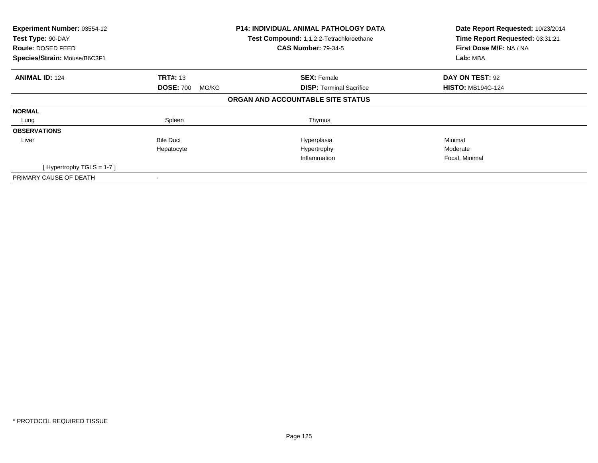| Experiment Number: 03554-12<br>Test Type: 90-DAY<br><b>Route: DOSED FEED</b><br>Species/Strain: Mouse/B6C3F1 |                           | <b>P14: INDIVIDUAL ANIMAL PATHOLOGY DATA</b><br>Test Compound: 1,1,2,2-Tetrachloroethane<br><b>CAS Number: 79-34-5</b> | Date Report Requested: 10/23/2014<br>Time Report Requested: 03:31:21<br>First Dose M/F: NA / NA<br>Lab: MBA |
|--------------------------------------------------------------------------------------------------------------|---------------------------|------------------------------------------------------------------------------------------------------------------------|-------------------------------------------------------------------------------------------------------------|
|                                                                                                              |                           |                                                                                                                        |                                                                                                             |
| <b>ANIMAL ID: 124</b>                                                                                        | <b>TRT#: 13</b>           | <b>SEX: Female</b>                                                                                                     | DAY ON TEST: 92                                                                                             |
|                                                                                                              | <b>DOSE: 700</b><br>MG/KG | <b>DISP:</b> Terminal Sacrifice                                                                                        | <b>HISTO: MB194G-124</b>                                                                                    |
|                                                                                                              |                           | ORGAN AND ACCOUNTABLE SITE STATUS                                                                                      |                                                                                                             |
| <b>NORMAL</b>                                                                                                |                           |                                                                                                                        |                                                                                                             |
| Lung                                                                                                         | Spleen                    | Thymus                                                                                                                 |                                                                                                             |
| <b>OBSERVATIONS</b>                                                                                          |                           |                                                                                                                        |                                                                                                             |
| Liver                                                                                                        | <b>Bile Duct</b>          | Hyperplasia                                                                                                            | Minimal                                                                                                     |
|                                                                                                              | Hepatocyte                | Hypertrophy                                                                                                            | Moderate                                                                                                    |
|                                                                                                              |                           | Inflammation                                                                                                           | Focal, Minimal                                                                                              |
| [Hypertrophy TGLS = 1-7]                                                                                     |                           |                                                                                                                        |                                                                                                             |
| PRIMARY CAUSE OF DEATH                                                                                       |                           |                                                                                                                        |                                                                                                             |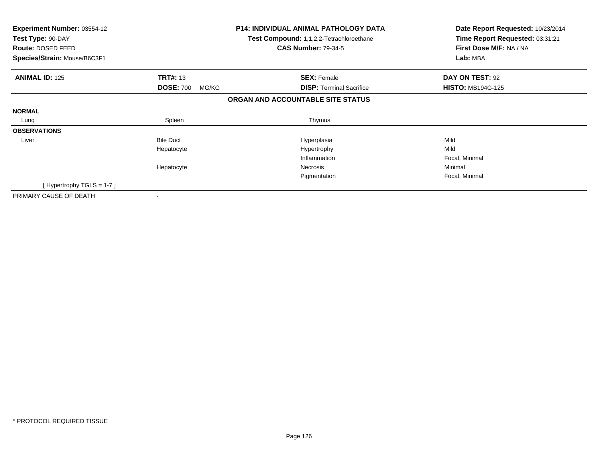| <b>Experiment Number: 03554-12</b><br>Test Type: 90-DAY<br>Route: DOSED FEED<br>Species/Strain: Mouse/B6C3F1 |                           | <b>P14: INDIVIDUAL ANIMAL PATHOLOGY DATA</b><br>Test Compound: 1,1,2,2-Tetrachloroethane<br><b>CAS Number: 79-34-5</b> | Date Report Requested: 10/23/2014<br>Time Report Requested: 03:31:21<br>First Dose M/F: NA / NA<br>Lab: MBA |
|--------------------------------------------------------------------------------------------------------------|---------------------------|------------------------------------------------------------------------------------------------------------------------|-------------------------------------------------------------------------------------------------------------|
| <b>ANIMAL ID: 125</b>                                                                                        | <b>TRT#: 13</b>           | <b>SEX: Female</b>                                                                                                     | DAY ON TEST: 92                                                                                             |
|                                                                                                              | <b>DOSE: 700</b><br>MG/KG | <b>DISP:</b> Terminal Sacrifice                                                                                        | <b>HISTO: MB194G-125</b>                                                                                    |
|                                                                                                              |                           | ORGAN AND ACCOUNTABLE SITE STATUS                                                                                      |                                                                                                             |
| <b>NORMAL</b>                                                                                                |                           |                                                                                                                        |                                                                                                             |
| Lung                                                                                                         | Spleen                    | Thymus                                                                                                                 |                                                                                                             |
| <b>OBSERVATIONS</b>                                                                                          |                           |                                                                                                                        |                                                                                                             |
| Liver                                                                                                        | <b>Bile Duct</b>          | Hyperplasia                                                                                                            | Mild                                                                                                        |
|                                                                                                              | Hepatocyte                | Hypertrophy                                                                                                            | Mild                                                                                                        |
|                                                                                                              |                           | Inflammation                                                                                                           | Focal, Minimal                                                                                              |
|                                                                                                              | Hepatocyte                | Necrosis                                                                                                               | Minimal                                                                                                     |
|                                                                                                              |                           | Pigmentation                                                                                                           | Focal, Minimal                                                                                              |
| [Hypertrophy TGLS = $1-7$ ]                                                                                  |                           |                                                                                                                        |                                                                                                             |
| PRIMARY CAUSE OF DEATH                                                                                       |                           |                                                                                                                        |                                                                                                             |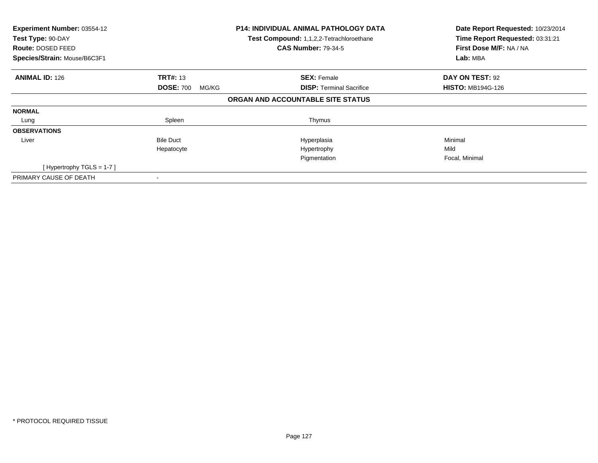| Experiment Number: 03554-12<br>Test Type: 90-DAY<br>Route: DOSED FEED<br>Species/Strain: Mouse/B6C3F1 |                           | <b>P14: INDIVIDUAL ANIMAL PATHOLOGY DATA</b><br>Test Compound: 1,1,2,2-Tetrachloroethane<br><b>CAS Number: 79-34-5</b> | Date Report Requested: 10/23/2014<br>Time Report Requested: 03:31:21<br>First Dose M/F: NA / NA<br>Lab: MBA |
|-------------------------------------------------------------------------------------------------------|---------------------------|------------------------------------------------------------------------------------------------------------------------|-------------------------------------------------------------------------------------------------------------|
|                                                                                                       |                           |                                                                                                                        |                                                                                                             |
| <b>ANIMAL ID: 126</b>                                                                                 | <b>TRT#: 13</b>           | <b>SEX: Female</b>                                                                                                     | DAY ON TEST: 92                                                                                             |
|                                                                                                       | <b>DOSE: 700</b><br>MG/KG | <b>DISP:</b> Terminal Sacrifice                                                                                        | <b>HISTO: MB194G-126</b>                                                                                    |
|                                                                                                       |                           | ORGAN AND ACCOUNTABLE SITE STATUS                                                                                      |                                                                                                             |
| <b>NORMAL</b>                                                                                         |                           |                                                                                                                        |                                                                                                             |
| Lung                                                                                                  | Spleen                    | Thymus                                                                                                                 |                                                                                                             |
| <b>OBSERVATIONS</b>                                                                                   |                           |                                                                                                                        |                                                                                                             |
| Liver                                                                                                 | <b>Bile Duct</b>          | Hyperplasia                                                                                                            | Minimal                                                                                                     |
|                                                                                                       | Hepatocyte                | Hypertrophy                                                                                                            | Mild                                                                                                        |
|                                                                                                       |                           | Pigmentation                                                                                                           | Focal, Minimal                                                                                              |
| [Hypertrophy TGLS = 1-7]                                                                              |                           |                                                                                                                        |                                                                                                             |
| PRIMARY CAUSE OF DEATH                                                                                |                           |                                                                                                                        |                                                                                                             |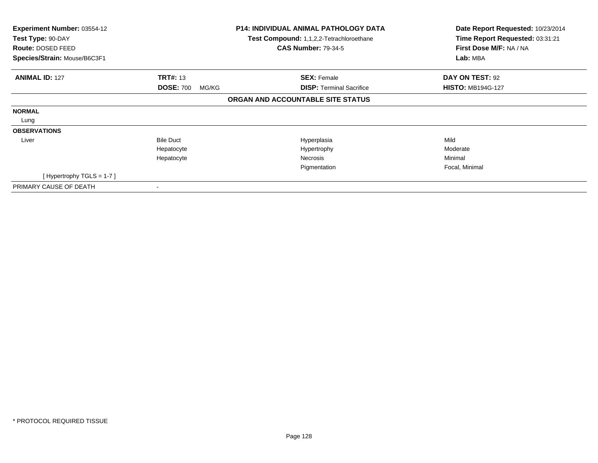| Experiment Number: 03554-12<br>Test Type: 90-DAY<br>Route: DOSED FEED<br>Species/Strain: Mouse/B6C3F1 |                                              | <b>P14: INDIVIDUAL ANIMAL PATHOLOGY DATA</b><br>Test Compound: 1,1,2,2-Tetrachloroethane<br><b>CAS Number: 79-34-5</b> | Date Report Requested: 10/23/2014<br>Time Report Requested: 03:31:21<br>First Dose M/F: NA / NA<br>Lab: MBA |
|-------------------------------------------------------------------------------------------------------|----------------------------------------------|------------------------------------------------------------------------------------------------------------------------|-------------------------------------------------------------------------------------------------------------|
|                                                                                                       |                                              |                                                                                                                        |                                                                                                             |
| <b>ANIMAL ID: 127</b>                                                                                 | <b>TRT#: 13</b><br><b>DOSE: 700</b><br>MG/KG | <b>SEX: Female</b><br><b>DISP: Terminal Sacrifice</b>                                                                  | DAY ON TEST: 92<br><b>HISTO: MB194G-127</b>                                                                 |
|                                                                                                       |                                              | ORGAN AND ACCOUNTABLE SITE STATUS                                                                                      |                                                                                                             |
| <b>NORMAL</b>                                                                                         |                                              |                                                                                                                        |                                                                                                             |
| Lung                                                                                                  |                                              |                                                                                                                        |                                                                                                             |
| <b>OBSERVATIONS</b>                                                                                   |                                              |                                                                                                                        |                                                                                                             |
| Liver                                                                                                 | <b>Bile Duct</b>                             | Hyperplasia                                                                                                            | Mild                                                                                                        |
|                                                                                                       | Hepatocyte                                   | Hypertrophy                                                                                                            | Moderate                                                                                                    |
|                                                                                                       | Hepatocyte                                   | Necrosis                                                                                                               | Minimal                                                                                                     |
|                                                                                                       |                                              | Pigmentation                                                                                                           | Focal, Minimal                                                                                              |
| [Hypertrophy TGLS = 1-7]                                                                              |                                              |                                                                                                                        |                                                                                                             |
| PRIMARY CAUSE OF DEATH                                                                                |                                              |                                                                                                                        |                                                                                                             |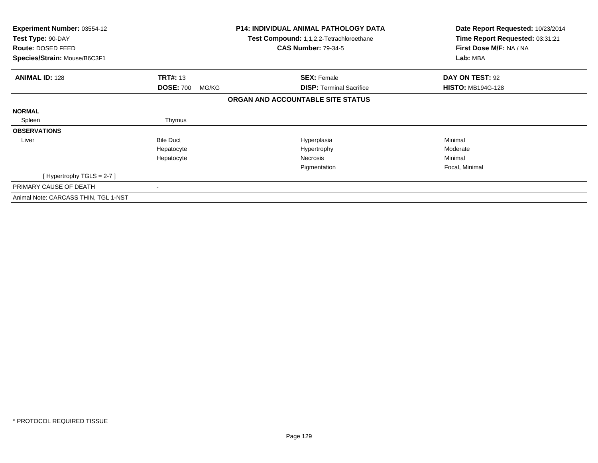| <b>Experiment Number: 03554-12</b><br>Test Type: 90-DAY<br><b>Route: DOSED FEED</b><br>Species/Strain: Mouse/B6C3F1 |                           | <b>P14: INDIVIDUAL ANIMAL PATHOLOGY DATA</b><br>Test Compound: 1,1,2,2-Tetrachloroethane<br><b>CAS Number: 79-34-5</b> | Date Report Requested: 10/23/2014<br>Time Report Requested: 03:31:21<br>First Dose M/F: NA / NA<br>Lab: MBA |
|---------------------------------------------------------------------------------------------------------------------|---------------------------|------------------------------------------------------------------------------------------------------------------------|-------------------------------------------------------------------------------------------------------------|
|                                                                                                                     |                           |                                                                                                                        |                                                                                                             |
| <b>ANIMAL ID: 128</b>                                                                                               | <b>TRT#: 13</b>           | <b>SEX: Female</b>                                                                                                     | <b>DAY ON TEST: 92</b>                                                                                      |
|                                                                                                                     | <b>DOSE: 700</b><br>MG/KG | <b>DISP:</b> Terminal Sacrifice                                                                                        | <b>HISTO: MB194G-128</b>                                                                                    |
|                                                                                                                     |                           | ORGAN AND ACCOUNTABLE SITE STATUS                                                                                      |                                                                                                             |
| <b>NORMAL</b>                                                                                                       |                           |                                                                                                                        |                                                                                                             |
| Spleen                                                                                                              | Thymus                    |                                                                                                                        |                                                                                                             |
| <b>OBSERVATIONS</b>                                                                                                 |                           |                                                                                                                        |                                                                                                             |
| Liver                                                                                                               | <b>Bile Duct</b>          | Hyperplasia                                                                                                            | Minimal                                                                                                     |
|                                                                                                                     | Hepatocyte                | Hypertrophy                                                                                                            | Moderate                                                                                                    |
|                                                                                                                     | Hepatocyte                | Necrosis                                                                                                               | Minimal                                                                                                     |
|                                                                                                                     |                           | Pigmentation                                                                                                           | Focal, Minimal                                                                                              |
| [Hypertrophy TGLS = $2-7$ ]                                                                                         |                           |                                                                                                                        |                                                                                                             |
| PRIMARY CAUSE OF DEATH                                                                                              |                           |                                                                                                                        |                                                                                                             |
| Animal Note: CARCASS THIN, TGL 1-NST                                                                                |                           |                                                                                                                        |                                                                                                             |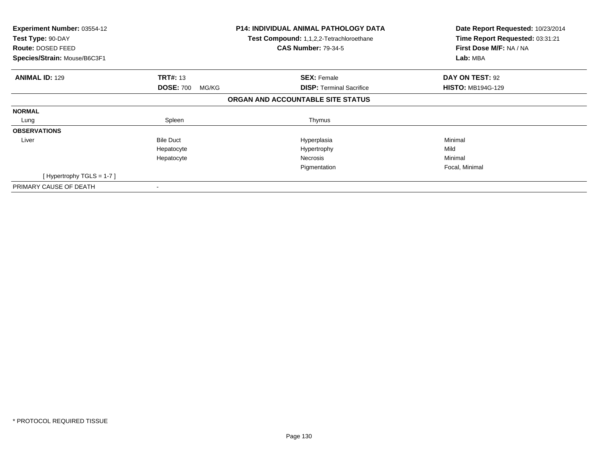| Experiment Number: 03554-12<br>Test Type: 90-DAY<br>Route: DOSED FEED<br>Species/Strain: Mouse/B6C3F1 |                           | <b>P14: INDIVIDUAL ANIMAL PATHOLOGY DATA</b><br>Test Compound: 1,1,2,2-Tetrachloroethane<br><b>CAS Number: 79-34-5</b> | Date Report Requested: 10/23/2014<br>Time Report Requested: 03:31:21<br>First Dose M/F: NA / NA<br>Lab: MBA |
|-------------------------------------------------------------------------------------------------------|---------------------------|------------------------------------------------------------------------------------------------------------------------|-------------------------------------------------------------------------------------------------------------|
| <b>ANIMAL ID: 129</b>                                                                                 | <b>TRT#: 13</b>           | <b>SEX: Female</b>                                                                                                     | DAY ON TEST: 92                                                                                             |
|                                                                                                       | <b>DOSE: 700</b><br>MG/KG | <b>DISP:</b> Terminal Sacrifice                                                                                        | <b>HISTO: MB194G-129</b>                                                                                    |
|                                                                                                       |                           | ORGAN AND ACCOUNTABLE SITE STATUS                                                                                      |                                                                                                             |
| <b>NORMAL</b>                                                                                         |                           |                                                                                                                        |                                                                                                             |
| Lung                                                                                                  | Spleen                    | Thymus                                                                                                                 |                                                                                                             |
| <b>OBSERVATIONS</b>                                                                                   |                           |                                                                                                                        |                                                                                                             |
| Liver                                                                                                 | <b>Bile Duct</b>          | Hyperplasia                                                                                                            | Minimal                                                                                                     |
|                                                                                                       | Hepatocyte                | Hypertrophy                                                                                                            | Mild                                                                                                        |
|                                                                                                       | Hepatocyte                | Necrosis                                                                                                               | Minimal                                                                                                     |
|                                                                                                       |                           | Pigmentation                                                                                                           | Focal, Minimal                                                                                              |
| [Hypertrophy TGLS = $1-7$ ]                                                                           |                           |                                                                                                                        |                                                                                                             |
| PRIMARY CAUSE OF DEATH                                                                                |                           |                                                                                                                        |                                                                                                             |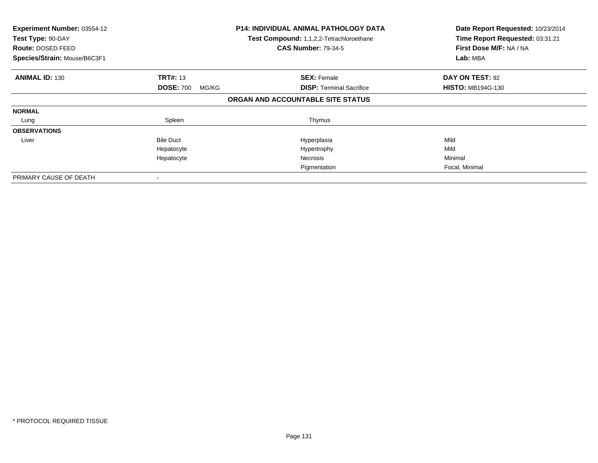| Experiment Number: 03554-12<br>Test Type: 90-DAY<br>Route: DOSED FEED<br>Species/Strain: Mouse/B6C3F1 |                                              | <b>P14: INDIVIDUAL ANIMAL PATHOLOGY DATA</b><br>Test Compound: 1,1,2,2-Tetrachloroethane<br><b>CAS Number: 79-34-5</b> | Date Report Requested: 10/23/2014<br>Time Report Requested: 03:31:21<br>First Dose M/F: NA / NA<br>Lab: MBA |
|-------------------------------------------------------------------------------------------------------|----------------------------------------------|------------------------------------------------------------------------------------------------------------------------|-------------------------------------------------------------------------------------------------------------|
| <b>ANIMAL ID: 130</b>                                                                                 | <b>TRT#: 13</b><br><b>DOSE: 700</b><br>MG/KG | <b>SEX: Female</b><br><b>DISP:</b> Terminal Sacrifice                                                                  | DAY ON TEST: 92<br><b>HISTO: MB194G-130</b>                                                                 |
|                                                                                                       |                                              | ORGAN AND ACCOUNTABLE SITE STATUS                                                                                      |                                                                                                             |
| <b>NORMAL</b>                                                                                         |                                              |                                                                                                                        |                                                                                                             |
| Lung                                                                                                  | Spleen                                       | Thymus                                                                                                                 |                                                                                                             |
| <b>OBSERVATIONS</b>                                                                                   |                                              |                                                                                                                        |                                                                                                             |
| Liver                                                                                                 | <b>Bile Duct</b>                             | Hyperplasia                                                                                                            | Mild                                                                                                        |
|                                                                                                       | Hepatocyte                                   | Hypertrophy                                                                                                            | Mild                                                                                                        |
|                                                                                                       | Hepatocyte                                   | <b>Necrosis</b>                                                                                                        | Minimal                                                                                                     |
|                                                                                                       |                                              | Pigmentation                                                                                                           | Focal, Minimal                                                                                              |
| PRIMARY CAUSE OF DEATH                                                                                |                                              |                                                                                                                        |                                                                                                             |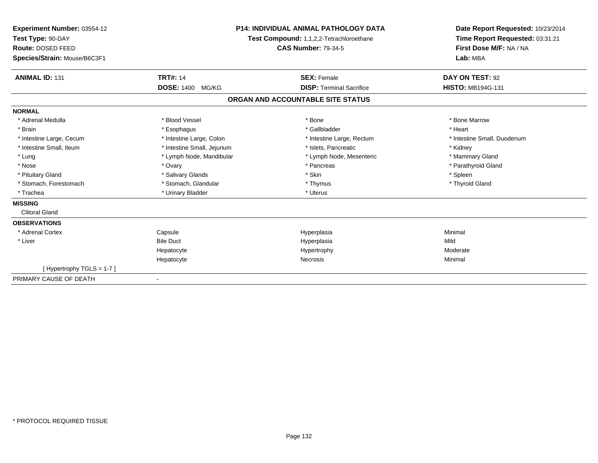| Experiment Number: 03554-12<br>Test Type: 90-DAY<br>Route: DOSED FEED<br>Species/Strain: Mouse/B6C3F1                                                                                  |                                                                                                                                                                                                  | <b>P14: INDIVIDUAL ANIMAL PATHOLOGY DATA</b><br>Test Compound: 1,1,2,2-Tetrachloroethane<br><b>CAS Number: 79-34-5</b>                                   | Date Report Requested: 10/23/2014<br>Time Report Requested: 03:31:21<br>First Dose M/F: NA / NA<br>Lab: MBA                                  |
|----------------------------------------------------------------------------------------------------------------------------------------------------------------------------------------|--------------------------------------------------------------------------------------------------------------------------------------------------------------------------------------------------|----------------------------------------------------------------------------------------------------------------------------------------------------------|----------------------------------------------------------------------------------------------------------------------------------------------|
| <b>ANIMAL ID: 131</b>                                                                                                                                                                  | <b>TRT#: 14</b><br><b>DOSE: 1400</b><br>MG/KG                                                                                                                                                    | <b>SEX: Female</b><br><b>DISP: Terminal Sacrifice</b>                                                                                                    | DAY ON TEST: 92<br><b>HISTO: MB194G-131</b>                                                                                                  |
|                                                                                                                                                                                        |                                                                                                                                                                                                  | ORGAN AND ACCOUNTABLE SITE STATUS                                                                                                                        |                                                                                                                                              |
| <b>NORMAL</b>                                                                                                                                                                          |                                                                                                                                                                                                  |                                                                                                                                                          |                                                                                                                                              |
| * Adrenal Medulla<br>* Brain<br>* Intestine Large, Cecum<br>* Intestine Small, Ileum<br>* Lung<br>* Nose<br>* Pituitary Gland<br>* Stomach, Forestomach<br>* Trachea<br><b>MISSING</b> | * Blood Vessel<br>* Esophagus<br>* Intestine Large, Colon<br>* Intestine Small, Jejunum<br>* Lymph Node, Mandibular<br>* Ovary<br>* Salivary Glands<br>* Stomach, Glandular<br>* Urinary Bladder | * Bone<br>* Gallbladder<br>* Intestine Large, Rectum<br>* Islets, Pancreatic<br>* Lymph Node, Mesenteric<br>* Pancreas<br>* Skin<br>* Thymus<br>* Uterus | * Bone Marrow<br>* Heart<br>* Intestine Small, Duodenum<br>* Kidney<br>* Mammary Gland<br>* Parathyroid Gland<br>* Spleen<br>* Thyroid Gland |
| <b>Clitoral Gland</b>                                                                                                                                                                  |                                                                                                                                                                                                  |                                                                                                                                                          |                                                                                                                                              |
| <b>OBSERVATIONS</b><br>* Adrenal Cortex<br>* Liver                                                                                                                                     | Capsule<br><b>Bile Duct</b><br>Hepatocyte<br>Hepatocyte                                                                                                                                          | Hyperplasia<br>Hyperplasia<br>Hypertrophy<br><b>Necrosis</b>                                                                                             | Minimal<br>Mild<br>Moderate<br>Minimal                                                                                                       |
| [Hypertrophy TGLS = 1-7]<br>PRIMARY CAUSE OF DEATH                                                                                                                                     |                                                                                                                                                                                                  |                                                                                                                                                          |                                                                                                                                              |
|                                                                                                                                                                                        |                                                                                                                                                                                                  |                                                                                                                                                          |                                                                                                                                              |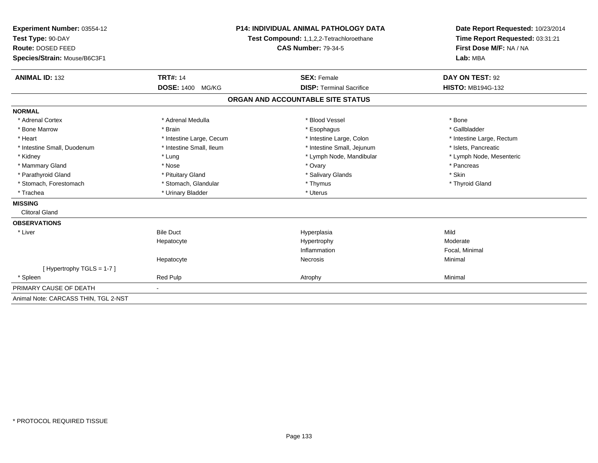| Experiment Number: 03554-12          | <b>P14: INDIVIDUAL ANIMAL PATHOLOGY DATA</b><br>Test Compound: 1,1,2,2-Tetrachloroethane<br><b>CAS Number: 79-34-5</b> |                                   | Date Report Requested: 10/23/2014                          |  |
|--------------------------------------|------------------------------------------------------------------------------------------------------------------------|-----------------------------------|------------------------------------------------------------|--|
| Test Type: 90-DAY                    |                                                                                                                        |                                   | Time Report Requested: 03:31:21<br>First Dose M/F: NA / NA |  |
| Route: DOSED FEED                    |                                                                                                                        |                                   |                                                            |  |
| Species/Strain: Mouse/B6C3F1         |                                                                                                                        |                                   | Lab: MBA                                                   |  |
|                                      |                                                                                                                        |                                   |                                                            |  |
| <b>ANIMAL ID: 132</b>                | <b>TRT#: 14</b>                                                                                                        | <b>SEX: Female</b>                | DAY ON TEST: 92                                            |  |
|                                      | <b>DOSE: 1400</b><br>MG/KG                                                                                             | <b>DISP: Terminal Sacrifice</b>   | <b>HISTO: MB194G-132</b>                                   |  |
|                                      |                                                                                                                        | ORGAN AND ACCOUNTABLE SITE STATUS |                                                            |  |
| <b>NORMAL</b>                        |                                                                                                                        |                                   |                                                            |  |
| * Adrenal Cortex                     | * Adrenal Medulla                                                                                                      | * Blood Vessel                    | * Bone                                                     |  |
| * Bone Marrow                        | * Brain                                                                                                                | * Esophagus                       | * Gallbladder                                              |  |
| * Heart                              | * Intestine Large, Cecum                                                                                               | * Intestine Large, Colon          | * Intestine Large, Rectum                                  |  |
| * Intestine Small, Duodenum          | * Intestine Small, Ileum                                                                                               | * Intestine Small, Jejunum        | * Islets. Pancreatic                                       |  |
| * Kidney                             | * Lung                                                                                                                 | * Lymph Node, Mandibular          | * Lymph Node, Mesenteric                                   |  |
| * Mammary Gland                      | * Nose                                                                                                                 | * Ovary                           | * Pancreas                                                 |  |
| * Parathyroid Gland                  | * Pituitary Gland                                                                                                      | * Salivary Glands                 | * Skin                                                     |  |
| * Stomach, Forestomach               | * Stomach, Glandular                                                                                                   | * Thymus                          | * Thyroid Gland                                            |  |
| * Trachea                            | * Urinary Bladder                                                                                                      | * Uterus                          |                                                            |  |
| <b>MISSING</b>                       |                                                                                                                        |                                   |                                                            |  |
| <b>Clitoral Gland</b>                |                                                                                                                        |                                   |                                                            |  |
| <b>OBSERVATIONS</b>                  |                                                                                                                        |                                   |                                                            |  |
| * Liver                              | <b>Bile Duct</b>                                                                                                       | Hyperplasia                       | Mild                                                       |  |
|                                      | Hepatocyte                                                                                                             | Hypertrophy                       | Moderate                                                   |  |
|                                      |                                                                                                                        | Inflammation                      | Focal, Minimal                                             |  |
|                                      | Hepatocyte                                                                                                             | Necrosis                          | Minimal                                                    |  |
| [Hypertrophy TGLS = 1-7]             |                                                                                                                        |                                   |                                                            |  |
| * Spleen                             | Red Pulp                                                                                                               | Atrophy                           | Minimal                                                    |  |
| PRIMARY CAUSE OF DEATH               |                                                                                                                        |                                   |                                                            |  |
| Animal Note: CARCASS THIN, TGL 2-NST |                                                                                                                        |                                   |                                                            |  |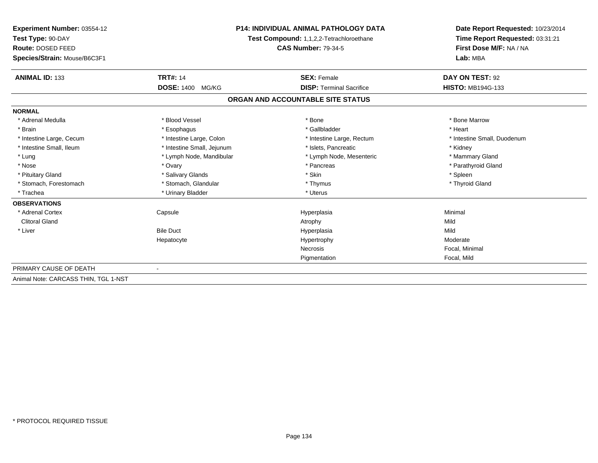| Experiment Number: 03554-12          |                                          | <b>P14: INDIVIDUAL ANIMAL PATHOLOGY DATA</b> |                                     |
|--------------------------------------|------------------------------------------|----------------------------------------------|-------------------------------------|
| Test Type: 90-DAY                    | Test Compound: 1,1,2,2-Tetrachloroethane |                                              | Time Report Requested: 03:31:21     |
| Route: DOSED FEED                    |                                          | <b>CAS Number: 79-34-5</b>                   | First Dose M/F: NA / NA<br>Lab: MBA |
| Species/Strain: Mouse/B6C3F1         |                                          |                                              |                                     |
| <b>ANIMAL ID: 133</b>                | <b>TRT#: 14</b>                          | <b>SEX: Female</b>                           | DAY ON TEST: 92                     |
|                                      | <b>DOSE: 1400</b><br>MG/KG               | <b>DISP: Terminal Sacrifice</b>              | <b>HISTO: MB194G-133</b>            |
|                                      |                                          | ORGAN AND ACCOUNTABLE SITE STATUS            |                                     |
| <b>NORMAL</b>                        |                                          |                                              |                                     |
| * Adrenal Medulla                    | * Blood Vessel                           | * Bone                                       | * Bone Marrow                       |
| * Brain                              | * Esophagus                              | * Gallbladder                                | * Heart                             |
| * Intestine Large, Cecum             | * Intestine Large, Colon                 | * Intestine Large, Rectum                    | * Intestine Small, Duodenum         |
| * Intestine Small, Ileum             | * Intestine Small, Jejunum               | * Islets, Pancreatic                         | * Kidney                            |
| * Lung                               | * Lymph Node, Mandibular                 | * Lymph Node, Mesenteric                     | * Mammary Gland                     |
| * Nose                               | * Ovary                                  | * Pancreas                                   | * Parathyroid Gland                 |
| * Pituitary Gland                    | * Salivary Glands                        | * Skin                                       | * Spleen                            |
| * Stomach, Forestomach               | * Stomach, Glandular                     | * Thymus                                     | * Thyroid Gland                     |
| * Trachea                            | * Urinary Bladder                        | * Uterus                                     |                                     |
| <b>OBSERVATIONS</b>                  |                                          |                                              |                                     |
| * Adrenal Cortex                     | Capsule                                  | Hyperplasia                                  | Minimal                             |
| <b>Clitoral Gland</b>                |                                          | Atrophy                                      | Mild                                |
| * Liver                              | <b>Bile Duct</b>                         | Hyperplasia                                  | Mild                                |
|                                      | Hepatocyte                               | Hypertrophy                                  | Moderate                            |
|                                      |                                          | <b>Necrosis</b>                              | Focal, Minimal                      |
|                                      |                                          | Pigmentation                                 | Focal, Mild                         |
| PRIMARY CAUSE OF DEATH               |                                          |                                              |                                     |
| Animal Note: CARCASS THIN, TGL 1-NST |                                          |                                              |                                     |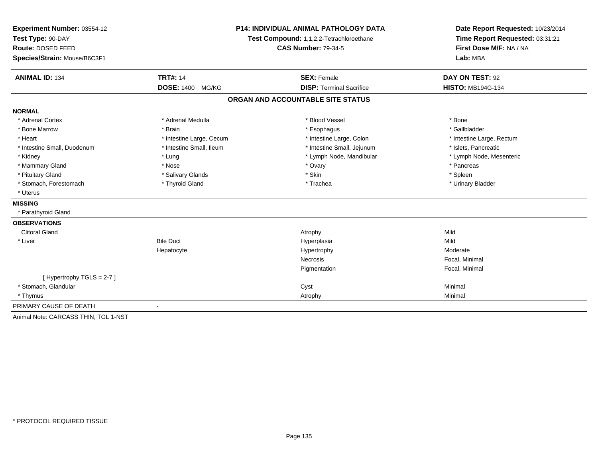| Experiment Number: 03554-12          | <b>P14: INDIVIDUAL ANIMAL PATHOLOGY DATA</b><br>Test Compound: 1,1,2,2-Tetrachloroethane |                                   | Date Report Requested: 10/23/2014<br>Time Report Requested: 03:31:21 |  |
|--------------------------------------|------------------------------------------------------------------------------------------|-----------------------------------|----------------------------------------------------------------------|--|
| Test Type: 90-DAY                    |                                                                                          |                                   |                                                                      |  |
| Route: DOSED FEED                    |                                                                                          | <b>CAS Number: 79-34-5</b>        |                                                                      |  |
| Species/Strain: Mouse/B6C3F1         |                                                                                          |                                   | Lab: MBA                                                             |  |
| <b>ANIMAL ID: 134</b>                | <b>TRT#: 14</b>                                                                          | <b>SEX: Female</b>                | DAY ON TEST: 92                                                      |  |
|                                      | <b>DOSE: 1400</b><br>MG/KG                                                               | <b>DISP: Terminal Sacrifice</b>   | <b>HISTO: MB194G-134</b>                                             |  |
|                                      |                                                                                          | ORGAN AND ACCOUNTABLE SITE STATUS |                                                                      |  |
| <b>NORMAL</b>                        |                                                                                          |                                   |                                                                      |  |
| * Adrenal Cortex                     | * Adrenal Medulla                                                                        | * Blood Vessel                    | * Bone                                                               |  |
| * Bone Marrow                        | * Brain                                                                                  | * Esophagus                       | * Gallbladder                                                        |  |
| * Heart                              | * Intestine Large, Cecum                                                                 | * Intestine Large, Colon          | * Intestine Large, Rectum                                            |  |
| * Intestine Small, Duodenum          | * Intestine Small, Ileum                                                                 | * Intestine Small, Jejunum        | * Islets, Pancreatic                                                 |  |
| * Kidney                             | * Lung                                                                                   | * Lymph Node, Mandibular          | * Lymph Node, Mesenteric                                             |  |
| * Mammary Gland                      | * Nose                                                                                   | * Ovary                           | * Pancreas                                                           |  |
| * Pituitary Gland                    | * Salivary Glands                                                                        | * Skin                            | * Spleen                                                             |  |
| * Stomach, Forestomach               | * Thyroid Gland                                                                          | * Trachea                         | * Urinary Bladder                                                    |  |
| * Uterus                             |                                                                                          |                                   |                                                                      |  |
| <b>MISSING</b>                       |                                                                                          |                                   |                                                                      |  |
| * Parathyroid Gland                  |                                                                                          |                                   |                                                                      |  |
| <b>OBSERVATIONS</b>                  |                                                                                          |                                   |                                                                      |  |
| <b>Clitoral Gland</b>                |                                                                                          | Atrophy                           | Mild                                                                 |  |
| * Liver                              | <b>Bile Duct</b>                                                                         | Hyperplasia                       | Mild                                                                 |  |
|                                      | Hepatocyte                                                                               | Hypertrophy                       | Moderate                                                             |  |
|                                      |                                                                                          | <b>Necrosis</b>                   | Focal, Minimal                                                       |  |
|                                      |                                                                                          | Pigmentation                      | Focal, Minimal                                                       |  |
| [Hypertrophy TGLS = 2-7]             |                                                                                          |                                   |                                                                      |  |
| * Stomach, Glandular                 |                                                                                          | Cyst                              | Minimal                                                              |  |
| * Thymus                             |                                                                                          | Atrophy                           | Minimal                                                              |  |
| PRIMARY CAUSE OF DEATH               |                                                                                          |                                   |                                                                      |  |
| Animal Note: CARCASS THIN, TGL 1-NST |                                                                                          |                                   |                                                                      |  |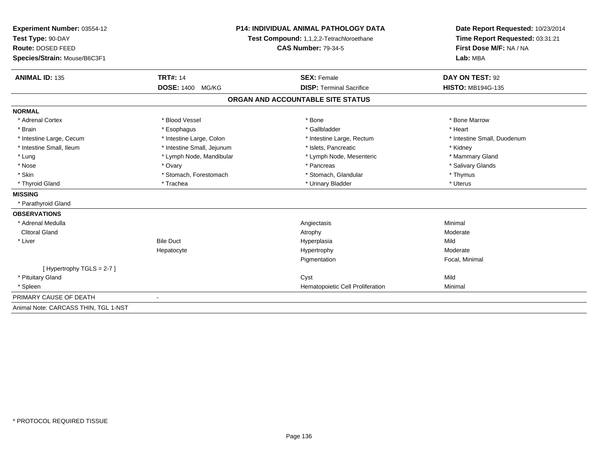| Experiment Number: 03554-12          | <b>P14: INDIVIDUAL ANIMAL PATHOLOGY DATA</b><br>Test Compound: 1,1,2,2-Tetrachloroethane<br><b>CAS Number: 79-34-5</b> |                                   | Date Report Requested: 10/23/2014                          |  |
|--------------------------------------|------------------------------------------------------------------------------------------------------------------------|-----------------------------------|------------------------------------------------------------|--|
| Test Type: 90-DAY                    |                                                                                                                        |                                   | Time Report Requested: 03:31:21<br>First Dose M/F: NA / NA |  |
| Route: DOSED FEED                    |                                                                                                                        |                                   |                                                            |  |
| Species/Strain: Mouse/B6C3F1         |                                                                                                                        |                                   | Lab: MBA                                                   |  |
|                                      |                                                                                                                        |                                   |                                                            |  |
| <b>ANIMAL ID: 135</b>                | <b>TRT#: 14</b>                                                                                                        | <b>SEX: Female</b>                | DAY ON TEST: 92                                            |  |
|                                      | <b>DOSE: 1400</b><br>MG/KG                                                                                             | <b>DISP: Terminal Sacrifice</b>   | <b>HISTO: MB194G-135</b>                                   |  |
|                                      |                                                                                                                        | ORGAN AND ACCOUNTABLE SITE STATUS |                                                            |  |
| <b>NORMAL</b>                        |                                                                                                                        |                                   |                                                            |  |
| * Adrenal Cortex                     | * Blood Vessel                                                                                                         | * Bone                            | * Bone Marrow                                              |  |
| * Brain                              | * Esophagus                                                                                                            | * Gallbladder                     | * Heart                                                    |  |
| * Intestine Large, Cecum             | * Intestine Large, Colon                                                                                               | * Intestine Large, Rectum         | * Intestine Small, Duodenum                                |  |
| * Intestine Small, Ileum             | * Intestine Small, Jejunum                                                                                             | * Islets, Pancreatic              | * Kidney                                                   |  |
| * Lung                               | * Lymph Node, Mandibular                                                                                               | * Lymph Node, Mesenteric          | * Mammary Gland                                            |  |
| * Nose                               | * Ovary                                                                                                                | * Pancreas                        | * Salivary Glands                                          |  |
| * Skin                               | * Stomach, Forestomach                                                                                                 | * Stomach, Glandular              | * Thymus                                                   |  |
| * Thyroid Gland                      | * Trachea                                                                                                              | * Urinary Bladder                 | * Uterus                                                   |  |
| <b>MISSING</b>                       |                                                                                                                        |                                   |                                                            |  |
| * Parathyroid Gland                  |                                                                                                                        |                                   |                                                            |  |
| <b>OBSERVATIONS</b>                  |                                                                                                                        |                                   |                                                            |  |
| * Adrenal Medulla                    |                                                                                                                        | Angiectasis                       | Minimal                                                    |  |
| <b>Clitoral Gland</b>                |                                                                                                                        | Atrophy                           | Moderate                                                   |  |
| * Liver                              | <b>Bile Duct</b>                                                                                                       | Hyperplasia                       | Mild                                                       |  |
|                                      | Hepatocyte                                                                                                             | Hypertrophy                       | Moderate                                                   |  |
|                                      |                                                                                                                        | Pigmentation                      | Focal, Minimal                                             |  |
| [Hypertrophy TGLS = 2-7]             |                                                                                                                        |                                   |                                                            |  |
| * Pituitary Gland                    |                                                                                                                        | Cyst                              | Mild                                                       |  |
| * Spleen                             |                                                                                                                        | Hematopoietic Cell Proliferation  | Minimal                                                    |  |
| PRIMARY CAUSE OF DEATH               | $\overline{\phantom{a}}$                                                                                               |                                   |                                                            |  |
| Animal Note: CARCASS THIN, TGL 1-NST |                                                                                                                        |                                   |                                                            |  |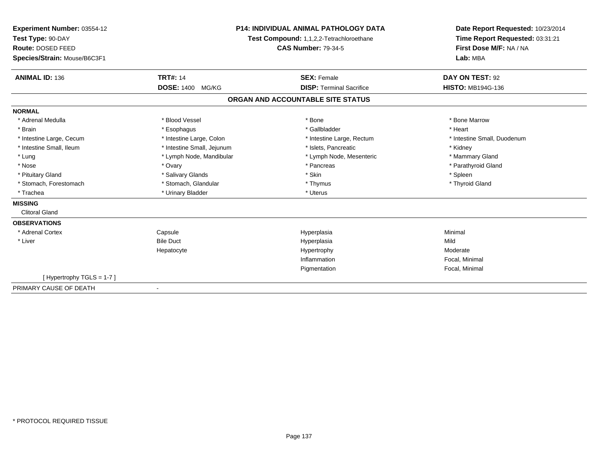| Experiment Number: 03554-12<br>Test Type: 90-DAY<br>Route: DOSED FEED<br>Species/Strain: Mouse/B6C3F1 |                            | <b>P14: INDIVIDUAL ANIMAL PATHOLOGY DATA</b><br>Test Compound: 1,1,2,2-Tetrachloroethane<br><b>CAS Number: 79-34-5</b> | Date Report Requested: 10/23/2014<br>Time Report Requested: 03:31:21<br>First Dose M/F: NA / NA<br>Lab: MBA |
|-------------------------------------------------------------------------------------------------------|----------------------------|------------------------------------------------------------------------------------------------------------------------|-------------------------------------------------------------------------------------------------------------|
| <b>ANIMAL ID: 136</b>                                                                                 | <b>TRT#: 14</b>            | <b>SEX: Female</b>                                                                                                     | DAY ON TEST: 92                                                                                             |
|                                                                                                       | <b>DOSE: 1400</b><br>MG/KG | <b>DISP: Terminal Sacrifice</b>                                                                                        | <b>HISTO: MB194G-136</b>                                                                                    |
|                                                                                                       |                            | ORGAN AND ACCOUNTABLE SITE STATUS                                                                                      |                                                                                                             |
| <b>NORMAL</b>                                                                                         |                            |                                                                                                                        |                                                                                                             |
| * Adrenal Medulla                                                                                     | * Blood Vessel             | * Bone                                                                                                                 | * Bone Marrow                                                                                               |
| * Brain                                                                                               | * Esophagus                | * Gallbladder                                                                                                          | * Heart                                                                                                     |
| * Intestine Large, Cecum                                                                              | * Intestine Large, Colon   | * Intestine Large, Rectum                                                                                              | * Intestine Small, Duodenum                                                                                 |
| * Intestine Small, Ileum                                                                              | * Intestine Small, Jejunum | * Islets, Pancreatic                                                                                                   | * Kidney                                                                                                    |
| * Lung                                                                                                | * Lymph Node, Mandibular   | * Lymph Node, Mesenteric                                                                                               | * Mammary Gland                                                                                             |
| * Nose                                                                                                | * Ovary                    | * Pancreas                                                                                                             | * Parathyroid Gland                                                                                         |
| * Pituitary Gland                                                                                     | * Salivary Glands          | * Skin                                                                                                                 | * Spleen                                                                                                    |
| * Stomach, Forestomach                                                                                | * Stomach, Glandular       | * Thymus                                                                                                               | * Thyroid Gland                                                                                             |
| * Trachea                                                                                             | * Urinary Bladder          | * Uterus                                                                                                               |                                                                                                             |
| <b>MISSING</b>                                                                                        |                            |                                                                                                                        |                                                                                                             |
| <b>Clitoral Gland</b>                                                                                 |                            |                                                                                                                        |                                                                                                             |
| <b>OBSERVATIONS</b>                                                                                   |                            |                                                                                                                        |                                                                                                             |
| * Adrenal Cortex                                                                                      | Capsule                    | Hyperplasia                                                                                                            | Minimal                                                                                                     |
| * Liver                                                                                               | <b>Bile Duct</b>           | Hyperplasia                                                                                                            | Mild                                                                                                        |
|                                                                                                       | Hepatocyte                 | Hypertrophy                                                                                                            | Moderate                                                                                                    |
|                                                                                                       |                            | Inflammation                                                                                                           | Focal, Minimal                                                                                              |
|                                                                                                       |                            | Pigmentation                                                                                                           | Focal, Minimal                                                                                              |
| [Hypertrophy TGLS = $1-7$ ]                                                                           |                            |                                                                                                                        |                                                                                                             |
| PRIMARY CAUSE OF DEATH                                                                                | $\overline{\phantom{a}}$   |                                                                                                                        |                                                                                                             |

-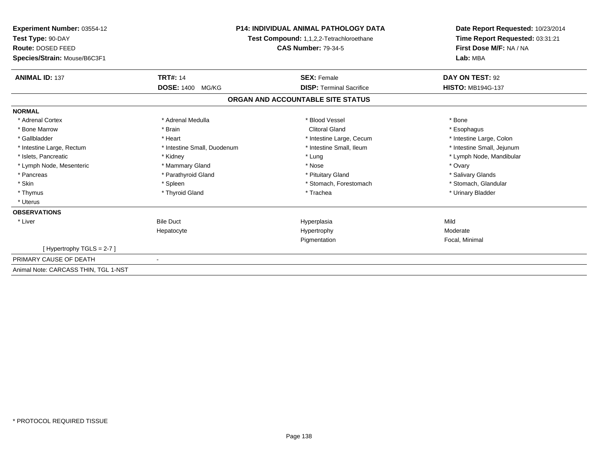| Experiment Number: 03554-12<br>Test Type: 90-DAY<br>Route: DOSED FEED<br>Species/Strain: Mouse/B6C3F1 |                             | <b>P14: INDIVIDUAL ANIMAL PATHOLOGY DATA</b><br><b>Test Compound: 1,1,2,2-Tetrachloroethane</b><br><b>CAS Number: 79-34-5</b> | Date Report Requested: 10/23/2014<br>Time Report Requested: 03:31:21<br>First Dose M/F: NA / NA<br>Lab: MBA |
|-------------------------------------------------------------------------------------------------------|-----------------------------|-------------------------------------------------------------------------------------------------------------------------------|-------------------------------------------------------------------------------------------------------------|
| <b>ANIMAL ID: 137</b>                                                                                 | <b>TRT#: 14</b>             | <b>SEX: Female</b>                                                                                                            | DAY ON TEST: 92                                                                                             |
|                                                                                                       | DOSE: 1400 MG/KG            | <b>DISP: Terminal Sacrifice</b>                                                                                               | <b>HISTO: MB194G-137</b>                                                                                    |
|                                                                                                       |                             | ORGAN AND ACCOUNTABLE SITE STATUS                                                                                             |                                                                                                             |
| <b>NORMAL</b>                                                                                         |                             |                                                                                                                               |                                                                                                             |
| * Adrenal Cortex                                                                                      | * Adrenal Medulla           | * Blood Vessel                                                                                                                | * Bone                                                                                                      |
| * Bone Marrow                                                                                         | * Brain                     | <b>Clitoral Gland</b>                                                                                                         | * Esophagus                                                                                                 |
| * Gallbladder                                                                                         | * Heart                     | * Intestine Large, Cecum                                                                                                      | * Intestine Large, Colon                                                                                    |
| * Intestine Large, Rectum                                                                             | * Intestine Small, Duodenum | * Intestine Small, Ileum                                                                                                      | * Intestine Small, Jejunum                                                                                  |
| * Islets. Pancreatic                                                                                  | * Kidney                    | * Lung                                                                                                                        | * Lymph Node, Mandibular                                                                                    |
| * Lymph Node, Mesenteric                                                                              | * Mammary Gland             | * Nose                                                                                                                        | * Ovary                                                                                                     |
| * Pancreas                                                                                            | * Parathyroid Gland         | * Pituitary Gland                                                                                                             | * Salivary Glands                                                                                           |
| * Skin                                                                                                | * Spleen                    | * Stomach, Forestomach                                                                                                        | * Stomach, Glandular                                                                                        |
| * Thymus                                                                                              | * Thyroid Gland             | * Trachea                                                                                                                     | * Urinary Bladder                                                                                           |
| * Uterus                                                                                              |                             |                                                                                                                               |                                                                                                             |
| <b>OBSERVATIONS</b>                                                                                   |                             |                                                                                                                               |                                                                                                             |
| * Liver                                                                                               | <b>Bile Duct</b>            | Hyperplasia                                                                                                                   | Mild                                                                                                        |
|                                                                                                       | Hepatocyte                  | Hypertrophy                                                                                                                   | Moderate                                                                                                    |
|                                                                                                       |                             | Pigmentation                                                                                                                  | Focal, Minimal                                                                                              |
| [Hypertrophy TGLS = $2-7$ ]                                                                           |                             |                                                                                                                               |                                                                                                             |
| PRIMARY CAUSE OF DEATH                                                                                | $\blacksquare$              |                                                                                                                               |                                                                                                             |
| Animal Note: CARCASS THIN, TGL 1-NST                                                                  |                             |                                                                                                                               |                                                                                                             |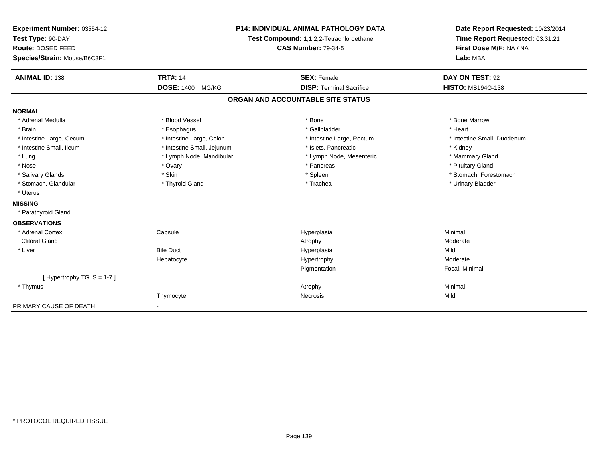| Experiment Number: 03554-12  | <b>P14: INDIVIDUAL ANIMAL PATHOLOGY DATA</b><br>Test Compound: 1,1,2,2-Tetrachloroethane |                                   | Date Report Requested: 10/23/2014<br>Time Report Requested: 03:31:21 |  |
|------------------------------|------------------------------------------------------------------------------------------|-----------------------------------|----------------------------------------------------------------------|--|
| Test Type: 90-DAY            |                                                                                          |                                   |                                                                      |  |
| Route: DOSED FEED            |                                                                                          | <b>CAS Number: 79-34-5</b>        | First Dose M/F: NA / NA                                              |  |
| Species/Strain: Mouse/B6C3F1 |                                                                                          |                                   | Lab: MBA                                                             |  |
| <b>ANIMAL ID: 138</b>        | <b>TRT#: 14</b>                                                                          | <b>SEX: Female</b>                | DAY ON TEST: 92                                                      |  |
|                              | <b>DOSE: 1400</b><br>MG/KG                                                               | <b>DISP: Terminal Sacrifice</b>   | <b>HISTO: MB194G-138</b>                                             |  |
|                              |                                                                                          | ORGAN AND ACCOUNTABLE SITE STATUS |                                                                      |  |
| <b>NORMAL</b>                |                                                                                          |                                   |                                                                      |  |
| * Adrenal Medulla            | * Blood Vessel                                                                           | * Bone                            | * Bone Marrow                                                        |  |
| * Brain                      | * Esophagus                                                                              | * Gallbladder                     | * Heart                                                              |  |
| * Intestine Large, Cecum     | * Intestine Large, Colon                                                                 | * Intestine Large, Rectum         | * Intestine Small, Duodenum                                          |  |
| * Intestine Small, Ileum     | * Intestine Small, Jejunum                                                               | * Islets, Pancreatic              | * Kidney                                                             |  |
| * Lung                       | * Lymph Node, Mandibular                                                                 | * Lymph Node, Mesenteric          | * Mammary Gland                                                      |  |
| * Nose                       | * Ovary                                                                                  | * Pancreas                        | * Pituitary Gland                                                    |  |
| * Salivary Glands            | * Skin                                                                                   | * Spleen                          | * Stomach, Forestomach                                               |  |
| * Stomach, Glandular         | * Thyroid Gland                                                                          | * Trachea                         | * Urinary Bladder                                                    |  |
| * Uterus                     |                                                                                          |                                   |                                                                      |  |
| <b>MISSING</b>               |                                                                                          |                                   |                                                                      |  |
| * Parathyroid Gland          |                                                                                          |                                   |                                                                      |  |
| <b>OBSERVATIONS</b>          |                                                                                          |                                   |                                                                      |  |
| * Adrenal Cortex             | Capsule                                                                                  | Hyperplasia                       | Minimal                                                              |  |
| <b>Clitoral Gland</b>        |                                                                                          | Atrophy                           | Moderate                                                             |  |
| * Liver                      | <b>Bile Duct</b>                                                                         | Hyperplasia                       | Mild                                                                 |  |
|                              | Hepatocyte                                                                               | Hypertrophy                       | Moderate                                                             |  |
|                              |                                                                                          | Pigmentation                      | Focal, Minimal                                                       |  |
| [Hypertrophy TGLS = $1-7$ ]  |                                                                                          |                                   |                                                                      |  |
| * Thymus                     |                                                                                          | Atrophy                           | Minimal                                                              |  |
|                              | Thymocyte                                                                                | Necrosis                          | Mild                                                                 |  |
| PRIMARY CAUSE OF DEATH       |                                                                                          |                                   |                                                                      |  |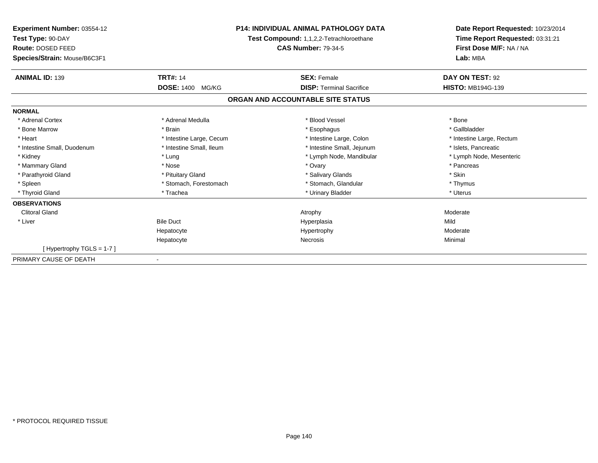| <b>Experiment Number: 03554-12</b><br>Test Type: 90-DAY<br>Route: DOSED FEED | <b>P14: INDIVIDUAL ANIMAL PATHOLOGY DATA</b><br>Test Compound: 1,1,2,2-Tetrachloroethane<br><b>CAS Number: 79-34-5</b> |                                   | Date Report Requested: 10/23/2014<br>Time Report Requested: 03:31:21<br>First Dose M/F: NA / NA |
|------------------------------------------------------------------------------|------------------------------------------------------------------------------------------------------------------------|-----------------------------------|-------------------------------------------------------------------------------------------------|
| Species/Strain: Mouse/B6C3F1                                                 |                                                                                                                        |                                   | Lab: MBA                                                                                        |
| <b>ANIMAL ID: 139</b>                                                        | <b>TRT#: 14</b>                                                                                                        | <b>SEX: Female</b>                | DAY ON TEST: 92                                                                                 |
|                                                                              | <b>DOSE: 1400</b><br>MG/KG                                                                                             | <b>DISP: Terminal Sacrifice</b>   | <b>HISTO: MB194G-139</b>                                                                        |
|                                                                              |                                                                                                                        | ORGAN AND ACCOUNTABLE SITE STATUS |                                                                                                 |
| <b>NORMAL</b>                                                                |                                                                                                                        |                                   |                                                                                                 |
| * Adrenal Cortex                                                             | * Adrenal Medulla                                                                                                      | * Blood Vessel                    | * Bone                                                                                          |
| * Bone Marrow                                                                | * Brain                                                                                                                | * Esophagus                       | * Gallbladder                                                                                   |
| * Heart                                                                      | * Intestine Large, Cecum                                                                                               | * Intestine Large, Colon          | * Intestine Large, Rectum                                                                       |
| * Intestine Small, Duodenum                                                  | * Intestine Small. Ileum                                                                                               | * Intestine Small, Jejunum        | * Islets, Pancreatic                                                                            |
| * Kidney                                                                     | * Lung                                                                                                                 | * Lymph Node, Mandibular          | * Lymph Node, Mesenteric                                                                        |
| * Mammary Gland                                                              | * Nose                                                                                                                 | * Ovary                           | * Pancreas                                                                                      |
| * Parathyroid Gland                                                          | * Pituitary Gland                                                                                                      | * Salivary Glands                 | * Skin                                                                                          |
| * Spleen                                                                     | * Stomach, Forestomach                                                                                                 | * Stomach, Glandular              | * Thymus                                                                                        |
| * Thyroid Gland                                                              | * Trachea                                                                                                              | * Urinary Bladder                 | * Uterus                                                                                        |
| <b>OBSERVATIONS</b>                                                          |                                                                                                                        |                                   |                                                                                                 |
| <b>Clitoral Gland</b>                                                        |                                                                                                                        | Atrophy                           | Moderate                                                                                        |
| * Liver                                                                      | <b>Bile Duct</b>                                                                                                       | Hyperplasia                       | Mild                                                                                            |
|                                                                              | Hepatocyte                                                                                                             | Hypertrophy                       | Moderate                                                                                        |
|                                                                              | Hepatocyte                                                                                                             | Necrosis                          | Minimal                                                                                         |
| [Hypertrophy TGLS = 1-7]                                                     |                                                                                                                        |                                   |                                                                                                 |
| PRIMARY CAUSE OF DEATH                                                       |                                                                                                                        |                                   |                                                                                                 |